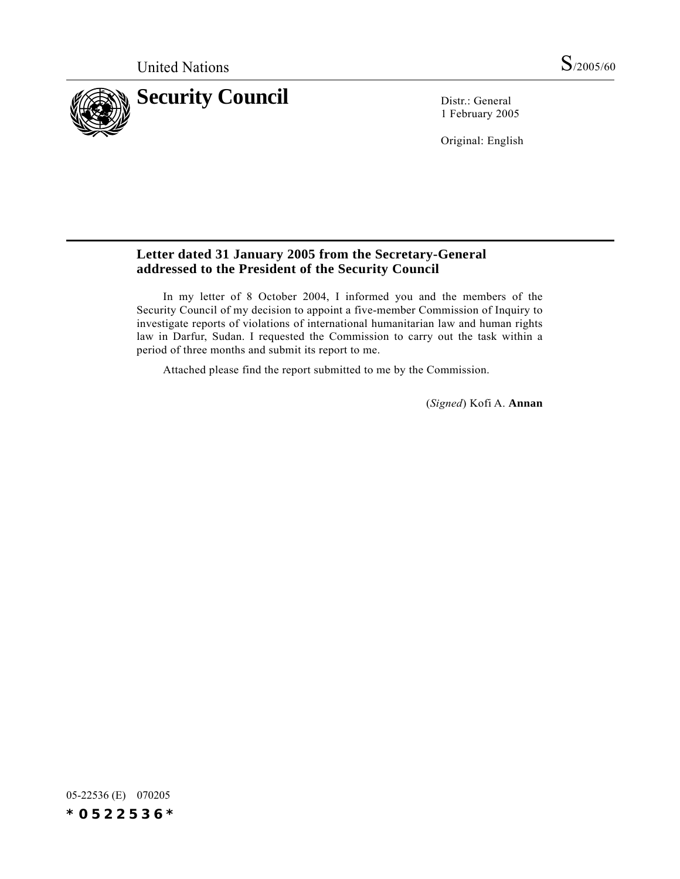

1 February 2005

Original: English

# **Letter dated 31 January 2005 from the Secretary-General addressed to the President of the Security Council**

In my letter of 8 October 2004, I informed you and the members of the Security Council of my decision to appoint a five-member Commission of Inquiry to investigate reports of violations of international humanitarian law and human rights law in Darfur, Sudan. I requested the Commission to carry out the task within a period of three months and submit its report to me.

Attached please find the report submitted to me by the Commission.

(*Signed*) Kofi A. **Annan**

05-22536 (E) 070205 *\*0522536\**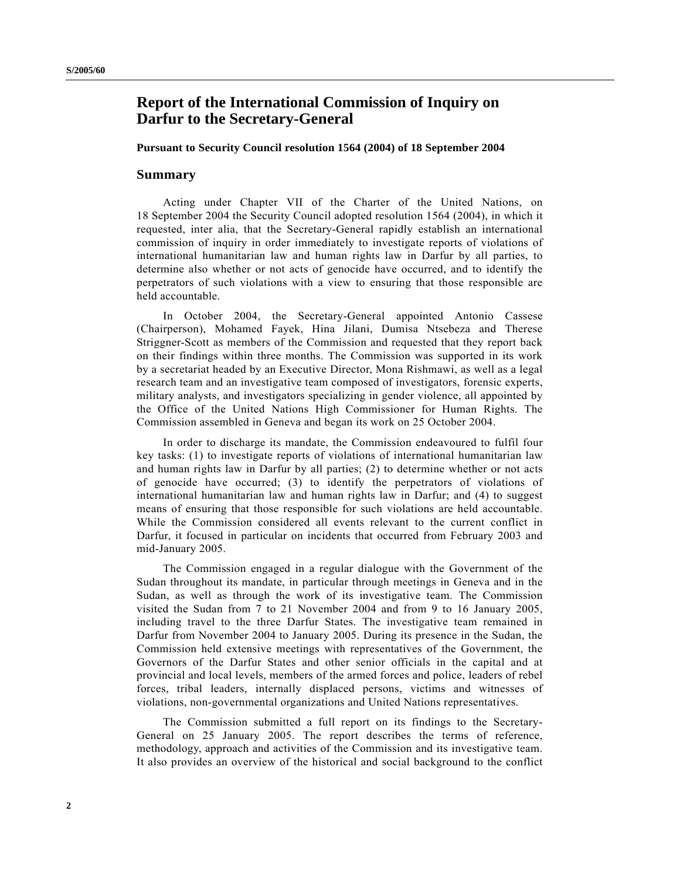# **Report of the International Commission of Inquiry on Darfur to the Secretary-General**

**Pursuant to Security Council resolution 1564 (2004) of 18 September 2004**

### **Summary**

Acting under Chapter VII of the Charter of the United Nations, on 18 September 2004 the Security Council adopted resolution 1564 (2004), in which it requested, inter alia, that the Secretary-General rapidly establish an international commission of inquiry in order immediately to investigate reports of violations of international humanitarian law and human rights law in Darfur by all parties, to determine also whether or not acts of genocide have occurred, and to identify the perpetrators of such violations with a view to ensuring that those responsible are held accountable.

In October 2004, the Secretary-General appointed Antonio Cassese (Chairperson), Mohamed Fayek, Hina Jilani, Dumisa Ntsebeza and Therese Striggner-Scott as members of the Commission and requested that they report back on their findings within three months. The Commission was supported in its work by a secretariat headed by an Executive Director, Mona Rishmawi, as well as a legal research team and an investigative team composed of investigators, forensic experts, military analysts, and investigators specializing in gender violence, all appointed by the Office of the United Nations High Commissioner for Human Rights. The Commission assembled in Geneva and began its work on 25 October 2004.

In order to discharge its mandate, the Commission endeavoured to fulfil four key tasks: (1) to investigate reports of violations of international humanitarian law and human rights law in Darfur by all parties; (2) to determine whether or not acts of genocide have occurred; (3) to identify the perpetrators of violations of international humanitarian law and human rights law in Darfur; and (4) to suggest means of ensuring that those responsible for such violations are held accountable. While the Commission considered all events relevant to the current conflict in Darfur, it focused in particular on incidents that occurred from February 2003 and mid-January 2005.

The Commission engaged in a regular dialogue with the Government of the Sudan throughout its mandate, in particular through meetings in Geneva and in the Sudan, as well as through the work of its investigative team. The Commission visited the Sudan from 7 to 21 November 2004 and from 9 to 16 January 2005, including travel to the three Darfur States. The investigative team remained in Darfur from November 2004 to January 2005. During its presence in the Sudan, the Commission held extensive meetings with representatives of the Government, the Governors of the Darfur States and other senior officials in the capital and at provincial and local levels, members of the armed forces and police, leaders of rebel forces, tribal leaders, internally displaced persons, victims and witnesses of violations, non-governmental organizations and United Nations representatives.

The Commission submitted a full report on its findings to the Secretary-General on 25 January 2005. The report describes the terms of reference, methodology, approach and activities of the Commission and its investigative team. It also provides an overview of the historical and social background to the conflict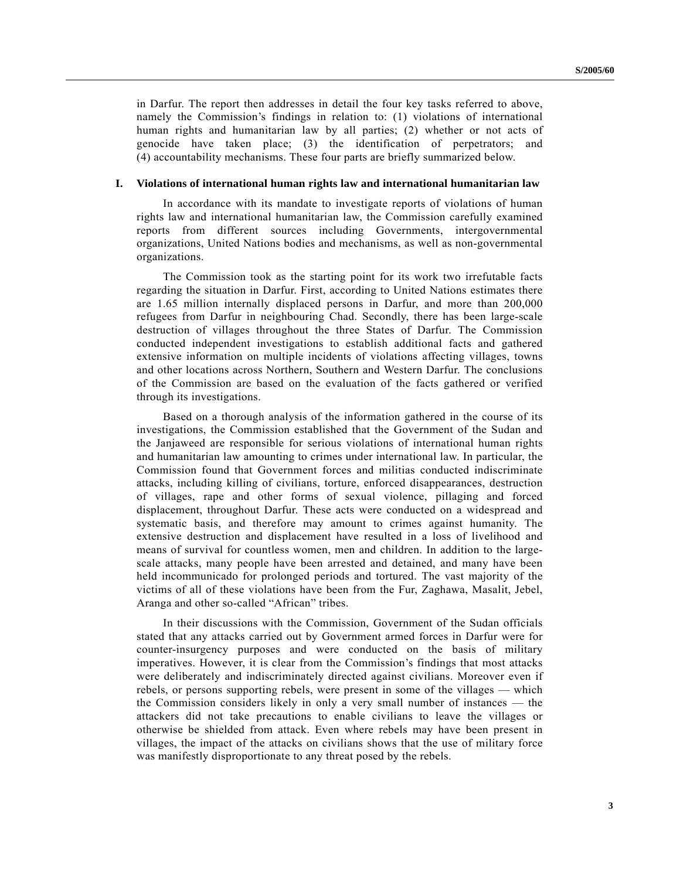in Darfur. The report then addresses in detail the four key tasks referred to above, namely the Commission's findings in relation to:  $(1)$  violations of international human rights and humanitarian law by all parties; (2) whether or not acts of genocide have taken place; (3) the identification of perpetrators; and (4) accountability mechanisms. These four parts are briefly summarized below.

#### **I. Violations of international human rights law and international humanitarian law**

In accordance with its mandate to investigate reports of violations of human rights law and international humanitarian law, the Commission carefully examined reports from different sources including Governments, intergovernmental organizations, United Nations bodies and mechanisms, as well as non-governmental organizations.

The Commission took as the starting point for its work two irrefutable facts regarding the situation in Darfur. First, according to United Nations estimates there are 1.65 million internally displaced persons in Darfur, and more than 200,000 refugees from Darfur in neighbouring Chad. Secondly, there has been large-scale destruction of villages throughout the three States of Darfur. The Commission conducted independent investigations to establish additional facts and gathered extensive information on multiple incidents of violations affecting villages, towns and other locations across Northern, Southern and Western Darfur. The conclusions of the Commission are based on the evaluation of the facts gathered or verified through its investigations.

Based on a thorough analysis of the information gathered in the course of its investigations, the Commission established that the Government of the Sudan and the Janjaweed are responsible for serious violations of international human rights and humanitarian law amounting to crimes under international law. In particular, the Commission found that Government forces and militias conducted indiscriminate attacks, including killing of civilians, torture, enforced disappearances, destruction of villages, rape and other forms of sexual violence, pillaging and forced displacement, throughout Darfur. These acts were conducted on a widespread and systematic basis, and therefore may amount to crimes against humanity. The extensive destruction and displacement have resulted in a loss of livelihood and means of survival for countless women, men and children. In addition to the largescale attacks, many people have been arrested and detained, and many have been held incommunicado for prolonged periods and tortured. The vast majority of the victims of all of these violations have been from the Fur, Zaghawa, Masalit, Jebel, Aranga and other so-called "African" tribes.

In their discussions with the Commission, Government of the Sudan officials stated that any attacks carried out by Government armed forces in Darfur were for counter-insurgency purposes and were conducted on the basis of military imperatives. However, it is clear from the Commission's findings that most attacks were deliberately and indiscriminately directed against civilians. Moreover even if rebels, or persons supporting rebels, were present in some of the villages — which the Commission considers likely in only a very small number of instances  $-$  the attackers did not take precautions to enable civilians to leave the villages or otherwise be shielded from attack. Even where rebels may have been present in villages, the impact of the attacks on civilians shows that the use of military force was manifestly disproportionate to any threat posed by the rebels.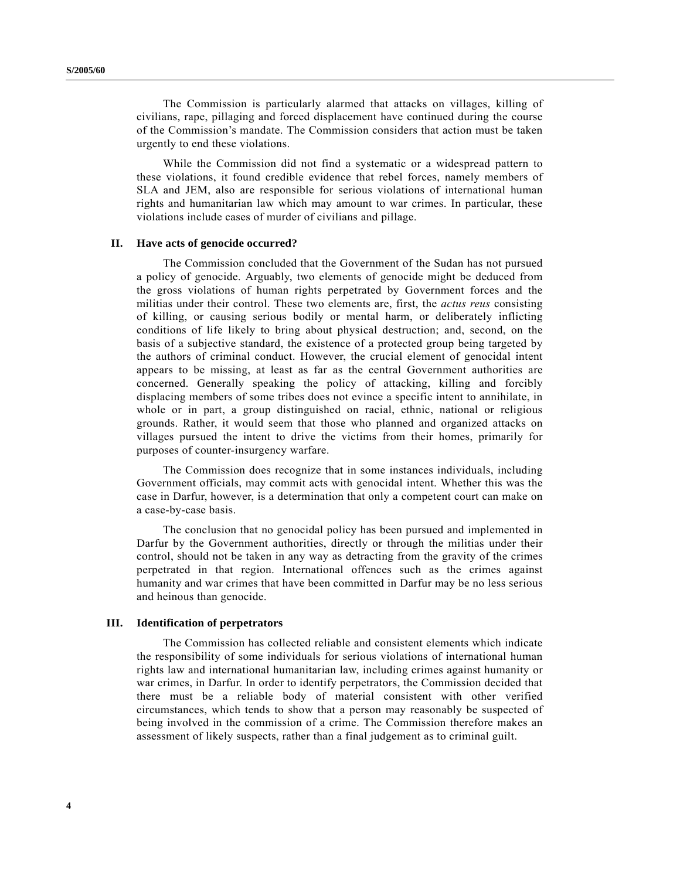The Commission is particularly alarmed that attacks on villages, killing of civilians, rape, pillaging and forced displacement have continued during the course of the Commission's mandate. The Commission considers that action must be taken urgently to end these violations.

While the Commission did not find a systematic or a widespread pattern to these violations, it found credible evidence that rebel forces, namely members of SLA and JEM, also are responsible for serious violations of international human rights and humanitarian law which may amount to war crimes. In particular, these violations include cases of murder of civilians and pillage.

## **II. Have acts of genocide occurred?**

The Commission concluded that the Government of the Sudan has not pursued a policy of genocide. Arguably, two elements of genocide might be deduced from the gross violations of human rights perpetrated by Government forces and the militias under their control. These two elements are, first, the *actus reus* consisting of killing, or causing serious bodily or mental harm, or deliberately inflicting conditions of life likely to bring about physical destruction; and, second, on the basis of a subjective standard, the existence of a protected group being targeted by the authors of criminal conduct. However, the crucial element of genocidal intent appears to be missing, at least as far as the central Government authorities are concerned. Generally speaking the policy of attacking, killing and forcibly displacing members of some tribes does not evince a specific intent to annihilate, in whole or in part, a group distinguished on racial, ethnic, national or religious grounds. Rather, it would seem that those who planned and organized attacks on villages pursued the intent to drive the victims from their homes, primarily for purposes of counter-insurgency warfare.

The Commission does recognize that in some instances individuals, including Government officials, may commit acts with genocidal intent. Whether this was the case in Darfur, however, is a determination that only a competent court can make on a case-by-case basis.

The conclusion that no genocidal policy has been pursued and implemented in Darfur by the Government authorities, directly or through the militias under their control, should not be taken in any way as detracting from the gravity of the crimes perpetrated in that region. International offences such as the crimes against humanity and war crimes that have been committed in Darfur may be no less serious and heinous than genocide.

#### **III. Identification of perpetrators**

The Commission has collected reliable and consistent elements which indicate the responsibility of some individuals for serious violations of international human rights law and international humanitarian law, including crimes against humanity or war crimes, in Darfur. In order to identify perpetrators, the Commission decided that there must be a reliable body of material consistent with other verified circumstances, which tends to show that a person may reasonably be suspected of being involved in the commission of a crime. The Commission therefore makes an assessment of likely suspects, rather than a final judgement as to criminal guilt.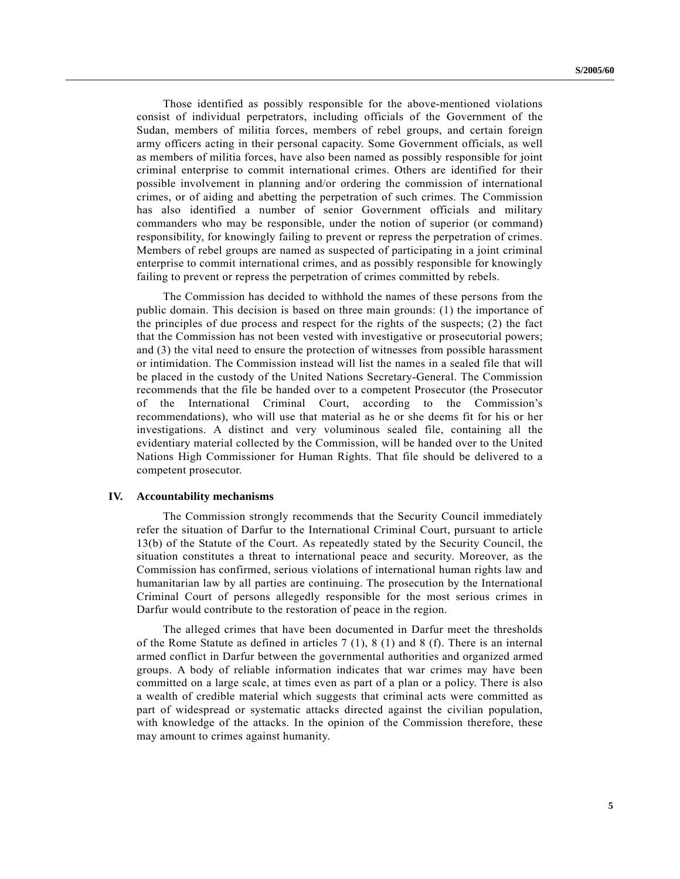Those identified as possibly responsible for the above-mentioned violations consist of individual perpetrators, including officials of the Government of the Sudan, members of militia forces, members of rebel groups, and certain foreign army officers acting in their personal capacity. Some Government officials, as well as members of militia forces, have also been named as possibly responsible for joint criminal enterprise to commit international crimes. Others are identified for their possible involvement in planning and/or ordering the commission of international crimes, or of aiding and abetting the perpetration of such crimes. The Commission has also identified a number of senior Government officials and military commanders who may be responsible, under the notion of superior (or command) responsibility, for knowingly failing to prevent or repress the perpetration of crimes. Members of rebel groups are named as suspected of participating in a joint criminal enterprise to commit international crimes, and as possibly responsible for knowingly failing to prevent or repress the perpetration of crimes committed by rebels.

The Commission has decided to withhold the names of these persons from the public domain. This decision is based on three main grounds: (1) the importance of the principles of due process and respect for the rights of the suspects; (2) the fact that the Commission has not been vested with investigative or prosecutorial powers; and (3) the vital need to ensure the protection of witnesses from possible harassment or intimidation. The Commission instead will list the names in a sealed file that will be placed in the custody of the United Nations Secretary-General. The Commission recommends that the file be handed over to a competent Prosecutor (the Prosecutor of the International Criminal Court, according to the Commissionís recommendations), who will use that material as he or she deems fit for his or her investigations. A distinct and very voluminous sealed file, containing all the evidentiary material collected by the Commission, will be handed over to the United Nations High Commissioner for Human Rights. That file should be delivered to a competent prosecutor.

#### **IV. Accountability mechanisms**

The Commission strongly recommends that the Security Council immediately refer the situation of Darfur to the International Criminal Court, pursuant to article 13(b) of the Statute of the Court. As repeatedly stated by the Security Council, the situation constitutes a threat to international peace and security. Moreover, as the Commission has confirmed, serious violations of international human rights law and humanitarian law by all parties are continuing. The prosecution by the International Criminal Court of persons allegedly responsible for the most serious crimes in Darfur would contribute to the restoration of peace in the region.

The alleged crimes that have been documented in Darfur meet the thresholds of the Rome Statute as defined in articles  $7(1)$ ,  $8(1)$  and  $8(1)$ . There is an internal armed conflict in Darfur between the governmental authorities and organized armed groups. A body of reliable information indicates that war crimes may have been committed on a large scale, at times even as part of a plan or a policy. There is also a wealth of credible material which suggests that criminal acts were committed as part of widespread or systematic attacks directed against the civilian population, with knowledge of the attacks. In the opinion of the Commission therefore, these may amount to crimes against humanity.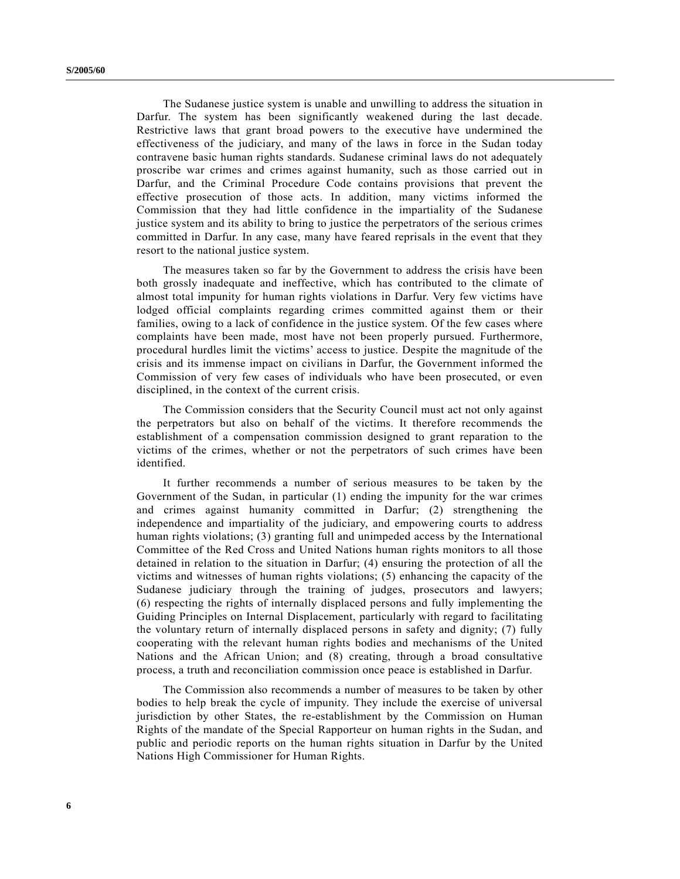The Sudanese justice system is unable and unwilling to address the situation in Darfur. The system has been significantly weakened during the last decade. Restrictive laws that grant broad powers to the executive have undermined the effectiveness of the judiciary, and many of the laws in force in the Sudan today contravene basic human rights standards. Sudanese criminal laws do not adequately proscribe war crimes and crimes against humanity, such as those carried out in Darfur, and the Criminal Procedure Code contains provisions that prevent the effective prosecution of those acts. In addition, many victims informed the Commission that they had little confidence in the impartiality of the Sudanese justice system and its ability to bring to justice the perpetrators of the serious crimes committed in Darfur. In any case, many have feared reprisals in the event that they resort to the national justice system.

The measures taken so far by the Government to address the crisis have been both grossly inadequate and ineffective, which has contributed to the climate of almost total impunity for human rights violations in Darfur. Very few victims have lodged official complaints regarding crimes committed against them or their families, owing to a lack of confidence in the justice system. Of the few cases where complaints have been made, most have not been properly pursued. Furthermore, procedural hurdles limit the victimsí access to justice. Despite the magnitude of the crisis and its immense impact on civilians in Darfur, the Government informed the Commission of very few cases of individuals who have been prosecuted, or even disciplined, in the context of the current crisis.

The Commission considers that the Security Council must act not only against the perpetrators but also on behalf of the victims. It therefore recommends the establishment of a compensation commission designed to grant reparation to the victims of the crimes, whether or not the perpetrators of such crimes have been identified.

It further recommends a number of serious measures to be taken by the Government of the Sudan, in particular (1) ending the impunity for the war crimes and crimes against humanity committed in Darfur; (2) strengthening the independence and impartiality of the judiciary, and empowering courts to address human rights violations; (3) granting full and unimpeded access by the International Committee of the Red Cross and United Nations human rights monitors to all those detained in relation to the situation in Darfur; (4) ensuring the protection of all the victims and witnesses of human rights violations; (5) enhancing the capacity of the Sudanese judiciary through the training of judges, prosecutors and lawyers; (6) respecting the rights of internally displaced persons and fully implementing the Guiding Principles on Internal Displacement, particularly with regard to facilitating the voluntary return of internally displaced persons in safety and dignity; (7) fully cooperating with the relevant human rights bodies and mechanisms of the United Nations and the African Union; and (8) creating, through a broad consultative process, a truth and reconciliation commission once peace is established in Darfur.

The Commission also recommends a number of measures to be taken by other bodies to help break the cycle of impunity. They include the exercise of universal jurisdiction by other States, the re-establishment by the Commission on Human Rights of the mandate of the Special Rapporteur on human rights in the Sudan, and public and periodic reports on the human rights situation in Darfur by the United Nations High Commissioner for Human Rights.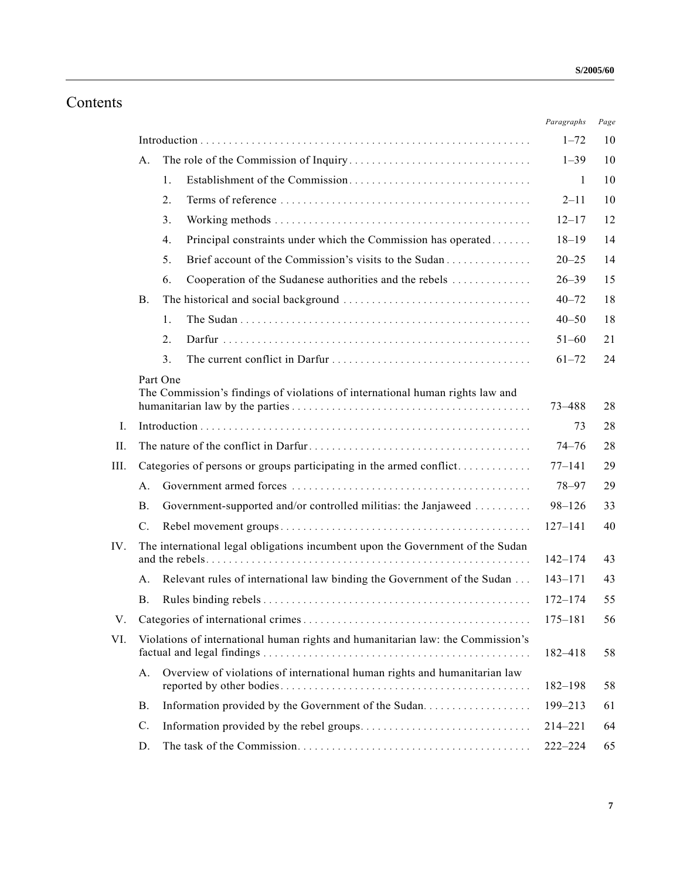# Contents

|      |                                                                                 |                                                                                | Paragraphs  | Page |
|------|---------------------------------------------------------------------------------|--------------------------------------------------------------------------------|-------------|------|
|      |                                                                                 |                                                                                | $1 - 72$    | 10   |
|      | A <sub>1</sub>                                                                  |                                                                                | $1 - 39$    | 10   |
|      |                                                                                 | $\mathbf{1}$ .                                                                 | 1           | 10   |
|      |                                                                                 | 2.                                                                             | $2 - 11$    | 10   |
|      |                                                                                 | 3.                                                                             | $12 - 17$   | 12   |
|      |                                                                                 | Principal constraints under which the Commission has operated<br>4.            | $18 - 19$   | 14   |
|      |                                                                                 | 5.<br>Brief account of the Commission's visits to the Sudan                    | $20 - 25$   | 14   |
|      |                                                                                 | 6.<br>Cooperation of the Sudanese authorities and the rebels                   | $26 - 39$   | 15   |
|      | <b>B.</b>                                                                       |                                                                                | $40 - 72$   | 18   |
|      |                                                                                 | 1.                                                                             | $40 - 50$   | 18   |
|      |                                                                                 | 2.                                                                             | $51 - 60$   | 21   |
|      |                                                                                 | 3.                                                                             | $61 - 72$   | 24   |
|      |                                                                                 | Part One                                                                       |             |      |
|      |                                                                                 | The Commission's findings of violations of international human rights law and  | 73-488      | 28   |
| Ι.   |                                                                                 |                                                                                | 73          | 28   |
| П.   |                                                                                 |                                                                                | $74 - 76$   | 28   |
| III. |                                                                                 | Categories of persons or groups participating in the armed conflict            | $77 - 141$  | 29   |
|      | $A_{-}$                                                                         |                                                                                | $78 - 97$   | 29   |
|      | <b>B.</b>                                                                       | Government-supported and/or controlled militias: the Janjaweed                 | $98 - 126$  | 33   |
|      | $\mathbf{C}$ .                                                                  |                                                                                | $127 - 141$ | 40   |
| IV.  |                                                                                 | The international legal obligations incumbent upon the Government of the Sudan |             |      |
|      |                                                                                 |                                                                                | $142 - 174$ | 43   |
|      | А.                                                                              | Relevant rules of international law binding the Government of the Sudan        | $143 - 171$ | 43   |
|      | <b>B.</b>                                                                       |                                                                                | $172 - 174$ | 55   |
| V.   |                                                                                 |                                                                                | $175 - 181$ | 56   |
| VI.  | Violations of international human rights and humanitarian law: the Commission's |                                                                                | 58          |      |
|      |                                                                                 |                                                                                |             |      |
|      | A.                                                                              | Overview of violations of international human rights and humanitarian law      | $182 - 198$ | 58   |
|      | <b>B.</b>                                                                       | Information provided by the Government of the Sudan                            | 199-213     | 61   |
|      | C.                                                                              |                                                                                | 214-221     | 64   |
|      | D.                                                                              |                                                                                | 222-224     | 65   |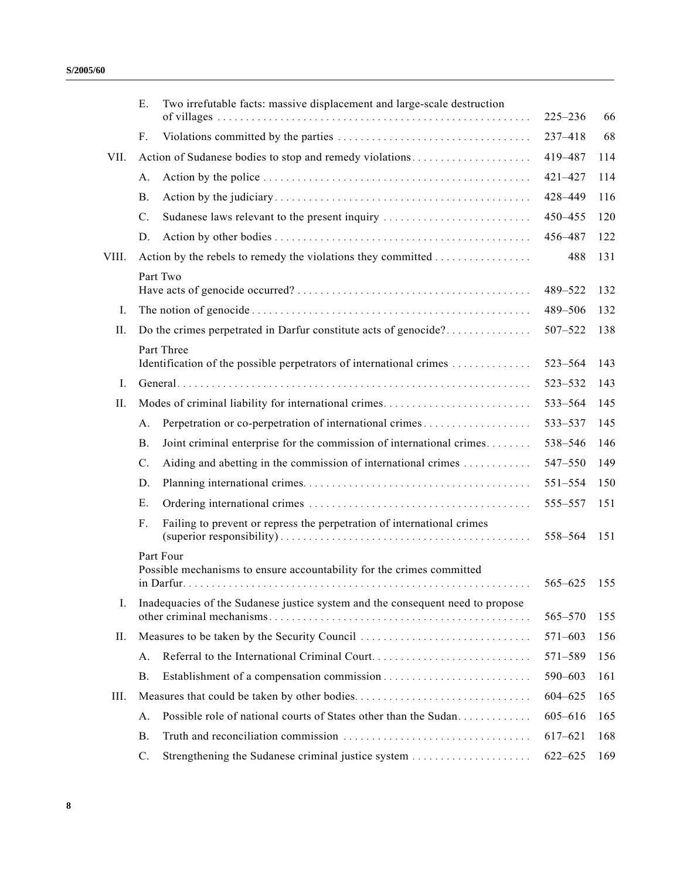|       | Е.                                                                             | Two irrefutable facts: massive displacement and large-scale destruction            |             |     |
|-------|--------------------------------------------------------------------------------|------------------------------------------------------------------------------------|-------------|-----|
|       |                                                                                |                                                                                    | $225 - 236$ | 66  |
|       | F.                                                                             |                                                                                    | 237-418     | 68  |
| VII.  | Action of Sudanese bodies to stop and remedy violations                        |                                                                                    |             | 114 |
|       | A.                                                                             |                                                                                    | 421-427     | 114 |
|       | Β.                                                                             |                                                                                    | 428-449     | 116 |
|       | C.                                                                             | Sudanese laws relevant to the present inquiry                                      | 450-455     | 120 |
|       | D.                                                                             |                                                                                    | 456-487     | 122 |
| VIII. |                                                                                |                                                                                    | 488         | 131 |
|       |                                                                                | Part Two                                                                           |             |     |
|       |                                                                                |                                                                                    | 489-522     | 132 |
| I.    |                                                                                |                                                                                    | 489-506     | 132 |
| П.    |                                                                                | Do the crimes perpetrated in Darfur constitute acts of genocide?                   | 507-522     | 138 |
|       |                                                                                | Part Three                                                                         |             |     |
|       |                                                                                | Identification of the possible perpetrators of international crimes                | 523-564     | 143 |
| Ι.    |                                                                                |                                                                                    | 523-532     | 143 |
| П.    |                                                                                | Modes of criminal liability for international crimes                               | 533-564     | 145 |
|       | A.                                                                             | Perpetration or co-perpetration of international crimes                            | 533-537     | 145 |
|       | <b>B.</b>                                                                      | Joint criminal enterprise for the commission of international crimes               | 538-546     | 146 |
|       | $C$ .                                                                          | Aiding and abetting in the commission of international crimes                      | 547-550     | 149 |
|       | D.                                                                             |                                                                                    | 551-554     | 150 |
|       | Е.                                                                             |                                                                                    | 555-557     | 151 |
|       | F.                                                                             | Failing to prevent or repress the perpetration of international crimes             |             |     |
|       |                                                                                |                                                                                    | 558-564     | 151 |
|       |                                                                                | Part Four<br>Possible mechanisms to ensure accountability for the crimes committed |             |     |
|       |                                                                                |                                                                                    | 565-625     | 155 |
| I.    | Inadequacies of the Sudanese justice system and the consequent need to propose |                                                                                    |             |     |
|       |                                                                                |                                                                                    | 565-570     | 155 |
| П.    |                                                                                | Measures to be taken by the Security Council                                       | 571-603     | 156 |
|       | А.                                                                             |                                                                                    | 571-589     | 156 |
|       | Β.                                                                             |                                                                                    | 590-603     | 161 |
| Ш.    |                                                                                | 604-625                                                                            | 165         |     |
|       | A.                                                                             | Possible role of national courts of States other than the Sudan                    | 605-616     | 165 |
|       | <b>B.</b>                                                                      |                                                                                    | 617-621     | 168 |
|       | C.                                                                             |                                                                                    | $622 - 625$ | 169 |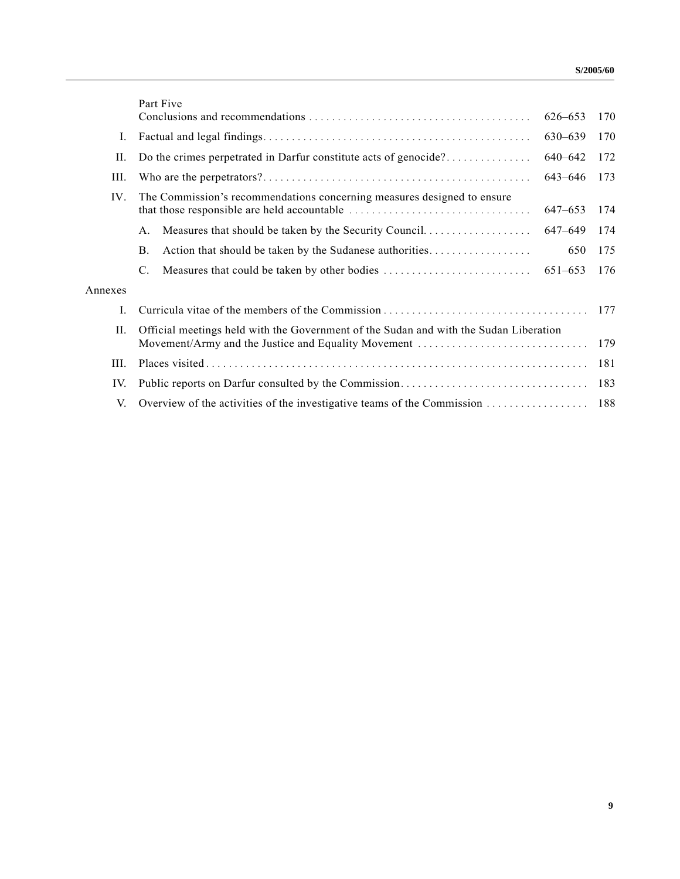|         | Part Five                                                                             |             |     |  |  |
|---------|---------------------------------------------------------------------------------------|-------------|-----|--|--|
|         |                                                                                       | $626 - 653$ | 170 |  |  |
| L       |                                                                                       | 630–639     | 170 |  |  |
| Н.      | Do the crimes perpetrated in Darfur constitute acts of genocide?                      | 640-642     | 172 |  |  |
| III.    |                                                                                       | 643–646     | 173 |  |  |
| IV.     | The Commission's recommendations concerning measures designed to ensure               |             |     |  |  |
|         |                                                                                       | $647 - 653$ | 174 |  |  |
|         | А.                                                                                    | 647–649     | 174 |  |  |
|         | <b>B.</b>                                                                             | 650         | 175 |  |  |
|         | Measures that could be taken by other bodies<br>$\mathcal{C}$ .                       | 651-653     | 176 |  |  |
| Annexes |                                                                                       |             |     |  |  |
| L       |                                                                                       |             | 177 |  |  |
| П.      | Official meetings held with the Government of the Sudan and with the Sudan Liberation |             |     |  |  |
|         | Movement/Army and the Justice and Equality Movement                                   |             |     |  |  |
| III.    |                                                                                       |             | 181 |  |  |
| IV.     |                                                                                       |             | 183 |  |  |
| V.      |                                                                                       |             | 188 |  |  |
|         |                                                                                       |             |     |  |  |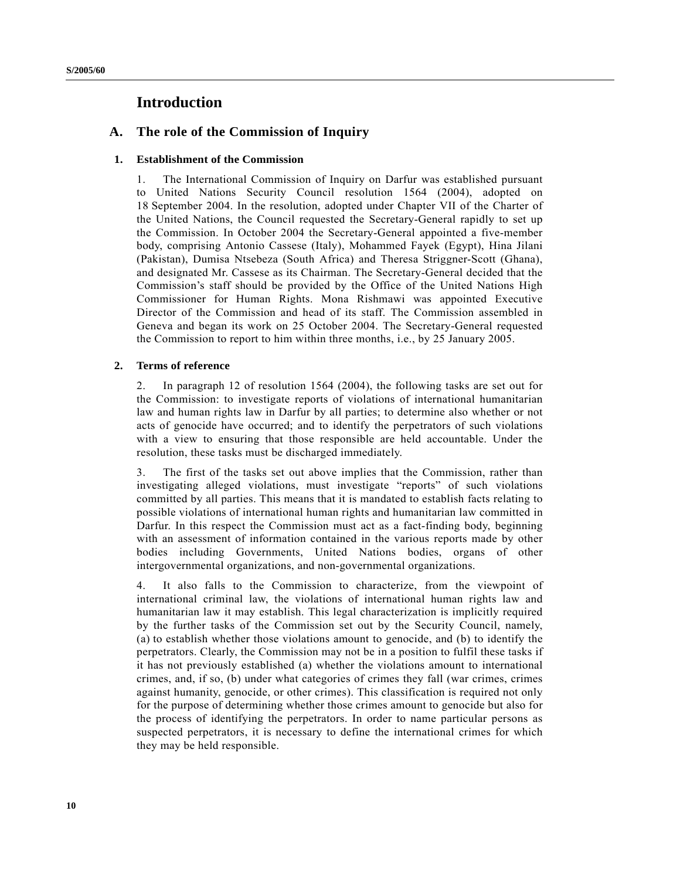# **Introduction**

# **A. The role of the Commission of Inquiry**

## **1. Establishment of the Commission**

1. The International Commission of Inquiry on Darfur was established pursuant to United Nations Security Council resolution 1564 (2004), adopted on 18 September 2004. In the resolution, adopted under Chapter VII of the Charter of the United Nations, the Council requested the Secretary-General rapidly to set up the Commission. In October 2004 the Secretary-General appointed a five-member body, comprising Antonio Cassese (Italy), Mohammed Fayek (Egypt), Hina Jilani (Pakistan), Dumisa Ntsebeza (South Africa) and Theresa Striggner-Scott (Ghana), and designated Mr. Cassese as its Chairman. The Secretary-General decided that the Commission's staff should be provided by the Office of the United Nations High Commissioner for Human Rights. Mona Rishmawi was appointed Executive Director of the Commission and head of its staff. The Commission assembled in Geneva and began its work on 25 October 2004. The Secretary-General requested the Commission to report to him within three months, i.e., by 25 January 2005.

# **2. Terms of reference**

2. In paragraph 12 of resolution 1564 (2004), the following tasks are set out for the Commission: to investigate reports of violations of international humanitarian law and human rights law in Darfur by all parties; to determine also whether or not acts of genocide have occurred; and to identify the perpetrators of such violations with a view to ensuring that those responsible are held accountable. Under the resolution, these tasks must be discharged immediately.

3. The first of the tasks set out above implies that the Commission, rather than investigating alleged violations, must investigate "reports" of such violations committed by all parties. This means that it is mandated to establish facts relating to possible violations of international human rights and humanitarian law committed in Darfur. In this respect the Commission must act as a fact-finding body, beginning with an assessment of information contained in the various reports made by other bodies including Governments, United Nations bodies, organs of other intergovernmental organizations, and non-governmental organizations.

4. It also falls to the Commission to characterize, from the viewpoint of international criminal law, the violations of international human rights law and humanitarian law it may establish. This legal characterization is implicitly required by the further tasks of the Commission set out by the Security Council, namely, (a) to establish whether those violations amount to genocide, and (b) to identify the perpetrators. Clearly, the Commission may not be in a position to fulfil these tasks if it has not previously established (a) whether the violations amount to international crimes, and, if so, (b) under what categories of crimes they fall (war crimes, crimes against humanity, genocide, or other crimes). This classification is required not only for the purpose of determining whether those crimes amount to genocide but also for the process of identifying the perpetrators. In order to name particular persons as suspected perpetrators, it is necessary to define the international crimes for which they may be held responsible.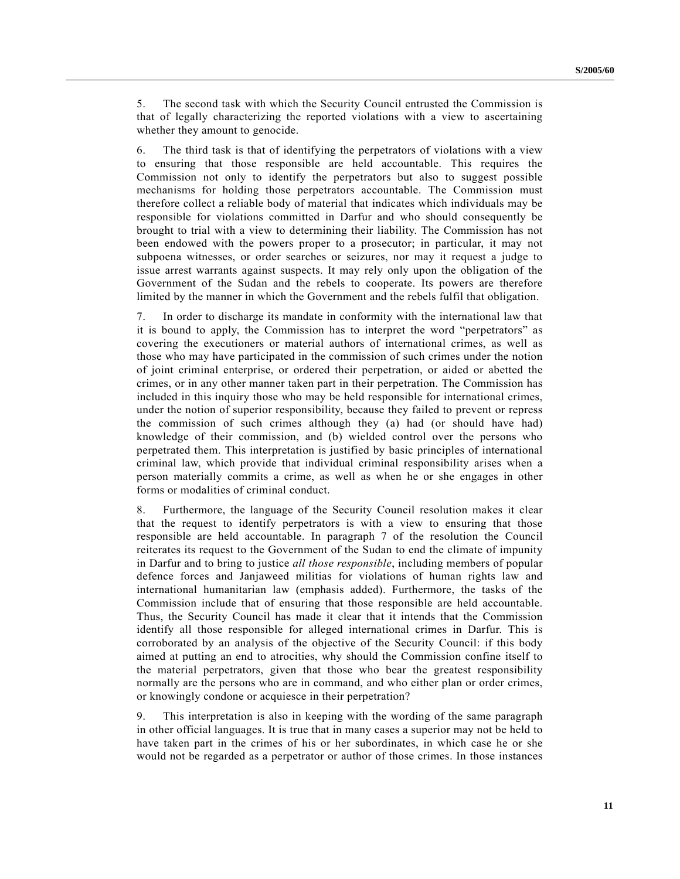5. The second task with which the Security Council entrusted the Commission is that of legally characterizing the reported violations with a view to ascertaining whether they amount to genocide.

6. The third task is that of identifying the perpetrators of violations with a view to ensuring that those responsible are held accountable. This requires the Commission not only to identify the perpetrators but also to suggest possible mechanisms for holding those perpetrators accountable. The Commission must therefore collect a reliable body of material that indicates which individuals may be responsible for violations committed in Darfur and who should consequently be brought to trial with a view to determining their liability. The Commission has not been endowed with the powers proper to a prosecutor; in particular, it may not subpoena witnesses, or order searches or seizures, nor may it request a judge to issue arrest warrants against suspects. It may rely only upon the obligation of the Government of the Sudan and the rebels to cooperate. Its powers are therefore limited by the manner in which the Government and the rebels fulfil that obligation.

7. In order to discharge its mandate in conformity with the international law that it is bound to apply, the Commission has to interpret the word "perpetrators" as covering the executioners or material authors of international crimes, as well as those who may have participated in the commission of such crimes under the notion of joint criminal enterprise, or ordered their perpetration, or aided or abetted the crimes, or in any other manner taken part in their perpetration. The Commission has included in this inquiry those who may be held responsible for international crimes, under the notion of superior responsibility, because they failed to prevent or repress the commission of such crimes although they (a) had (or should have had) knowledge of their commission, and (b) wielded control over the persons who perpetrated them. This interpretation is justified by basic principles of international criminal law, which provide that individual criminal responsibility arises when a person materially commits a crime, as well as when he or she engages in other forms or modalities of criminal conduct.

8. Furthermore, the language of the Security Council resolution makes it clear that the request to identify perpetrators is with a view to ensuring that those responsible are held accountable. In paragraph 7 of the resolution the Council reiterates its request to the Government of the Sudan to end the climate of impunity in Darfur and to bring to justice *all those responsible*, including members of popular defence forces and Janjaweed militias for violations of human rights law and international humanitarian law (emphasis added). Furthermore, the tasks of the Commission include that of ensuring that those responsible are held accountable. Thus, the Security Council has made it clear that it intends that the Commission identify all those responsible for alleged international crimes in Darfur. This is corroborated by an analysis of the objective of the Security Council: if this body aimed at putting an end to atrocities, why should the Commission confine itself to the material perpetrators, given that those who bear the greatest responsibility normally are the persons who are in command, and who either plan or order crimes, or knowingly condone or acquiesce in their perpetration?

9. This interpretation is also in keeping with the wording of the same paragraph in other official languages. It is true that in many cases a superior may not be held to have taken part in the crimes of his or her subordinates, in which case he or she would not be regarded as a perpetrator or author of those crimes. In those instances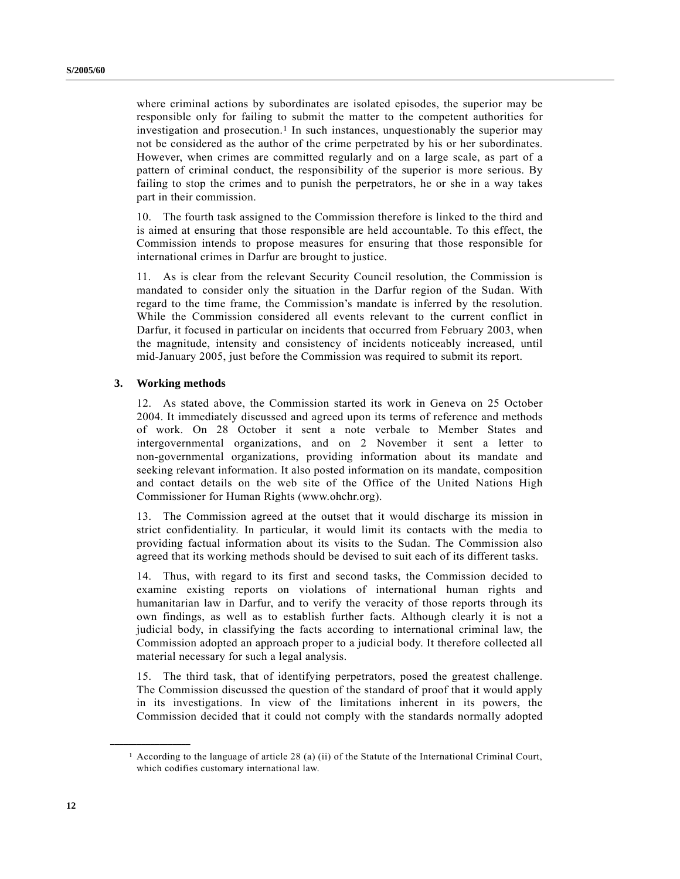where criminal actions by subordinates are isolated episodes, the superior may be responsible only for failing to submit the matter to the competent authorities for investigation and prosecution.<sup>1</sup> In such instances, unquestionably the superior may not be considered as the author of the crime perpetrated by his or her subordinates. However, when crimes are committed regularly and on a large scale, as part of a pattern of criminal conduct, the responsibility of the superior is more serious. By failing to stop the crimes and to punish the perpetrators, he or she in a way takes part in their commission.

10. The fourth task assigned to the Commission therefore is linked to the third and is aimed at ensuring that those responsible are held accountable. To this effect, the Commission intends to propose measures for ensuring that those responsible for international crimes in Darfur are brought to justice.

11. As is clear from the relevant Security Council resolution, the Commission is mandated to consider only the situation in the Darfur region of the Sudan. With regard to the time frame, the Commission's mandate is inferred by the resolution. While the Commission considered all events relevant to the current conflict in Darfur, it focused in particular on incidents that occurred from February 2003, when the magnitude, intensity and consistency of incidents noticeably increased, until mid-January 2005, just before the Commission was required to submit its report.

## **3. Working methods**

**\_\_\_\_\_\_\_\_\_\_\_\_\_\_\_\_\_\_**

12. As stated above, the Commission started its work in Geneva on 25 October 2004. It immediately discussed and agreed upon its terms of reference and methods of work. On 28 October it sent a note verbale to Member States and intergovernmental organizations, and on 2 November it sent a letter to non-governmental organizations, providing information about its mandate and seeking relevant information. It also posted information on its mandate, composition and contact details on the web site of the Office of the United Nations High Commissioner for Human Rights (www.ohchr.org).

13. The Commission agreed at the outset that it would discharge its mission in strict confidentiality. In particular, it would limit its contacts with the media to providing factual information about its visits to the Sudan. The Commission also agreed that its working methods should be devised to suit each of its different tasks.

14. Thus, with regard to its first and second tasks, the Commission decided to examine existing reports on violations of international human rights and humanitarian law in Darfur, and to verify the veracity of those reports through its own findings, as well as to establish further facts. Although clearly it is not a judicial body, in classifying the facts according to international criminal law, the Commission adopted an approach proper to a judicial body. It therefore collected all material necessary for such a legal analysis.

15. The third task, that of identifying perpetrators, posed the greatest challenge. The Commission discussed the question of the standard of proof that it would apply in its investigations. In view of the limitations inherent in its powers, the Commission decided that it could not comply with the standards normally adopted

<sup>1</sup> According to the language of article 28 (a) (ii) of the Statute of the International Criminal Court, which codifies customary international law.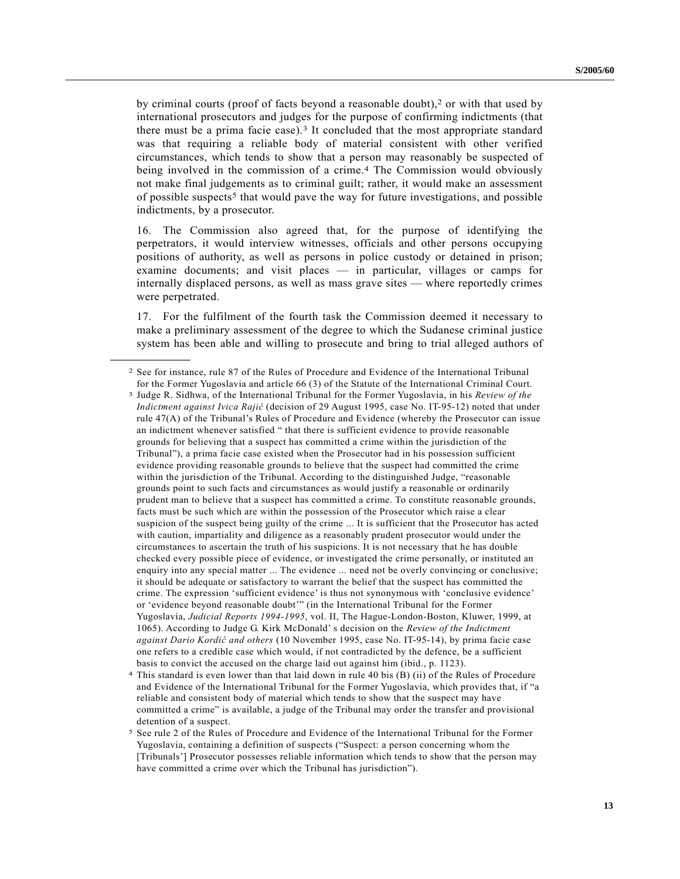by criminal courts (proof of facts beyond a reasonable doubt),<sup>2</sup> or with that used by international prosecutors and judges for the purpose of confirming indictments (that there must be a prima facie case).<sup>3</sup> It concluded that the most appropriate standard was that requiring a reliable body of material consistent with other verified circumstances, which tends to show that a person may reasonably be suspected of being involved in the commission of a crime.<sup>4</sup> The Commission would obviously not make final judgements as to criminal guilt; rather, it would make an assessment of possible suspects<sup>5</sup> that would pave the way for future investigations, and possible indictments, by a prosecutor.

16. The Commission also agreed that, for the purpose of identifying the perpetrators, it would interview witnesses, officials and other persons occupying positions of authority, as well as persons in police custody or detained in prison; examine documents; and visit places  $-$  in particular, villages or camps for internally displaced persons, as well as mass grave sites — where reportedly crimes were perpetrated.

17. For the fulfilment of the fourth task the Commission deemed it necessary to make a preliminary assessment of the degree to which the Sudanese criminal justice system has been able and willing to prosecute and bring to trial alleged authors of

<sup>2</sup> See for instance, rule 87 of the Rules of Procedure and Evidence of the International Tribunal for the Former Yugoslavia and article 66 (3) of the Statute of the International Criminal Court.

<sup>3</sup> Judge R. Sidhwa, of the International Tribunal for the Former Yugoslavia, in his *Review of the Indictment against Ivica Rajić* (decision of 29 August 1995, case No. IT-95-12) noted that under rule  $47(A)$  of the Tribunal's Rules of Procedure and Evidence (whereby the Prosecutor can issue an indictment whenever satisfied " that there is sufficient evidence to provide reasonable grounds for believing that a suspect has committed a crime within the jurisdiction of the Tribunalî), a prima facie case existed when the Prosecutor had in his possession sufficient evidence providing reasonable grounds to believe that the suspect had committed the crime within the jurisdiction of the Tribunal. According to the distinguished Judge, "reasonable grounds point to such facts and circumstances as would justify a reasonable or ordinarily prudent man to believe that a suspect has committed a crime. To constitute reasonable grounds, facts must be such which are within the possession of the Prosecutor which raise a clear suspicion of the suspect being guilty of the crime ... It is sufficient that the Prosecutor has acted with caution, impartiality and diligence as a reasonably prudent prosecutor would under the circumstances to ascertain the truth of his suspicions. It is not necessary that he has double checked every possible piece of evidence, or investigated the crime personally, or instituted an enquiry into any special matter ... The evidence ... need not be overly convincing or conclusive; it should be adequate or satisfactory to warrant the belief that the suspect has committed the crime. The expression 'sufficient evidence' is thus not synonymous with 'conclusive evidence' or 'evidence beyond reasonable doubt'" (in the International Tribunal for the Former Yugoslavia, *Judicial Reports 1994-1995*, vol. II, The Hague-London-Boston, Kluwer, 1999, at 1065). According to Judge G. Kirk McDonald's decision on the *Review of the Indictment against Dario Kordić and others* (10 November 1995, case No. IT-95-14), by prima facie case one refers to a credible case which would, if not contradicted by the defence, be a sufficient basis to convict the accused on the charge laid out against him (ibid., p. 1123).

<sup>4</sup> This standard is even lower than that laid down in rule 40 bis (B) (ii) of the Rules of Procedure and Evidence of the International Tribunal for the Former Yugoslavia, which provides that, if "a reliable and consistent body of material which tends to show that the suspect may have committed a crime" is available, a judge of the Tribunal may order the transfer and provisional detention of a suspect.

<sup>5</sup> See rule 2 of the Rules of Procedure and Evidence of the International Tribunal for the Former Yugoslavia, containing a definition of suspects ("Suspect: a person concerning whom the [Tribunals'] Prosecutor possesses reliable information which tends to show that the person may have committed a crime over which the Tribunal has jurisdiction").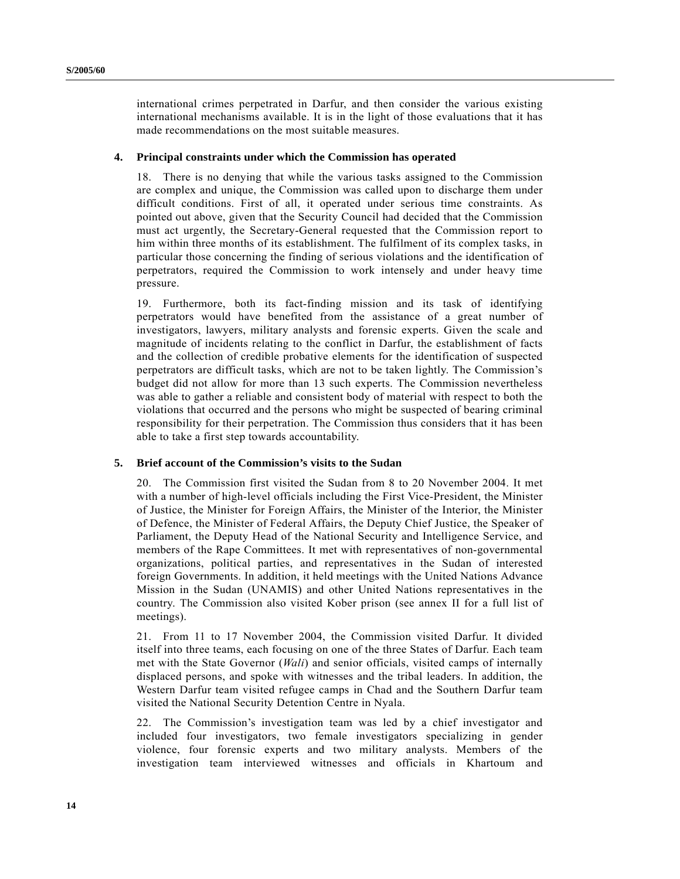international crimes perpetrated in Darfur, and then consider the various existing international mechanisms available. It is in the light of those evaluations that it has made recommendations on the most suitable measures.

#### **4. Principal constraints under which the Commission has operated**

18. There is no denying that while the various tasks assigned to the Commission are complex and unique, the Commission was called upon to discharge them under difficult conditions. First of all, it operated under serious time constraints. As pointed out above, given that the Security Council had decided that the Commission must act urgently, the Secretary-General requested that the Commission report to him within three months of its establishment. The fulfilment of its complex tasks, in particular those concerning the finding of serious violations and the identification of perpetrators, required the Commission to work intensely and under heavy time pressure.

19. Furthermore, both its fact-finding mission and its task of identifying perpetrators would have benefited from the assistance of a great number of investigators, lawyers, military analysts and forensic experts. Given the scale and magnitude of incidents relating to the conflict in Darfur, the establishment of facts and the collection of credible probative elements for the identification of suspected perpetrators are difficult tasks, which are not to be taken lightly. The Commission's budget did not allow for more than 13 such experts. The Commission nevertheless was able to gather a reliable and consistent body of material with respect to both the violations that occurred and the persons who might be suspected of bearing criminal responsibility for their perpetration. The Commission thus considers that it has been able to take a first step towards accountability.

## **5. Brief account of the Commission's visits to the Sudan**

20. The Commission first visited the Sudan from 8 to 20 November 2004. It met with a number of high-level officials including the First Vice-President, the Minister of Justice, the Minister for Foreign Affairs, the Minister of the Interior, the Minister of Defence, the Minister of Federal Affairs, the Deputy Chief Justice, the Speaker of Parliament, the Deputy Head of the National Security and Intelligence Service, and members of the Rape Committees. It met with representatives of non-governmental organizations, political parties, and representatives in the Sudan of interested foreign Governments. In addition, it held meetings with the United Nations Advance Mission in the Sudan (UNAMIS) and other United Nations representatives in the country. The Commission also visited Kober prison (see annex II for a full list of meetings).

21. From 11 to 17 November 2004, the Commission visited Darfur. It divided itself into three teams, each focusing on one of the three States of Darfur. Each team met with the State Governor (*Wali*) and senior officials, visited camps of internally displaced persons, and spoke with witnesses and the tribal leaders. In addition, the Western Darfur team visited refugee camps in Chad and the Southern Darfur team visited the National Security Detention Centre in Nyala.

22. The Commission's investigation team was led by a chief investigator and included four investigators, two female investigators specializing in gender violence, four forensic experts and two military analysts. Members of the investigation team interviewed witnesses and officials in Khartoum and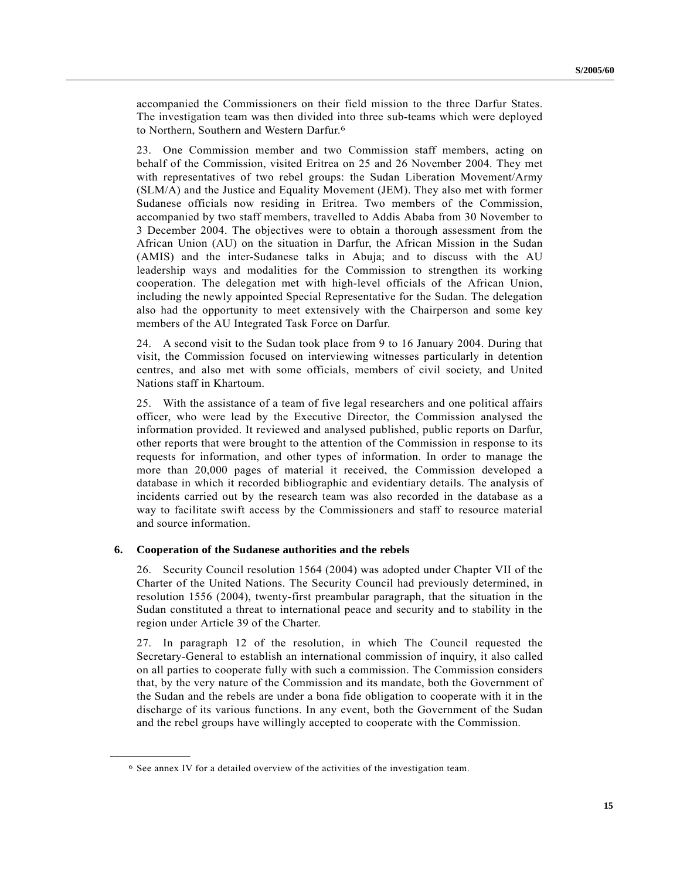accompanied the Commissioners on their field mission to the three Darfur States. The investigation team was then divided into three sub-teams which were deployed to Northern, Southern and Western Darfur.6

23. One Commission member and two Commission staff members, acting on behalf of the Commission, visited Eritrea on 25 and 26 November 2004. They met with representatives of two rebel groups: the Sudan Liberation Movement/Army (SLM/A) and the Justice and Equality Movement (JEM). They also met with former Sudanese officials now residing in Eritrea. Two members of the Commission, accompanied by two staff members, travelled to Addis Ababa from 30 November to 3 December 2004. The objectives were to obtain a thorough assessment from the African Union (AU) on the situation in Darfur, the African Mission in the Sudan (AMIS) and the inter-Sudanese talks in Abuja; and to discuss with the AU leadership ways and modalities for the Commission to strengthen its working cooperation. The delegation met with high-level officials of the African Union, including the newly appointed Special Representative for the Sudan. The delegation also had the opportunity to meet extensively with the Chairperson and some key members of the AU Integrated Task Force on Darfur.

24. A second visit to the Sudan took place from 9 to 16 January 2004. During that visit, the Commission focused on interviewing witnesses particularly in detention centres, and also met with some officials, members of civil society, and United Nations staff in Khartoum.

25. With the assistance of a team of five legal researchers and one political affairs officer, who were lead by the Executive Director, the Commission analysed the information provided. It reviewed and analysed published, public reports on Darfur, other reports that were brought to the attention of the Commission in response to its requests for information, and other types of information. In order to manage the more than 20,000 pages of material it received, the Commission developed a database in which it recorded bibliographic and evidentiary details. The analysis of incidents carried out by the research team was also recorded in the database as a way to facilitate swift access by the Commissioners and staff to resource material and source information.

# **6. Cooperation of the Sudanese authorities and the rebels**

26. Security Council resolution 1564 (2004) was adopted under Chapter VII of the Charter of the United Nations. The Security Council had previously determined, in resolution 1556 (2004), twenty-first preambular paragraph, that the situation in the Sudan constituted a threat to international peace and security and to stability in the region under Article 39 of the Charter.

27. In paragraph 12 of the resolution, in which The Council requested the Secretary-General to establish an international commission of inquiry, it also called on all parties to cooperate fully with such a commission. The Commission considers that, by the very nature of the Commission and its mandate, both the Government of the Sudan and the rebels are under a bona fide obligation to cooperate with it in the discharge of its various functions. In any event, both the Government of the Sudan and the rebel groups have willingly accepted to cooperate with the Commission.

<sup>6</sup> See annex IV for a detailed overview of the activities of the investigation team.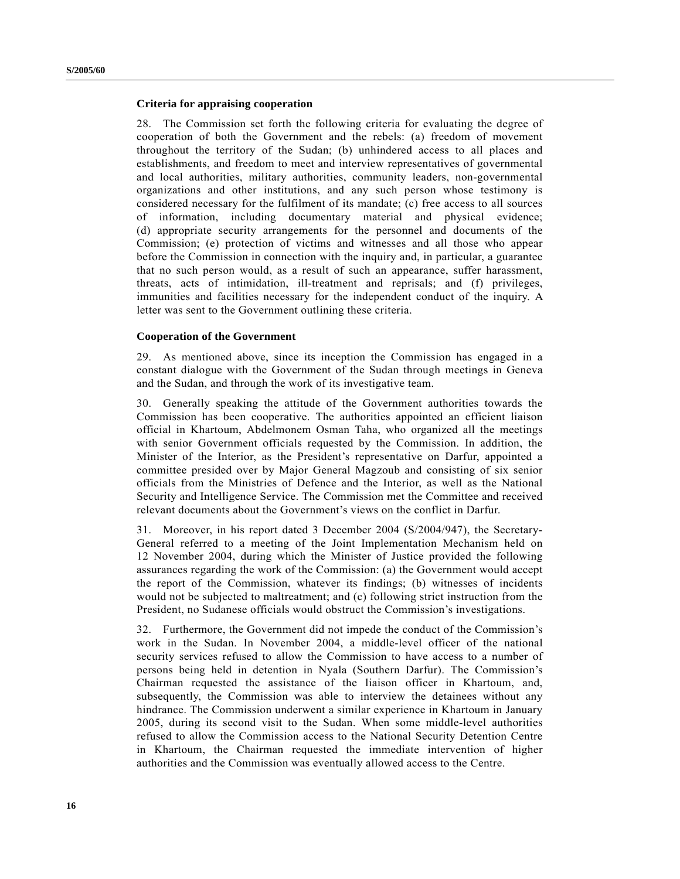#### **Criteria for appraising cooperation**

28. The Commission set forth the following criteria for evaluating the degree of cooperation of both the Government and the rebels: (a) freedom of movement throughout the territory of the Sudan; (b) unhindered access to all places and establishments, and freedom to meet and interview representatives of governmental and local authorities, military authorities, community leaders, non-governmental organizations and other institutions, and any such person whose testimony is considered necessary for the fulfilment of its mandate; (c) free access to all sources of information, including documentary material and physical evidence; (d) appropriate security arrangements for the personnel and documents of the Commission; (e) protection of victims and witnesses and all those who appear before the Commission in connection with the inquiry and, in particular, a guarantee that no such person would, as a result of such an appearance, suffer harassment, threats, acts of intimidation, ill-treatment and reprisals; and (f) privileges, immunities and facilities necessary for the independent conduct of the inquiry. A letter was sent to the Government outlining these criteria.

#### **Cooperation of the Government**

29. As mentioned above, since its inception the Commission has engaged in a constant dialogue with the Government of the Sudan through meetings in Geneva and the Sudan, and through the work of its investigative team.

30. Generally speaking the attitude of the Government authorities towards the Commission has been cooperative. The authorities appointed an efficient liaison official in Khartoum, Abdelmonem Osman Taha, who organized all the meetings with senior Government officials requested by the Commission. In addition, the Minister of the Interior, as the President's representative on Darfur, appointed a committee presided over by Major General Magzoub and consisting of six senior officials from the Ministries of Defence and the Interior, as well as the National Security and Intelligence Service. The Commission met the Committee and received relevant documents about the Government's views on the conflict in Darfur.

31. Moreover, in his report dated 3 December 2004 (S/2004/947), the Secretary-General referred to a meeting of the Joint Implementation Mechanism held on 12 November 2004, during which the Minister of Justice provided the following assurances regarding the work of the Commission: (a) the Government would accept the report of the Commission, whatever its findings; (b) witnesses of incidents would not be subjected to maltreatment; and (c) following strict instruction from the President, no Sudanese officials would obstruct the Commission's investigations.

32. Furthermore, the Government did not impede the conduct of the Commission's work in the Sudan. In November 2004, a middle-level officer of the national security services refused to allow the Commission to have access to a number of persons being held in detention in Nyala (Southern Darfur). The Commissionís Chairman requested the assistance of the liaison officer in Khartoum, and, subsequently, the Commission was able to interview the detainees without any hindrance. The Commission underwent a similar experience in Khartoum in January 2005, during its second visit to the Sudan. When some middle-level authorities refused to allow the Commission access to the National Security Detention Centre in Khartoum, the Chairman requested the immediate intervention of higher authorities and the Commission was eventually allowed access to the Centre.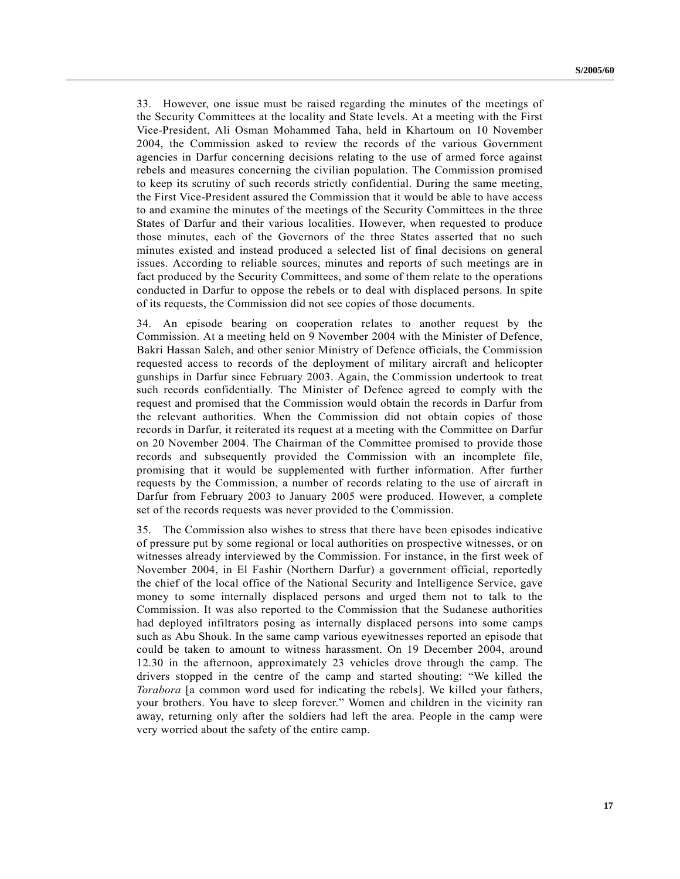33. However, one issue must be raised regarding the minutes of the meetings of the Security Committees at the locality and State levels. At a meeting with the First Vice-President, Ali Osman Mohammed Taha, held in Khartoum on 10 November 2004, the Commission asked to review the records of the various Government agencies in Darfur concerning decisions relating to the use of armed force against rebels and measures concerning the civilian population. The Commission promised to keep its scrutiny of such records strictly confidential. During the same meeting, the First Vice-President assured the Commission that it would be able to have access to and examine the minutes of the meetings of the Security Committees in the three States of Darfur and their various localities. However, when requested to produce those minutes, each of the Governors of the three States asserted that no such minutes existed and instead produced a selected list of final decisions on general issues. According to reliable sources, minutes and reports of such meetings are in fact produced by the Security Committees, and some of them relate to the operations conducted in Darfur to oppose the rebels or to deal with displaced persons. In spite of its requests, the Commission did not see copies of those documents.

34. An episode bearing on cooperation relates to another request by the Commission. At a meeting held on 9 November 2004 with the Minister of Defence, Bakri Hassan Saleh, and other senior Ministry of Defence officials, the Commission requested access to records of the deployment of military aircraft and helicopter gunships in Darfur since February 2003. Again, the Commission undertook to treat such records confidentially. The Minister of Defence agreed to comply with the request and promised that the Commission would obtain the records in Darfur from the relevant authorities. When the Commission did not obtain copies of those records in Darfur, it reiterated its request at a meeting with the Committee on Darfur on 20 November 2004. The Chairman of the Committee promised to provide those records and subsequently provided the Commission with an incomplete file, promising that it would be supplemented with further information. After further requests by the Commission, a number of records relating to the use of aircraft in Darfur from February 2003 to January 2005 were produced. However, a complete set of the records requests was never provided to the Commission.

35. The Commission also wishes to stress that there have been episodes indicative of pressure put by some regional or local authorities on prospective witnesses, or on witnesses already interviewed by the Commission. For instance, in the first week of November 2004, in El Fashir (Northern Darfur) a government official, reportedly the chief of the local office of the National Security and Intelligence Service, gave money to some internally displaced persons and urged them not to talk to the Commission. It was also reported to the Commission that the Sudanese authorities had deployed infiltrators posing as internally displaced persons into some camps such as Abu Shouk. In the same camp various eyewitnesses reported an episode that could be taken to amount to witness harassment. On 19 December 2004, around 12.30 in the afternoon, approximately 23 vehicles drove through the camp. The drivers stopped in the centre of the camp and started shouting: "We killed the *Torabora* [a common word used for indicating the rebels]. We killed your fathers, your brothers. You have to sleep forever." Women and children in the vicinity ran away, returning only after the soldiers had left the area. People in the camp were very worried about the safety of the entire camp.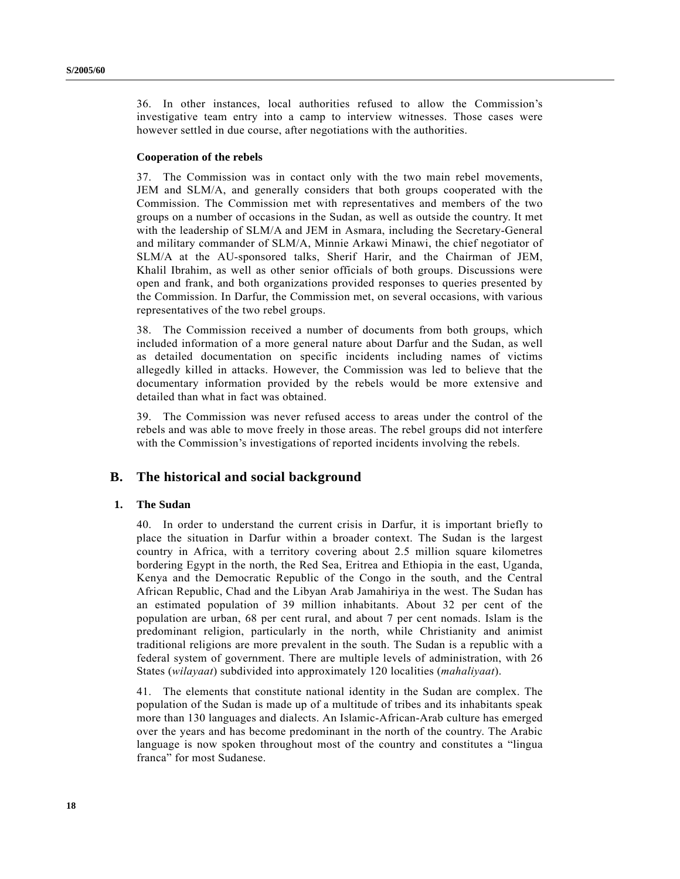36. In other instances, local authorities refused to allow the Commissionís investigative team entry into a camp to interview witnesses. Those cases were however settled in due course, after negotiations with the authorities.

#### **Cooperation of the rebels**

37. The Commission was in contact only with the two main rebel movements, JEM and SLM/A, and generally considers that both groups cooperated with the Commission. The Commission met with representatives and members of the two groups on a number of occasions in the Sudan, as well as outside the country. It met with the leadership of SLM/A and JEM in Asmara, including the Secretary-General and military commander of SLM/A, Minnie Arkawi Minawi, the chief negotiator of SLM/A at the AU-sponsored talks, Sherif Harir, and the Chairman of JEM, Khalil Ibrahim, as well as other senior officials of both groups. Discussions were open and frank, and both organizations provided responses to queries presented by the Commission. In Darfur, the Commission met, on several occasions, with various representatives of the two rebel groups.

38. The Commission received a number of documents from both groups, which included information of a more general nature about Darfur and the Sudan, as well as detailed documentation on specific incidents including names of victims allegedly killed in attacks. However, the Commission was led to believe that the documentary information provided by the rebels would be more extensive and detailed than what in fact was obtained.

39. The Commission was never refused access to areas under the control of the rebels and was able to move freely in those areas. The rebel groups did not interfere with the Commission's investigations of reported incidents involving the rebels.

# **B. The historical and social background**

#### **1. The Sudan**

40. In order to understand the current crisis in Darfur, it is important briefly to place the situation in Darfur within a broader context. The Sudan is the largest country in Africa, with a territory covering about 2.5 million square kilometres bordering Egypt in the north, the Red Sea, Eritrea and Ethiopia in the east, Uganda, Kenya and the Democratic Republic of the Congo in the south, and the Central African Republic, Chad and the Libyan Arab Jamahiriya in the west. The Sudan has an estimated population of 39 million inhabitants. About 32 per cent of the population are urban, 68 per cent rural, and about 7 per cent nomads. Islam is the predominant religion, particularly in the north, while Christianity and animist traditional religions are more prevalent in the south. The Sudan is a republic with a federal system of government. There are multiple levels of administration, with 26 States (*wilayaat*) subdivided into approximately 120 localities (*mahaliyaat*).

41. The elements that constitute national identity in the Sudan are complex. The population of the Sudan is made up of a multitude of tribes and its inhabitants speak more than 130 languages and dialects. An Islamic-African-Arab culture has emerged over the years and has become predominant in the north of the country. The Arabic language is now spoken throughout most of the country and constitutes a "lingua franca" for most Sudanese.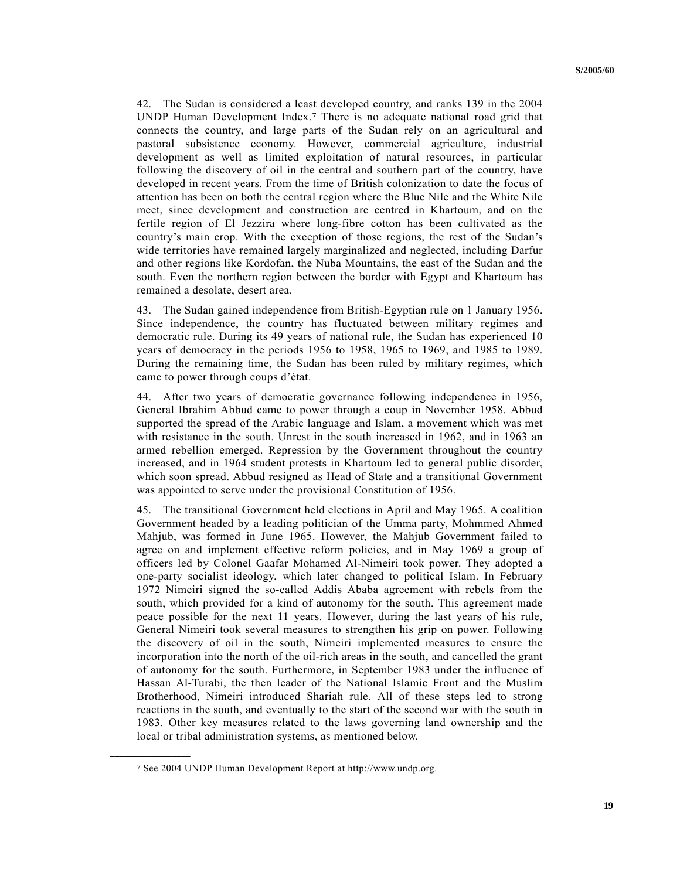42. The Sudan is considered a least developed country, and ranks 139 in the 2004 UNDP Human Development Index.7 There is no adequate national road grid that connects the country, and large parts of the Sudan rely on an agricultural and pastoral subsistence economy. However, commercial agriculture, industrial development as well as limited exploitation of natural resources, in particular following the discovery of oil in the central and southern part of the country, have developed in recent years. From the time of British colonization to date the focus of attention has been on both the central region where the Blue Nile and the White Nile meet, since development and construction are centred in Khartoum, and on the fertile region of El Jezzira where long-fibre cotton has been cultivated as the country's main crop. With the exception of those regions, the rest of the Sudan's wide territories have remained largely marginalized and neglected, including Darfur and other regions like Kordofan, the Nuba Mountains, the east of the Sudan and the south. Even the northern region between the border with Egypt and Khartoum has remained a desolate, desert area.

43. The Sudan gained independence from British-Egyptian rule on 1 January 1956. Since independence, the country has fluctuated between military regimes and democratic rule. During its 49 years of national rule, the Sudan has experienced 10 years of democracy in the periods 1956 to 1958, 1965 to 1969, and 1985 to 1989. During the remaining time, the Sudan has been ruled by military regimes, which came to power through coups d'état.

44. After two years of democratic governance following independence in 1956, General Ibrahim Abbud came to power through a coup in November 1958. Abbud supported the spread of the Arabic language and Islam, a movement which was met with resistance in the south. Unrest in the south increased in 1962, and in 1963 an armed rebellion emerged. Repression by the Government throughout the country increased, and in 1964 student protests in Khartoum led to general public disorder, which soon spread. Abbud resigned as Head of State and a transitional Government was appointed to serve under the provisional Constitution of 1956.

45. The transitional Government held elections in April and May 1965. A coalition Government headed by a leading politician of the Umma party, Mohmmed Ahmed Mahjub, was formed in June 1965. However, the Mahjub Government failed to agree on and implement effective reform policies, and in May 1969 a group of officers led by Colonel Gaafar Mohamed Al-Nimeiri took power. They adopted a one-party socialist ideology, which later changed to political Islam. In February 1972 Nimeiri signed the so-called Addis Ababa agreement with rebels from the south, which provided for a kind of autonomy for the south. This agreement made peace possible for the next 11 years. However, during the last years of his rule, General Nimeiri took several measures to strengthen his grip on power. Following the discovery of oil in the south, Nimeiri implemented measures to ensure the incorporation into the north of the oil-rich areas in the south, and cancelled the grant of autonomy for the south. Furthermore, in September 1983 under the influence of Hassan Al-Turabi, the then leader of the National Islamic Front and the Muslim Brotherhood, Nimeiri introduced Shariah rule. All of these steps led to strong reactions in the south, and eventually to the start of the second war with the south in 1983. Other key measures related to the laws governing land ownership and the local or tribal administration systems, as mentioned below.

<sup>7</sup> See 2004 UNDP Human Development Report at http://www.undp.org.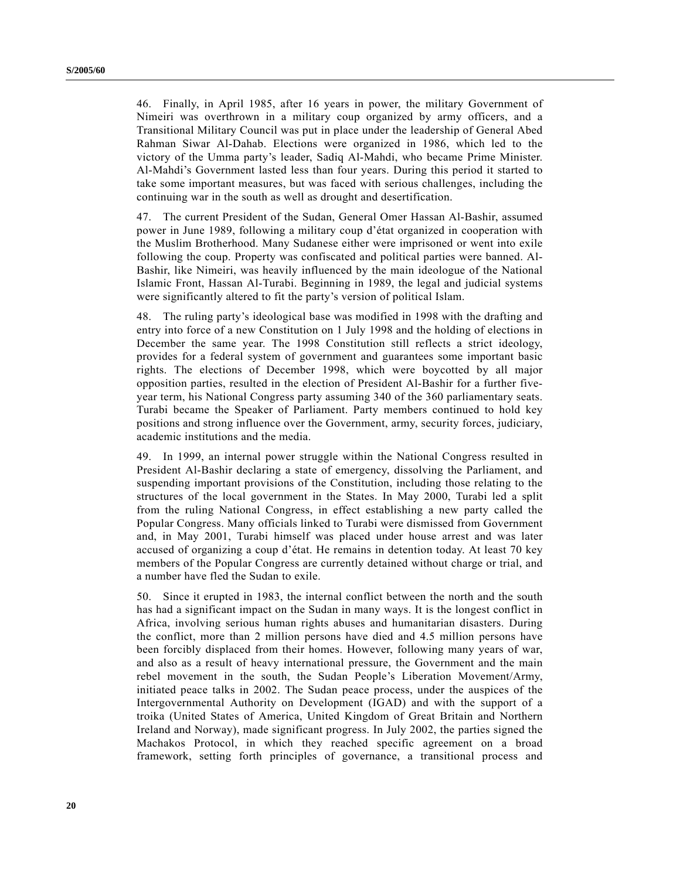46. Finally, in April 1985, after 16 years in power, the military Government of Nimeiri was overthrown in a military coup organized by army officers, and a Transitional Military Council was put in place under the leadership of General Abed Rahman Siwar Al-Dahab. Elections were organized in 1986, which led to the victory of the Umma party's leader, Sadiq Al-Mahdi, who became Prime Minister. Al-Mahdiís Government lasted less than four years. During this period it started to take some important measures, but was faced with serious challenges, including the continuing war in the south as well as drought and desertification.

47. The current President of the Sudan, General Omer Hassan Al-Bashir, assumed power in June 1989, following a military coup d'état organized in cooperation with the Muslim Brotherhood. Many Sudanese either were imprisoned or went into exile following the coup. Property was confiscated and political parties were banned. Al-Bashir, like Nimeiri, was heavily influenced by the main ideologue of the National Islamic Front, Hassan Al-Turabi. Beginning in 1989, the legal and judicial systems were significantly altered to fit the party's version of political Islam.

48. The ruling party's ideological base was modified in 1998 with the drafting and entry into force of a new Constitution on 1 July 1998 and the holding of elections in December the same year. The 1998 Constitution still reflects a strict ideology, provides for a federal system of government and guarantees some important basic rights. The elections of December 1998, which were boycotted by all major opposition parties, resulted in the election of President Al-Bashir for a further fiveyear term, his National Congress party assuming 340 of the 360 parliamentary seats. Turabi became the Speaker of Parliament. Party members continued to hold key positions and strong influence over the Government, army, security forces, judiciary, academic institutions and the media.

49. In 1999, an internal power struggle within the National Congress resulted in President Al-Bashir declaring a state of emergency, dissolving the Parliament, and suspending important provisions of the Constitution, including those relating to the structures of the local government in the States. In May 2000, Turabi led a split from the ruling National Congress, in effect establishing a new party called the Popular Congress. Many officials linked to Turabi were dismissed from Government and, in May 2001, Turabi himself was placed under house arrest and was later accused of organizing a coup d'état. He remains in detention today. At least 70 key members of the Popular Congress are currently detained without charge or trial, and a number have fled the Sudan to exile.

50. Since it erupted in 1983, the internal conflict between the north and the south has had a significant impact on the Sudan in many ways. It is the longest conflict in Africa, involving serious human rights abuses and humanitarian disasters. During the conflict, more than 2 million persons have died and 4.5 million persons have been forcibly displaced from their homes. However, following many years of war, and also as a result of heavy international pressure, the Government and the main rebel movement in the south, the Sudan People's Liberation Movement/Army, initiated peace talks in 2002. The Sudan peace process, under the auspices of the Intergovernmental Authority on Development (IGAD) and with the support of a troika (United States of America, United Kingdom of Great Britain and Northern Ireland and Norway), made significant progress. In July 2002, the parties signed the Machakos Protocol, in which they reached specific agreement on a broad framework, setting forth principles of governance, a transitional process and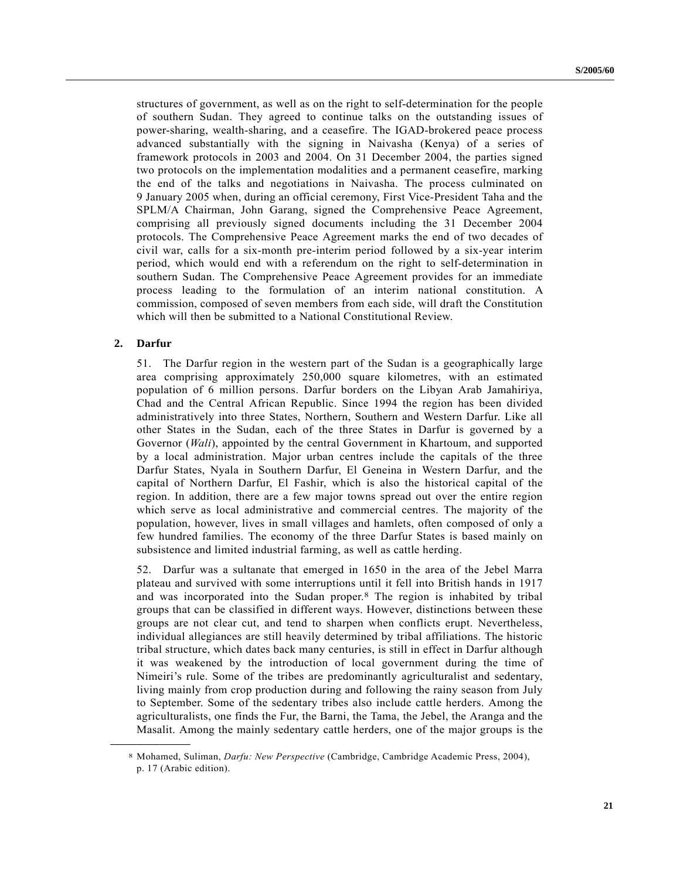structures of government, as well as on the right to self-determination for the people of southern Sudan. They agreed to continue talks on the outstanding issues of power-sharing, wealth-sharing, and a ceasefire. The IGAD-brokered peace process advanced substantially with the signing in Naivasha (Kenya) of a series of framework protocols in 2003 and 2004. On 31 December 2004, the parties signed two protocols on the implementation modalities and a permanent ceasefire, marking the end of the talks and negotiations in Naivasha. The process culminated on 9 January 2005 when, during an official ceremony, First Vice-President Taha and the SPLM/A Chairman, John Garang, signed the Comprehensive Peace Agreement, comprising all previously signed documents including the 31 December 2004 protocols. The Comprehensive Peace Agreement marks the end of two decades of civil war, calls for a six-month pre-interim period followed by a six-year interim period, which would end with a referendum on the right to self-determination in southern Sudan. The Comprehensive Peace Agreement provides for an immediate process leading to the formulation of an interim national constitution. A commission, composed of seven members from each side, will draft the Constitution which will then be submitted to a National Constitutional Review.

#### **2. Darfur**

**\_\_\_\_\_\_\_\_\_\_\_\_\_\_\_\_\_\_**

51. The Darfur region in the western part of the Sudan is a geographically large area comprising approximately 250,000 square kilometres, with an estimated population of 6 million persons. Darfur borders on the Libyan Arab Jamahiriya, Chad and the Central African Republic. Since 1994 the region has been divided administratively into three States, Northern, Southern and Western Darfur. Like all other States in the Sudan, each of the three States in Darfur is governed by a Governor (*Wali*), appointed by the central Government in Khartoum, and supported by a local administration. Major urban centres include the capitals of the three Darfur States, Nyala in Southern Darfur, El Geneina in Western Darfur, and the capital of Northern Darfur, El Fashir, which is also the historical capital of the region. In addition, there are a few major towns spread out over the entire region which serve as local administrative and commercial centres. The majority of the population, however, lives in small villages and hamlets, often composed of only a few hundred families. The economy of the three Darfur States is based mainly on subsistence and limited industrial farming, as well as cattle herding.

52. Darfur was a sultanate that emerged in 1650 in the area of the Jebel Marra plateau and survived with some interruptions until it fell into British hands in 1917 and was incorporated into the Sudan proper.8 The region is inhabited by tribal groups that can be classified in different ways. However, distinctions between these groups are not clear cut, and tend to sharpen when conflicts erupt. Nevertheless, individual allegiances are still heavily determined by tribal affiliations. The historic tribal structure, which dates back many centuries, is still in effect in Darfur although it was weakened by the introduction of local government during the time of Nimeiri's rule. Some of the tribes are predominantly agriculturalist and sedentary, living mainly from crop production during and following the rainy season from July to September. Some of the sedentary tribes also include cattle herders. Among the agriculturalists, one finds the Fur, the Barni, the Tama, the Jebel, the Aranga and the Masalit. Among the mainly sedentary cattle herders, one of the major groups is the

<sup>8</sup> Mohamed, Suliman, *Darfu: New Perspective* (Cambridge, Cambridge Academic Press, 2004), p. 17 (Arabic edition).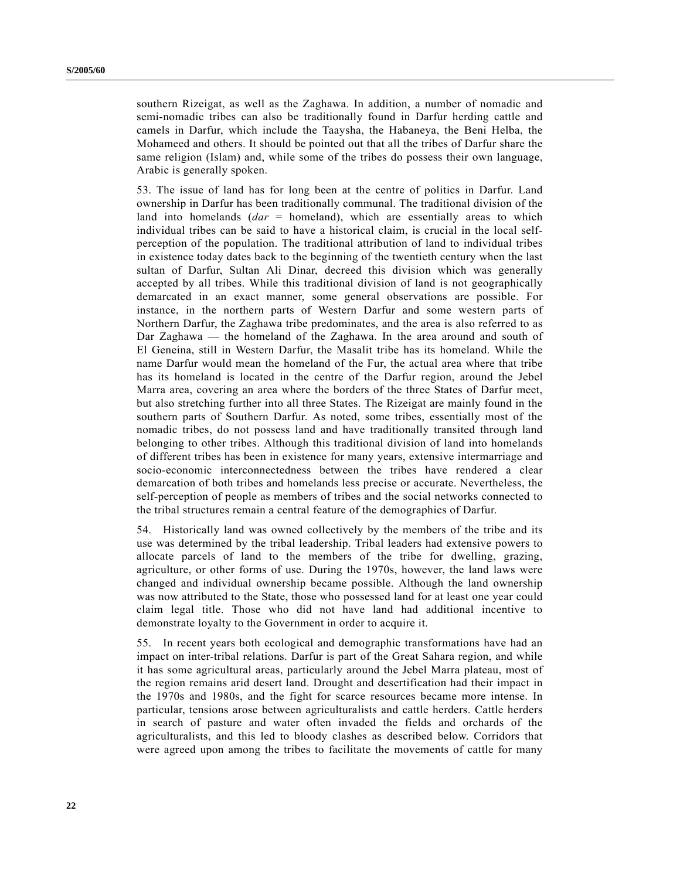southern Rizeigat, as well as the Zaghawa. In addition, a number of nomadic and semi-nomadic tribes can also be traditionally found in Darfur herding cattle and camels in Darfur, which include the Taaysha, the Habaneya, the Beni Helba, the Mohameed and others. It should be pointed out that all the tribes of Darfur share the same religion (Islam) and, while some of the tribes do possess their own language, Arabic is generally spoken.

53. The issue of land has for long been at the centre of politics in Darfur. Land ownership in Darfur has been traditionally communal. The traditional division of the land into homelands (*dar* = homeland), which are essentially areas to which individual tribes can be said to have a historical claim, is crucial in the local selfperception of the population. The traditional attribution of land to individual tribes in existence today dates back to the beginning of the twentieth century when the last sultan of Darfur, Sultan Ali Dinar, decreed this division which was generally accepted by all tribes. While this traditional division of land is not geographically demarcated in an exact manner, some general observations are possible. For instance, in the northern parts of Western Darfur and some western parts of Northern Darfur, the Zaghawa tribe predominates, and the area is also referred to as Dar Zaghawa – the homeland of the Zaghawa. In the area around and south of El Geneina, still in Western Darfur, the Masalit tribe has its homeland. While the name Darfur would mean the homeland of the Fur, the actual area where that tribe has its homeland is located in the centre of the Darfur region, around the Jebel Marra area, covering an area where the borders of the three States of Darfur meet, but also stretching further into all three States. The Rizeigat are mainly found in the southern parts of Southern Darfur. As noted, some tribes, essentially most of the nomadic tribes, do not possess land and have traditionally transited through land belonging to other tribes. Although this traditional division of land into homelands of different tribes has been in existence for many years, extensive intermarriage and socio-economic interconnectedness between the tribes have rendered a clear demarcation of both tribes and homelands less precise or accurate. Nevertheless, the self-perception of people as members of tribes and the social networks connected to the tribal structures remain a central feature of the demographics of Darfur.

54. Historically land was owned collectively by the members of the tribe and its use was determined by the tribal leadership. Tribal leaders had extensive powers to allocate parcels of land to the members of the tribe for dwelling, grazing, agriculture, or other forms of use. During the 1970s, however, the land laws were changed and individual ownership became possible. Although the land ownership was now attributed to the State, those who possessed land for at least one year could claim legal title. Those who did not have land had additional incentive to demonstrate loyalty to the Government in order to acquire it.

55. In recent years both ecological and demographic transformations have had an impact on inter-tribal relations. Darfur is part of the Great Sahara region, and while it has some agricultural areas, particularly around the Jebel Marra plateau, most of the region remains arid desert land. Drought and desertification had their impact in the 1970s and 1980s, and the fight for scarce resources became more intense. In particular, tensions arose between agriculturalists and cattle herders. Cattle herders in search of pasture and water often invaded the fields and orchards of the agriculturalists, and this led to bloody clashes as described below. Corridors that were agreed upon among the tribes to facilitate the movements of cattle for many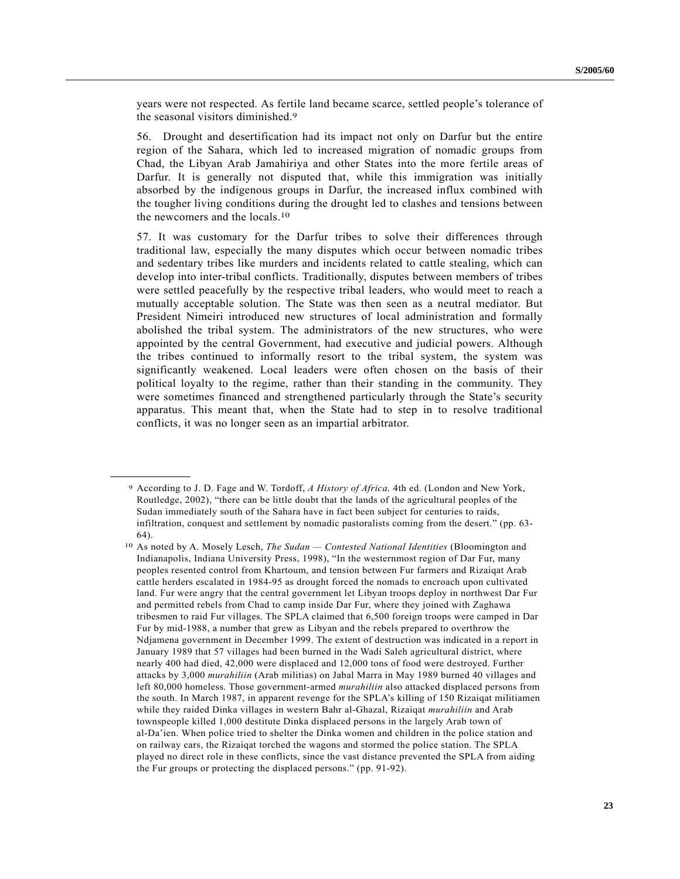years were not respected. As fertile land became scarce, settled people's tolerance of the seasonal visitors diminished.9

56. Drought and desertification had its impact not only on Darfur but the entire region of the Sahara, which led to increased migration of nomadic groups from Chad, the Libyan Arab Jamahiriya and other States into the more fertile areas of Darfur. It is generally not disputed that, while this immigration was initially absorbed by the indigenous groups in Darfur, the increased influx combined with the tougher living conditions during the drought led to clashes and tensions between the newcomers and the locals.10

57. It was customary for the Darfur tribes to solve their differences through traditional law, especially the many disputes which occur between nomadic tribes and sedentary tribes like murders and incidents related to cattle stealing, which can develop into inter-tribal conflicts. Traditionally, disputes between members of tribes were settled peacefully by the respective tribal leaders, who would meet to reach a mutually acceptable solution. The State was then seen as a neutral mediator. But President Nimeiri introduced new structures of local administration and formally abolished the tribal system. The administrators of the new structures, who were appointed by the central Government, had executive and judicial powers. Although the tribes continued to informally resort to the tribal system, the system was significantly weakened. Local leaders were often chosen on the basis of their political loyalty to the regime, rather than their standing in the community. They were sometimes financed and strengthened particularly through the State's security apparatus. This meant that, when the State had to step in to resolve traditional conflicts, it was no longer seen as an impartial arbitrator.

<sup>9</sup> According to J. D. Fage and W. Tordoff, *A History of Africa,* 4th ed. (London and New York, Routledge, 2002), "there can be little doubt that the lands of the agricultural peoples of the Sudan immediately south of the Sahara have in fact been subject for centuries to raids, infiltration, conquest and settlement by nomadic pastoralists coming from the desert." (pp. 63-64).

<sup>&</sup>lt;sup>10</sup> As noted by A. Mosely Lesch, *The Sudan* - *Contested National Identities* (Bloomington and Indianapolis, Indiana University Press, 1998), "In the westernmost region of Dar Fur, many peoples resented control from Khartoum, and tension between Fur farmers and Rizaiqat Arab cattle herders escalated in 1984-95 as drought forced the nomads to encroach upon cultivated land. Fur were angry that the central government let Libyan troops deploy in northwest Dar Fur and permitted rebels from Chad to camp inside Dar Fur, where they joined with Zaghawa tribesmen to raid Fur villages. The SPLA claimed that 6,500 foreign troops were camped in Dar Fur by mid-1988, a number that grew as Libyan and the rebels prepared to overthrow the Ndjamena government in December 1999. The extent of destruction was indicated in a report in January 1989 that 57 villages had been burned in the Wadi Saleh agricultural district, where nearly 400 had died, 42,000 were displaced and 12,000 tons of food were destroyed. Further attacks by 3,000 *murahiliin* (Arab militias) on Jabal Marra in May 1989 burned 40 villages and left 80,000 homeless. Those government-armed *murahiliin* also attacked displaced persons from the south. In March 1987, in apparent revenge for the SPLAís killing of 150 Rizaiqat militiamen while they raided Dinka villages in western Bahr al-Ghazal, Rizaiqat *murahiliin* and Arab townspeople killed 1,000 destitute Dinka displaced persons in the largely Arab town of al-Da'ien. When police tried to shelter the Dinka women and children in the police station and on railway cars, the Rizaiqat torched the wagons and stormed the police station. The SPLA played no direct role in these conflicts, since the vast distance prevented the SPLA from aiding the Fur groups or protecting the displaced persons." (pp. 91-92).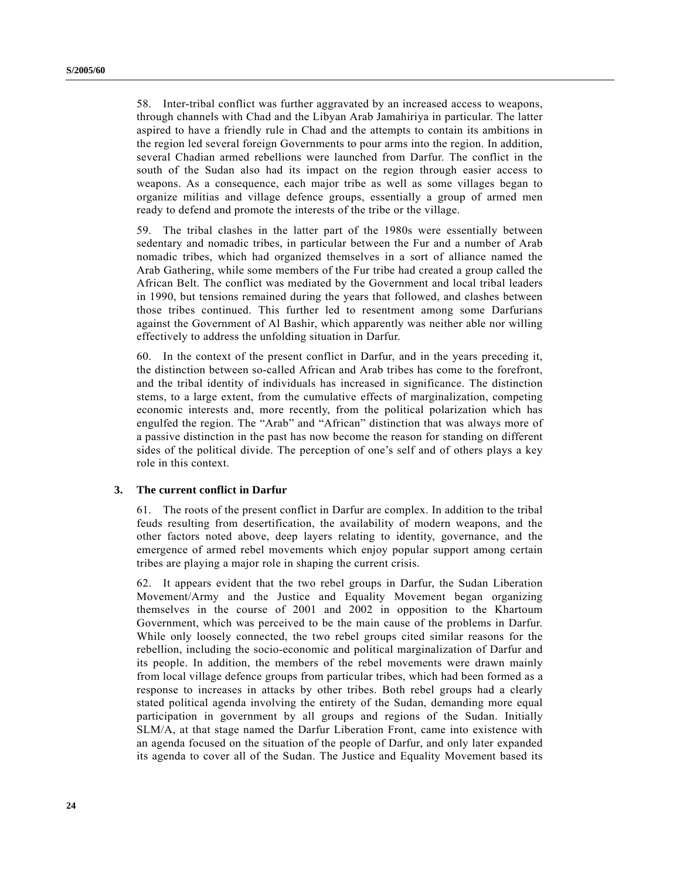58. Inter-tribal conflict was further aggravated by an increased access to weapons, through channels with Chad and the Libyan Arab Jamahiriya in particular. The latter aspired to have a friendly rule in Chad and the attempts to contain its ambitions in the region led several foreign Governments to pour arms into the region. In addition, several Chadian armed rebellions were launched from Darfur. The conflict in the south of the Sudan also had its impact on the region through easier access to weapons. As a consequence, each major tribe as well as some villages began to organize militias and village defence groups, essentially a group of armed men ready to defend and promote the interests of the tribe or the village.

59. The tribal clashes in the latter part of the 1980s were essentially between sedentary and nomadic tribes, in particular between the Fur and a number of Arab nomadic tribes, which had organized themselves in a sort of alliance named the Arab Gathering, while some members of the Fur tribe had created a group called the African Belt. The conflict was mediated by the Government and local tribal leaders in 1990, but tensions remained during the years that followed, and clashes between those tribes continued. This further led to resentment among some Darfurians against the Government of Al Bashir, which apparently was neither able nor willing effectively to address the unfolding situation in Darfur.

60. In the context of the present conflict in Darfur, and in the years preceding it, the distinction between so-called African and Arab tribes has come to the forefront, and the tribal identity of individuals has increased in significance. The distinction stems, to a large extent, from the cumulative effects of marginalization, competing economic interests and, more recently, from the political polarization which has engulfed the region. The "Arab" and "African" distinction that was always more of a passive distinction in the past has now become the reason for standing on different sides of the political divide. The perception of one's self and of others plays a key role in this context.

#### **3. The current conflict in Darfur**

61. The roots of the present conflict in Darfur are complex. In addition to the tribal feuds resulting from desertification, the availability of modern weapons, and the other factors noted above, deep layers relating to identity, governance, and the emergence of armed rebel movements which enjoy popular support among certain tribes are playing a major role in shaping the current crisis.

62. It appears evident that the two rebel groups in Darfur, the Sudan Liberation Movement/Army and the Justice and Equality Movement began organizing themselves in the course of 2001 and 2002 in opposition to the Khartoum Government, which was perceived to be the main cause of the problems in Darfur. While only loosely connected, the two rebel groups cited similar reasons for the rebellion, including the socio-economic and political marginalization of Darfur and its people. In addition, the members of the rebel movements were drawn mainly from local village defence groups from particular tribes, which had been formed as a response to increases in attacks by other tribes. Both rebel groups had a clearly stated political agenda involving the entirety of the Sudan, demanding more equal participation in government by all groups and regions of the Sudan. Initially SLM/A, at that stage named the Darfur Liberation Front, came into existence with an agenda focused on the situation of the people of Darfur, and only later expanded its agenda to cover all of the Sudan. The Justice and Equality Movement based its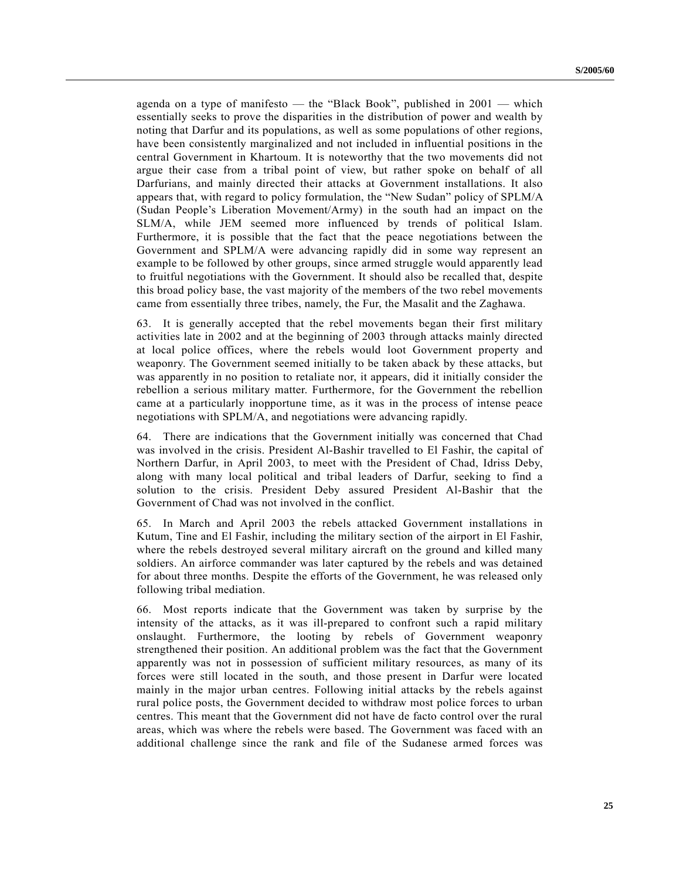agenda on a type of manifesto  $-$  the "Black Book", published in 2001  $-$  which essentially seeks to prove the disparities in the distribution of power and wealth by noting that Darfur and its populations, as well as some populations of other regions, have been consistently marginalized and not included in influential positions in the central Government in Khartoum. It is noteworthy that the two movements did not argue their case from a tribal point of view, but rather spoke on behalf of all Darfurians, and mainly directed their attacks at Government installations. It also appears that, with regard to policy formulation, the "New Sudan" policy of SPLM/A (Sudan People's Liberation Movement/Army) in the south had an impact on the SLM/A, while JEM seemed more influenced by trends of political Islam. Furthermore, it is possible that the fact that the peace negotiations between the Government and SPLM/A were advancing rapidly did in some way represent an example to be followed by other groups, since armed struggle would apparently lead to fruitful negotiations with the Government. It should also be recalled that, despite this broad policy base, the vast majority of the members of the two rebel movements came from essentially three tribes, namely, the Fur, the Masalit and the Zaghawa.

63. It is generally accepted that the rebel movements began their first military activities late in 2002 and at the beginning of 2003 through attacks mainly directed at local police offices, where the rebels would loot Government property and weaponry. The Government seemed initially to be taken aback by these attacks, but was apparently in no position to retaliate nor, it appears, did it initially consider the rebellion a serious military matter. Furthermore, for the Government the rebellion came at a particularly inopportune time, as it was in the process of intense peace negotiations with SPLM/A, and negotiations were advancing rapidly.

64. There are indications that the Government initially was concerned that Chad was involved in the crisis. President Al-Bashir travelled to El Fashir, the capital of Northern Darfur, in April 2003, to meet with the President of Chad, Idriss Deby, along with many local political and tribal leaders of Darfur, seeking to find a solution to the crisis. President Deby assured President Al-Bashir that the Government of Chad was not involved in the conflict.

65. In March and April 2003 the rebels attacked Government installations in Kutum, Tine and El Fashir, including the military section of the airport in El Fashir, where the rebels destroyed several military aircraft on the ground and killed many soldiers. An airforce commander was later captured by the rebels and was detained for about three months. Despite the efforts of the Government, he was released only following tribal mediation.

66. Most reports indicate that the Government was taken by surprise by the intensity of the attacks, as it was ill-prepared to confront such a rapid military onslaught. Furthermore, the looting by rebels of Government weaponry strengthened their position. An additional problem was the fact that the Government apparently was not in possession of sufficient military resources, as many of its forces were still located in the south, and those present in Darfur were located mainly in the major urban centres. Following initial attacks by the rebels against rural police posts, the Government decided to withdraw most police forces to urban centres. This meant that the Government did not have de facto control over the rural areas, which was where the rebels were based. The Government was faced with an additional challenge since the rank and file of the Sudanese armed forces was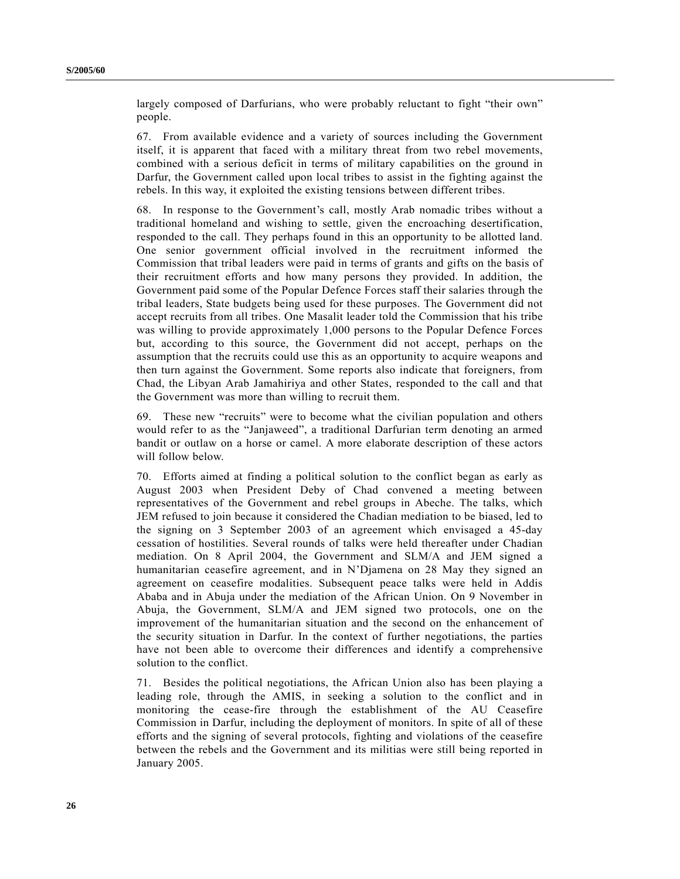largely composed of Darfurians, who were probably reluctant to fight "their own" people.

67. From available evidence and a variety of sources including the Government itself, it is apparent that faced with a military threat from two rebel movements, combined with a serious deficit in terms of military capabilities on the ground in Darfur, the Government called upon local tribes to assist in the fighting against the rebels. In this way, it exploited the existing tensions between different tribes.

68. In response to the Governmentís call, mostly Arab nomadic tribes without a traditional homeland and wishing to settle, given the encroaching desertification, responded to the call. They perhaps found in this an opportunity to be allotted land. One senior government official involved in the recruitment informed the Commission that tribal leaders were paid in terms of grants and gifts on the basis of their recruitment efforts and how many persons they provided. In addition, the Government paid some of the Popular Defence Forces staff their salaries through the tribal leaders, State budgets being used for these purposes. The Government did not accept recruits from all tribes. One Masalit leader told the Commission that his tribe was willing to provide approximately 1,000 persons to the Popular Defence Forces but, according to this source, the Government did not accept, perhaps on the assumption that the recruits could use this as an opportunity to acquire weapons and then turn against the Government. Some reports also indicate that foreigners, from Chad, the Libyan Arab Jamahiriya and other States, responded to the call and that the Government was more than willing to recruit them.

69. These new "recruits" were to become what the civilian population and others would refer to as the "Janjaweed", a traditional Darfurian term denoting an armed bandit or outlaw on a horse or camel. A more elaborate description of these actors will follow below.

70. Efforts aimed at finding a political solution to the conflict began as early as August 2003 when President Deby of Chad convened a meeting between representatives of the Government and rebel groups in Abeche. The talks, which JEM refused to join because it considered the Chadian mediation to be biased, led to the signing on 3 September 2003 of an agreement which envisaged a 45-day cessation of hostilities. Several rounds of talks were held thereafter under Chadian mediation. On 8 April 2004, the Government and SLM/A and JEM signed a humanitarian ceasefire agreement, and in N'Djamena on 28 May they signed an agreement on ceasefire modalities. Subsequent peace talks were held in Addis Ababa and in Abuja under the mediation of the African Union. On 9 November in Abuja, the Government, SLM/A and JEM signed two protocols, one on the improvement of the humanitarian situation and the second on the enhancement of the security situation in Darfur. In the context of further negotiations, the parties have not been able to overcome their differences and identify a comprehensive solution to the conflict.

71. Besides the political negotiations, the African Union also has been playing a leading role, through the AMIS, in seeking a solution to the conflict and in monitoring the cease-fire through the establishment of the AU Ceasefire Commission in Darfur, including the deployment of monitors. In spite of all of these efforts and the signing of several protocols, fighting and violations of the ceasefire between the rebels and the Government and its militias were still being reported in January 2005.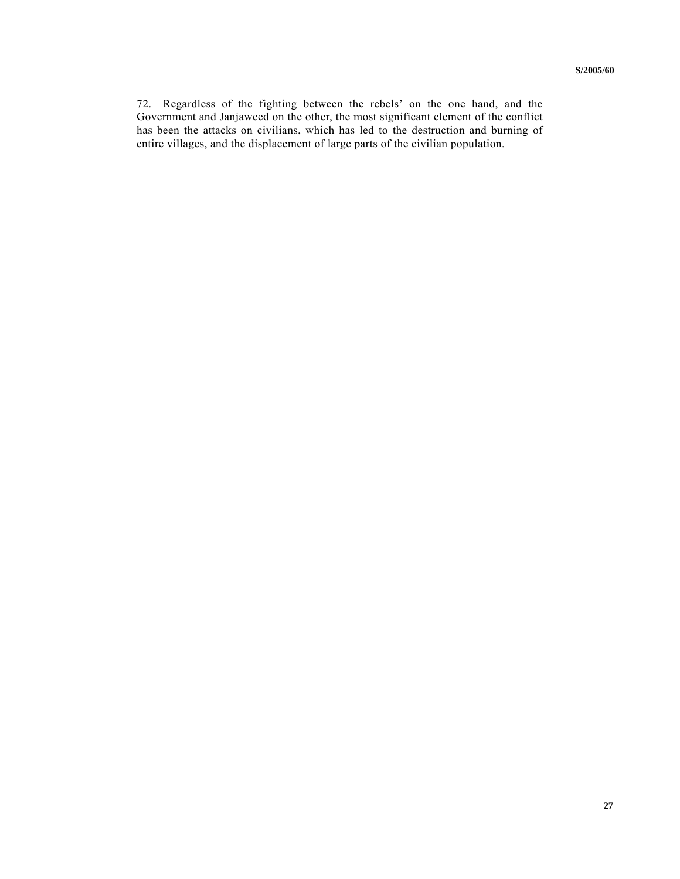72. Regardless of the fighting between the rebels' on the one hand, and the Government and Janjaweed on the other, the most significant element of the conflict has been the attacks on civilians, which has led to the destruction and burning of entire villages, and the displacement of large parts of the civilian population.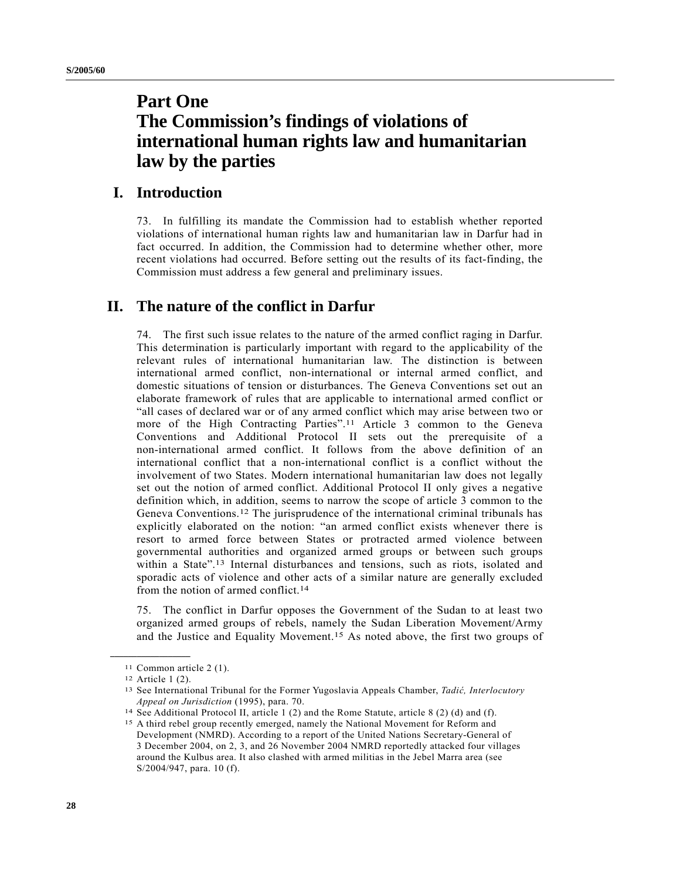# **Part One The Commission's findings of violations of international human rights law and humanitarian law by the parties**

# **I. Introduction**

73. In fulfilling its mandate the Commission had to establish whether reported violations of international human rights law and humanitarian law in Darfur had in fact occurred. In addition, the Commission had to determine whether other, more recent violations had occurred. Before setting out the results of its fact-finding, the Commission must address a few general and preliminary issues.

# **II. The nature of the conflict in Darfur**

74. The first such issue relates to the nature of the armed conflict raging in Darfur. This determination is particularly important with regard to the applicability of the relevant rules of international humanitarian law. The distinction is between international armed conflict, non-international or internal armed conflict, and domestic situations of tension or disturbances. The Geneva Conventions set out an elaborate framework of rules that are applicable to international armed conflict or ìall cases of declared war or of any armed conflict which may arise between two or more of the High Contracting Parties".<sup>11</sup> Article 3 common to the Geneva Conventions and Additional Protocol II sets out the prerequisite of a non-international armed conflict. It follows from the above definition of an international conflict that a non-international conflict is a conflict without the involvement of two States. Modern international humanitarian law does not legally set out the notion of armed conflict. Additional Protocol II only gives a negative definition which, in addition, seems to narrow the scope of article 3 common to the Geneva Conventions.12 The jurisprudence of the international criminal tribunals has explicitly elaborated on the notion: "an armed conflict exists whenever there is resort to armed force between States or protracted armed violence between governmental authorities and organized armed groups or between such groups within a State".<sup>13</sup> Internal disturbances and tensions, such as riots, isolated and sporadic acts of violence and other acts of a similar nature are generally excluded from the notion of armed conflict.14

75. The conflict in Darfur opposes the Government of the Sudan to at least two organized armed groups of rebels, namely the Sudan Liberation Movement/Army and the Justice and Equality Movement.15 As noted above, the first two groups of

<sup>11</sup> Common article 2 (1).

<sup>12</sup> Article 1 (2).

<sup>13</sup> See International Tribunal for the Former Yugoslavia Appeals Chamber, *Tadić, Interlocutory Appeal on Jurisdiction* (1995), para. 70.

<sup>14</sup> See Additional Protocol II, article 1 (2) and the Rome Statute, article 8 (2) (d) and (f).

<sup>15</sup> A third rebel group recently emerged, namely the National Movement for Reform and Development (NMRD). According to a report of the United Nations Secretary-General of 3 December 2004, on 2, 3, and 26 November 2004 NMRD reportedly attacked four villages around the Kulbus area. It also clashed with armed militias in the Jebel Marra area (see S/2004/947, para. 10 (f).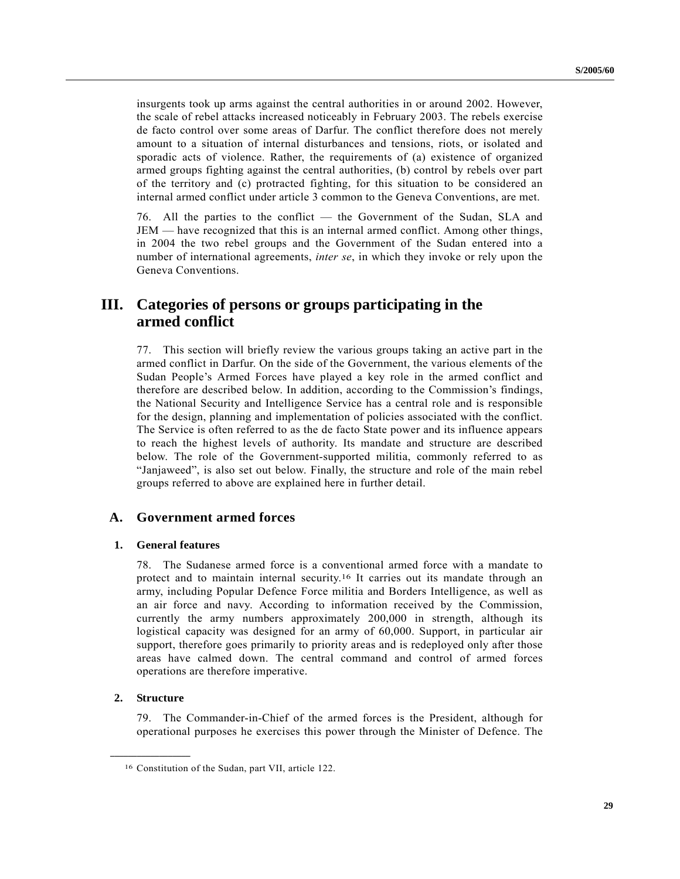insurgents took up arms against the central authorities in or around 2002. However, the scale of rebel attacks increased noticeably in February 2003. The rebels exercise de facto control over some areas of Darfur. The conflict therefore does not merely amount to a situation of internal disturbances and tensions, riots, or isolated and sporadic acts of violence. Rather, the requirements of (a) existence of organized armed groups fighting against the central authorities, (b) control by rebels over part of the territory and (c) protracted fighting, for this situation to be considered an internal armed conflict under article 3 common to the Geneva Conventions, are met.

76. All the parties to the conflict – the Government of the Sudan, SLA and JEM – have recognized that this is an internal armed conflict. Among other things, in 2004 the two rebel groups and the Government of the Sudan entered into a number of international agreements, *inter se*, in which they invoke or rely upon the Geneva Conventions.

# **III. Categories of persons or groups participating in the armed conflict**

77. This section will briefly review the various groups taking an active part in the armed conflict in Darfur. On the side of the Government, the various elements of the Sudan Peopleís Armed Forces have played a key role in the armed conflict and therefore are described below. In addition, according to the Commission's findings, the National Security and Intelligence Service has a central role and is responsible for the design, planning and implementation of policies associated with the conflict. The Service is often referred to as the de facto State power and its influence appears to reach the highest levels of authority. Its mandate and structure are described below. The role of the Government-supported militia, commonly referred to as "Janjaweed", is also set out below. Finally, the structure and role of the main rebel groups referred to above are explained here in further detail.

# **A. Government armed forces**

#### **1. General features**

78. The Sudanese armed force is a conventional armed force with a mandate to protect and to maintain internal security.16 It carries out its mandate through an army, including Popular Defence Force militia and Borders Intelligence, as well as an air force and navy. According to information received by the Commission, currently the army numbers approximately 200,000 in strength, although its logistical capacity was designed for an army of 60,000. Support, in particular air support, therefore goes primarily to priority areas and is redeployed only after those areas have calmed down. The central command and control of armed forces operations are therefore imperative.

#### **2. Structure**

**\_\_\_\_\_\_\_\_\_\_\_\_\_\_\_\_\_\_**

79. The Commander-in-Chief of the armed forces is the President, although for operational purposes he exercises this power through the Minister of Defence. The

<sup>16</sup> Constitution of the Sudan, part VII, article 122.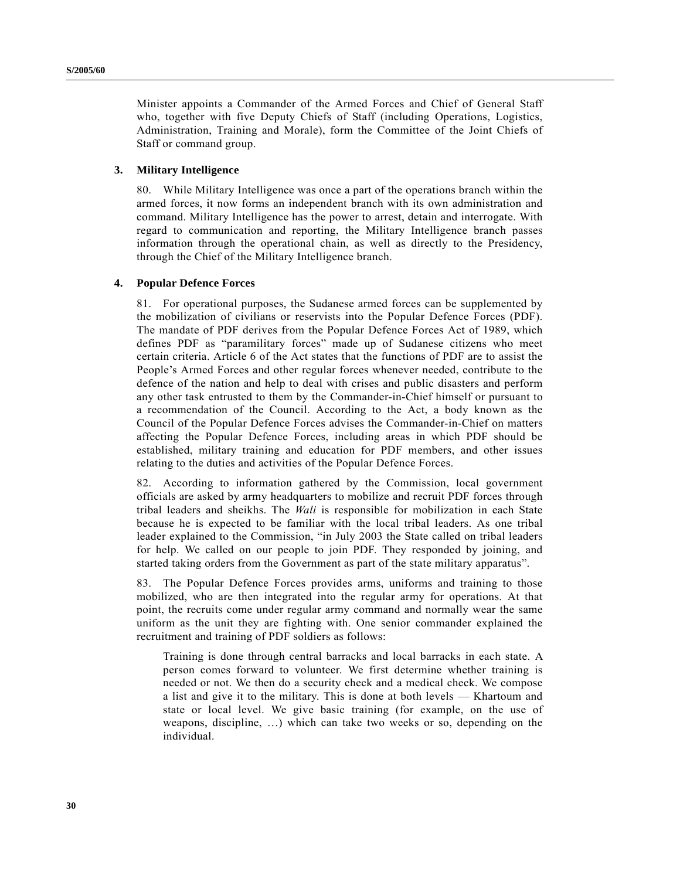Minister appoints a Commander of the Armed Forces and Chief of General Staff who, together with five Deputy Chiefs of Staff (including Operations, Logistics, Administration, Training and Morale), form the Committee of the Joint Chiefs of Staff or command group.

## **3. Military Intelligence**

80. While Military Intelligence was once a part of the operations branch within the armed forces, it now forms an independent branch with its own administration and command. Military Intelligence has the power to arrest, detain and interrogate. With regard to communication and reporting, the Military Intelligence branch passes information through the operational chain, as well as directly to the Presidency, through the Chief of the Military Intelligence branch.

## **4. Popular Defence Forces**

81. For operational purposes, the Sudanese armed forces can be supplemented by the mobilization of civilians or reservists into the Popular Defence Forces (PDF). The mandate of PDF derives from the Popular Defence Forces Act of 1989, which defines PDF as "paramilitary forces" made up of Sudanese citizens who meet certain criteria. Article 6 of the Act states that the functions of PDF are to assist the People's Armed Forces and other regular forces whenever needed, contribute to the defence of the nation and help to deal with crises and public disasters and perform any other task entrusted to them by the Commander-in-Chief himself or pursuant to a recommendation of the Council. According to the Act, a body known as the Council of the Popular Defence Forces advises the Commander-in-Chief on matters affecting the Popular Defence Forces, including areas in which PDF should be established, military training and education for PDF members, and other issues relating to the duties and activities of the Popular Defence Forces.

82. According to information gathered by the Commission, local government officials are asked by army headquarters to mobilize and recruit PDF forces through tribal leaders and sheikhs. The *Wali* is responsible for mobilization in each State because he is expected to be familiar with the local tribal leaders. As one tribal leader explained to the Commission, "in July 2003 the State called on tribal leaders for help. We called on our people to join PDF. They responded by joining, and started taking orders from the Government as part of the state military apparatus".

83. The Popular Defence Forces provides arms, uniforms and training to those mobilized, who are then integrated into the regular army for operations. At that point, the recruits come under regular army command and normally wear the same uniform as the unit they are fighting with. One senior commander explained the recruitment and training of PDF soldiers as follows:

Training is done through central barracks and local barracks in each state. A person comes forward to volunteer. We first determine whether training is needed or not. We then do a security check and a medical check. We compose a list and give it to the military. This is done at both levels — Khartoum and state or local level. We give basic training (for example, on the use of weapons, discipline,  $\ldots$ ) which can take two weeks or so, depending on the individual.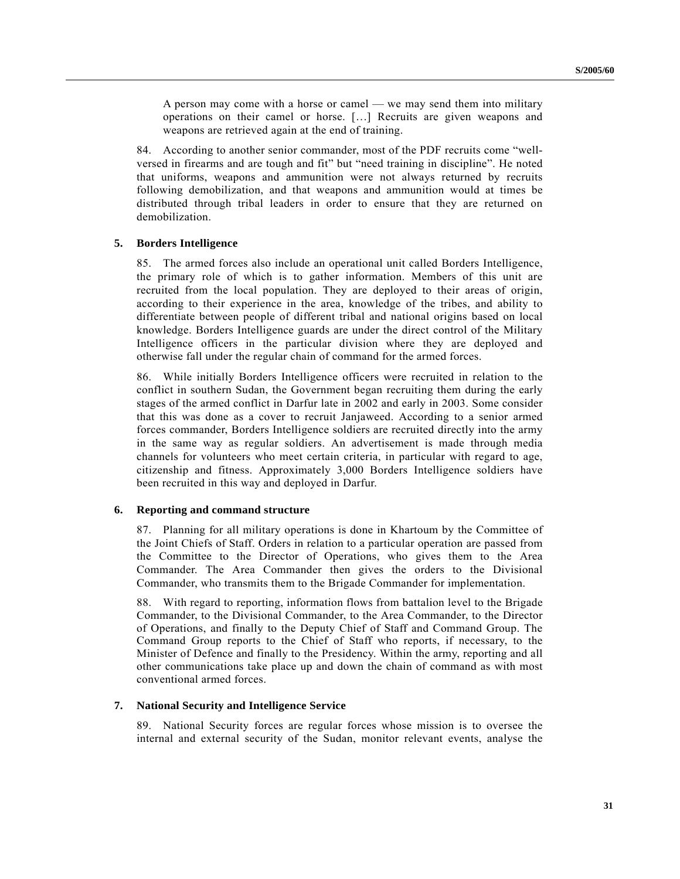A person may come with a horse or camel  $-$  we may send them into military operations on their camel or horse.  $[\dots]$  Recruits are given weapons and weapons are retrieved again at the end of training.

84. According to another senior commander, most of the PDF recruits come "wellversed in firearms and are tough and fit" but "need training in discipline". He noted that uniforms, weapons and ammunition were not always returned by recruits following demobilization, and that weapons and ammunition would at times be distributed through tribal leaders in order to ensure that they are returned on demobilization.

## **5. Borders Intelligence**

85. The armed forces also include an operational unit called Borders Intelligence, the primary role of which is to gather information. Members of this unit are recruited from the local population. They are deployed to their areas of origin, according to their experience in the area, knowledge of the tribes, and ability to differentiate between people of different tribal and national origins based on local knowledge. Borders Intelligence guards are under the direct control of the Military Intelligence officers in the particular division where they are deployed and otherwise fall under the regular chain of command for the armed forces.

86. While initially Borders Intelligence officers were recruited in relation to the conflict in southern Sudan, the Government began recruiting them during the early stages of the armed conflict in Darfur late in 2002 and early in 2003. Some consider that this was done as a cover to recruit Janjaweed. According to a senior armed forces commander, Borders Intelligence soldiers are recruited directly into the army in the same way as regular soldiers. An advertisement is made through media channels for volunteers who meet certain criteria, in particular with regard to age, citizenship and fitness. Approximately 3,000 Borders Intelligence soldiers have been recruited in this way and deployed in Darfur.

#### **6. Reporting and command structure**

87. Planning for all military operations is done in Khartoum by the Committee of the Joint Chiefs of Staff. Orders in relation to a particular operation are passed from the Committee to the Director of Operations, who gives them to the Area Commander. The Area Commander then gives the orders to the Divisional Commander, who transmits them to the Brigade Commander for implementation.

88. With regard to reporting, information flows from battalion level to the Brigade Commander, to the Divisional Commander, to the Area Commander, to the Director of Operations, and finally to the Deputy Chief of Staff and Command Group. The Command Group reports to the Chief of Staff who reports, if necessary, to the Minister of Defence and finally to the Presidency. Within the army, reporting and all other communications take place up and down the chain of command as with most conventional armed forces.

#### **7. National Security and Intelligence Service**

89. National Security forces are regular forces whose mission is to oversee the internal and external security of the Sudan, monitor relevant events, analyse the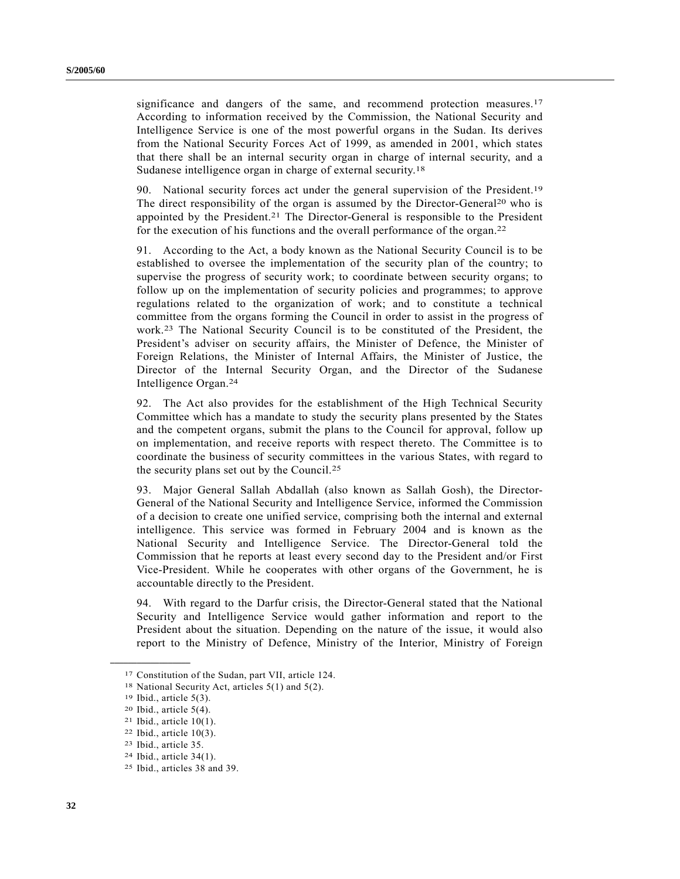significance and dangers of the same, and recommend protection measures.<sup>17</sup> According to information received by the Commission, the National Security and Intelligence Service is one of the most powerful organs in the Sudan. Its derives from the National Security Forces Act of 1999, as amended in 2001, which states that there shall be an internal security organ in charge of internal security, and a Sudanese intelligence organ in charge of external security.18

90. National security forces act under the general supervision of the President.19 The direct responsibility of the organ is assumed by the Director-General20 who is appointed by the President.21 The Director-General is responsible to the President for the execution of his functions and the overall performance of the organ.22

91. According to the Act, a body known as the National Security Council is to be established to oversee the implementation of the security plan of the country; to supervise the progress of security work; to coordinate between security organs; to follow up on the implementation of security policies and programmes; to approve regulations related to the organization of work; and to constitute a technical committee from the organs forming the Council in order to assist in the progress of work.23 The National Security Council is to be constituted of the President, the President's adviser on security affairs, the Minister of Defence, the Minister of Foreign Relations, the Minister of Internal Affairs, the Minister of Justice, the Director of the Internal Security Organ, and the Director of the Sudanese Intelligence Organ.24

92. The Act also provides for the establishment of the High Technical Security Committee which has a mandate to study the security plans presented by the States and the competent organs, submit the plans to the Council for approval, follow up on implementation, and receive reports with respect thereto. The Committee is to coordinate the business of security committees in the various States, with regard to the security plans set out by the Council.25

93. Major General Sallah Abdallah (also known as Sallah Gosh), the Director-General of the National Security and Intelligence Service, informed the Commission of a decision to create one unified service, comprising both the internal and external intelligence. This service was formed in February 2004 and is known as the National Security and Intelligence Service. The Director-General told the Commission that he reports at least every second day to the President and/or First Vice-President. While he cooperates with other organs of the Government, he is accountable directly to the President.

94. With regard to the Darfur crisis, the Director-General stated that the National Security and Intelligence Service would gather information and report to the President about the situation. Depending on the nature of the issue, it would also report to the Ministry of Defence, Ministry of the Interior, Ministry of Foreign

<sup>17</sup> Constitution of the Sudan, part VII, article 124.

<sup>18</sup> National Security Act, articles 5(1) and 5(2).

<sup>19</sup> Ibid., article 5(3).

<sup>20</sup> Ibid., article 5(4).

<sup>21</sup> Ibid., article 10(1).

<sup>22</sup> Ibid., article 10(3).

<sup>23</sup> Ibid., article 35.

<sup>24</sup> Ibid., article 34(1).

<sup>25</sup> Ibid., articles 38 and 39.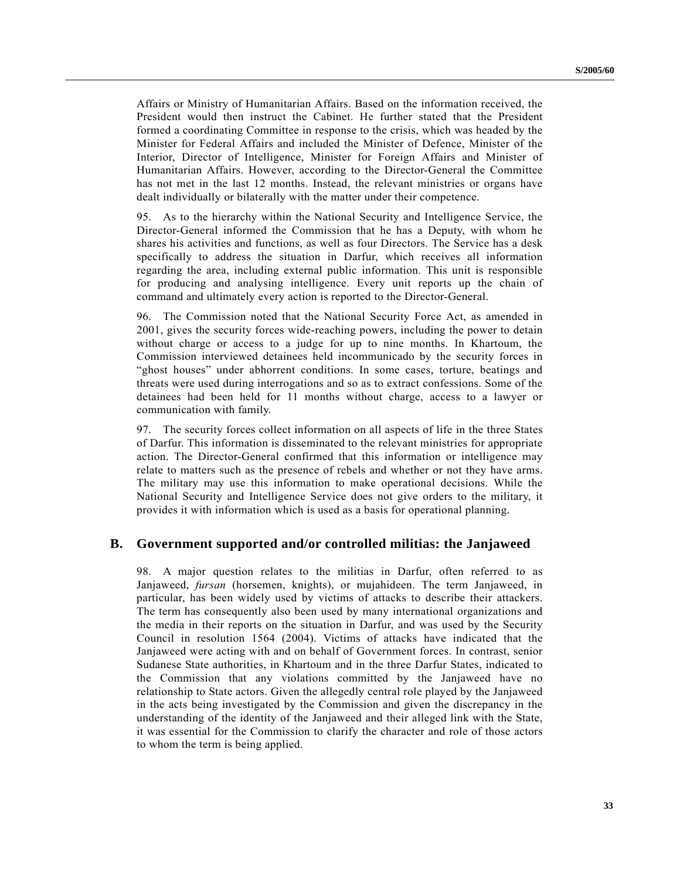Affairs or Ministry of Humanitarian Affairs. Based on the information received, the President would then instruct the Cabinet. He further stated that the President formed a coordinating Committee in response to the crisis, which was headed by the Minister for Federal Affairs and included the Minister of Defence, Minister of the Interior, Director of Intelligence, Minister for Foreign Affairs and Minister of Humanitarian Affairs. However, according to the Director-General the Committee has not met in the last 12 months. Instead, the relevant ministries or organs have dealt individually or bilaterally with the matter under their competence.

95. As to the hierarchy within the National Security and Intelligence Service, the Director-General informed the Commission that he has a Deputy, with whom he shares his activities and functions, as well as four Directors. The Service has a desk specifically to address the situation in Darfur, which receives all information regarding the area, including external public information. This unit is responsible for producing and analysing intelligence. Every unit reports up the chain of command and ultimately every action is reported to the Director-General.

96. The Commission noted that the National Security Force Act, as amended in 2001, gives the security forces wide-reaching powers, including the power to detain without charge or access to a judge for up to nine months. In Khartoum, the Commission interviewed detainees held incommunicado by the security forces in ìghost housesî under abhorrent conditions. In some cases, torture, beatings and threats were used during interrogations and so as to extract confessions. Some of the detainees had been held for 11 months without charge, access to a lawyer or communication with family.

97. The security forces collect information on all aspects of life in the three States of Darfur. This information is disseminated to the relevant ministries for appropriate action. The Director-General confirmed that this information or intelligence may relate to matters such as the presence of rebels and whether or not they have arms. The military may use this information to make operational decisions. While the National Security and Intelligence Service does not give orders to the military, it provides it with information which is used as a basis for operational planning.

# **B. Government supported and/or controlled militias: the Janjaweed**

98. A major question relates to the militias in Darfur, often referred to as Janjaweed, *fursan* (horsemen, knights), or mujahideen. The term Janjaweed, in particular, has been widely used by victims of attacks to describe their attackers. The term has consequently also been used by many international organizations and the media in their reports on the situation in Darfur, and was used by the Security Council in resolution 1564 (2004). Victims of attacks have indicated that the Janjaweed were acting with and on behalf of Government forces. In contrast, senior Sudanese State authorities, in Khartoum and in the three Darfur States, indicated to the Commission that any violations committed by the Janjaweed have no relationship to State actors. Given the allegedly central role played by the Janjaweed in the acts being investigated by the Commission and given the discrepancy in the understanding of the identity of the Janjaweed and their alleged link with the State, it was essential for the Commission to clarify the character and role of those actors to whom the term is being applied.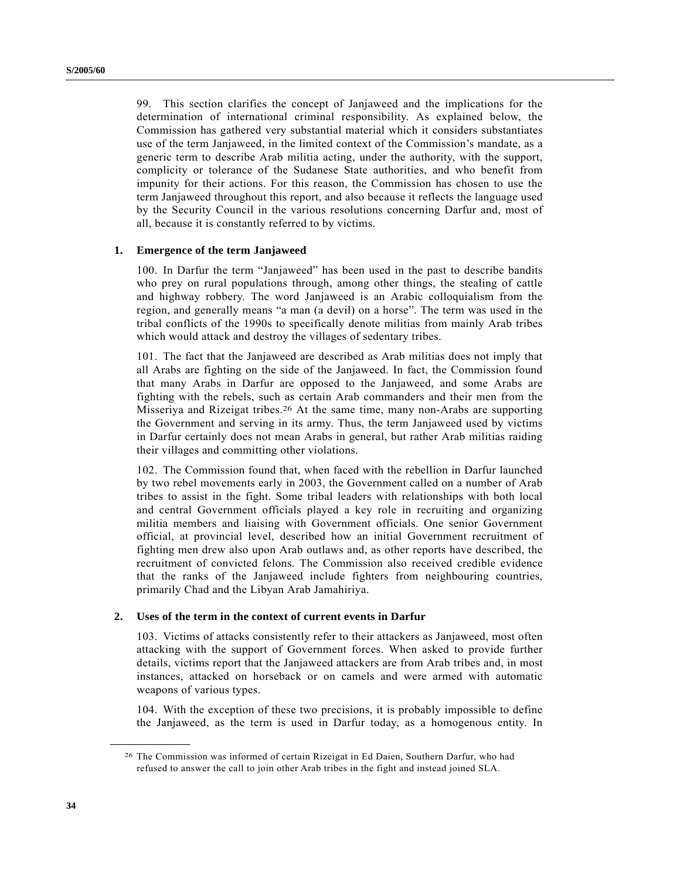99. This section clarifies the concept of Janjaweed and the implications for the determination of international criminal responsibility. As explained below, the Commission has gathered very substantial material which it considers substantiates use of the term Janjaweed, in the limited context of the Commission's mandate, as a generic term to describe Arab militia acting, under the authority, with the support, complicity or tolerance of the Sudanese State authorities, and who benefit from impunity for their actions. For this reason, the Commission has chosen to use the term Janjaweed throughout this report, and also because it reflects the language used by the Security Council in the various resolutions concerning Darfur and, most of all, because it is constantly referred to by victims.

#### **1. Emergence of the term Janjaweed**

100. In Darfur the term "Janjaweed" has been used in the past to describe bandits who prey on rural populations through, among other things, the stealing of cattle and highway robbery. The word Janjaweed is an Arabic colloquialism from the region, and generally means "a man (a devil) on a horse". The term was used in the tribal conflicts of the 1990s to specifically denote militias from mainly Arab tribes which would attack and destroy the villages of sedentary tribes.

101. The fact that the Janjaweed are described as Arab militias does not imply that all Arabs are fighting on the side of the Janjaweed. In fact, the Commission found that many Arabs in Darfur are opposed to the Janjaweed, and some Arabs are fighting with the rebels, such as certain Arab commanders and their men from the Misseriya and Rizeigat tribes.26 At the same time, many non-Arabs are supporting the Government and serving in its army. Thus, the term Janjaweed used by victims in Darfur certainly does not mean Arabs in general, but rather Arab militias raiding their villages and committing other violations.

102. The Commission found that, when faced with the rebellion in Darfur launched by two rebel movements early in 2003, the Government called on a number of Arab tribes to assist in the fight. Some tribal leaders with relationships with both local and central Government officials played a key role in recruiting and organizing militia members and liaising with Government officials. One senior Government official, at provincial level, described how an initial Government recruitment of fighting men drew also upon Arab outlaws and, as other reports have described, the recruitment of convicted felons. The Commission also received credible evidence that the ranks of the Janjaweed include fighters from neighbouring countries, primarily Chad and the Libyan Arab Jamahiriya.

## **2. Uses of the term in the context of current events in Darfur**

103. Victims of attacks consistently refer to their attackers as Janjaweed, most often attacking with the support of Government forces. When asked to provide further details, victims report that the Janjaweed attackers are from Arab tribes and, in most instances, attacked on horseback or on camels and were armed with automatic weapons of various types.

104. With the exception of these two precisions, it is probably impossible to define the Janjaweed, as the term is used in Darfur today, as a homogenous entity. In

<sup>26</sup> The Commission was informed of certain Rizeigat in Ed Daien, Southern Darfur, who had refused to answer the call to join other Arab tribes in the fight and instead joined SLA.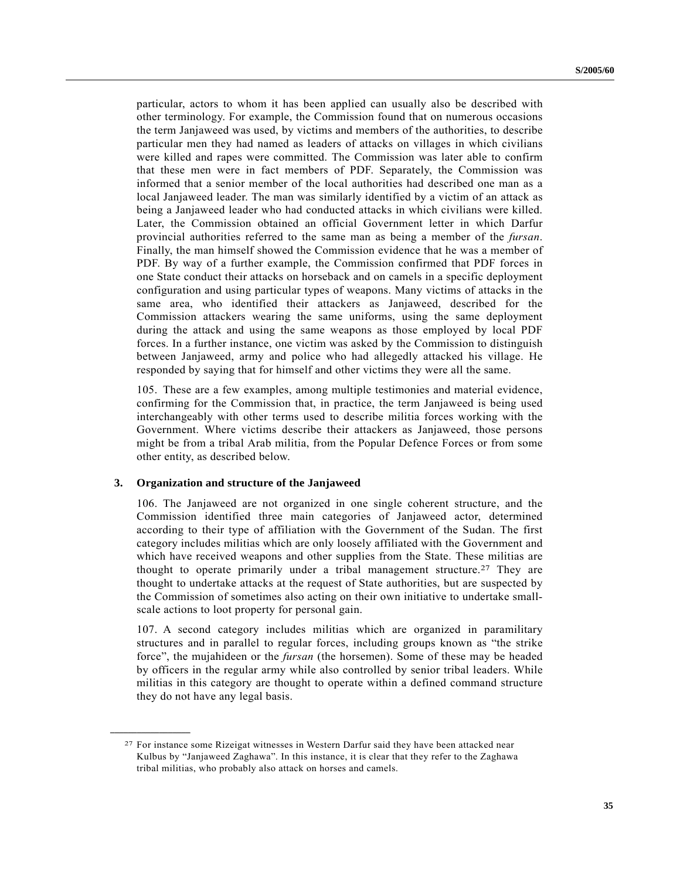particular, actors to whom it has been applied can usually also be described with other terminology. For example, the Commission found that on numerous occasions the term Janjaweed was used, by victims and members of the authorities, to describe particular men they had named as leaders of attacks on villages in which civilians were killed and rapes were committed. The Commission was later able to confirm that these men were in fact members of PDF. Separately, the Commission was informed that a senior member of the local authorities had described one man as a local Janjaweed leader. The man was similarly identified by a victim of an attack as being a Janjaweed leader who had conducted attacks in which civilians were killed. Later, the Commission obtained an official Government letter in which Darfur provincial authorities referred to the same man as being a member of the *fursan*. Finally, the man himself showed the Commission evidence that he was a member of PDF. By way of a further example, the Commission confirmed that PDF forces in one State conduct their attacks on horseback and on camels in a specific deployment configuration and using particular types of weapons. Many victims of attacks in the same area, who identified their attackers as Janjaweed, described for the Commission attackers wearing the same uniforms, using the same deployment during the attack and using the same weapons as those employed by local PDF forces. In a further instance, one victim was asked by the Commission to distinguish between Janjaweed, army and police who had allegedly attacked his village. He responded by saying that for himself and other victims they were all the same.

105. These are a few examples, among multiple testimonies and material evidence, confirming for the Commission that, in practice, the term Janjaweed is being used interchangeably with other terms used to describe militia forces working with the Government. Where victims describe their attackers as Janjaweed, those persons might be from a tribal Arab militia, from the Popular Defence Forces or from some other entity, as described below.

#### **3. Organization and structure of the Janjaweed**

**\_\_\_\_\_\_\_\_\_\_\_\_\_\_\_\_\_\_**

106. The Janjaweed are not organized in one single coherent structure, and the Commission identified three main categories of Janjaweed actor, determined according to their type of affiliation with the Government of the Sudan. The first category includes militias which are only loosely affiliated with the Government and which have received weapons and other supplies from the State. These militias are thought to operate primarily under a tribal management structure.27 They are thought to undertake attacks at the request of State authorities, but are suspected by the Commission of sometimes also acting on their own initiative to undertake smallscale actions to loot property for personal gain.

107. A second category includes militias which are organized in paramilitary structures and in parallel to regular forces, including groups known as "the strike" forceî, the mujahideen or the *fursan* (the horsemen). Some of these may be headed by officers in the regular army while also controlled by senior tribal leaders. While militias in this category are thought to operate within a defined command structure they do not have any legal basis.

<sup>27</sup> For instance some Rizeigat witnesses in Western Darfur said they have been attacked near Kulbus by "Janjaweed Zaghawa". In this instance, it is clear that they refer to the Zaghawa tribal militias, who probably also attack on horses and camels.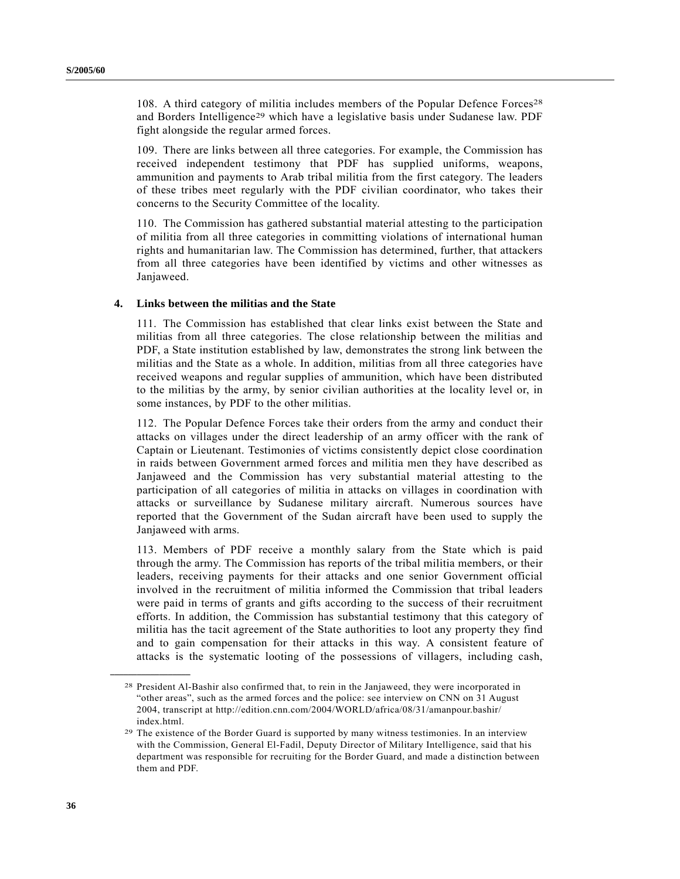108. A third category of militia includes members of the Popular Defence Forces28 and Borders Intelligence29 which have a legislative basis under Sudanese law. PDF fight alongside the regular armed forces.

109. There are links between all three categories. For example, the Commission has received independent testimony that PDF has supplied uniforms, weapons, ammunition and payments to Arab tribal militia from the first category. The leaders of these tribes meet regularly with the PDF civilian coordinator, who takes their concerns to the Security Committee of the locality.

110. The Commission has gathered substantial material attesting to the participation of militia from all three categories in committing violations of international human rights and humanitarian law. The Commission has determined, further, that attackers from all three categories have been identified by victims and other witnesses as Janjaweed.

#### **4. Links between the militias and the State**

111. The Commission has established that clear links exist between the State and militias from all three categories. The close relationship between the militias and PDF, a State institution established by law, demonstrates the strong link between the militias and the State as a whole. In addition, militias from all three categories have received weapons and regular supplies of ammunition, which have been distributed to the militias by the army, by senior civilian authorities at the locality level or, in some instances, by PDF to the other militias.

112. The Popular Defence Forces take their orders from the army and conduct their attacks on villages under the direct leadership of an army officer with the rank of Captain or Lieutenant. Testimonies of victims consistently depict close coordination in raids between Government armed forces and militia men they have described as Janjaweed and the Commission has very substantial material attesting to the participation of all categories of militia in attacks on villages in coordination with attacks or surveillance by Sudanese military aircraft. Numerous sources have reported that the Government of the Sudan aircraft have been used to supply the Janjaweed with arms.

113. Members of PDF receive a monthly salary from the State which is paid through the army. The Commission has reports of the tribal militia members, or their leaders, receiving payments for their attacks and one senior Government official involved in the recruitment of militia informed the Commission that tribal leaders were paid in terms of grants and gifts according to the success of their recruitment efforts. In addition, the Commission has substantial testimony that this category of militia has the tacit agreement of the State authorities to loot any property they find and to gain compensation for their attacks in this way. A consistent feature of attacks is the systematic looting of the possessions of villagers, including cash,

<sup>28</sup> President Al-Bashir also confirmed that, to rein in the Janjaweed, they were incorporated in "other areas", such as the armed forces and the police: see interview on CNN on 31 August 2004, transcript at http://edition.cnn.com/2004/WORLD/africa/08/31/amanpour.bashir/ index.html.

<sup>29</sup> The existence of the Border Guard is supported by many witness testimonies. In an interview with the Commission, General El-Fadil, Deputy Director of Military Intelligence, said that his department was responsible for recruiting for the Border Guard, and made a distinction between them and PDF.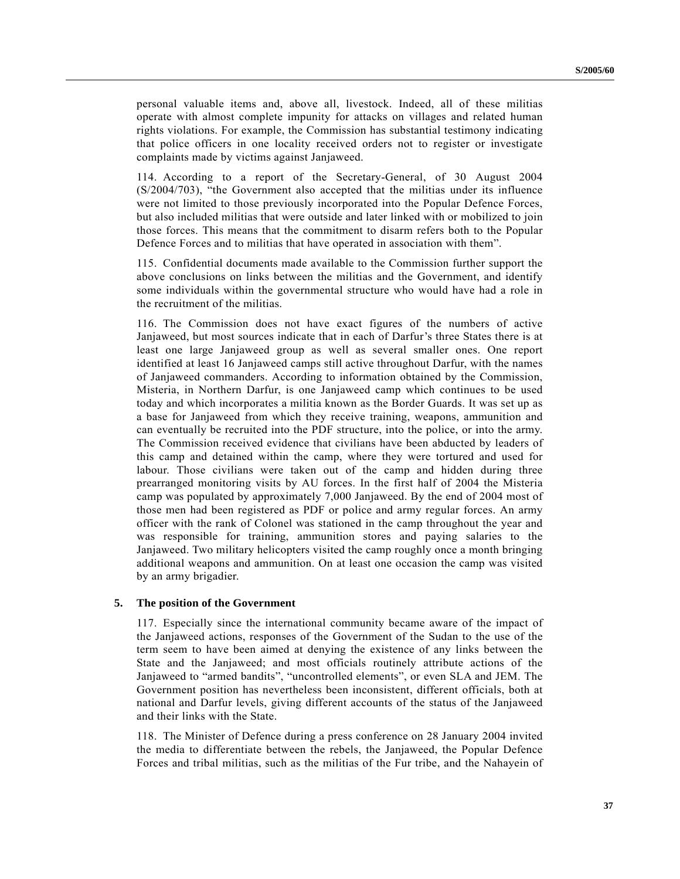personal valuable items and, above all, livestock. Indeed, all of these militias operate with almost complete impunity for attacks on villages and related human rights violations. For example, the Commission has substantial testimony indicating that police officers in one locality received orders not to register or investigate complaints made by victims against Janjaweed.

114. According to a report of the Secretary-General, of 30 August 2004  $(S/2004/703)$ , "the Government also accepted that the militias under its influence were not limited to those previously incorporated into the Popular Defence Forces, but also included militias that were outside and later linked with or mobilized to join those forces. This means that the commitment to disarm refers both to the Popular Defence Forces and to militias that have operated in association with them".

115. Confidential documents made available to the Commission further support the above conclusions on links between the militias and the Government, and identify some individuals within the governmental structure who would have had a role in the recruitment of the militias.

116. The Commission does not have exact figures of the numbers of active Janjaweed, but most sources indicate that in each of Darfur's three States there is at least one large Janjaweed group as well as several smaller ones. One report identified at least 16 Janjaweed camps still active throughout Darfur, with the names of Janjaweed commanders. According to information obtained by the Commission, Misteria, in Northern Darfur, is one Janjaweed camp which continues to be used today and which incorporates a militia known as the Border Guards. It was set up as a base for Janjaweed from which they receive training, weapons, ammunition and can eventually be recruited into the PDF structure, into the police, or into the army. The Commission received evidence that civilians have been abducted by leaders of this camp and detained within the camp, where they were tortured and used for labour. Those civilians were taken out of the camp and hidden during three prearranged monitoring visits by AU forces. In the first half of 2004 the Misteria camp was populated by approximately 7,000 Janjaweed. By the end of 2004 most of those men had been registered as PDF or police and army regular forces. An army officer with the rank of Colonel was stationed in the camp throughout the year and was responsible for training, ammunition stores and paying salaries to the Janjaweed. Two military helicopters visited the camp roughly once a month bringing additional weapons and ammunition. On at least one occasion the camp was visited by an army brigadier.

### **5. The position of the Government**

117. Especially since the international community became aware of the impact of the Janjaweed actions, responses of the Government of the Sudan to the use of the term seem to have been aimed at denying the existence of any links between the State and the Janjaweed; and most officials routinely attribute actions of the Janjaweed to "armed bandits", "uncontrolled elements", or even SLA and JEM. The Government position has nevertheless been inconsistent, different officials, both at national and Darfur levels, giving different accounts of the status of the Janjaweed and their links with the State.

118. The Minister of Defence during a press conference on 28 January 2004 invited the media to differentiate between the rebels, the Janjaweed, the Popular Defence Forces and tribal militias, such as the militias of the Fur tribe, and the Nahayein of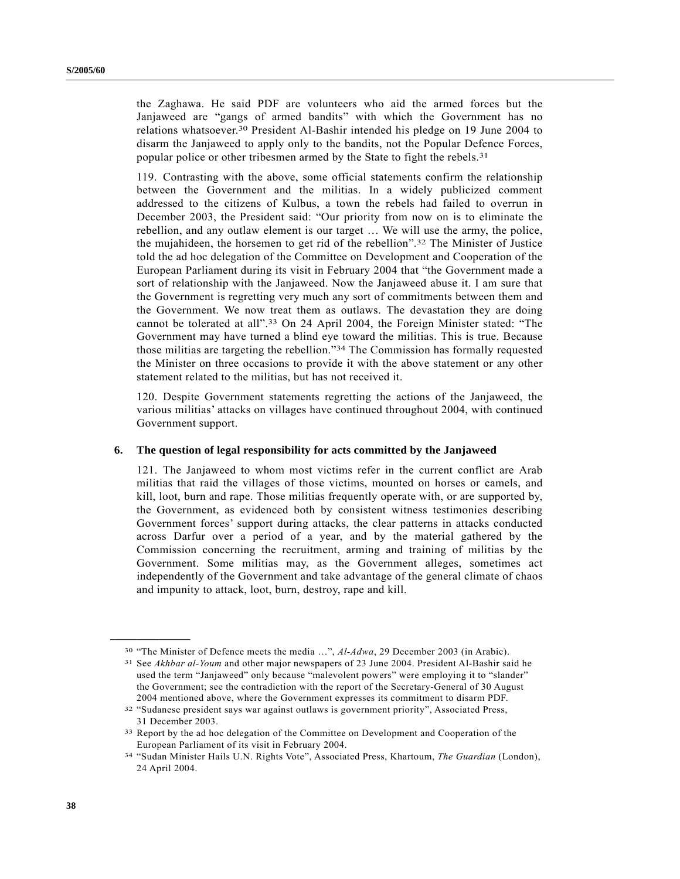the Zaghawa. He said PDF are volunteers who aid the armed forces but the Janjaweed are "gangs of armed bandits" with which the Government has no relations whatsoever.30 President Al-Bashir intended his pledge on 19 June 2004 to disarm the Janjaweed to apply only to the bandits, not the Popular Defence Forces, popular police or other tribesmen armed by the State to fight the rebels.31

119. Contrasting with the above, some official statements confirm the relationship between the Government and the militias. In a widely publicized comment addressed to the citizens of Kulbus, a town the rebels had failed to overrun in December 2003, the President said: "Our priority from now on is to eliminate the rebellion, and any outlaw element is our target  $\ldots$  We will use the army, the police, the mujahideen, the horsemen to get rid of the rebellion".<sup>32</sup> The Minister of Justice told the ad hoc delegation of the Committee on Development and Cooperation of the European Parliament during its visit in February 2004 that "the Government made a sort of relationship with the Janjaweed. Now the Janjaweed abuse it. I am sure that the Government is regretting very much any sort of commitments between them and the Government. We now treat them as outlaws. The devastation they are doing cannot be tolerated at all".<sup>33</sup> On 24 April 2004, the Foreign Minister stated: "The Government may have turned a blind eye toward the militias. This is true. Because those militias are targeting the rebellion."34 The Commission has formally requested the Minister on three occasions to provide it with the above statement or any other statement related to the militias, but has not received it.

120. Despite Government statements regretting the actions of the Janjaweed, the various militias' attacks on villages have continued throughout 2004, with continued Government support.

#### **6. The question of legal responsibility for acts committed by the Janjaweed**

121. The Janjaweed to whom most victims refer in the current conflict are Arab militias that raid the villages of those victims, mounted on horses or camels, and kill, loot, burn and rape. Those militias frequently operate with, or are supported by, the Government, as evidenced both by consistent witness testimonies describing Government forcesí support during attacks, the clear patterns in attacks conducted across Darfur over a period of a year, and by the material gathered by the Commission concerning the recruitment, arming and training of militias by the Government. Some militias may, as the Government alleges, sometimes act independently of the Government and take advantage of the general climate of chaos and impunity to attack, loot, burn, destroy, rape and kill.

<sup>&</sup>lt;sup>30</sup> "The Minister of Defence meets the media ...", *Al-Adwa*, 29 December 2003 (in Arabic).

<sup>31</sup> See *Akhbar al-Youm* and other major newspapers of 23 June 2004. President Al-Bashir said he used the term "Janjaweed" only because "malevolent powers" were employing it to "slander" the Government; see the contradiction with the report of the Secretary-General of 30 August 2004 mentioned above, where the Government expresses its commitment to disarm PDF.

<sup>&</sup>lt;sup>32</sup> "Sudanese president says war against outlaws is government priority", Associated Press, 31 December 2003.

<sup>&</sup>lt;sup>33</sup> Report by the ad hoc delegation of the Committee on Development and Cooperation of the European Parliament of its visit in February 2004.

<sup>&</sup>lt;sup>34</sup> "Sudan Minister Hails U.N. Rights Vote", Associated Press, Khartoum, *The Guardian* (London), 24 April 2004.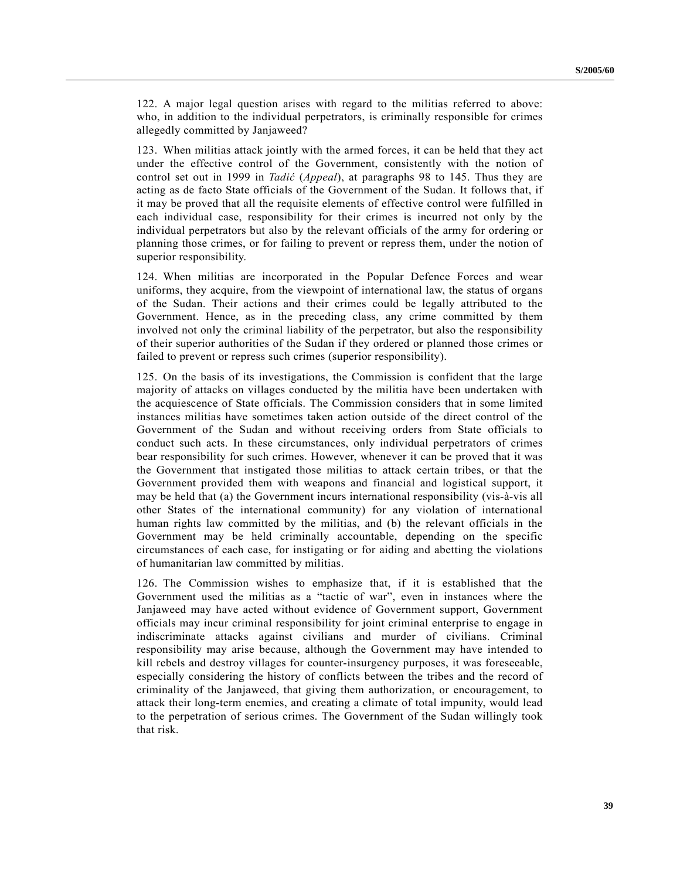122. A major legal question arises with regard to the militias referred to above: who, in addition to the individual perpetrators, is criminally responsible for crimes allegedly committed by Janjaweed?

123. When militias attack jointly with the armed forces, it can be held that they act under the effective control of the Government, consistently with the notion of control set out in 1999 in *Tadić* (*Appeal*), at paragraphs 98 to 145. Thus they are acting as de facto State officials of the Government of the Sudan. It follows that, if it may be proved that all the requisite elements of effective control were fulfilled in each individual case, responsibility for their crimes is incurred not only by the individual perpetrators but also by the relevant officials of the army for ordering or planning those crimes, or for failing to prevent or repress them, under the notion of superior responsibility.

124. When militias are incorporated in the Popular Defence Forces and wear uniforms, they acquire, from the viewpoint of international law, the status of organs of the Sudan. Their actions and their crimes could be legally attributed to the Government. Hence, as in the preceding class, any crime committed by them involved not only the criminal liability of the perpetrator, but also the responsibility of their superior authorities of the Sudan if they ordered or planned those crimes or failed to prevent or repress such crimes (superior responsibility).

125. On the basis of its investigations, the Commission is confident that the large majority of attacks on villages conducted by the militia have been undertaken with the acquiescence of State officials. The Commission considers that in some limited instances militias have sometimes taken action outside of the direct control of the Government of the Sudan and without receiving orders from State officials to conduct such acts. In these circumstances, only individual perpetrators of crimes bear responsibility for such crimes. However, whenever it can be proved that it was the Government that instigated those militias to attack certain tribes, or that the Government provided them with weapons and financial and logistical support, it may be held that (a) the Government incurs international responsibility (vis-à-vis all other States of the international community) for any violation of international human rights law committed by the militias, and (b) the relevant officials in the Government may be held criminally accountable, depending on the specific circumstances of each case, for instigating or for aiding and abetting the violations of humanitarian law committed by militias.

126. The Commission wishes to emphasize that, if it is established that the Government used the militias as a "tactic of war", even in instances where the Janjaweed may have acted without evidence of Government support, Government officials may incur criminal responsibility for joint criminal enterprise to engage in indiscriminate attacks against civilians and murder of civilians. Criminal responsibility may arise because, although the Government may have intended to kill rebels and destroy villages for counter-insurgency purposes, it was foreseeable, especially considering the history of conflicts between the tribes and the record of criminality of the Janjaweed, that giving them authorization, or encouragement, to attack their long-term enemies, and creating a climate of total impunity, would lead to the perpetration of serious crimes. The Government of the Sudan willingly took that risk.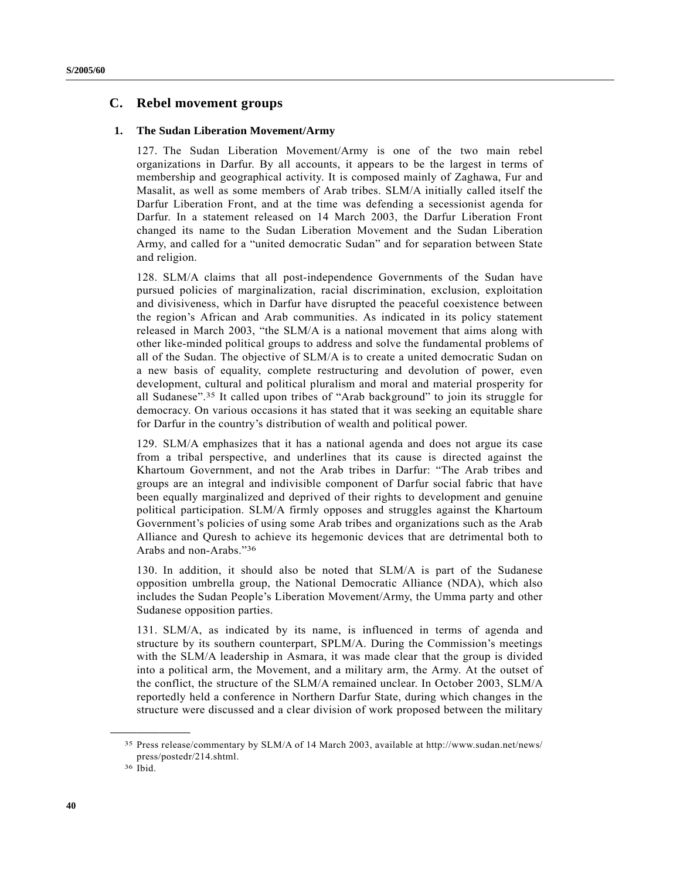### **C. Rebel movement groups**

#### **1. The Sudan Liberation Movement/Army**

127. The Sudan Liberation Movement/Army is one of the two main rebel organizations in Darfur. By all accounts, it appears to be the largest in terms of membership and geographical activity. It is composed mainly of Zaghawa, Fur and Masalit, as well as some members of Arab tribes. SLM/A initially called itself the Darfur Liberation Front, and at the time was defending a secessionist agenda for Darfur. In a statement released on 14 March 2003, the Darfur Liberation Front changed its name to the Sudan Liberation Movement and the Sudan Liberation Army, and called for a "united democratic Sudan" and for separation between State and religion.

128. SLM/A claims that all post-independence Governments of the Sudan have pursued policies of marginalization, racial discrimination, exclusion, exploitation and divisiveness, which in Darfur have disrupted the peaceful coexistence between the regionís African and Arab communities. As indicated in its policy statement released in March 2003, "the SLM/A is a national movement that aims along with other like-minded political groups to address and solve the fundamental problems of all of the Sudan. The objective of SLM/A is to create a united democratic Sudan on a new basis of equality, complete restructuring and devolution of power, even development, cultural and political pluralism and moral and material prosperity for all Sudanese".<sup>35</sup> It called upon tribes of "Arab background" to join its struggle for democracy. On various occasions it has stated that it was seeking an equitable share for Darfur in the country's distribution of wealth and political power.

129. SLM/A emphasizes that it has a national agenda and does not argue its case from a tribal perspective, and underlines that its cause is directed against the Khartoum Government, and not the Arab tribes in Darfur: "The Arab tribes and groups are an integral and indivisible component of Darfur social fabric that have been equally marginalized and deprived of their rights to development and genuine political participation. SLM/A firmly opposes and struggles against the Khartoum Government's policies of using some Arab tribes and organizations such as the Arab Alliance and Quresh to achieve its hegemonic devices that are detrimental both to Arabs and non-Arabs."36

130. In addition, it should also be noted that SLM/A is part of the Sudanese opposition umbrella group, the National Democratic Alliance (NDA), which also includes the Sudan People's Liberation Movement/Army, the Umma party and other Sudanese opposition parties.

131. SLM/A, as indicated by its name, is influenced in terms of agenda and structure by its southern counterpart, SPLM/A. During the Commission's meetings with the SLM/A leadership in Asmara, it was made clear that the group is divided into a political arm, the Movement, and a military arm, the Army. At the outset of the conflict, the structure of the SLM/A remained unclear. In October 2003, SLM/A reportedly held a conference in Northern Darfur State, during which changes in the structure were discussed and a clear division of work proposed between the military

<sup>35</sup> Press release/commentary by SLM/A of 14 March 2003, available at http://www.sudan.net/news/ press/postedr/214.shtml.

<sup>36</sup> Ibid.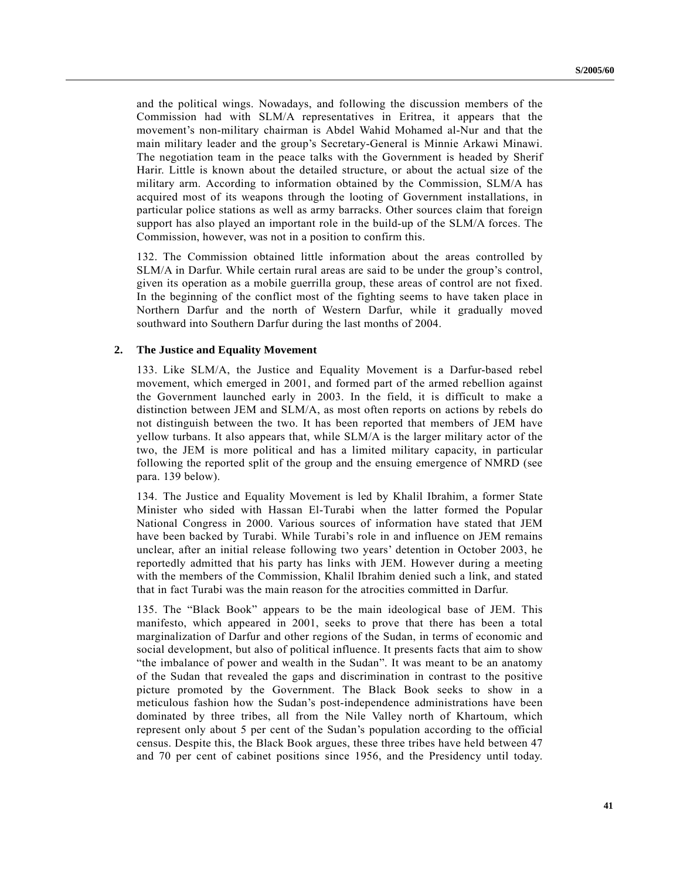and the political wings. Nowadays, and following the discussion members of the Commission had with SLM/A representatives in Eritrea, it appears that the movementís non-military chairman is Abdel Wahid Mohamed al-Nur and that the main military leader and the groupís Secretary-General is Minnie Arkawi Minawi. The negotiation team in the peace talks with the Government is headed by Sherif Harir. Little is known about the detailed structure, or about the actual size of the military arm. According to information obtained by the Commission, SLM/A has acquired most of its weapons through the looting of Government installations, in particular police stations as well as army barracks. Other sources claim that foreign support has also played an important role in the build-up of the SLM/A forces. The Commission, however, was not in a position to confirm this.

132. The Commission obtained little information about the areas controlled by SLM/A in Darfur. While certain rural areas are said to be under the group's control, given its operation as a mobile guerrilla group, these areas of control are not fixed. In the beginning of the conflict most of the fighting seems to have taken place in Northern Darfur and the north of Western Darfur, while it gradually moved southward into Southern Darfur during the last months of 2004.

### **2. The Justice and Equality Movement**

133. Like SLM/A, the Justice and Equality Movement is a Darfur-based rebel movement, which emerged in 2001, and formed part of the armed rebellion against the Government launched early in 2003. In the field, it is difficult to make a distinction between JEM and SLM/A, as most often reports on actions by rebels do not distinguish between the two. It has been reported that members of JEM have yellow turbans. It also appears that, while SLM/A is the larger military actor of the two, the JEM is more political and has a limited military capacity, in particular following the reported split of the group and the ensuing emergence of NMRD (see para. 139 below).

134. The Justice and Equality Movement is led by Khalil Ibrahim, a former State Minister who sided with Hassan El-Turabi when the latter formed the Popular National Congress in 2000. Various sources of information have stated that JEM have been backed by Turabi. While Turabi's role in and influence on JEM remains unclear, after an initial release following two years' detention in October 2003, he reportedly admitted that his party has links with JEM. However during a meeting with the members of the Commission, Khalil Ibrahim denied such a link, and stated that in fact Turabi was the main reason for the atrocities committed in Darfur.

135. The "Black Book" appears to be the main ideological base of JEM. This manifesto, which appeared in 2001, seeks to prove that there has been a total marginalization of Darfur and other regions of the Sudan, in terms of economic and social development, but also of political influence. It presents facts that aim to show ìthe imbalance of power and wealth in the Sudanî. It was meant to be an anatomy of the Sudan that revealed the gaps and discrimination in contrast to the positive picture promoted by the Government. The Black Book seeks to show in a meticulous fashion how the Sudan's post-independence administrations have been dominated by three tribes, all from the Nile Valley north of Khartoum, which represent only about 5 per cent of the Sudanís population according to the official census. Despite this, the Black Book argues, these three tribes have held between 47 and 70 per cent of cabinet positions since 1956, and the Presidency until today.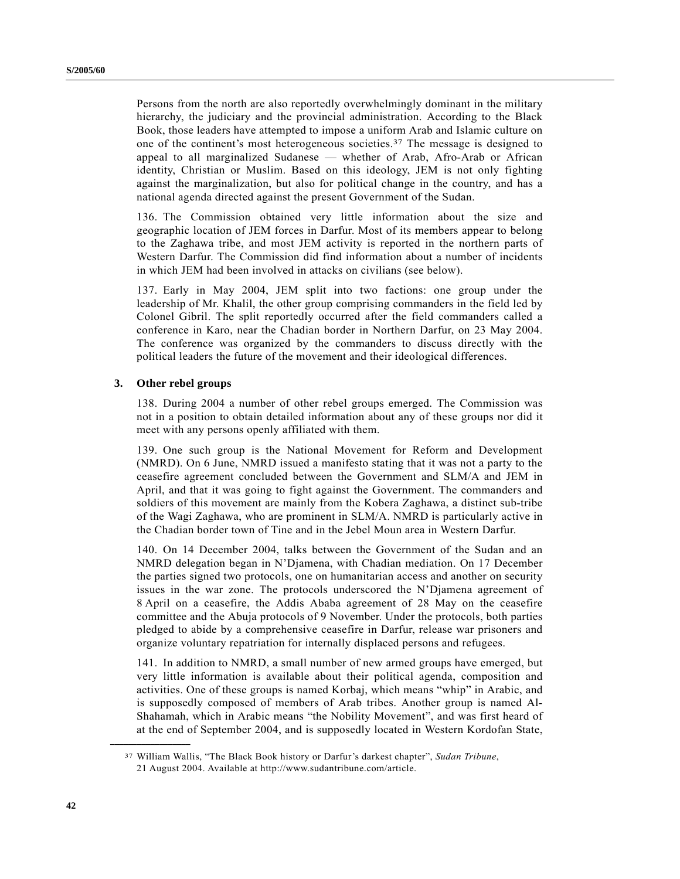Persons from the north are also reportedly overwhelmingly dominant in the military hierarchy, the judiciary and the provincial administration. According to the Black Book, those leaders have attempted to impose a uniform Arab and Islamic culture on one of the continentís most heterogeneous societies.37 The message is designed to appeal to all marginalized Sudanese - whether of Arab, Afro-Arab or African identity, Christian or Muslim. Based on this ideology, JEM is not only fighting against the marginalization, but also for political change in the country, and has a national agenda directed against the present Government of the Sudan.

136. The Commission obtained very little information about the size and geographic location of JEM forces in Darfur. Most of its members appear to belong to the Zaghawa tribe, and most JEM activity is reported in the northern parts of Western Darfur. The Commission did find information about a number of incidents in which JEM had been involved in attacks on civilians (see below).

137. Early in May 2004, JEM split into two factions: one group under the leadership of Mr. Khalil, the other group comprising commanders in the field led by Colonel Gibril. The split reportedly occurred after the field commanders called a conference in Karo, near the Chadian border in Northern Darfur, on 23 May 2004. The conference was organized by the commanders to discuss directly with the political leaders the future of the movement and their ideological differences.

### **3. Other rebel groups**

138. During 2004 a number of other rebel groups emerged. The Commission was not in a position to obtain detailed information about any of these groups nor did it meet with any persons openly affiliated with them.

139. One such group is the National Movement for Reform and Development (NMRD). On 6 June, NMRD issued a manifesto stating that it was not a party to the ceasefire agreement concluded between the Government and SLM/A and JEM in April, and that it was going to fight against the Government. The commanders and soldiers of this movement are mainly from the Kobera Zaghawa, a distinct sub-tribe of the Wagi Zaghawa, who are prominent in SLM/A. NMRD is particularly active in the Chadian border town of Tine and in the Jebel Moun area in Western Darfur.

140. On 14 December 2004, talks between the Government of the Sudan and an NMRD delegation began in N'Djamena, with Chadian mediation. On 17 December the parties signed two protocols, one on humanitarian access and another on security issues in the war zone. The protocols underscored the N'Djamena agreement of 8 April on a ceasefire, the Addis Ababa agreement of 28 May on the ceasefire committee and the Abuja protocols of 9 November. Under the protocols, both parties pledged to abide by a comprehensive ceasefire in Darfur, release war prisoners and organize voluntary repatriation for internally displaced persons and refugees.

141. In addition to NMRD, a small number of new armed groups have emerged, but very little information is available about their political agenda, composition and activities. One of these groups is named Korbaj, which means "whip" in Arabic, and is supposedly composed of members of Arab tribes. Another group is named Al-Shahamah, which in Arabic means "the Nobility Movement", and was first heard of at the end of September 2004, and is supposedly located in Western Kordofan State,

<sup>&</sup>lt;sup>37</sup> William Wallis, "The Black Book history or Darfur's darkest chapter", *Sudan Tribune*, 21 August 2004. Available at http://www.sudantribune.com/article.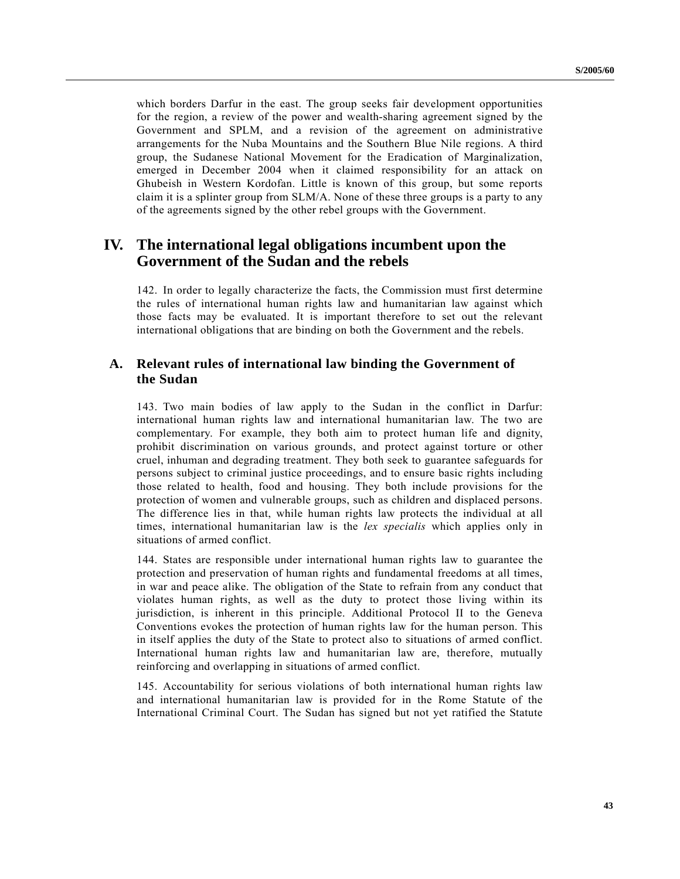which borders Darfur in the east. The group seeks fair development opportunities for the region, a review of the power and wealth-sharing agreement signed by the Government and SPLM, and a revision of the agreement on administrative arrangements for the Nuba Mountains and the Southern Blue Nile regions. A third group, the Sudanese National Movement for the Eradication of Marginalization, emerged in December 2004 when it claimed responsibility for an attack on Ghubeish in Western Kordofan. Little is known of this group, but some reports claim it is a splinter group from SLM/A. None of these three groups is a party to any of the agreements signed by the other rebel groups with the Government.

# **IV. The international legal obligations incumbent upon the Government of the Sudan and the rebels**

142. In order to legally characterize the facts, the Commission must first determine the rules of international human rights law and humanitarian law against which those facts may be evaluated. It is important therefore to set out the relevant international obligations that are binding on both the Government and the rebels.

# **A. Relevant rules of international law binding the Government of the Sudan**

143. Two main bodies of law apply to the Sudan in the conflict in Darfur: international human rights law and international humanitarian law. The two are complementary. For example, they both aim to protect human life and dignity, prohibit discrimination on various grounds, and protect against torture or other cruel, inhuman and degrading treatment. They both seek to guarantee safeguards for persons subject to criminal justice proceedings, and to ensure basic rights including those related to health, food and housing. They both include provisions for the protection of women and vulnerable groups, such as children and displaced persons. The difference lies in that, while human rights law protects the individual at all times, international humanitarian law is the *lex specialis* which applies only in situations of armed conflict.

144. States are responsible under international human rights law to guarantee the protection and preservation of human rights and fundamental freedoms at all times, in war and peace alike. The obligation of the State to refrain from any conduct that violates human rights, as well as the duty to protect those living within its jurisdiction, is inherent in this principle. Additional Protocol II to the Geneva Conventions evokes the protection of human rights law for the human person. This in itself applies the duty of the State to protect also to situations of armed conflict. International human rights law and humanitarian law are, therefore, mutually reinforcing and overlapping in situations of armed conflict.

145. Accountability for serious violations of both international human rights law and international humanitarian law is provided for in the Rome Statute of the International Criminal Court. The Sudan has signed but not yet ratified the Statute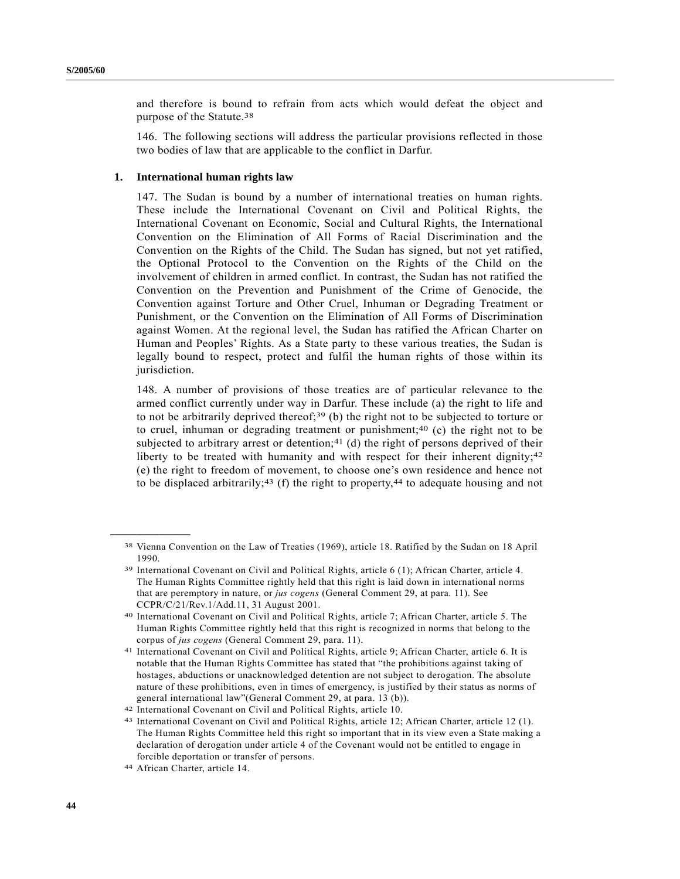and therefore is bound to refrain from acts which would defeat the object and purpose of the Statute.38

146. The following sections will address the particular provisions reflected in those two bodies of law that are applicable to the conflict in Darfur.

#### **1. International human rights law**

147. The Sudan is bound by a number of international treaties on human rights. These include the International Covenant on Civil and Political Rights, the International Covenant on Economic, Social and Cultural Rights, the International Convention on the Elimination of All Forms of Racial Discrimination and the Convention on the Rights of the Child. The Sudan has signed, but not yet ratified, the Optional Protocol to the Convention on the Rights of the Child on the involvement of children in armed conflict. In contrast, the Sudan has not ratified the Convention on the Prevention and Punishment of the Crime of Genocide, the Convention against Torture and Other Cruel, Inhuman or Degrading Treatment or Punishment, or the Convention on the Elimination of All Forms of Discrimination against Women. At the regional level, the Sudan has ratified the African Charter on Human and Peoplesí Rights. As a State party to these various treaties, the Sudan is legally bound to respect, protect and fulfil the human rights of those within its jurisdiction.

148. A number of provisions of those treaties are of particular relevance to the armed conflict currently under way in Darfur. These include (a) the right to life and to not be arbitrarily deprived thereof;39 (b) the right not to be subjected to torture or to cruel, inhuman or degrading treatment or punishment; $40$  (c) the right not to be subjected to arbitrary arrest or detention;<sup>41</sup> (d) the right of persons deprived of their liberty to be treated with humanity and with respect for their inherent dignity;<sup>42</sup> (e) the right to freedom of movement, to choose one's own residence and hence not to be displaced arbitrarily;<sup>43</sup> (f) the right to property,<sup>44</sup> to adequate housing and not

<sup>38</sup> Vienna Convention on the Law of Treaties (1969), article 18. Ratified by the Sudan on 18 April 1990.

<sup>39</sup> International Covenant on Civil and Political Rights, article 6 (1); African Charter, article 4. The Human Rights Committee rightly held that this right is laid down in international norms that are peremptory in nature, or *jus cogens* (General Comment 29, at para. 11). See CCPR/C/21/Rev.1/Add.11, 31 August 2001.

<sup>40</sup> International Covenant on Civil and Political Rights, article 7; African Charter, article 5. The Human Rights Committee rightly held that this right is recognized in norms that belong to the corpus of *jus cogens* (General Comment 29, para. 11).

<sup>41</sup> International Covenant on Civil and Political Rights, article 9; African Charter, article 6. It is notable that the Human Rights Committee has stated that "the prohibitions against taking of hostages, abductions or unacknowledged detention are not subject to derogation. The absolute nature of these prohibitions, even in times of emergency, is justified by their status as norms of general international lawî(General Comment 29, at para. 13 (b)).

<sup>42</sup> International Covenant on Civil and Political Rights, article 10.

<sup>43</sup> International Covenant on Civil and Political Rights, article 12; African Charter, article 12 (1). The Human Rights Committee held this right so important that in its view even a State making a declaration of derogation under article 4 of the Covenant would not be entitled to engage in forcible deportation or transfer of persons.

<sup>44</sup> African Charter, article 14.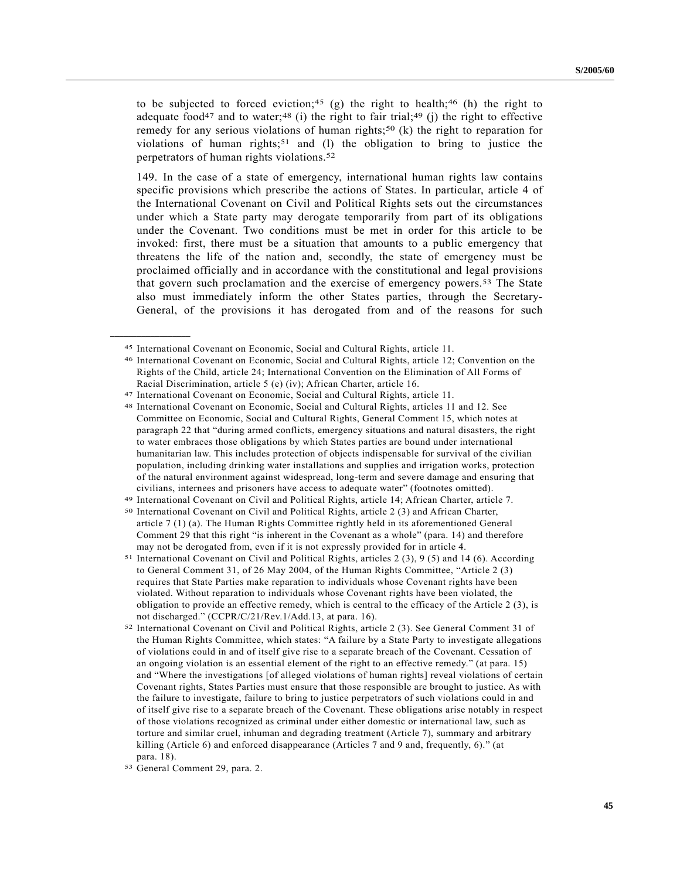to be subjected to forced eviction;<sup>45</sup> (g) the right to health;<sup>46</sup> (h) the right to adequate food<sup>47</sup> and to water;<sup>48</sup> (i) the right to fair trial;<sup>49</sup> (j) the right to effective remedy for any serious violations of human rights;<sup>50</sup> (k) the right to reparation for violations of human rights;<sup>51</sup> and (1) the obligation to bring to justice the perpetrators of human rights violations.<sup>52</sup>

149. In the case of a state of emergency, international human rights law contains specific provisions which prescribe the actions of States. In particular, article 4 of the International Covenant on Civil and Political Rights sets out the circumstances under which a State party may derogate temporarily from part of its obligations under the Covenant. Two conditions must be met in order for this article to be invoked: first, there must be a situation that amounts to a public emergency that threatens the life of the nation and, secondly, the state of emergency must be proclaimed officially and in accordance with the constitutional and legal provisions that govern such proclamation and the exercise of emergency powers.53 The State also must immediately inform the other States parties, through the Secretary-General, of the provisions it has derogated from and of the reasons for such

49 International Covenant on Civil and Political Rights, article 14; African Charter, article 7.

<sup>45</sup> International Covenant on Economic, Social and Cultural Rights, article 11.

<sup>46</sup> International Covenant on Economic, Social and Cultural Rights, article 12; Convention on the Rights of the Child, article 24; International Convention on the Elimination of All Forms of Racial Discrimination, article 5 (e) (iv); African Charter, article 16.

<sup>47</sup> International Covenant on Economic, Social and Cultural Rights, article 11.

<sup>48</sup> International Covenant on Economic, Social and Cultural Rights, articles 11 and 12. See Committee on Economic, Social and Cultural Rights, General Comment 15, which notes at paragraph 22 that "during armed conflicts, emergency situations and natural disasters, the right to water embraces those obligations by which States parties are bound under international humanitarian law. This includes protection of objects indispensable for survival of the civilian population, including drinking water installations and supplies and irrigation works, protection of the natural environment against widespread, long-term and severe damage and ensuring that civilians, internees and prisoners have access to adequate water" (footnotes omitted).

<sup>50</sup> International Covenant on Civil and Political Rights, article 2 (3) and African Charter, article 7 (1) (a). The Human Rights Committee rightly held in its aforementioned General Comment 29 that this right "is inherent in the Covenant as a whole" (para. 14) and therefore may not be derogated from, even if it is not expressly provided for in article 4.

<sup>51</sup> International Covenant on Civil and Political Rights, articles 2 (3), 9 (5) and 14 (6). According to General Comment 31, of 26 May 2004, of the Human Rights Committee, "Article 2  $(3)$ requires that State Parties make reparation to individuals whose Covenant rights have been violated. Without reparation to individuals whose Covenant rights have been violated, the obligation to provide an effective remedy, which is central to the efficacy of the Article 2 (3), is not discharged." (CCPR/C/21/Rev.1/Add.13, at para. 16).

<sup>52</sup> International Covenant on Civil and Political Rights, article 2 (3). See General Comment 31 of the Human Rights Committee, which states: "A failure by a State Party to investigate allegations of violations could in and of itself give rise to a separate breach of the Covenant. Cessation of an ongoing violation is an essential element of the right to an effective remedy." (at para. 15) and "Where the investigations [of alleged violations of human rights] reveal violations of certain Covenant rights, States Parties must ensure that those responsible are brought to justice. As with the failure to investigate, failure to bring to justice perpetrators of such violations could in and of itself give rise to a separate breach of the Covenant. These obligations arise notably in respect of those violations recognized as criminal under either domestic or international law, such as torture and similar cruel, inhuman and degrading treatment (Article 7), summary and arbitrary killing (Article 6) and enforced disappearance (Articles 7 and 9 and, frequently, 6)." (at para. 18).

<sup>53</sup> General Comment 29, para. 2.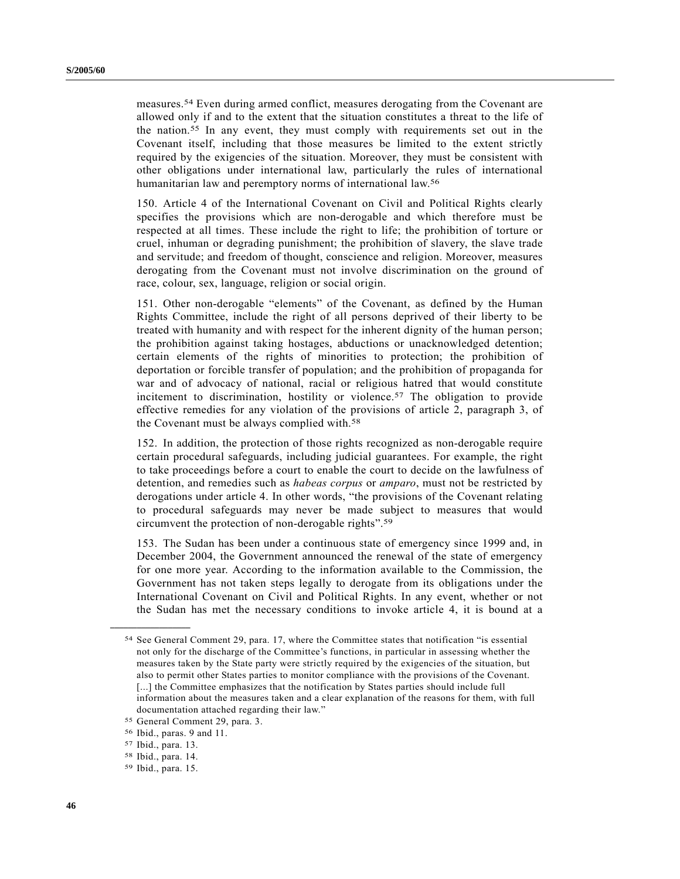measures.54 Even during armed conflict, measures derogating from the Covenant are allowed only if and to the extent that the situation constitutes a threat to the life of the nation.55 In any event, they must comply with requirements set out in the Covenant itself, including that those measures be limited to the extent strictly required by the exigencies of the situation. Moreover, they must be consistent with other obligations under international law, particularly the rules of international humanitarian law and peremptory norms of international law.<sup>56</sup>

150. Article 4 of the International Covenant on Civil and Political Rights clearly specifies the provisions which are non-derogable and which therefore must be respected at all times. These include the right to life; the prohibition of torture or cruel, inhuman or degrading punishment; the prohibition of slavery, the slave trade and servitude; and freedom of thought, conscience and religion. Moreover, measures derogating from the Covenant must not involve discrimination on the ground of race, colour, sex, language, religion or social origin.

151. Other non-derogable "elements" of the Covenant, as defined by the Human Rights Committee, include the right of all persons deprived of their liberty to be treated with humanity and with respect for the inherent dignity of the human person; the prohibition against taking hostages, abductions or unacknowledged detention; certain elements of the rights of minorities to protection; the prohibition of deportation or forcible transfer of population; and the prohibition of propaganda for war and of advocacy of national, racial or religious hatred that would constitute incitement to discrimination, hostility or violence.57 The obligation to provide effective remedies for any violation of the provisions of article 2, paragraph 3, of the Covenant must be always complied with.58

152. In addition, the protection of those rights recognized as non-derogable require certain procedural safeguards, including judicial guarantees. For example, the right to take proceedings before a court to enable the court to decide on the lawfulness of detention, and remedies such as *habeas corpus* or *amparo*, must not be restricted by derogations under article 4. In other words, "the provisions of the Covenant relating to procedural safeguards may never be made subject to measures that would circumvent the protection of non-derogable rights".<sup>59</sup>

153. The Sudan has been under a continuous state of emergency since 1999 and, in December 2004, the Government announced the renewal of the state of emergency for one more year. According to the information available to the Commission, the Government has not taken steps legally to derogate from its obligations under the International Covenant on Civil and Political Rights. In any event, whether or not the Sudan has met the necessary conditions to invoke article 4, it is bound at a

<sup>54</sup> See General Comment 29, para. 17, where the Committee states that notification "is essential not only for the discharge of the Committee's functions, in particular in assessing whether the measures taken by the State party were strictly required by the exigencies of the situation, but also to permit other States parties to monitor compliance with the provisions of the Covenant. [...] the Committee emphasizes that the notification by States parties should include full information about the measures taken and a clear explanation of the reasons for them, with full documentation attached regarding their law."

<sup>55</sup> General Comment 29, para. 3.

<sup>56</sup> Ibid., paras. 9 and 11.

<sup>57</sup> Ibid., para. 13.

<sup>58</sup> Ibid., para. 14.

<sup>59</sup> Ibid., para. 15.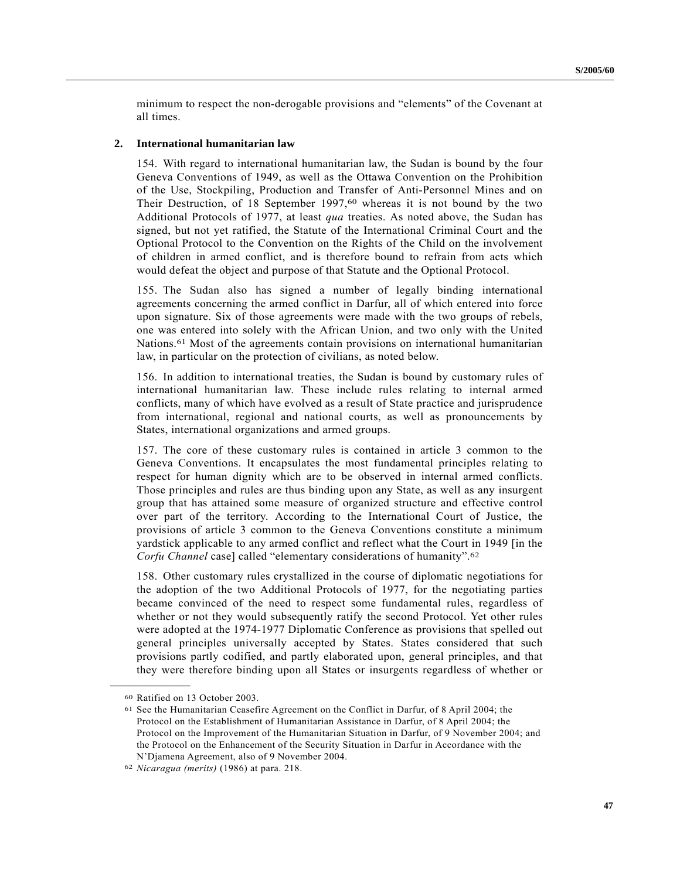minimum to respect the non-derogable provisions and "elements" of the Covenant at all times.

#### **2. International humanitarian law**

154. With regard to international humanitarian law, the Sudan is bound by the four Geneva Conventions of 1949, as well as the Ottawa Convention on the Prohibition of the Use, Stockpiling, Production and Transfer of Anti-Personnel Mines and on Their Destruction, of 18 September 1997,60 whereas it is not bound by the two Additional Protocols of 1977, at least *qua* treaties. As noted above, the Sudan has signed, but not yet ratified, the Statute of the International Criminal Court and the Optional Protocol to the Convention on the Rights of the Child on the involvement of children in armed conflict, and is therefore bound to refrain from acts which would defeat the object and purpose of that Statute and the Optional Protocol.

155. The Sudan also has signed a number of legally binding international agreements concerning the armed conflict in Darfur, all of which entered into force upon signature. Six of those agreements were made with the two groups of rebels, one was entered into solely with the African Union, and two only with the United Nations.<sup>61</sup> Most of the agreements contain provisions on international humanitarian law, in particular on the protection of civilians, as noted below.

156. In addition to international treaties, the Sudan is bound by customary rules of international humanitarian law. These include rules relating to internal armed conflicts, many of which have evolved as a result of State practice and jurisprudence from international, regional and national courts, as well as pronouncements by States, international organizations and armed groups.

157. The core of these customary rules is contained in article 3 common to the Geneva Conventions. It encapsulates the most fundamental principles relating to respect for human dignity which are to be observed in internal armed conflicts. Those principles and rules are thus binding upon any State, as well as any insurgent group that has attained some measure of organized structure and effective control over part of the territory. According to the International Court of Justice, the provisions of article 3 common to the Geneva Conventions constitute a minimum yardstick applicable to any armed conflict and reflect what the Court in 1949 [in the *Corfu Channel* case] called "elementary considerations of humanity".<sup>62</sup>

158. Other customary rules crystallized in the course of diplomatic negotiations for the adoption of the two Additional Protocols of 1977, for the negotiating parties became convinced of the need to respect some fundamental rules, regardless of whether or not they would subsequently ratify the second Protocol. Yet other rules were adopted at the 1974-1977 Diplomatic Conference as provisions that spelled out general principles universally accepted by States. States considered that such provisions partly codified, and partly elaborated upon, general principles, and that they were therefore binding upon all States or insurgents regardless of whether or

<sup>60</sup> Ratified on 13 October 2003.

<sup>61</sup> See the Humanitarian Ceasefire Agreement on the Conflict in Darfur, of 8 April 2004; the Protocol on the Establishment of Humanitarian Assistance in Darfur, of 8 April 2004; the Protocol on the Improvement of the Humanitarian Situation in Darfur, of 9 November 2004; and the Protocol on the Enhancement of the Security Situation in Darfur in Accordance with the NíDjamena Agreement, also of 9 November 2004.

<sup>62</sup> *Nicaragua (merits)* (1986) at para. 218.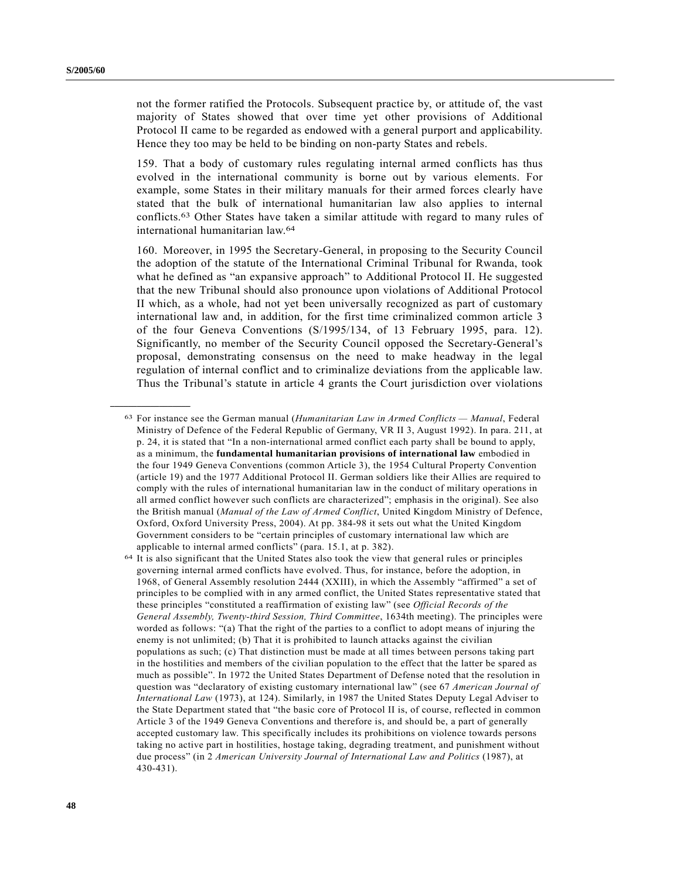**\_\_\_\_\_\_\_\_\_\_\_\_\_\_\_\_\_\_**

not the former ratified the Protocols. Subsequent practice by, or attitude of, the vast majority of States showed that over time yet other provisions of Additional Protocol II came to be regarded as endowed with a general purport and applicability. Hence they too may be held to be binding on non-party States and rebels.

159. That a body of customary rules regulating internal armed conflicts has thus evolved in the international community is borne out by various elements. For example, some States in their military manuals for their armed forces clearly have stated that the bulk of international humanitarian law also applies to internal conflicts.63 Other States have taken a similar attitude with regard to many rules of international humanitarian law.64

160. Moreover, in 1995 the Secretary-General, in proposing to the Security Council the adoption of the statute of the International Criminal Tribunal for Rwanda, took what he defined as "an expansive approach" to Additional Protocol II. He suggested that the new Tribunal should also pronounce upon violations of Additional Protocol II which, as a whole, had not yet been universally recognized as part of customary international law and, in addition, for the first time criminalized common article 3 of the four Geneva Conventions (S/1995/134, of 13 February 1995, para. 12). Significantly, no member of the Security Council opposed the Secretary-Generalís proposal, demonstrating consensus on the need to make headway in the legal regulation of internal conflict and to criminalize deviations from the applicable law. Thus the Tribunal's statute in article 4 grants the Court jurisdiction over violations

<sup>63</sup> For instance see the German manual (*Humanitarian Law in Armed Conflicts — Manual*, Federal Ministry of Defence of the Federal Republic of Germany, VR II 3, August 1992). In para. 211, at p. 24, it is stated that "In a non-international armed conflict each party shall be bound to apply, as a minimum, the **fundamental humanitarian provisions of international law** embodied in the four 1949 Geneva Conventions (common Article 3), the 1954 Cultural Property Convention (article 19) and the 1977 Additional Protocol II. German soldiers like their Allies are required to comply with the rules of international humanitarian law in the conduct of military operations in all armed conflict however such conflicts are characterized"; emphasis in the original). See also the British manual (*Manual of the Law of Armed Conflict*, United Kingdom Ministry of Defence, Oxford, Oxford University Press, 2004). At pp. 384-98 it sets out what the United Kingdom Government considers to be "certain principles of customary international law which are applicable to internal armed conflicts" (para. 15.1, at p. 382).

<sup>64</sup> It is also significant that the United States also took the view that general rules or principles governing internal armed conflicts have evolved. Thus, for instance, before the adoption, in 1968, of General Assembly resolution 2444 (XXIII), in which the Assembly "affirmed" a set of principles to be complied with in any armed conflict, the United States representative stated that these principles "constituted a reaffirmation of existing law" (see *Official Records of the General Assembly, Twenty-third Session, Third Committee*, 1634th meeting). The principles were worded as follows: "(a) That the right of the parties to a conflict to adopt means of injuring the enemy is not unlimited; (b) That it is prohibited to launch attacks against the civilian populations as such; (c) That distinction must be made at all times between persons taking part in the hostilities and members of the civilian population to the effect that the latter be spared as much as possible". In 1972 the United States Department of Defense noted that the resolution in question was "declaratory of existing customary international law" (see 67 *American Journal of International Law* (1973), at 124). Similarly, in 1987 the United States Deputy Legal Adviser to the State Department stated that "the basic core of Protocol II is, of course, reflected in common Article 3 of the 1949 Geneva Conventions and therefore is, and should be, a part of generally accepted customary law. This specifically includes its prohibitions on violence towards persons taking no active part in hostilities, hostage taking, degrading treatment, and punishment without due processî (in 2 *American University Journal of International Law and Politics* (1987), at 430-431).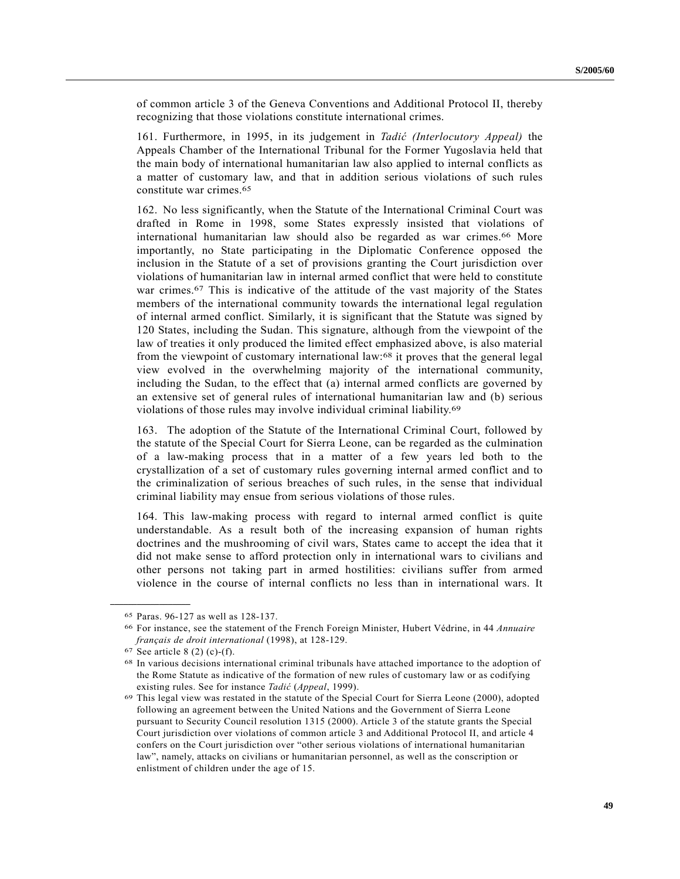of common article 3 of the Geneva Conventions and Additional Protocol II, thereby recognizing that those violations constitute international crimes.

161. Furthermore, in 1995, in its judgement in *Tadić (Interlocutory Appeal)* the Appeals Chamber of the International Tribunal for the Former Yugoslavia held that the main body of international humanitarian law also applied to internal conflicts as a matter of customary law, and that in addition serious violations of such rules constitute war crimes.65

162. No less significantly, when the Statute of the International Criminal Court was drafted in Rome in 1998, some States expressly insisted that violations of international humanitarian law should also be regarded as war crimes.66 More importantly, no State participating in the Diplomatic Conference opposed the inclusion in the Statute of a set of provisions granting the Court jurisdiction over violations of humanitarian law in internal armed conflict that were held to constitute war crimes.67 This is indicative of the attitude of the vast majority of the States members of the international community towards the international legal regulation of internal armed conflict. Similarly, it is significant that the Statute was signed by 120 States, including the Sudan. This signature, although from the viewpoint of the law of treaties it only produced the limited effect emphasized above, is also material from the viewpoint of customary international law:<sup>68</sup> it proves that the general legal view evolved in the overwhelming majority of the international community, including the Sudan, to the effect that (a) internal armed conflicts are governed by an extensive set of general rules of international humanitarian law and (b) serious violations of those rules may involve individual criminal liability.69

163. The adoption of the Statute of the International Criminal Court, followed by the statute of the Special Court for Sierra Leone, can be regarded as the culmination of a law-making process that in a matter of a few years led both to the crystallization of a set of customary rules governing internal armed conflict and to the criminalization of serious breaches of such rules, in the sense that individual criminal liability may ensue from serious violations of those rules.

164. This law-making process with regard to internal armed conflict is quite understandable. As a result both of the increasing expansion of human rights doctrines and the mushrooming of civil wars, States came to accept the idea that it did not make sense to afford protection only in international wars to civilians and other persons not taking part in armed hostilities: civilians suffer from armed violence in the course of internal conflicts no less than in international wars. It

<sup>65</sup> Paras. 96-127 as well as 128-137.

<sup>66</sup> For instance, see the statement of the French Foreign Minister, Hubert VÈdrine, in 44 *Annuaire franÁais de droit international* (1998), at 128-129.

<sup>67</sup> See article 8 (2) (c)-(f).

<sup>68</sup> In various decisions international criminal tribunals have attached importance to the adoption of the Rome Statute as indicative of the formation of new rules of customary law or as codifying existing rules. See for instance *Tadić* (*Appeal*, 1999).

<sup>69</sup> This legal view was restated in the statute of the Special Court for Sierra Leone (2000), adopted following an agreement between the United Nations and the Government of Sierra Leone pursuant to Security Council resolution 1315 (2000). Article 3 of the statute grants the Special Court jurisdiction over violations of common article 3 and Additional Protocol II, and article 4 confers on the Court jurisdiction over "other serious violations of international humanitarian law", namely, attacks on civilians or humanitarian personnel, as well as the conscription or enlistment of children under the age of 15.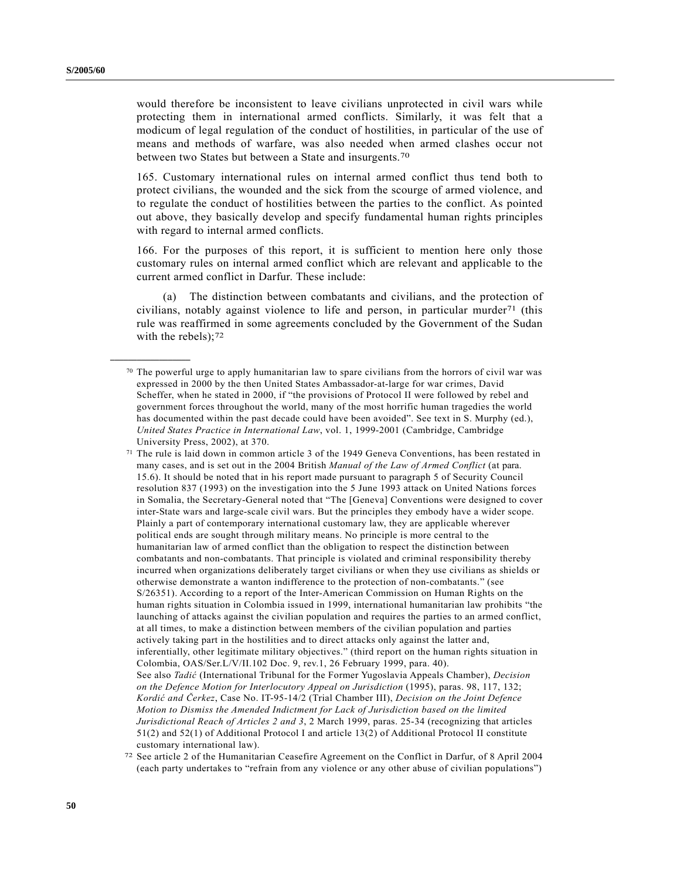**\_\_\_\_\_\_\_\_\_\_\_\_\_\_\_\_\_\_**

would therefore be inconsistent to leave civilians unprotected in civil wars while protecting them in international armed conflicts. Similarly, it was felt that a modicum of legal regulation of the conduct of hostilities, in particular of the use of means and methods of warfare, was also needed when armed clashes occur not between two States but between a State and insurgents.70

165. Customary international rules on internal armed conflict thus tend both to protect civilians, the wounded and the sick from the scourge of armed violence, and to regulate the conduct of hostilities between the parties to the conflict. As pointed out above, they basically develop and specify fundamental human rights principles with regard to internal armed conflicts.

166. For the purposes of this report, it is sufficient to mention here only those customary rules on internal armed conflict which are relevant and applicable to the current armed conflict in Darfur. These include:

(a) The distinction between combatants and civilians, and the protection of civilians, notably against violence to life and person, in particular murder<sup>71</sup> (this rule was reaffirmed in some agreements concluded by the Government of the Sudan with the rebels); $72$ 

 $70$  The powerful urge to apply humanitarian law to spare civilians from the horrors of civil war was expressed in 2000 by the then United States Ambassador-at-large for war crimes, David Scheffer, when he stated in 2000, if "the provisions of Protocol II were followed by rebel and government forces throughout the world, many of the most horrific human tragedies the world has documented within the past decade could have been avoided". See text in S. Murphy (ed.), *United States Practice in International Law*, vol. 1, 1999-2001 (Cambridge, Cambridge University Press, 2002), at 370.

<sup>71</sup> The rule is laid down in common article 3 of the 1949 Geneva Conventions, has been restated in many cases, and is set out in the 2004 British *Manual of the Law of Armed Conflict* (at para. 15.6). It should be noted that in his report made pursuant to paragraph 5 of Security Council resolution 837 (1993) on the investigation into the 5 June 1993 attack on United Nations forces in Somalia, the Secretary-General noted that "The [Geneva] Conventions were designed to cover inter-State wars and large-scale civil wars. But the principles they embody have a wider scope. Plainly a part of contemporary international customary law, they are applicable wherever political ends are sought through military means. No principle is more central to the humanitarian law of armed conflict than the obligation to respect the distinction between combatants and non-combatants. That principle is violated and criminal responsibility thereby incurred when organizations deliberately target civilians or when they use civilians as shields or otherwise demonstrate a wanton indifference to the protection of non-combatants." (see S/26351). According to a report of the Inter-American Commission on Human Rights on the human rights situation in Colombia issued in 1999, international humanitarian law prohibits "the launching of attacks against the civilian population and requires the parties to an armed conflict, at all times, to make a distinction between members of the civilian population and parties actively taking part in the hostilities and to direct attacks only against the latter and, inferentially, other legitimate military objectives." (third report on the human rights situation in Colombia, OAS/Ser.L/V/II.102 Doc. 9, rev.1, 26 February 1999, para. 40). See also *Tadić* (International Tribunal for the Former Yugoslavia Appeals Chamber), *Decision on the Defence Motion for Interlocutory Appeal on Jurisdiction* (1995), paras. 98, 117, 132; *Kordić and Čerkez*, Case No. IT-95-14/2 (Trial Chamber III), *Decision on the Joint Defence Motion to Dismiss the Amended Indictment for Lack of Jurisdiction based on the limited Jurisdictional Reach of Articles 2 and 3*, 2 March 1999, paras. 25-34 (recognizing that articles 51(2) and 52(1) of Additional Protocol I and article 13(2) of Additional Protocol II constitute customary international law).

<sup>72</sup> See article 2 of the Humanitarian Ceasefire Agreement on the Conflict in Darfur, of 8 April 2004 (each party undertakes to "refrain from any violence or any other abuse of civilian populations")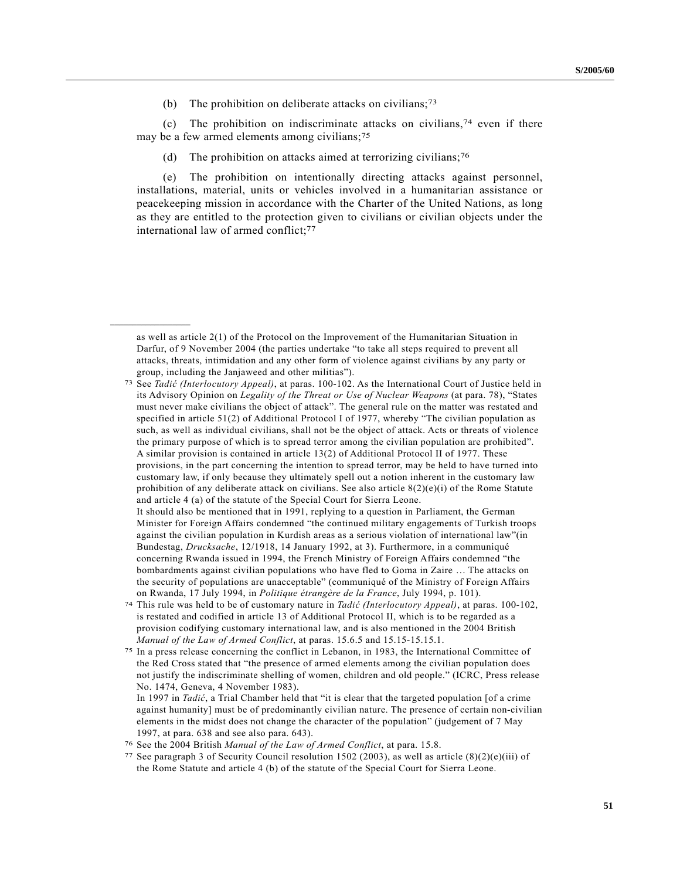(b) The prohibition on deliberate attacks on civilians;73

(c) The prohibition on indiscriminate attacks on civilians,  $74$  even if there may be a few armed elements among civilians;<sup>75</sup>

(d) The prohibition on attacks aimed at terrorizing civilians;76

(e) The prohibition on intentionally directing attacks against personnel, installations, material, units or vehicles involved in a humanitarian assistance or peacekeeping mission in accordance with the Charter of the United Nations, as long as they are entitled to the protection given to civilians or civilian objects under the international law of armed conflict;<sup>77</sup>

**\_\_\_\_\_\_\_\_\_\_\_\_\_\_\_\_\_\_**

73 See *Tadić (Interlocutory Appeal)*, at paras. 100-102. As the International Court of Justice held in its Advisory Opinion on *Legality of the Threat or Use of Nuclear Weapons* (at para. 78), "States must never make civilians the object of attack". The general rule on the matter was restated and specified in article  $51(2)$  of Additional Protocol I of 1977, whereby "The civilian population as such, as well as individual civilians, shall not be the object of attack. Acts or threats of violence the primary purpose of which is to spread terror among the civilian population are prohibitedî. A similar provision is contained in article 13(2) of Additional Protocol II of 1977. These provisions, in the part concerning the intention to spread terror, may be held to have turned into customary law, if only because they ultimately spell out a notion inherent in the customary law prohibition of any deliberate attack on civilians. See also article  $8(2)(e)(i)$  of the Rome Statute and article 4 (a) of the statute of the Special Court for Sierra Leone. It should also be mentioned that in 1991, replying to a question in Parliament, the German Minister for Foreign Affairs condemned "the continued military engagements of Turkish troops against the civilian population in Kurdish areas as a serious violation of international law"(in Bundestag, *Drucksache*, 12/1918, 14 January 1992, at 3). Furthermore, in a communiquÈ concerning Rwanda issued in 1994, the French Ministry of Foreign Affairs condemned "the bombardments against civilian populations who have fled to Goma in Zaire  $\ldots$  The attacks on the security of populations are unacceptable" (communiqué of the Ministry of Foreign Affairs

In 1997 in *Tadić*, a Trial Chamber held that "it is clear that the targeted population [of a crime against humanity] must be of predominantly civilian nature. The presence of certain non-civilian elements in the midst does not change the character of the populationî (judgement of 7 May 1997, at para. 638 and see also para. 643).

- 76 See the 2004 British *Manual of the Law of Armed Conflict*, at para. 15.8.
- 77 See paragraph 3 of Security Council resolution 1502 (2003), as well as article  $(8)(2)(e)(iii)$  of the Rome Statute and article 4 (b) of the statute of the Special Court for Sierra Leone.

as well as article 2(1) of the Protocol on the Improvement of the Humanitarian Situation in Darfur, of 9 November 2004 (the parties undertake "to take all steps required to prevent all attacks, threats, intimidation and any other form of violence against civilians by any party or group, including the Janjaweed and other militias").

on Rwanda, 17 July 1994, in *Politique ÈtrangËre de la France*, July 1994, p. 101). 74 This rule was held to be of customary nature in *Tadić (Interlocutory Appeal)*, at paras. 100-102,

is restated and codified in article 13 of Additional Protocol II, which is to be regarded as a provision codifying customary international law, and is also mentioned in the 2004 British *Manual of the Law of Armed Conflict*, at paras. 15.6.5 and 15.15-15.15.1.

<sup>75</sup> In a press release concerning the conflict in Lebanon, in 1983, the International Committee of the Red Cross stated that "the presence of armed elements among the civilian population does not justify the indiscriminate shelling of women, children and old people." (ICRC, Press release No. 1474, Geneva, 4 November 1983).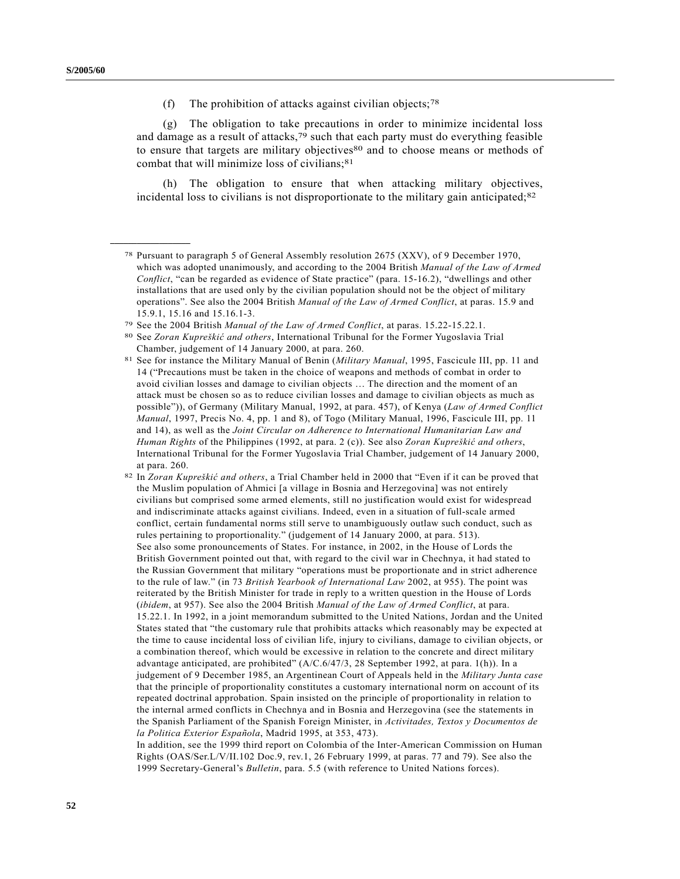**\_\_\_\_\_\_\_\_\_\_\_\_\_\_\_\_\_\_**

(f) The prohibition of attacks against civilian objects;<sup>78</sup>

(g) The obligation to take precautions in order to minimize incidental loss and damage as a result of attacks,79 such that each party must do everything feasible to ensure that targets are military objectives<sup>80</sup> and to choose means or methods of combat that will minimize loss of civilians;<sup>81</sup>

(h) The obligation to ensure that when attacking military objectives, incidental loss to civilians is not disproportionate to the military gain anticipated; $82$ 

79 See the 2004 British *Manual of the Law of Armed Conflict*, at paras. 15.22-15.22.1.

In addition, see the 1999 third report on Colombia of the Inter-American Commission on Human Rights (OAS/Ser.L/V/II.102 Doc.9, rev.1, 26 February 1999, at paras. 77 and 79). See also the 1999 Secretary-General's *Bulletin*, para. 5.5 (with reference to United Nations forces).

<sup>78</sup> Pursuant to paragraph 5 of General Assembly resolution 2675 (XXV), of 9 December 1970, which was adopted unanimously, and according to the 2004 British *Manual of the Law of Armed Conflict*, "can be regarded as evidence of State practice" (para. 15-16.2), "dwellings and other installations that are used only by the civilian population should not be the object of military operationsî. See also the 2004 British *Manual of the Law of Armed Conflict*, at paras. 15.9 and 15.9.1, 15.16 and 15.16.1-3.

<sup>80</sup> See *Zoran Kupreökić and others*, International Tribunal for the Former Yugoslavia Trial Chamber, judgement of 14 January 2000, at para. 260.

<sup>81</sup> See for instance the Military Manual of Benin (*Military Manual*, 1995, Fascicule III, pp. 11 and 14 ("Precautions must be taken in the choice of weapons and methods of combat in order to avoid civilian losses and damage to civilian objects ... The direction and the moment of an attack must be chosen so as to reduce civilian losses and damage to civilian objects as much as possibleî)), of Germany (Military Manual, 1992, at para. 457), of Kenya (*Law of Armed Conflict Manual*, 1997, Precis No. 4, pp. 1 and 8), of Togo (Military Manual, 1996, Fascicule III, pp. 11 and 14), as well as the *Joint Circular on Adherence to International Humanitarian Law and Human Rights* of the Philippines (1992, at para. 2 (c)). See also *Zoran Kupreökić and others*, International Tribunal for the Former Yugoslavia Trial Chamber, judgement of 14 January 2000, at para. 260.

<sup>82</sup> In *Zoran Kupreškić and others*, a Trial Chamber held in 2000 that "Even if it can be proved that the Muslim population of Ahmici [a village in Bosnia and Herzegovina] was not entirely civilians but comprised some armed elements, still no justification would exist for widespread and indiscriminate attacks against civilians. Indeed, even in a situation of full-scale armed conflict, certain fundamental norms still serve to unambiguously outlaw such conduct, such as rules pertaining to proportionality." (judgement of 14 January 2000, at para. 513). See also some pronouncements of States. For instance, in 2002, in the House of Lords the British Government pointed out that, with regard to the civil war in Chechnya, it had stated to the Russian Government that military "operations must be proportionate and in strict adherence to the rule of law.î (in 73 *British Yearbook of International Law* 2002, at 955). The point was reiterated by the British Minister for trade in reply to a written question in the House of Lords (*ibidem*, at 957). See also the 2004 British *Manual of the Law of Armed Conflict*, at para. 15.22.1. In 1992, in a joint memorandum submitted to the United Nations, Jordan and the United States stated that "the customary rule that prohibits attacks which reasonably may be expected at the time to cause incidental loss of civilian life, injury to civilians, damage to civilian objects, or a combination thereof, which would be excessive in relation to the concrete and direct military advantage anticipated, are prohibited"  $(A/C.6/47/3, 28$  September 1992, at para. 1(h)). In a judgement of 9 December 1985, an Argentinean Court of Appeals held in the *Military Junta case* that the principle of proportionality constitutes a customary international norm on account of its repeated doctrinal approbation. Spain insisted on the principle of proportionality in relation to the internal armed conflicts in Chechnya and in Bosnia and Herzegovina (see the statements in the Spanish Parliament of the Spanish Foreign Minister, in *Activitades, Textos y Documentos de la Politica Exterior Española*, Madrid 1995, at 353, 473).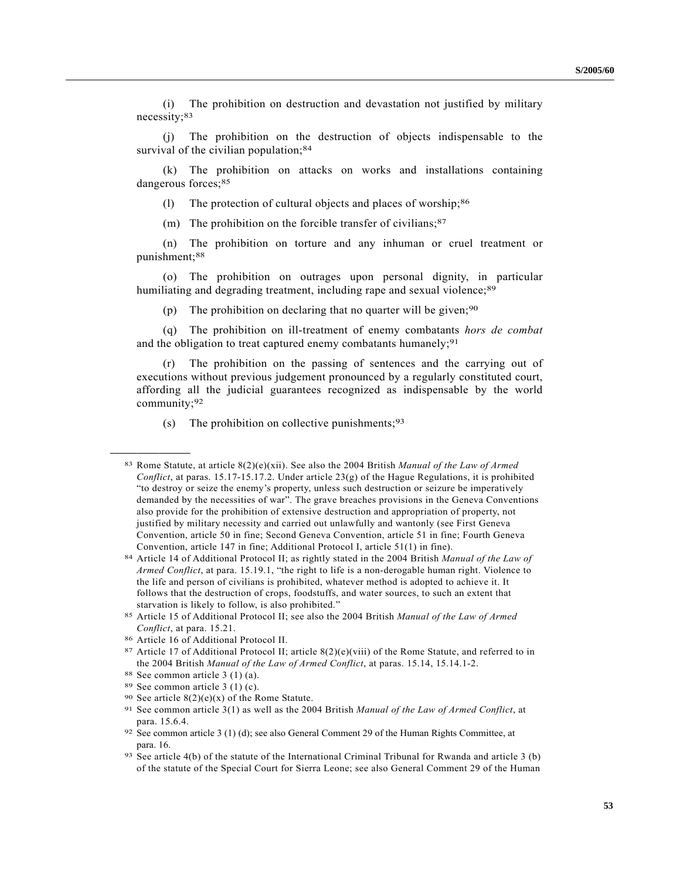(i) The prohibition on destruction and devastation not justified by military necessity;83

(j) The prohibition on the destruction of objects indispensable to the survival of the civilian population;<sup>84</sup>

(k) The prohibition on attacks on works and installations containing dangerous forces;<sup>85</sup>

(l) The protection of cultural objects and places of worship;86

(m) The prohibition on the forcible transfer of civilians;<sup>87</sup>

(n) The prohibition on torture and any inhuman or cruel treatment or punishment;<sup>88</sup>

(o) The prohibition on outrages upon personal dignity, in particular humiliating and degrading treatment, including rape and sexual violence;<sup>89</sup>

(p) The prohibition on declaring that no quarter will be given;  $90$ 

(q) The prohibition on ill-treatment of enemy combatants *hors de combat* and the obligation to treat captured enemy combatants humanely;<sup>91</sup>

(r) The prohibition on the passing of sentences and the carrying out of executions without previous judgement pronounced by a regularly constituted court, affording all the judicial guarantees recognized as indispensable by the world community;92

(s) The prohibition on collective punishments;  $93$ 

<sup>83</sup> Rome Statute, at article 8(2)(e)(xii). See also the 2004 British *Manual of the Law of Armed Conflict*, at paras. 15.17-15.17.2. Under article 23(g) of the Hague Regulations, it is prohibited ìto destroy or seize the enemyís property, unless such destruction or seizure be imperatively demanded by the necessities of warî. The grave breaches provisions in the Geneva Conventions also provide for the prohibition of extensive destruction and appropriation of property, not justified by military necessity and carried out unlawfully and wantonly (see First Geneva Convention, article 50 in fine; Second Geneva Convention, article 51 in fine; Fourth Geneva Convention, article 147 in fine; Additional Protocol I, article 51(1) in fine).

<sup>84</sup> Article 14 of Additional Protocol II; as rightly stated in the 2004 British *Manual of the Law of Armed Conflict*, at para. 15.19.1, "the right to life is a non-derogable human right. Violence to the life and person of civilians is prohibited, whatever method is adopted to achieve it. It follows that the destruction of crops, foodstuffs, and water sources, to such an extent that starvation is likely to follow, is also prohibited."

<sup>85</sup> Article 15 of Additional Protocol II; see also the 2004 British *Manual of the Law of Armed Conflict*, at para. 15.21.

<sup>86</sup> Article 16 of Additional Protocol II.

<sup>87</sup> Article 17 of Additional Protocol II; article 8(2)(e)(viii) of the Rome Statute, and referred to in the 2004 British *Manual of the Law of Armed Conflict*, at paras. 15.14, 15.14.1-2.

<sup>88</sup> See common article 3 (1) (a).

<sup>89</sup> See common article 3 (1) (c).

<sup>&</sup>lt;sup>90</sup> See article  $8(2)(e)(x)$  of the Rome Statute.

<sup>91</sup> See common article 3(1) as well as the 2004 British *Manual of the Law of Armed Conflict*, at para. 15.6.4.

<sup>92</sup> See common article 3 (1) (d); see also General Comment 29 of the Human Rights Committee, at para. 16.

<sup>93</sup> See article 4(b) of the statute of the International Criminal Tribunal for Rwanda and article 3 (b) of the statute of the Special Court for Sierra Leone; see also General Comment 29 of the Human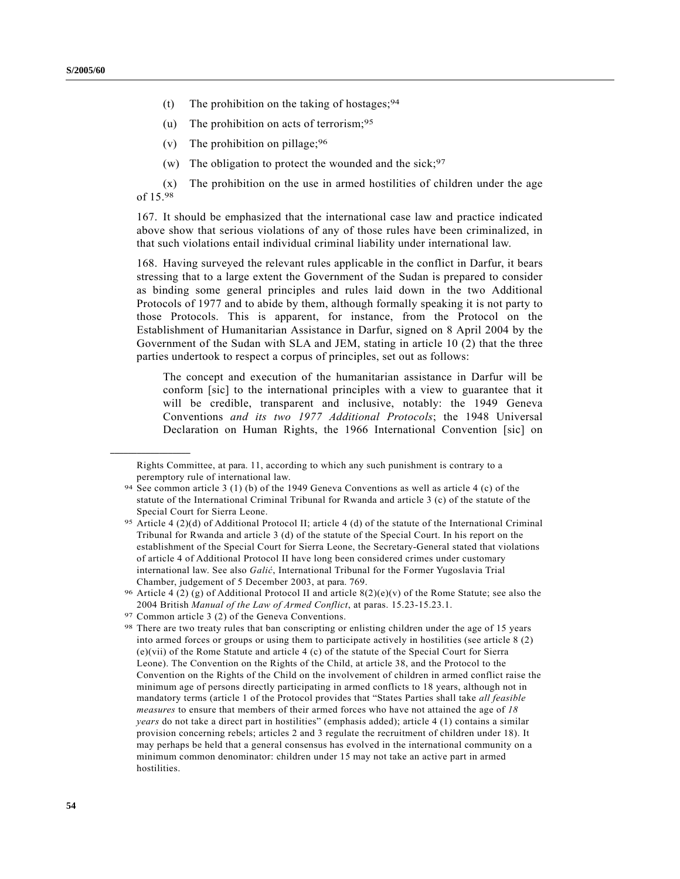- (t) The prohibition on the taking of hostages;  $94$
- (u) The prohibition on acts of terrorism;  $95$
- (v) The prohibition on pillage;  $96$
- (w) The obligation to protect the wounded and the sick;  $97$

(x) The prohibition on the use in armed hostilities of children under the age of 15.98

167. It should be emphasized that the international case law and practice indicated above show that serious violations of any of those rules have been criminalized, in that such violations entail individual criminal liability under international law.

168. Having surveyed the relevant rules applicable in the conflict in Darfur, it bears stressing that to a large extent the Government of the Sudan is prepared to consider as binding some general principles and rules laid down in the two Additional Protocols of 1977 and to abide by them, although formally speaking it is not party to those Protocols. This is apparent, for instance, from the Protocol on the Establishment of Humanitarian Assistance in Darfur, signed on 8 April 2004 by the Government of the Sudan with SLA and JEM, stating in article 10 (2) that the three parties undertook to respect a corpus of principles, set out as follows:

The concept and execution of the humanitarian assistance in Darfur will be conform [sic] to the international principles with a view to guarantee that it will be credible, transparent and inclusive, notably: the 1949 Geneva Conventions *and its two 1977 Additional Protocols*; the 1948 Universal Declaration on Human Rights, the 1966 International Convention [sic] on

Rights Committee, at para. 11, according to which any such punishment is contrary to a peremptory rule of international law.

<sup>94</sup> See common article 3 (1) (b) of the 1949 Geneva Conventions as well as article 4 (c) of the statute of the International Criminal Tribunal for Rwanda and article 3 (c) of the statute of the Special Court for Sierra Leone.

<sup>95</sup> Article 4 (2)(d) of Additional Protocol II; article 4 (d) of the statute of the International Criminal Tribunal for Rwanda and article 3 (d) of the statute of the Special Court. In his report on the establishment of the Special Court for Sierra Leone, the Secretary-General stated that violations of article 4 of Additional Protocol II have long been considered crimes under customary international law. See also *Galić*, International Tribunal for the Former Yugoslavia Trial Chamber, judgement of 5 December 2003, at para. 769.

<sup>96</sup> Article 4 (2) (g) of Additional Protocol II and article  $8(2)(e)(v)$  of the Rome Statute; see also the 2004 British *Manual of the Law of Armed Conflict*, at paras. 15.23-15.23.1.

<sup>97</sup> Common article 3 (2) of the Geneva Conventions.

<sup>98</sup> There are two treaty rules that ban conscripting or enlisting children under the age of 15 years into armed forces or groups or using them to participate actively in hostilities (see article 8 (2) (e)(vii) of the Rome Statute and article 4 (c) of the statute of the Special Court for Sierra Leone). The Convention on the Rights of the Child, at article 38, and the Protocol to the Convention on the Rights of the Child on the involvement of children in armed conflict raise the minimum age of persons directly participating in armed conflicts to 18 years, although not in mandatory terms (article 1 of the Protocol provides that "States Parties shall take *all feasible measures* to ensure that members of their armed forces who have not attained the age of *18 years* do not take a direct part in hostilities" (emphasis added); article 4 (1) contains a similar provision concerning rebels; articles 2 and 3 regulate the recruitment of children under 18). It may perhaps be held that a general consensus has evolved in the international community on a minimum common denominator: children under 15 may not take an active part in armed hostilities.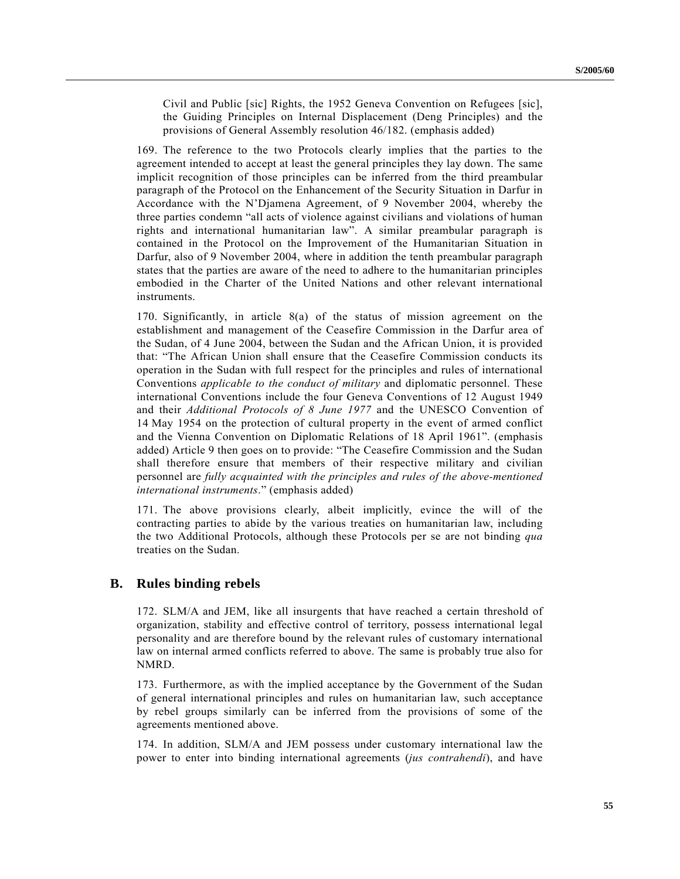Civil and Public [sic] Rights, the 1952 Geneva Convention on Refugees [sic], the Guiding Principles on Internal Displacement (Deng Principles) and the provisions of General Assembly resolution 46/182. (emphasis added)

169. The reference to the two Protocols clearly implies that the parties to the agreement intended to accept at least the general principles they lay down. The same implicit recognition of those principles can be inferred from the third preambular paragraph of the Protocol on the Enhancement of the Security Situation in Darfur in Accordance with the N'Djamena Agreement, of 9 November 2004, whereby the three parties condemn "all acts of violence against civilians and violations of human rights and international humanitarian law". A similar preambular paragraph is contained in the Protocol on the Improvement of the Humanitarian Situation in Darfur, also of 9 November 2004, where in addition the tenth preambular paragraph states that the parties are aware of the need to adhere to the humanitarian principles embodied in the Charter of the United Nations and other relevant international instruments.

170. Significantly, in article 8(a) of the status of mission agreement on the establishment and management of the Ceasefire Commission in the Darfur area of the Sudan, of 4 June 2004, between the Sudan and the African Union, it is provided that: "The African Union shall ensure that the Ceasefire Commission conducts its operation in the Sudan with full respect for the principles and rules of international Conventions *applicable to the conduct of military* and diplomatic personnel. These international Conventions include the four Geneva Conventions of 12 August 1949 and their *Additional Protocols of 8 June 1977* and the UNESCO Convention of 14 May 1954 on the protection of cultural property in the event of armed conflict and the Vienna Convention on Diplomatic Relations of 18 April 1961î. (emphasis added) Article 9 then goes on to provide: "The Ceasefire Commission and the Sudan shall therefore ensure that members of their respective military and civilian personnel are *fully acquainted with the principles and rules of the above-mentioned international instruments.*" (emphasis added)

171. The above provisions clearly, albeit implicitly, evince the will of the contracting parties to abide by the various treaties on humanitarian law, including the two Additional Protocols, although these Protocols per se are not binding *qua* treaties on the Sudan.

## **B. Rules binding rebels**

172. SLM/A and JEM, like all insurgents that have reached a certain threshold of organization, stability and effective control of territory, possess international legal personality and are therefore bound by the relevant rules of customary international law on internal armed conflicts referred to above. The same is probably true also for NMRD.

173. Furthermore, as with the implied acceptance by the Government of the Sudan of general international principles and rules on humanitarian law, such acceptance by rebel groups similarly can be inferred from the provisions of some of the agreements mentioned above.

174. In addition, SLM/A and JEM possess under customary international law the power to enter into binding international agreements (*jus contrahendi*), and have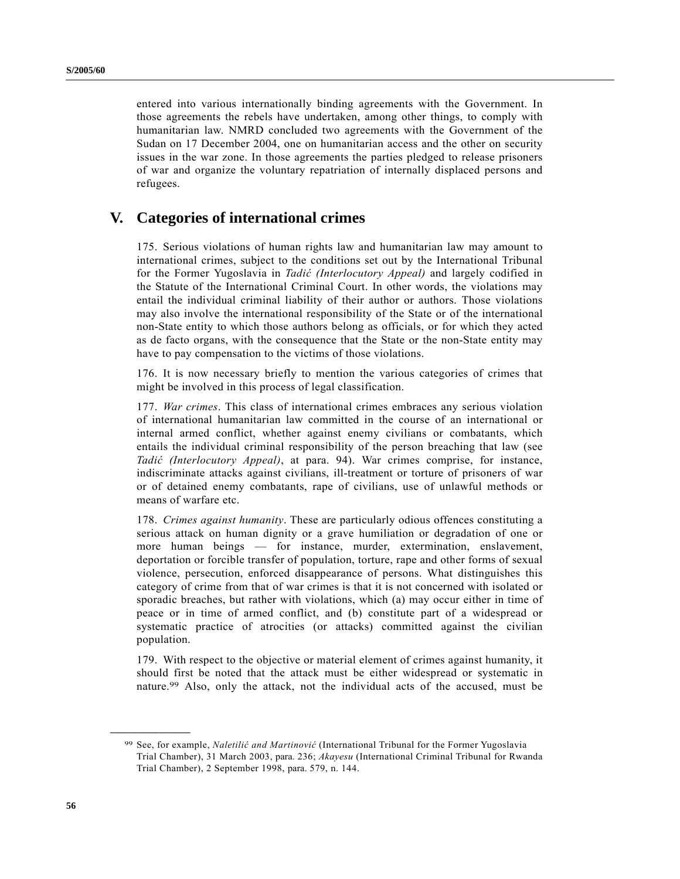entered into various internationally binding agreements with the Government. In those agreements the rebels have undertaken, among other things, to comply with humanitarian law. NMRD concluded two agreements with the Government of the Sudan on 17 December 2004, one on humanitarian access and the other on security issues in the war zone. In those agreements the parties pledged to release prisoners of war and organize the voluntary repatriation of internally displaced persons and refugees.

# **V. Categories of international crimes**

175. Serious violations of human rights law and humanitarian law may amount to international crimes, subject to the conditions set out by the International Tribunal for the Former Yugoslavia in *Tadić (Interlocutory Appeal)* and largely codified in the Statute of the International Criminal Court. In other words, the violations may entail the individual criminal liability of their author or authors. Those violations may also involve the international responsibility of the State or of the international non-State entity to which those authors belong as officials, or for which they acted as de facto organs, with the consequence that the State or the non-State entity may have to pay compensation to the victims of those violations.

176. It is now necessary briefly to mention the various categories of crimes that might be involved in this process of legal classification.

177. *War crimes*. This class of international crimes embraces any serious violation of international humanitarian law committed in the course of an international or internal armed conflict, whether against enemy civilians or combatants, which entails the individual criminal responsibility of the person breaching that law (see *Tadić (Interlocutory Appeal)*, at para. 94). War crimes comprise, for instance, indiscriminate attacks against civilians, ill-treatment or torture of prisoners of war or of detained enemy combatants, rape of civilians, use of unlawful methods or means of warfare etc.

178. *Crimes against humanity*. These are particularly odious offences constituting a serious attack on human dignity or a grave humiliation or degradation of one or more human beings — for instance, murder, extermination, enslavement, deportation or forcible transfer of population, torture, rape and other forms of sexual violence, persecution, enforced disappearance of persons. What distinguishes this category of crime from that of war crimes is that it is not concerned with isolated or sporadic breaches, but rather with violations, which (a) may occur either in time of peace or in time of armed conflict, and (b) constitute part of a widespread or systematic practice of atrocities (or attacks) committed against the civilian population.

179. With respect to the objective or material element of crimes against humanity, it should first be noted that the attack must be either widespread or systematic in nature.99 Also, only the attack, not the individual acts of the accused, must be

<sup>99</sup> See, for example, *Naletilić and Martinović* (International Tribunal for the Former Yugoslavia Trial Chamber), 31 March 2003, para. 236; *Akayesu* (International Criminal Tribunal for Rwanda Trial Chamber), 2 September 1998, para. 579, n. 144.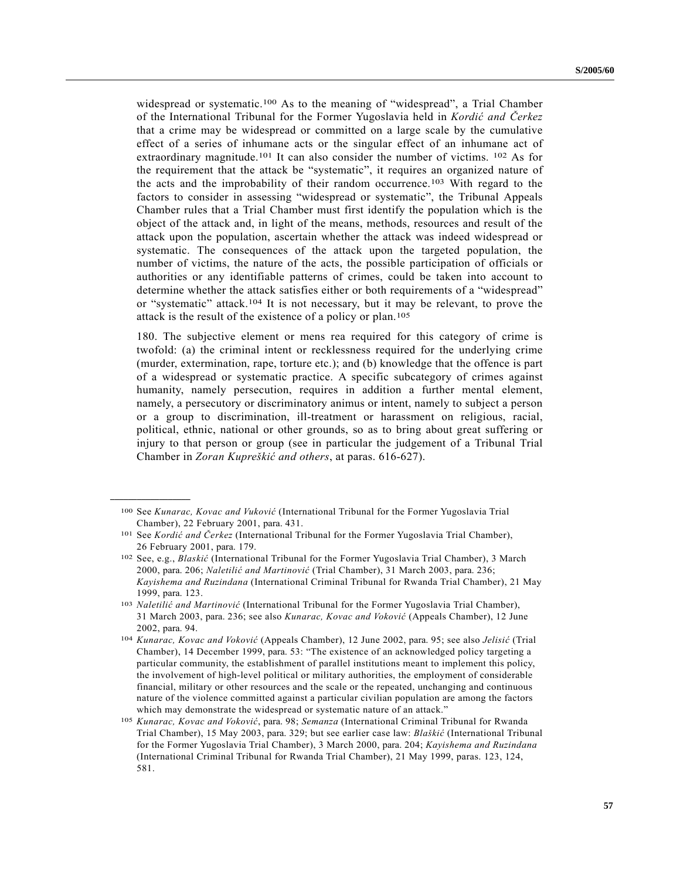widespread or systematic.<sup>100</sup> As to the meaning of "widespread", a Trial Chamber of the International Tribunal for the Former Yugoslavia held in *Kordić and Čerkez* that a crime may be widespread or committed on a large scale by the cumulative effect of a series of inhumane acts or the singular effect of an inhumane act of extraordinary magnitude.101 It can also consider the number of victims. 102 As for the requirement that the attack be "systematic", it requires an organized nature of the acts and the improbability of their random occurrence.103 With regard to the factors to consider in assessing "widespread or systematic", the Tribunal Appeals Chamber rules that a Trial Chamber must first identify the population which is the object of the attack and, in light of the means, methods, resources and result of the attack upon the population, ascertain whether the attack was indeed widespread or systematic. The consequences of the attack upon the targeted population, the number of victims, the nature of the acts, the possible participation of officials or authorities or any identifiable patterns of crimes, could be taken into account to determine whether the attack satisfies either or both requirements of a "widespread" or "systematic" attack.<sup>104</sup> It is not necessary, but it may be relevant, to prove the attack is the result of the existence of a policy or plan.105

180. The subjective element or mens rea required for this category of crime is twofold: (a) the criminal intent or recklessness required for the underlying crime (murder, extermination, rape, torture etc.); and (b) knowledge that the offence is part of a widespread or systematic practice. A specific subcategory of crimes against humanity, namely persecution, requires in addition a further mental element, namely, a persecutory or discriminatory animus or intent, namely to subject a person or a group to discrimination, ill-treatment or harassment on religious, racial, political, ethnic, national or other grounds, so as to bring about great suffering or injury to that person or group (see in particular the judgement of a Tribunal Trial Chamber in *Zoran Kupreökić and others*, at paras. 616-627).

<sup>100</sup> See *Kunarac, Kovac and Vuković* (International Tribunal for the Former Yugoslavia Trial Chamber), 22 February 2001, para. 431.

<sup>101</sup> See *Kordić and Čerkez* (International Tribunal for the Former Yugoslavia Trial Chamber), 26 February 2001, para. 179.

<sup>102</sup> See, e.g., *Blaskić* (International Tribunal for the Former Yugoslavia Trial Chamber), 3 March 2000, para. 206; *Naletilić and Martinović* (Trial Chamber), 31 March 2003, para. 236; *Kayishema and Ruzindana* (International Criminal Tribunal for Rwanda Trial Chamber), 21 May 1999, para. 123.

<sup>103</sup> *Naletilić and Martinović* (International Tribunal for the Former Yugoslavia Trial Chamber), 31 March 2003, para. 236; see also *Kunarac, Kovac and Voković* (Appeals Chamber), 12 June 2002, para. 94.

<sup>104</sup> *Kunarac, Kovac and Voković* (Appeals Chamber), 12 June 2002, para. 95; see also *Jelisić* (Trial Chamber), 14 December 1999, para. 53: "The existence of an acknowledged policy targeting a particular community, the establishment of parallel institutions meant to implement this policy, the involvement of high-level political or military authorities, the employment of considerable financial, military or other resources and the scale or the repeated, unchanging and continuous nature of the violence committed against a particular civilian population are among the factors which may demonstrate the widespread or systematic nature of an attack."

<sup>105</sup> *Kunarac, Kovac and Voković*, para. 98; *Semanza* (International Criminal Tribunal for Rwanda Trial Chamber), 15 May 2003, para. 329; but see earlier case law: *Blaökić* (International Tribunal for the Former Yugoslavia Trial Chamber), 3 March 2000, para. 204; *Kayishema and Ruzindana* (International Criminal Tribunal for Rwanda Trial Chamber), 21 May 1999, paras. 123, 124, 581.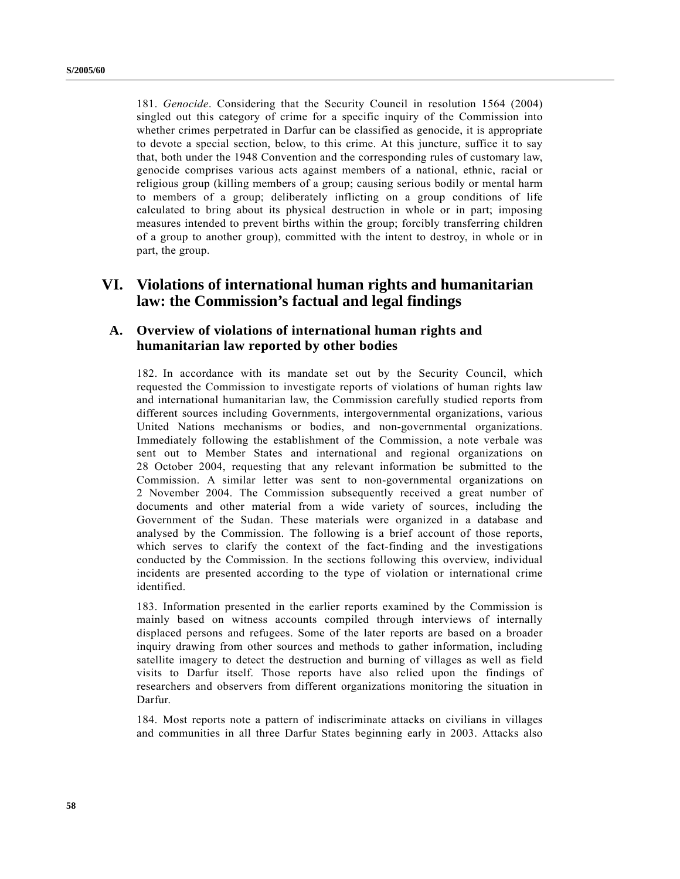181. *Genocide*. Considering that the Security Council in resolution 1564 (2004) singled out this category of crime for a specific inquiry of the Commission into whether crimes perpetrated in Darfur can be classified as genocide, it is appropriate to devote a special section, below, to this crime. At this juncture, suffice it to say that, both under the 1948 Convention and the corresponding rules of customary law, genocide comprises various acts against members of a national, ethnic, racial or religious group (killing members of a group; causing serious bodily or mental harm to members of a group; deliberately inflicting on a group conditions of life calculated to bring about its physical destruction in whole or in part; imposing measures intended to prevent births within the group; forcibly transferring children of a group to another group), committed with the intent to destroy, in whole or in part, the group.

# **VI. Violations of international human rights and humanitarian law: the Commission's factual and legal findings**

# **A. Overview of violations of international human rights and humanitarian law reported by other bodies**

182. In accordance with its mandate set out by the Security Council, which requested the Commission to investigate reports of violations of human rights law and international humanitarian law, the Commission carefully studied reports from different sources including Governments, intergovernmental organizations, various United Nations mechanisms or bodies, and non-governmental organizations. Immediately following the establishment of the Commission, a note verbale was sent out to Member States and international and regional organizations on 28 October 2004, requesting that any relevant information be submitted to the Commission. A similar letter was sent to non-governmental organizations on 2 November 2004. The Commission subsequently received a great number of documents and other material from a wide variety of sources, including the Government of the Sudan. These materials were organized in a database and analysed by the Commission. The following is a brief account of those reports, which serves to clarify the context of the fact-finding and the investigations conducted by the Commission. In the sections following this overview, individual incidents are presented according to the type of violation or international crime identified.

183. Information presented in the earlier reports examined by the Commission is mainly based on witness accounts compiled through interviews of internally displaced persons and refugees. Some of the later reports are based on a broader inquiry drawing from other sources and methods to gather information, including satellite imagery to detect the destruction and burning of villages as well as field visits to Darfur itself. Those reports have also relied upon the findings of researchers and observers from different organizations monitoring the situation in Darfur.

184. Most reports note a pattern of indiscriminate attacks on civilians in villages and communities in all three Darfur States beginning early in 2003. Attacks also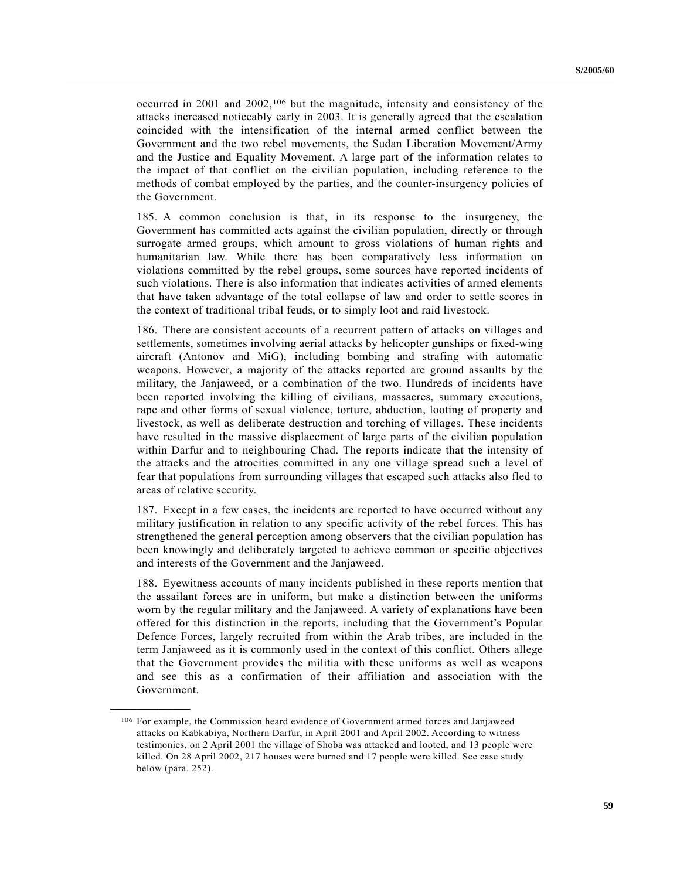occurred in 2001 and 2002,106 but the magnitude, intensity and consistency of the attacks increased noticeably early in 2003. It is generally agreed that the escalation coincided with the intensification of the internal armed conflict between the Government and the two rebel movements, the Sudan Liberation Movement/Army and the Justice and Equality Movement. A large part of the information relates to the impact of that conflict on the civilian population, including reference to the methods of combat employed by the parties, and the counter-insurgency policies of the Government.

185. A common conclusion is that, in its response to the insurgency, the Government has committed acts against the civilian population, directly or through surrogate armed groups, which amount to gross violations of human rights and humanitarian law. While there has been comparatively less information on violations committed by the rebel groups, some sources have reported incidents of such violations. There is also information that indicates activities of armed elements that have taken advantage of the total collapse of law and order to settle scores in the context of traditional tribal feuds, or to simply loot and raid livestock.

186. There are consistent accounts of a recurrent pattern of attacks on villages and settlements, sometimes involving aerial attacks by helicopter gunships or fixed-wing aircraft (Antonov and MiG), including bombing and strafing with automatic weapons. However, a majority of the attacks reported are ground assaults by the military, the Janjaweed, or a combination of the two. Hundreds of incidents have been reported involving the killing of civilians, massacres, summary executions, rape and other forms of sexual violence, torture, abduction, looting of property and livestock, as well as deliberate destruction and torching of villages. These incidents have resulted in the massive displacement of large parts of the civilian population within Darfur and to neighbouring Chad. The reports indicate that the intensity of the attacks and the atrocities committed in any one village spread such a level of fear that populations from surrounding villages that escaped such attacks also fled to areas of relative security.

187. Except in a few cases, the incidents are reported to have occurred without any military justification in relation to any specific activity of the rebel forces. This has strengthened the general perception among observers that the civilian population has been knowingly and deliberately targeted to achieve common or specific objectives and interests of the Government and the Janjaweed.

188. Eyewitness accounts of many incidents published in these reports mention that the assailant forces are in uniform, but make a distinction between the uniforms worn by the regular military and the Janjaweed. A variety of explanations have been offered for this distinction in the reports, including that the Government's Popular Defence Forces, largely recruited from within the Arab tribes, are included in the term Janjaweed as it is commonly used in the context of this conflict. Others allege that the Government provides the militia with these uniforms as well as weapons and see this as a confirmation of their affiliation and association with the Government.

<sup>106</sup> For example, the Commission heard evidence of Government armed forces and Janjaweed attacks on Kabkabiya, Northern Darfur, in April 2001 and April 2002. According to witness testimonies, on 2 April 2001 the village of Shoba was attacked and looted, and 13 people were killed. On 28 April 2002, 217 houses were burned and 17 people were killed. See case study below (para. 252).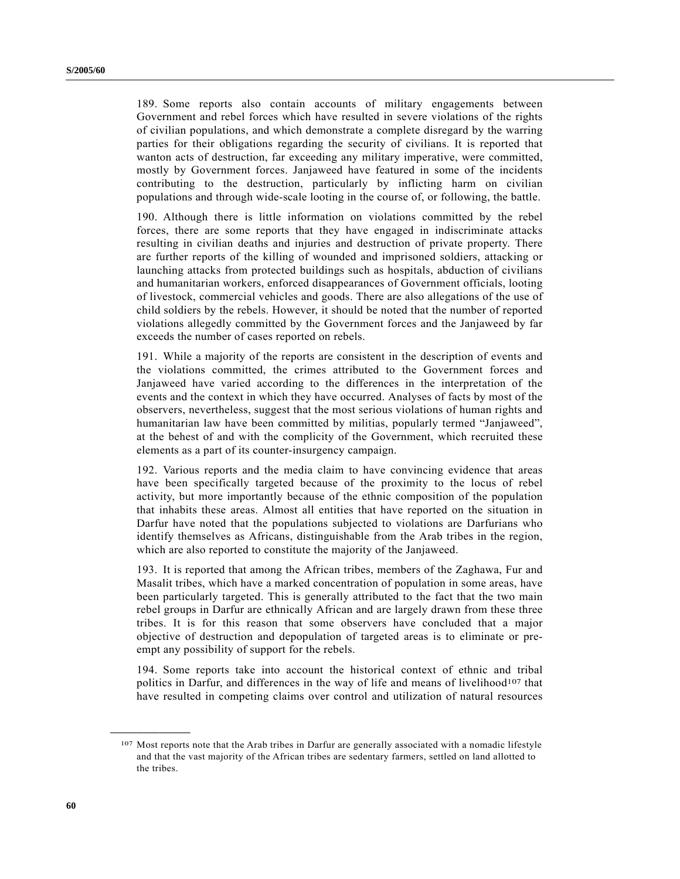189. Some reports also contain accounts of military engagements between Government and rebel forces which have resulted in severe violations of the rights of civilian populations, and which demonstrate a complete disregard by the warring parties for their obligations regarding the security of civilians. It is reported that wanton acts of destruction, far exceeding any military imperative, were committed, mostly by Government forces. Janjaweed have featured in some of the incidents contributing to the destruction, particularly by inflicting harm on civilian populations and through wide-scale looting in the course of, or following, the battle.

190. Although there is little information on violations committed by the rebel forces, there are some reports that they have engaged in indiscriminate attacks resulting in civilian deaths and injuries and destruction of private property. There are further reports of the killing of wounded and imprisoned soldiers, attacking or launching attacks from protected buildings such as hospitals, abduction of civilians and humanitarian workers, enforced disappearances of Government officials, looting of livestock, commercial vehicles and goods. There are also allegations of the use of child soldiers by the rebels. However, it should be noted that the number of reported violations allegedly committed by the Government forces and the Janjaweed by far exceeds the number of cases reported on rebels.

191. While a majority of the reports are consistent in the description of events and the violations committed, the crimes attributed to the Government forces and Janjaweed have varied according to the differences in the interpretation of the events and the context in which they have occurred. Analyses of facts by most of the observers, nevertheless, suggest that the most serious violations of human rights and humanitarian law have been committed by militias, popularly termed "Janjaweed", at the behest of and with the complicity of the Government, which recruited these elements as a part of its counter-insurgency campaign.

192. Various reports and the media claim to have convincing evidence that areas have been specifically targeted because of the proximity to the locus of rebel activity, but more importantly because of the ethnic composition of the population that inhabits these areas. Almost all entities that have reported on the situation in Darfur have noted that the populations subjected to violations are Darfurians who identify themselves as Africans, distinguishable from the Arab tribes in the region, which are also reported to constitute the majority of the Janjaweed.

193. It is reported that among the African tribes, members of the Zaghawa, Fur and Masalit tribes, which have a marked concentration of population in some areas, have been particularly targeted. This is generally attributed to the fact that the two main rebel groups in Darfur are ethnically African and are largely drawn from these three tribes. It is for this reason that some observers have concluded that a major objective of destruction and depopulation of targeted areas is to eliminate or preempt any possibility of support for the rebels.

194. Some reports take into account the historical context of ethnic and tribal politics in Darfur, and differences in the way of life and means of livelihood107 that have resulted in competing claims over control and utilization of natural resources

<sup>107</sup> Most reports note that the Arab tribes in Darfur are generally associated with a nomadic lifestyle and that the vast majority of the African tribes are sedentary farmers, settled on land allotted to the tribes.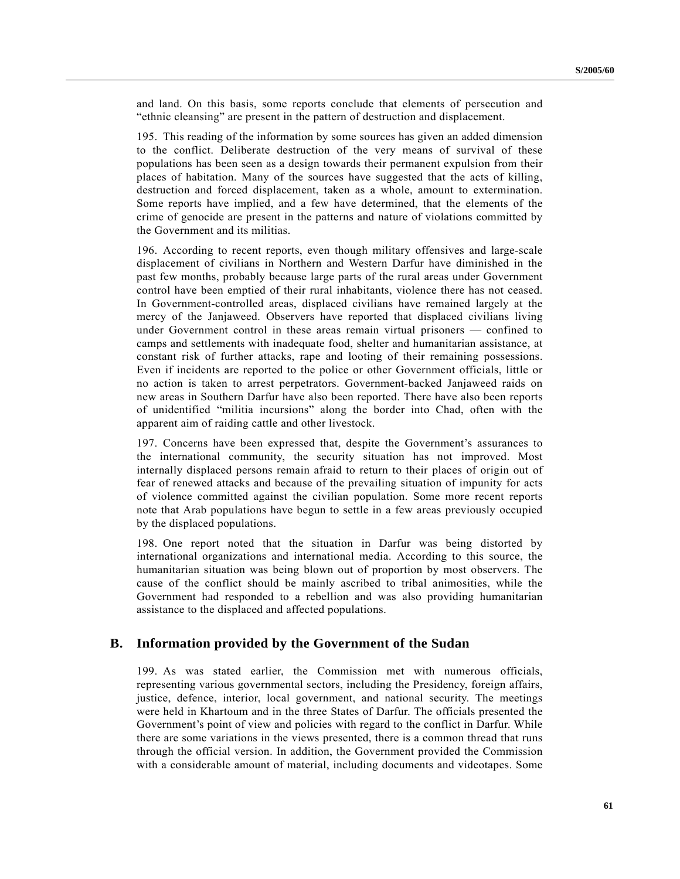and land. On this basis, some reports conclude that elements of persecution and ìethnic cleansingî are present in the pattern of destruction and displacement.

195. This reading of the information by some sources has given an added dimension to the conflict. Deliberate destruction of the very means of survival of these populations has been seen as a design towards their permanent expulsion from their places of habitation. Many of the sources have suggested that the acts of killing, destruction and forced displacement, taken as a whole, amount to extermination. Some reports have implied, and a few have determined, that the elements of the crime of genocide are present in the patterns and nature of violations committed by the Government and its militias.

196. According to recent reports, even though military offensives and large-scale displacement of civilians in Northern and Western Darfur have diminished in the past few months, probably because large parts of the rural areas under Government control have been emptied of their rural inhabitants, violence there has not ceased. In Government-controlled areas, displaced civilians have remained largely at the mercy of the Janjaweed. Observers have reported that displaced civilians living under Government control in these areas remain virtual prisoners  $-$  confined to camps and settlements with inadequate food, shelter and humanitarian assistance, at constant risk of further attacks, rape and looting of their remaining possessions. Even if incidents are reported to the police or other Government officials, little or no action is taken to arrest perpetrators. Government-backed Janjaweed raids on new areas in Southern Darfur have also been reported. There have also been reports of unidentified "militia incursions" along the border into Chad, often with the apparent aim of raiding cattle and other livestock.

197. Concerns have been expressed that, despite the Government's assurances to the international community, the security situation has not improved. Most internally displaced persons remain afraid to return to their places of origin out of fear of renewed attacks and because of the prevailing situation of impunity for acts of violence committed against the civilian population. Some more recent reports note that Arab populations have begun to settle in a few areas previously occupied by the displaced populations.

198. One report noted that the situation in Darfur was being distorted by international organizations and international media. According to this source, the humanitarian situation was being blown out of proportion by most observers. The cause of the conflict should be mainly ascribed to tribal animosities, while the Government had responded to a rebellion and was also providing humanitarian assistance to the displaced and affected populations.

## **B. Information provided by the Government of the Sudan**

199. As was stated earlier, the Commission met with numerous officials, representing various governmental sectors, including the Presidency, foreign affairs, justice, defence, interior, local government, and national security. The meetings were held in Khartoum and in the three States of Darfur. The officials presented the Government's point of view and policies with regard to the conflict in Darfur. While there are some variations in the views presented, there is a common thread that runs through the official version. In addition, the Government provided the Commission with a considerable amount of material, including documents and videotapes. Some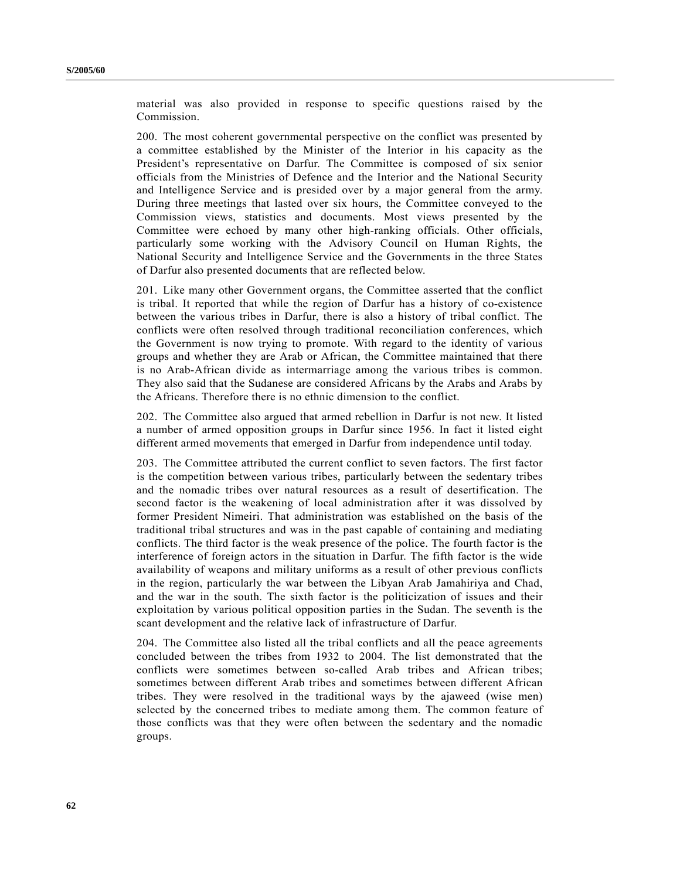material was also provided in response to specific questions raised by the Commission.

200. The most coherent governmental perspective on the conflict was presented by a committee established by the Minister of the Interior in his capacity as the President's representative on Darfur. The Committee is composed of six senior officials from the Ministries of Defence and the Interior and the National Security and Intelligence Service and is presided over by a major general from the army. During three meetings that lasted over six hours, the Committee conveyed to the Commission views, statistics and documents. Most views presented by the Committee were echoed by many other high-ranking officials. Other officials, particularly some working with the Advisory Council on Human Rights, the National Security and Intelligence Service and the Governments in the three States of Darfur also presented documents that are reflected below.

201. Like many other Government organs, the Committee asserted that the conflict is tribal. It reported that while the region of Darfur has a history of co-existence between the various tribes in Darfur, there is also a history of tribal conflict. The conflicts were often resolved through traditional reconciliation conferences, which the Government is now trying to promote. With regard to the identity of various groups and whether they are Arab or African, the Committee maintained that there is no Arab-African divide as intermarriage among the various tribes is common. They also said that the Sudanese are considered Africans by the Arabs and Arabs by the Africans. Therefore there is no ethnic dimension to the conflict.

202. The Committee also argued that armed rebellion in Darfur is not new. It listed a number of armed opposition groups in Darfur since 1956. In fact it listed eight different armed movements that emerged in Darfur from independence until today.

203. The Committee attributed the current conflict to seven factors. The first factor is the competition between various tribes, particularly between the sedentary tribes and the nomadic tribes over natural resources as a result of desertification. The second factor is the weakening of local administration after it was dissolved by former President Nimeiri. That administration was established on the basis of the traditional tribal structures and was in the past capable of containing and mediating conflicts. The third factor is the weak presence of the police. The fourth factor is the interference of foreign actors in the situation in Darfur. The fifth factor is the wide availability of weapons and military uniforms as a result of other previous conflicts in the region, particularly the war between the Libyan Arab Jamahiriya and Chad, and the war in the south. The sixth factor is the politicization of issues and their exploitation by various political opposition parties in the Sudan. The seventh is the scant development and the relative lack of infrastructure of Darfur.

204. The Committee also listed all the tribal conflicts and all the peace agreements concluded between the tribes from 1932 to 2004. The list demonstrated that the conflicts were sometimes between so-called Arab tribes and African tribes; sometimes between different Arab tribes and sometimes between different African tribes. They were resolved in the traditional ways by the ajaweed (wise men) selected by the concerned tribes to mediate among them. The common feature of those conflicts was that they were often between the sedentary and the nomadic groups.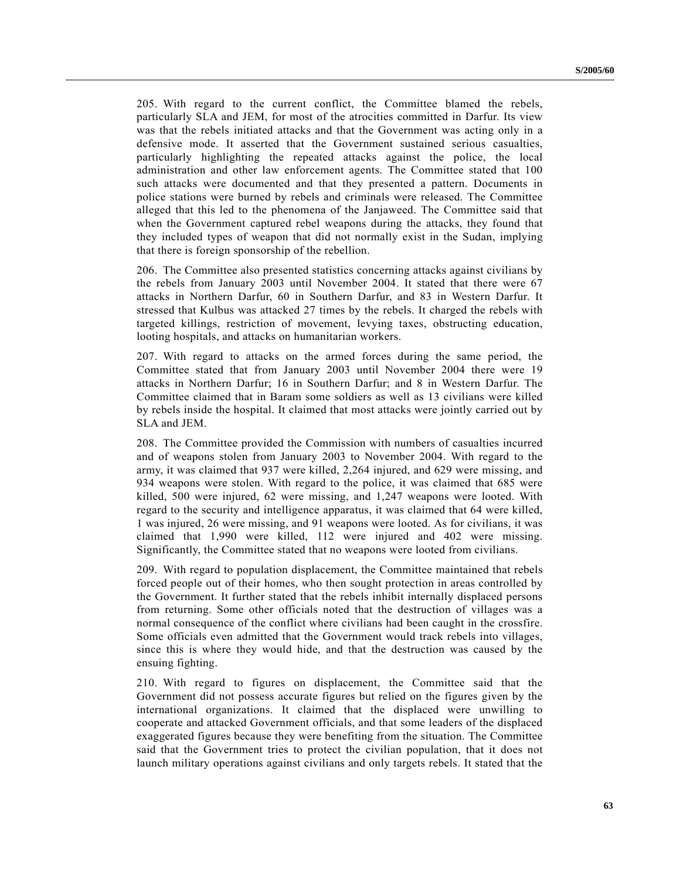205. With regard to the current conflict, the Committee blamed the rebels, particularly SLA and JEM, for most of the atrocities committed in Darfur. Its view was that the rebels initiated attacks and that the Government was acting only in a defensive mode. It asserted that the Government sustained serious casualties, particularly highlighting the repeated attacks against the police, the local administration and other law enforcement agents. The Committee stated that 100 such attacks were documented and that they presented a pattern. Documents in police stations were burned by rebels and criminals were released. The Committee alleged that this led to the phenomena of the Janjaweed. The Committee said that when the Government captured rebel weapons during the attacks, they found that they included types of weapon that did not normally exist in the Sudan, implying that there is foreign sponsorship of the rebellion.

206. The Committee also presented statistics concerning attacks against civilians by the rebels from January 2003 until November 2004. It stated that there were 67 attacks in Northern Darfur, 60 in Southern Darfur, and 83 in Western Darfur. It stressed that Kulbus was attacked 27 times by the rebels. It charged the rebels with targeted killings, restriction of movement, levying taxes, obstructing education, looting hospitals, and attacks on humanitarian workers.

207. With regard to attacks on the armed forces during the same period, the Committee stated that from January 2003 until November 2004 there were 19 attacks in Northern Darfur; 16 in Southern Darfur; and 8 in Western Darfur. The Committee claimed that in Baram some soldiers as well as 13 civilians were killed by rebels inside the hospital. It claimed that most attacks were jointly carried out by SLA and JEM.

208. The Committee provided the Commission with numbers of casualties incurred and of weapons stolen from January 2003 to November 2004. With regard to the army, it was claimed that 937 were killed, 2,264 injured, and 629 were missing, and 934 weapons were stolen. With regard to the police, it was claimed that 685 were killed, 500 were injured, 62 were missing, and 1,247 weapons were looted. With regard to the security and intelligence apparatus, it was claimed that 64 were killed, 1 was injured, 26 were missing, and 91 weapons were looted. As for civilians, it was claimed that 1,990 were killed, 112 were injured and 402 were missing. Significantly, the Committee stated that no weapons were looted from civilians.

209. With regard to population displacement, the Committee maintained that rebels forced people out of their homes, who then sought protection in areas controlled by the Government. It further stated that the rebels inhibit internally displaced persons from returning. Some other officials noted that the destruction of villages was a normal consequence of the conflict where civilians had been caught in the crossfire. Some officials even admitted that the Government would track rebels into villages, since this is where they would hide, and that the destruction was caused by the ensuing fighting.

210. With regard to figures on displacement, the Committee said that the Government did not possess accurate figures but relied on the figures given by the international organizations. It claimed that the displaced were unwilling to cooperate and attacked Government officials, and that some leaders of the displaced exaggerated figures because they were benefiting from the situation. The Committee said that the Government tries to protect the civilian population, that it does not launch military operations against civilians and only targets rebels. It stated that the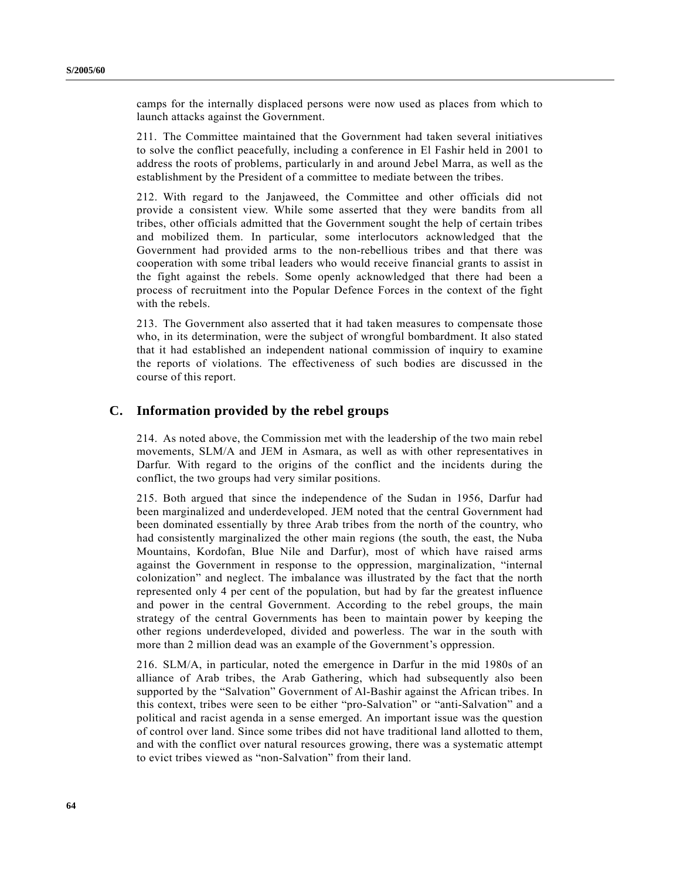camps for the internally displaced persons were now used as places from which to launch attacks against the Government.

211. The Committee maintained that the Government had taken several initiatives to solve the conflict peacefully, including a conference in El Fashir held in 2001 to address the roots of problems, particularly in and around Jebel Marra, as well as the establishment by the President of a committee to mediate between the tribes.

212. With regard to the Janjaweed, the Committee and other officials did not provide a consistent view. While some asserted that they were bandits from all tribes, other officials admitted that the Government sought the help of certain tribes and mobilized them. In particular, some interlocutors acknowledged that the Government had provided arms to the non-rebellious tribes and that there was cooperation with some tribal leaders who would receive financial grants to assist in the fight against the rebels. Some openly acknowledged that there had been a process of recruitment into the Popular Defence Forces in the context of the fight with the rebels.

213. The Government also asserted that it had taken measures to compensate those who, in its determination, were the subject of wrongful bombardment. It also stated that it had established an independent national commission of inquiry to examine the reports of violations. The effectiveness of such bodies are discussed in the course of this report.

## **C. Information provided by the rebel groups**

214. As noted above, the Commission met with the leadership of the two main rebel movements, SLM/A and JEM in Asmara, as well as with other representatives in Darfur. With regard to the origins of the conflict and the incidents during the conflict, the two groups had very similar positions.

215. Both argued that since the independence of the Sudan in 1956, Darfur had been marginalized and underdeveloped. JEM noted that the central Government had been dominated essentially by three Arab tribes from the north of the country, who had consistently marginalized the other main regions (the south, the east, the Nuba Mountains, Kordofan, Blue Nile and Darfur), most of which have raised arms against the Government in response to the oppression, marginalization, "internal colonizationî and neglect. The imbalance was illustrated by the fact that the north represented only 4 per cent of the population, but had by far the greatest influence and power in the central Government. According to the rebel groups, the main strategy of the central Governments has been to maintain power by keeping the other regions underdeveloped, divided and powerless. The war in the south with more than 2 million dead was an example of the Government's oppression.

216. SLM/A, in particular, noted the emergence in Darfur in the mid 1980s of an alliance of Arab tribes, the Arab Gathering, which had subsequently also been supported by the "Salvation" Government of Al-Bashir against the African tribes. In this context, tribes were seen to be either "pro-Salvation" or "anti-Salvation" and a political and racist agenda in a sense emerged. An important issue was the question of control over land. Since some tribes did not have traditional land allotted to them, and with the conflict over natural resources growing, there was a systematic attempt to evict tribes viewed as "non-Salvation" from their land.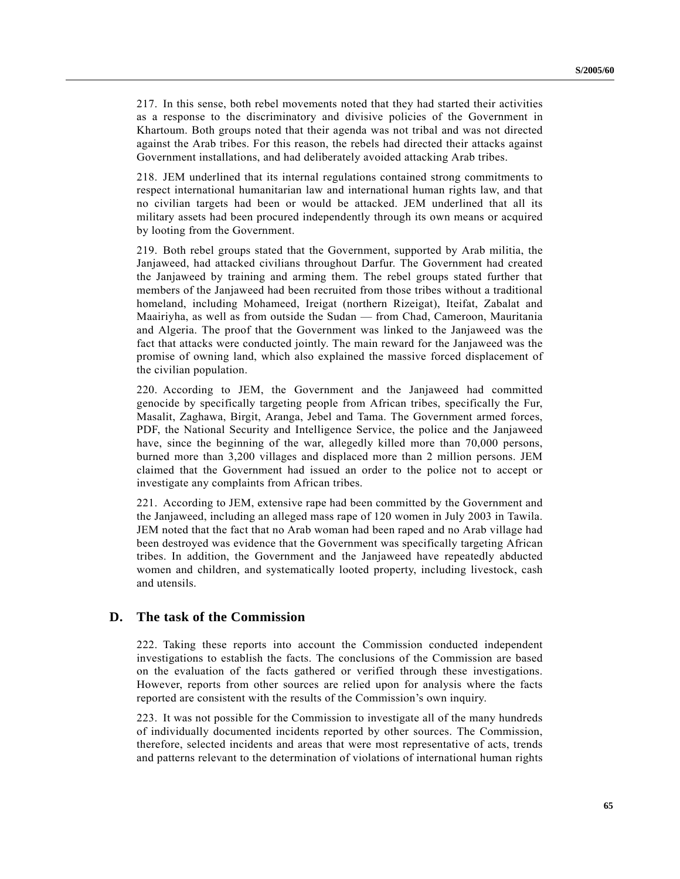217. In this sense, both rebel movements noted that they had started their activities as a response to the discriminatory and divisive policies of the Government in Khartoum. Both groups noted that their agenda was not tribal and was not directed against the Arab tribes. For this reason, the rebels had directed their attacks against Government installations, and had deliberately avoided attacking Arab tribes.

218. JEM underlined that its internal regulations contained strong commitments to respect international humanitarian law and international human rights law, and that no civilian targets had been or would be attacked. JEM underlined that all its military assets had been procured independently through its own means or acquired by looting from the Government.

219. Both rebel groups stated that the Government, supported by Arab militia, the Janjaweed, had attacked civilians throughout Darfur. The Government had created the Janjaweed by training and arming them. The rebel groups stated further that members of the Janjaweed had been recruited from those tribes without a traditional homeland, including Mohameed, Ireigat (northern Rizeigat), Iteifat, Zabalat and Maairiyha, as well as from outside the Sudan - from Chad, Cameroon, Mauritania and Algeria. The proof that the Government was linked to the Janjaweed was the fact that attacks were conducted jointly. The main reward for the Janjaweed was the promise of owning land, which also explained the massive forced displacement of the civilian population.

220. According to JEM, the Government and the Janjaweed had committed genocide by specifically targeting people from African tribes, specifically the Fur, Masalit, Zaghawa, Birgit, Aranga, Jebel and Tama. The Government armed forces, PDF, the National Security and Intelligence Service, the police and the Janjaweed have, since the beginning of the war, allegedly killed more than 70,000 persons, burned more than 3,200 villages and displaced more than 2 million persons. JEM claimed that the Government had issued an order to the police not to accept or investigate any complaints from African tribes.

221. According to JEM, extensive rape had been committed by the Government and the Janjaweed, including an alleged mass rape of 120 women in July 2003 in Tawila. JEM noted that the fact that no Arab woman had been raped and no Arab village had been destroyed was evidence that the Government was specifically targeting African tribes. In addition, the Government and the Janjaweed have repeatedly abducted women and children, and systematically looted property, including livestock, cash and utensils.

### **D. The task of the Commission**

222. Taking these reports into account the Commission conducted independent investigations to establish the facts. The conclusions of the Commission are based on the evaluation of the facts gathered or verified through these investigations. However, reports from other sources are relied upon for analysis where the facts reported are consistent with the results of the Commission's own inquiry.

223. It was not possible for the Commission to investigate all of the many hundreds of individually documented incidents reported by other sources. The Commission, therefore, selected incidents and areas that were most representative of acts, trends and patterns relevant to the determination of violations of international human rights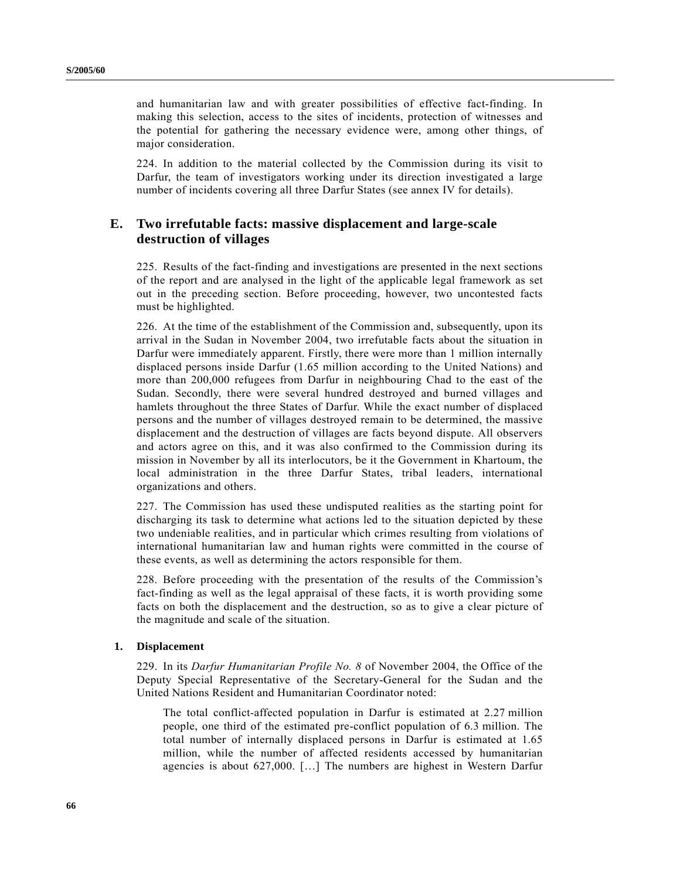and humanitarian law and with greater possibilities of effective fact-finding. In making this selection, access to the sites of incidents, protection of witnesses and the potential for gathering the necessary evidence were, among other things, of major consideration.

224. In addition to the material collected by the Commission during its visit to Darfur, the team of investigators working under its direction investigated a large number of incidents covering all three Darfur States (see annex IV for details).

## **E. Two irrefutable facts: massive displacement and large-scale destruction of villages**

225. Results of the fact-finding and investigations are presented in the next sections of the report and are analysed in the light of the applicable legal framework as set out in the preceding section. Before proceeding, however, two uncontested facts must be highlighted.

226. At the time of the establishment of the Commission and, subsequently, upon its arrival in the Sudan in November 2004, two irrefutable facts about the situation in Darfur were immediately apparent. Firstly, there were more than 1 million internally displaced persons inside Darfur (1.65 million according to the United Nations) and more than 200,000 refugees from Darfur in neighbouring Chad to the east of the Sudan. Secondly, there were several hundred destroyed and burned villages and hamlets throughout the three States of Darfur. While the exact number of displaced persons and the number of villages destroyed remain to be determined, the massive displacement and the destruction of villages are facts beyond dispute. All observers and actors agree on this, and it was also confirmed to the Commission during its mission in November by all its interlocutors, be it the Government in Khartoum, the local administration in the three Darfur States, tribal leaders, international organizations and others.

227. The Commission has used these undisputed realities as the starting point for discharging its task to determine what actions led to the situation depicted by these two undeniable realities, and in particular which crimes resulting from violations of international humanitarian law and human rights were committed in the course of these events, as well as determining the actors responsible for them.

228. Before proceeding with the presentation of the results of the Commission's fact-finding as well as the legal appraisal of these facts, it is worth providing some facts on both the displacement and the destruction, so as to give a clear picture of the magnitude and scale of the situation.

#### **1. Displacement**

229. In its *Darfur Humanitarian Profile No. 8* of November 2004, the Office of the Deputy Special Representative of the Secretary-General for the Sudan and the United Nations Resident and Humanitarian Coordinator noted:

The total conflict-affected population in Darfur is estimated at 2.27 million people, one third of the estimated pre-conflict population of 6.3 million. The total number of internally displaced persons in Darfur is estimated at 1.65 million, while the number of affected residents accessed by humanitarian agencies is about 627,000. [...] The numbers are highest in Western Darfur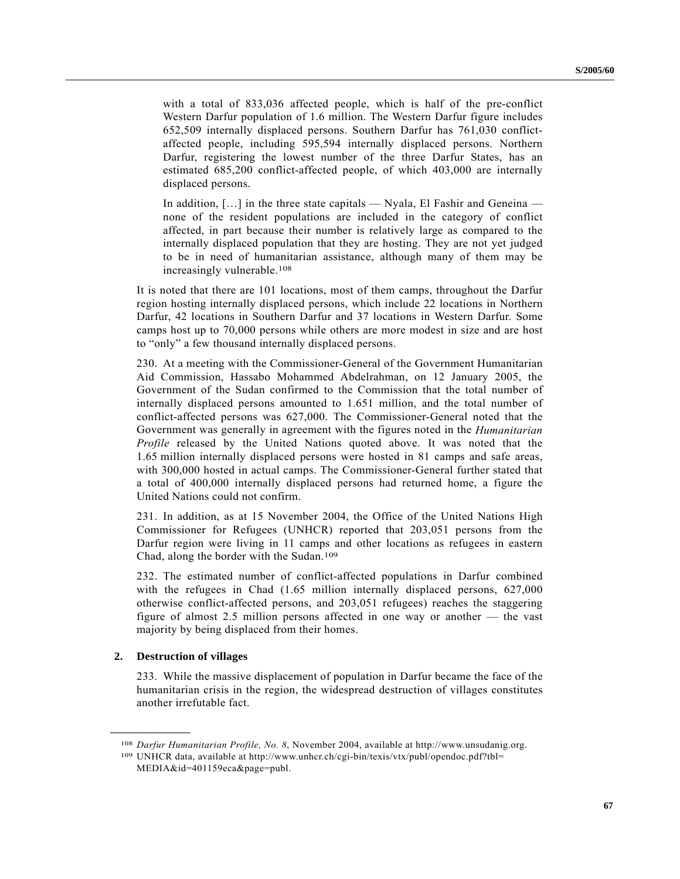with a total of 833,036 affected people, which is half of the pre-conflict Western Darfur population of 1.6 million. The Western Darfur figure includes 652,509 internally displaced persons. Southern Darfur has 761,030 conflictaffected people, including 595,594 internally displaced persons. Northern Darfur, registering the lowest number of the three Darfur States, has an estimated 685,200 conflict-affected people, of which 403,000 are internally displaced persons.

In addition,  $[\dots]$  in the three state capitals — Nyala, El Fashir and Geneina none of the resident populations are included in the category of conflict affected, in part because their number is relatively large as compared to the internally displaced population that they are hosting. They are not yet judged to be in need of humanitarian assistance, although many of them may be increasingly vulnerable.108

It is noted that there are 101 locations, most of them camps, throughout the Darfur region hosting internally displaced persons, which include 22 locations in Northern Darfur, 42 locations in Southern Darfur and 37 locations in Western Darfur. Some camps host up to 70,000 persons while others are more modest in size and are host to "only" a few thousand internally displaced persons.

230. At a meeting with the Commissioner-General of the Government Humanitarian Aid Commission, Hassabo Mohammed Abdelrahman, on 12 January 2005, the Government of the Sudan confirmed to the Commission that the total number of internally displaced persons amounted to 1.651 million, and the total number of conflict-affected persons was 627,000. The Commissioner-General noted that the Government was generally in agreement with the figures noted in the *Humanitarian Profile* released by the United Nations quoted above. It was noted that the 1.65 million internally displaced persons were hosted in 81 camps and safe areas, with 300,000 hosted in actual camps. The Commissioner-General further stated that a total of 400,000 internally displaced persons had returned home, a figure the United Nations could not confirm.

231. In addition, as at 15 November 2004, the Office of the United Nations High Commissioner for Refugees (UNHCR) reported that 203,051 persons from the Darfur region were living in 11 camps and other locations as refugees in eastern Chad, along the border with the Sudan.109

232. The estimated number of conflict-affected populations in Darfur combined with the refugees in Chad  $(1.65 \text{ million internally displaced persons}, 627,000$ otherwise conflict-affected persons, and 203,051 refugees) reaches the staggering figure of almost 2.5 million persons affected in one way or another  $-$  the vast majority by being displaced from their homes.

### **2. Destruction of villages**

**\_\_\_\_\_\_\_\_\_\_\_\_\_\_\_\_\_\_**

233. While the massive displacement of population in Darfur became the face of the humanitarian crisis in the region, the widespread destruction of villages constitutes another irrefutable fact.

<sup>108</sup> *Darfur Humanitarian Profile, No. 8*, November 2004, available at http://www.unsudanig.org.

<sup>109</sup> UNHCR data, available at http://www.unhcr.ch/cgi-bin/texis/vtx/publ/opendoc.pdf?tbl= MEDIA&id=401159eca&page=publ.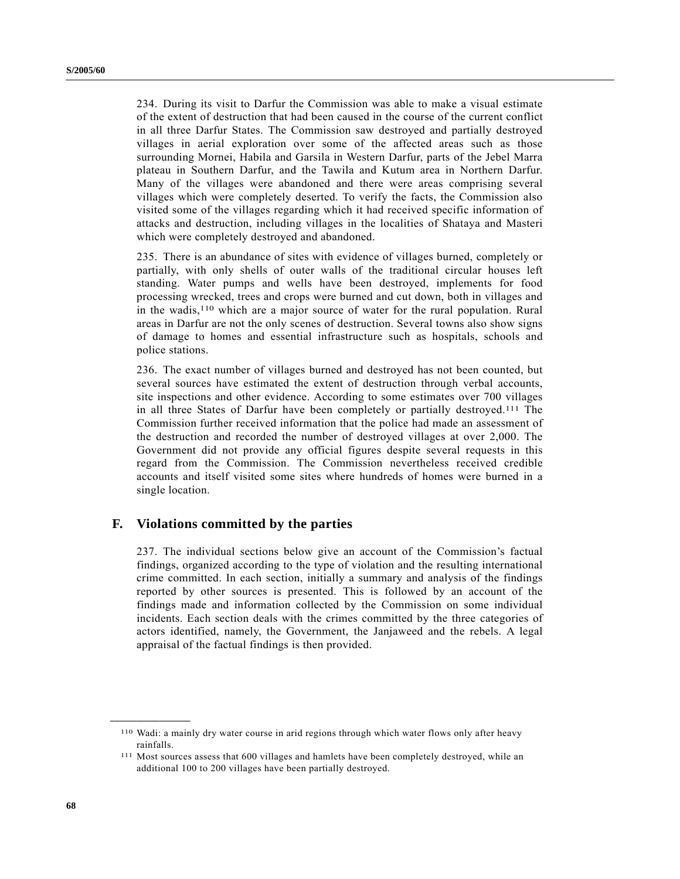234. During its visit to Darfur the Commission was able to make a visual estimate of the extent of destruction that had been caused in the course of the current conflict in all three Darfur States. The Commission saw destroyed and partially destroyed villages in aerial exploration over some of the affected areas such as those surrounding Mornei, Habila and Garsila in Western Darfur, parts of the Jebel Marra plateau in Southern Darfur, and the Tawila and Kutum area in Northern Darfur. Many of the villages were abandoned and there were areas comprising several villages which were completely deserted. To verify the facts, the Commission also visited some of the villages regarding which it had received specific information of attacks and destruction, including villages in the localities of Shataya and Masteri which were completely destroyed and abandoned.

235. There is an abundance of sites with evidence of villages burned, completely or partially, with only shells of outer walls of the traditional circular houses left standing. Water pumps and wells have been destroyed, implements for food processing wrecked, trees and crops were burned and cut down, both in villages and in the wadis,110 which are a major source of water for the rural population. Rural areas in Darfur are not the only scenes of destruction. Several towns also show signs of damage to homes and essential infrastructure such as hospitals, schools and police stations.

236. The exact number of villages burned and destroyed has not been counted, but several sources have estimated the extent of destruction through verbal accounts, site inspections and other evidence. According to some estimates over 700 villages in all three States of Darfur have been completely or partially destroyed.111 The Commission further received information that the police had made an assessment of the destruction and recorded the number of destroyed villages at over 2,000. The Government did not provide any official figures despite several requests in this regard from the Commission. The Commission nevertheless received credible accounts and itself visited some sites where hundreds of homes were burned in a single location.

### **F. Violations committed by the parties**

237. The individual sections below give an account of the Commission's factual findings, organized according to the type of violation and the resulting international crime committed. In each section, initially a summary and analysis of the findings reported by other sources is presented. This is followed by an account of the findings made and information collected by the Commission on some individual incidents. Each section deals with the crimes committed by the three categories of actors identified, namely, the Government, the Janjaweed and the rebels. A legal appraisal of the factual findings is then provided.

<sup>110</sup> Wadi: a mainly dry water course in arid regions through which water flows only after heavy rainfalls.

<sup>111</sup> Most sources assess that 600 villages and hamlets have been completely destroyed, while an additional 100 to 200 villages have been partially destroyed.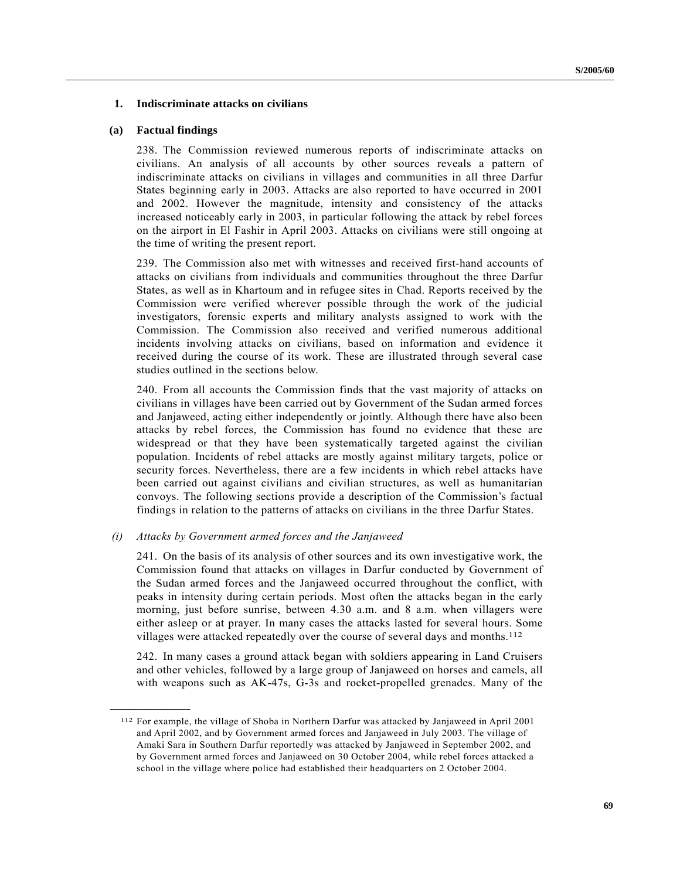### **1. Indiscriminate attacks on civilians**

### **(a) Factual findings**

**\_\_\_\_\_\_\_\_\_\_\_\_\_\_\_\_\_\_**

238. The Commission reviewed numerous reports of indiscriminate attacks on civilians. An analysis of all accounts by other sources reveals a pattern of indiscriminate attacks on civilians in villages and communities in all three Darfur States beginning early in 2003. Attacks are also reported to have occurred in 2001 and 2002. However the magnitude, intensity and consistency of the attacks increased noticeably early in 2003, in particular following the attack by rebel forces on the airport in El Fashir in April 2003. Attacks on civilians were still ongoing at the time of writing the present report.

239. The Commission also met with witnesses and received first-hand accounts of attacks on civilians from individuals and communities throughout the three Darfur States, as well as in Khartoum and in refugee sites in Chad. Reports received by the Commission were verified wherever possible through the work of the judicial investigators, forensic experts and military analysts assigned to work with the Commission. The Commission also received and verified numerous additional incidents involving attacks on civilians, based on information and evidence it received during the course of its work. These are illustrated through several case studies outlined in the sections below.

240. From all accounts the Commission finds that the vast majority of attacks on civilians in villages have been carried out by Government of the Sudan armed forces and Janjaweed, acting either independently or jointly. Although there have also been attacks by rebel forces, the Commission has found no evidence that these are widespread or that they have been systematically targeted against the civilian population. Incidents of rebel attacks are mostly against military targets, police or security forces. Nevertheless, there are a few incidents in which rebel attacks have been carried out against civilians and civilian structures, as well as humanitarian convoys. The following sections provide a description of the Commission's factual findings in relation to the patterns of attacks on civilians in the three Darfur States.

### *(i) Attacks by Government armed forces and the Janjaweed*

241. On the basis of its analysis of other sources and its own investigative work, the Commission found that attacks on villages in Darfur conducted by Government of the Sudan armed forces and the Janjaweed occurred throughout the conflict, with peaks in intensity during certain periods. Most often the attacks began in the early morning, just before sunrise, between 4.30 a.m. and 8 a.m. when villagers were either asleep or at prayer. In many cases the attacks lasted for several hours. Some villages were attacked repeatedly over the course of several days and months.112

242. In many cases a ground attack began with soldiers appearing in Land Cruisers and other vehicles, followed by a large group of Janjaweed on horses and camels, all with weapons such as AK-47s, G-3s and rocket-propelled grenades. Many of the

<sup>112</sup> For example, the village of Shoba in Northern Darfur was attacked by Janjaweed in April 2001 and April 2002, and by Government armed forces and Janjaweed in July 2003. The village of Amaki Sara in Southern Darfur reportedly was attacked by Janjaweed in September 2002, and by Government armed forces and Janjaweed on 30 October 2004, while rebel forces attacked a school in the village where police had established their headquarters on 2 October 2004.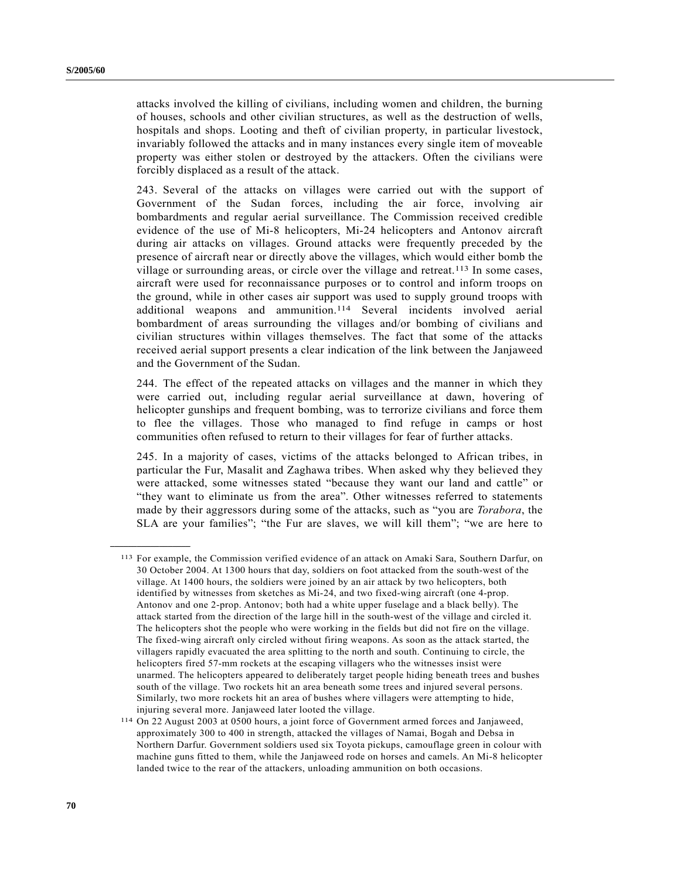attacks involved the killing of civilians, including women and children, the burning of houses, schools and other civilian structures, as well as the destruction of wells, hospitals and shops. Looting and theft of civilian property, in particular livestock, invariably followed the attacks and in many instances every single item of moveable property was either stolen or destroyed by the attackers. Often the civilians were forcibly displaced as a result of the attack.

243. Several of the attacks on villages were carried out with the support of Government of the Sudan forces, including the air force, involving air bombardments and regular aerial surveillance. The Commission received credible evidence of the use of Mi-8 helicopters, Mi-24 helicopters and Antonov aircraft during air attacks on villages. Ground attacks were frequently preceded by the presence of aircraft near or directly above the villages, which would either bomb the village or surrounding areas, or circle over the village and retreat.113 In some cases, aircraft were used for reconnaissance purposes or to control and inform troops on the ground, while in other cases air support was used to supply ground troops with additional weapons and ammunition.114 Several incidents involved aerial bombardment of areas surrounding the villages and/or bombing of civilians and civilian structures within villages themselves. The fact that some of the attacks received aerial support presents a clear indication of the link between the Janjaweed and the Government of the Sudan.

244. The effect of the repeated attacks on villages and the manner in which they were carried out, including regular aerial surveillance at dawn, hovering of helicopter gunships and frequent bombing, was to terrorize civilians and force them to flee the villages. Those who managed to find refuge in camps or host communities often refused to return to their villages for fear of further attacks.

245. In a majority of cases, victims of the attacks belonged to African tribes, in particular the Fur, Masalit and Zaghawa tribes. When asked why they believed they were attacked, some witnesses stated "because they want our land and cattle" or ìthey want to eliminate us from the areaî. Other witnesses referred to statements made by their aggressors during some of the attacks, such as "you are *Torabora*, the SLA are your families"; "the Fur are slaves, we will kill them"; "we are here to

<sup>113</sup> For example, the Commission verified evidence of an attack on Amaki Sara, Southern Darfur, on 30 October 2004. At 1300 hours that day, soldiers on foot attacked from the south-west of the village. At 1400 hours, the soldiers were joined by an air attack by two helicopters, both identified by witnesses from sketches as Mi-24, and two fixed-wing aircraft (one 4-prop. Antonov and one 2-prop. Antonov; both had a white upper fuselage and a black belly). The attack started from the direction of the large hill in the south-west of the village and circled it. The helicopters shot the people who were working in the fields but did not fire on the village. The fixed-wing aircraft only circled without firing weapons. As soon as the attack started, the villagers rapidly evacuated the area splitting to the north and south. Continuing to circle, the helicopters fired 57-mm rockets at the escaping villagers who the witnesses insist were unarmed. The helicopters appeared to deliberately target people hiding beneath trees and bushes south of the village. Two rockets hit an area beneath some trees and injured several persons. Similarly, two more rockets hit an area of bushes where villagers were attempting to hide, injuring several more. Janjaweed later looted the village.

<sup>114</sup> On 22 August 2003 at 0500 hours, a joint force of Government armed forces and Janjaweed, approximately 300 to 400 in strength, attacked the villages of Namai, Bogah and Debsa in Northern Darfur. Government soldiers used six Toyota pickups, camouflage green in colour with machine guns fitted to them, while the Janjaweed rode on horses and camels. An Mi-8 helicopter landed twice to the rear of the attackers, unloading ammunition on both occasions.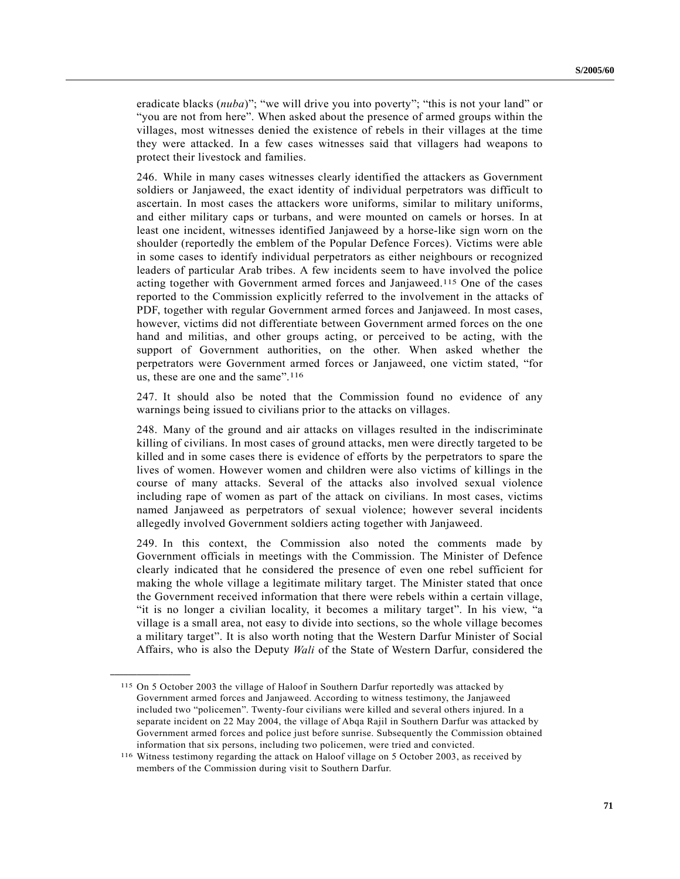eradicate blacks (*nuba*)"; "we will drive you into poverty"; "this is not your land" or ìyou are not from hereî. When asked about the presence of armed groups within the villages, most witnesses denied the existence of rebels in their villages at the time they were attacked. In a few cases witnesses said that villagers had weapons to protect their livestock and families.

246. While in many cases witnesses clearly identified the attackers as Government soldiers or Janjaweed, the exact identity of individual perpetrators was difficult to ascertain. In most cases the attackers wore uniforms, similar to military uniforms, and either military caps or turbans, and were mounted on camels or horses. In at least one incident, witnesses identified Janjaweed by a horse-like sign worn on the shoulder (reportedly the emblem of the Popular Defence Forces). Victims were able in some cases to identify individual perpetrators as either neighbours or recognized leaders of particular Arab tribes. A few incidents seem to have involved the police acting together with Government armed forces and Janjaweed.115 One of the cases reported to the Commission explicitly referred to the involvement in the attacks of PDF, together with regular Government armed forces and Janjaweed. In most cases, however, victims did not differentiate between Government armed forces on the one hand and militias, and other groups acting, or perceived to be acting, with the support of Government authorities, on the other. When asked whether the perpetrators were Government armed forces or Janjaweed, one victim stated, "for us, these are one and the same". $116$ 

247. It should also be noted that the Commission found no evidence of any warnings being issued to civilians prior to the attacks on villages.

248. Many of the ground and air attacks on villages resulted in the indiscriminate killing of civilians. In most cases of ground attacks, men were directly targeted to be killed and in some cases there is evidence of efforts by the perpetrators to spare the lives of women. However women and children were also victims of killings in the course of many attacks. Several of the attacks also involved sexual violence including rape of women as part of the attack on civilians. In most cases, victims named Janjaweed as perpetrators of sexual violence; however several incidents allegedly involved Government soldiers acting together with Janjaweed.

249. In this context, the Commission also noted the comments made by Government officials in meetings with the Commission. The Minister of Defence clearly indicated that he considered the presence of even one rebel sufficient for making the whole village a legitimate military target. The Minister stated that once the Government received information that there were rebels within a certain village, "it is no longer a civilian locality, it becomes a military target". In his view, "a village is a small area, not easy to divide into sections, so the whole village becomes a military target". It is also worth noting that the Western Darfur Minister of Social Affairs, who is also the Deputy *Wali* of the State of Western Darfur, considered the

<sup>115</sup> On 5 October 2003 the village of Haloof in Southern Darfur reportedly was attacked by Government armed forces and Janjaweed. According to witness testimony, the Janjaweed included two "policemen". Twenty-four civilians were killed and several others injured. In a separate incident on 22 May 2004, the village of Abqa Rajil in Southern Darfur was attacked by Government armed forces and police just before sunrise. Subsequently the Commission obtained information that six persons, including two policemen, were tried and convicted.

<sup>116</sup> Witness testimony regarding the attack on Haloof village on 5 October 2003, as received by members of the Commission during visit to Southern Darfur.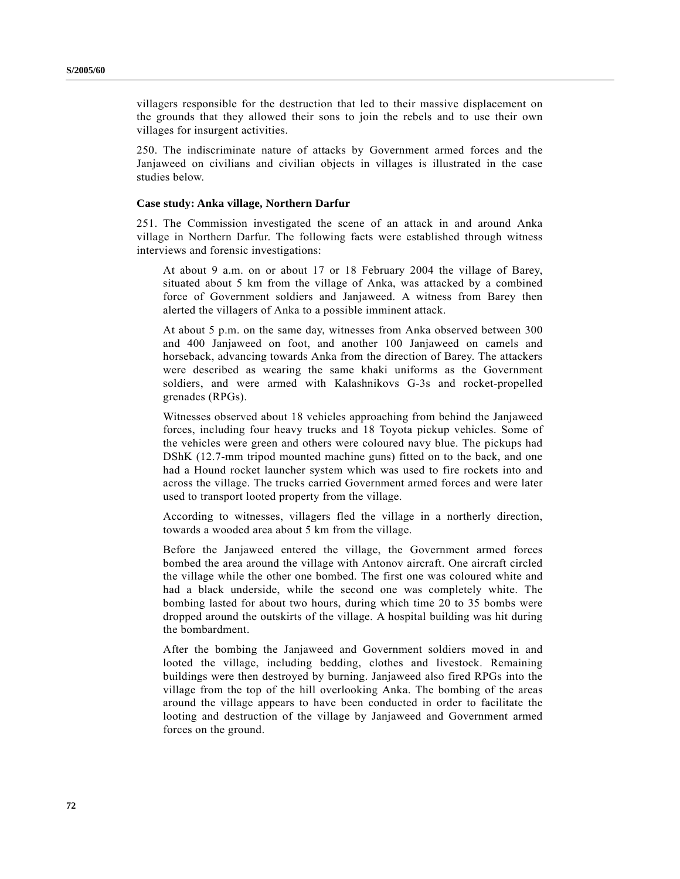villagers responsible for the destruction that led to their massive displacement on the grounds that they allowed their sons to join the rebels and to use their own villages for insurgent activities.

250. The indiscriminate nature of attacks by Government armed forces and the Janjaweed on civilians and civilian objects in villages is illustrated in the case studies below.

#### **Case study: Anka village, Northern Darfur**

251. The Commission investigated the scene of an attack in and around Anka village in Northern Darfur. The following facts were established through witness interviews and forensic investigations:

At about 9 a.m. on or about 17 or 18 February 2004 the village of Barey, situated about 5 km from the village of Anka, was attacked by a combined force of Government soldiers and Janjaweed. A witness from Barey then alerted the villagers of Anka to a possible imminent attack.

At about 5 p.m. on the same day, witnesses from Anka observed between 300 and 400 Janjaweed on foot, and another 100 Janjaweed on camels and horseback, advancing towards Anka from the direction of Barey. The attackers were described as wearing the same khaki uniforms as the Government soldiers, and were armed with Kalashnikovs G-3s and rocket-propelled grenades (RPGs).

Witnesses observed about 18 vehicles approaching from behind the Janjaweed forces, including four heavy trucks and 18 Toyota pickup vehicles. Some of the vehicles were green and others were coloured navy blue. The pickups had DShK (12.7-mm tripod mounted machine guns) fitted on to the back, and one had a Hound rocket launcher system which was used to fire rockets into and across the village. The trucks carried Government armed forces and were later used to transport looted property from the village.

According to witnesses, villagers fled the village in a northerly direction, towards a wooded area about 5 km from the village.

Before the Janjaweed entered the village, the Government armed forces bombed the area around the village with Antonov aircraft. One aircraft circled the village while the other one bombed. The first one was coloured white and had a black underside, while the second one was completely white. The bombing lasted for about two hours, during which time 20 to 35 bombs were dropped around the outskirts of the village. A hospital building was hit during the bombardment.

After the bombing the Janjaweed and Government soldiers moved in and looted the village, including bedding, clothes and livestock. Remaining buildings were then destroyed by burning. Janjaweed also fired RPGs into the village from the top of the hill overlooking Anka. The bombing of the areas around the village appears to have been conducted in order to facilitate the looting and destruction of the village by Janjaweed and Government armed forces on the ground.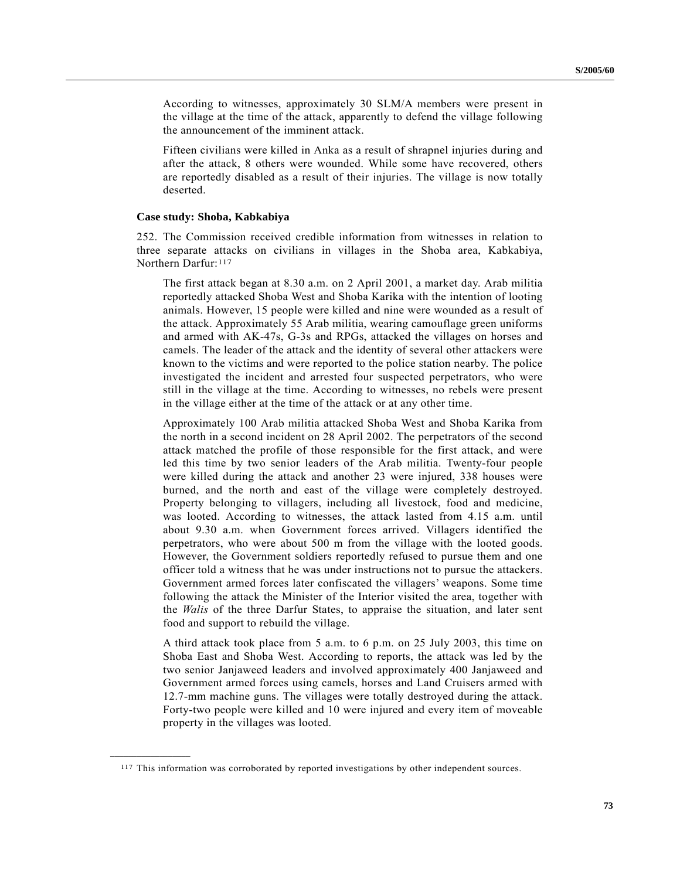According to witnesses, approximately 30 SLM/A members were present in the village at the time of the attack, apparently to defend the village following the announcement of the imminent attack.

Fifteen civilians were killed in Anka as a result of shrapnel injuries during and after the attack, 8 others were wounded. While some have recovered, others are reportedly disabled as a result of their injuries. The village is now totally deserted.

#### **Case study: Shoba, Kabkabiya**

**\_\_\_\_\_\_\_\_\_\_\_\_\_\_\_\_\_\_**

252. The Commission received credible information from witnesses in relation to three separate attacks on civilians in villages in the Shoba area, Kabkabiya, Northern Darfur:117

The first attack began at 8.30 a.m. on 2 April 2001, a market day. Arab militia reportedly attacked Shoba West and Shoba Karika with the intention of looting animals. However, 15 people were killed and nine were wounded as a result of the attack. Approximately 55 Arab militia, wearing camouflage green uniforms and armed with AK-47s, G-3s and RPGs, attacked the villages on horses and camels. The leader of the attack and the identity of several other attackers were known to the victims and were reported to the police station nearby. The police investigated the incident and arrested four suspected perpetrators, who were still in the village at the time. According to witnesses, no rebels were present in the village either at the time of the attack or at any other time.

Approximately 100 Arab militia attacked Shoba West and Shoba Karika from the north in a second incident on 28 April 2002. The perpetrators of the second attack matched the profile of those responsible for the first attack, and were led this time by two senior leaders of the Arab militia. Twenty-four people were killed during the attack and another 23 were injured, 338 houses were burned, and the north and east of the village were completely destroyed. Property belonging to villagers, including all livestock, food and medicine, was looted. According to witnesses, the attack lasted from 4.15 a.m. until about 9.30 a.m. when Government forces arrived. Villagers identified the perpetrators, who were about 500 m from the village with the looted goods. However, the Government soldiers reportedly refused to pursue them and one officer told a witness that he was under instructions not to pursue the attackers. Government armed forces later confiscated the villagers' weapons. Some time following the attack the Minister of the Interior visited the area, together with the *Walis* of the three Darfur States, to appraise the situation, and later sent food and support to rebuild the village.

A third attack took place from 5 a.m. to 6 p.m. on 25 July 2003, this time on Shoba East and Shoba West. According to reports, the attack was led by the two senior Janjaweed leaders and involved approximately 400 Janjaweed and Government armed forces using camels, horses and Land Cruisers armed with 12.7-mm machine guns. The villages were totally destroyed during the attack. Forty-two people were killed and 10 were injured and every item of moveable property in the villages was looted.

<sup>117</sup> This information was corroborated by reported investigations by other independent sources.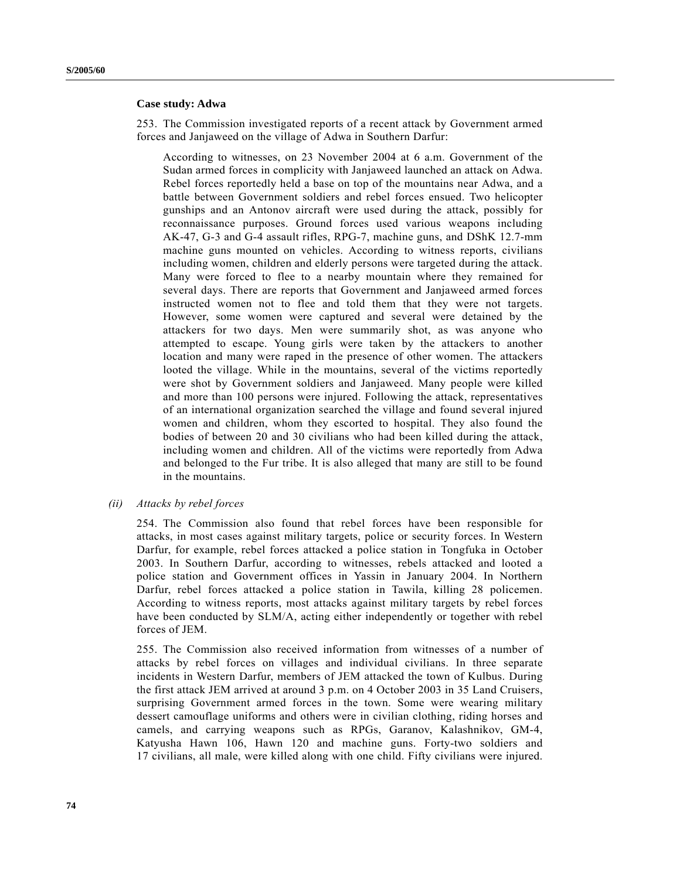### **Case study: Adwa**

253. The Commission investigated reports of a recent attack by Government armed forces and Janjaweed on the village of Adwa in Southern Darfur:

According to witnesses, on 23 November 2004 at 6 a.m. Government of the Sudan armed forces in complicity with Janjaweed launched an attack on Adwa. Rebel forces reportedly held a base on top of the mountains near Adwa, and a battle between Government soldiers and rebel forces ensued. Two helicopter gunships and an Antonov aircraft were used during the attack, possibly for reconnaissance purposes. Ground forces used various weapons including AK-47, G-3 and G-4 assault rifles, RPG-7, machine guns, and DShK 12.7-mm machine guns mounted on vehicles. According to witness reports, civilians including women, children and elderly persons were targeted during the attack. Many were forced to flee to a nearby mountain where they remained for several days. There are reports that Government and Janjaweed armed forces instructed women not to flee and told them that they were not targets. However, some women were captured and several were detained by the attackers for two days. Men were summarily shot, as was anyone who attempted to escape. Young girls were taken by the attackers to another location and many were raped in the presence of other women. The attackers looted the village. While in the mountains, several of the victims reportedly were shot by Government soldiers and Janjaweed. Many people were killed and more than 100 persons were injured. Following the attack, representatives of an international organization searched the village and found several injured women and children, whom they escorted to hospital. They also found the bodies of between 20 and 30 civilians who had been killed during the attack, including women and children. All of the victims were reportedly from Adwa and belonged to the Fur tribe. It is also alleged that many are still to be found in the mountains.

#### *(ii) Attacks by rebel forces*

254. The Commission also found that rebel forces have been responsible for attacks, in most cases against military targets, police or security forces. In Western Darfur, for example, rebel forces attacked a police station in Tongfuka in October 2003. In Southern Darfur, according to witnesses, rebels attacked and looted a police station and Government offices in Yassin in January 2004. In Northern Darfur, rebel forces attacked a police station in Tawila, killing 28 policemen. According to witness reports, most attacks against military targets by rebel forces have been conducted by SLM/A, acting either independently or together with rebel forces of JEM.

255. The Commission also received information from witnesses of a number of attacks by rebel forces on villages and individual civilians. In three separate incidents in Western Darfur, members of JEM attacked the town of Kulbus. During the first attack JEM arrived at around 3 p.m. on 4 October 2003 in 35 Land Cruisers, surprising Government armed forces in the town. Some were wearing military dessert camouflage uniforms and others were in civilian clothing, riding horses and camels, and carrying weapons such as RPGs, Garanov, Kalashnikov, GM-4, Katyusha Hawn 106, Hawn 120 and machine guns. Forty-two soldiers and 17 civilians, all male, were killed along with one child. Fifty civilians were injured.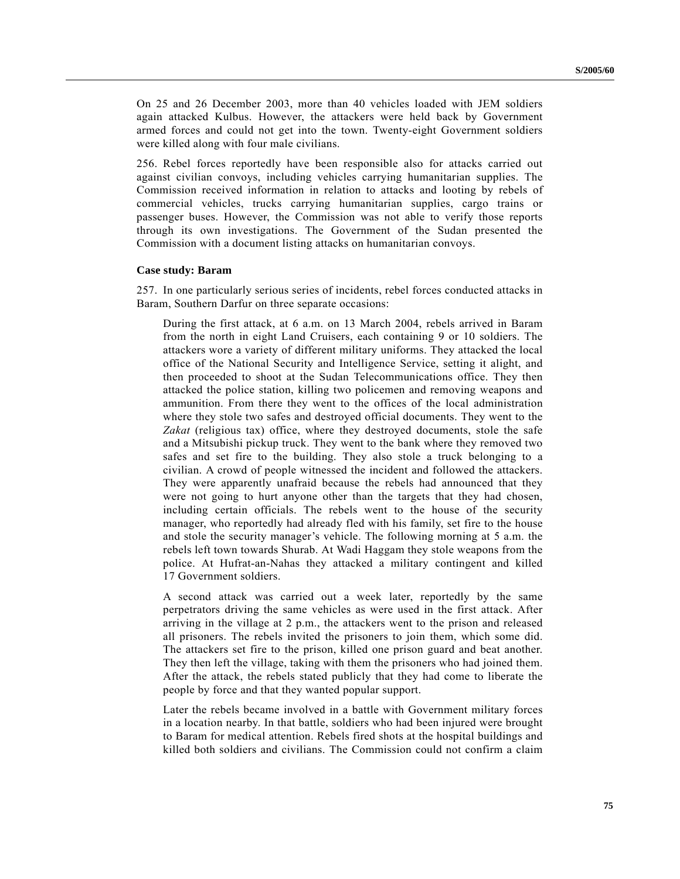On 25 and 26 December 2003, more than 40 vehicles loaded with JEM soldiers again attacked Kulbus. However, the attackers were held back by Government armed forces and could not get into the town. Twenty-eight Government soldiers were killed along with four male civilians.

256. Rebel forces reportedly have been responsible also for attacks carried out against civilian convoys, including vehicles carrying humanitarian supplies. The Commission received information in relation to attacks and looting by rebels of commercial vehicles, trucks carrying humanitarian supplies, cargo trains or passenger buses. However, the Commission was not able to verify those reports through its own investigations. The Government of the Sudan presented the Commission with a document listing attacks on humanitarian convoys.

#### **Case study: Baram**

257. In one particularly serious series of incidents, rebel forces conducted attacks in Baram, Southern Darfur on three separate occasions:

During the first attack, at 6 a.m. on 13 March 2004, rebels arrived in Baram from the north in eight Land Cruisers, each containing 9 or 10 soldiers. The attackers wore a variety of different military uniforms. They attacked the local office of the National Security and Intelligence Service, setting it alight, and then proceeded to shoot at the Sudan Telecommunications office. They then attacked the police station, killing two policemen and removing weapons and ammunition. From there they went to the offices of the local administration where they stole two safes and destroyed official documents. They went to the *Zakat* (religious tax) office, where they destroyed documents, stole the safe and a Mitsubishi pickup truck. They went to the bank where they removed two safes and set fire to the building. They also stole a truck belonging to a civilian. A crowd of people witnessed the incident and followed the attackers. They were apparently unafraid because the rebels had announced that they were not going to hurt anyone other than the targets that they had chosen, including certain officials. The rebels went to the house of the security manager, who reportedly had already fled with his family, set fire to the house and stole the security manager's vehicle. The following morning at 5 a.m. the rebels left town towards Shurab. At Wadi Haggam they stole weapons from the police. At Hufrat-an-Nahas they attacked a military contingent and killed 17 Government soldiers.

A second attack was carried out a week later, reportedly by the same perpetrators driving the same vehicles as were used in the first attack. After arriving in the village at 2 p.m., the attackers went to the prison and released all prisoners. The rebels invited the prisoners to join them, which some did. The attackers set fire to the prison, killed one prison guard and beat another. They then left the village, taking with them the prisoners who had joined them. After the attack, the rebels stated publicly that they had come to liberate the people by force and that they wanted popular support.

Later the rebels became involved in a battle with Government military forces in a location nearby. In that battle, soldiers who had been injured were brought to Baram for medical attention. Rebels fired shots at the hospital buildings and killed both soldiers and civilians. The Commission could not confirm a claim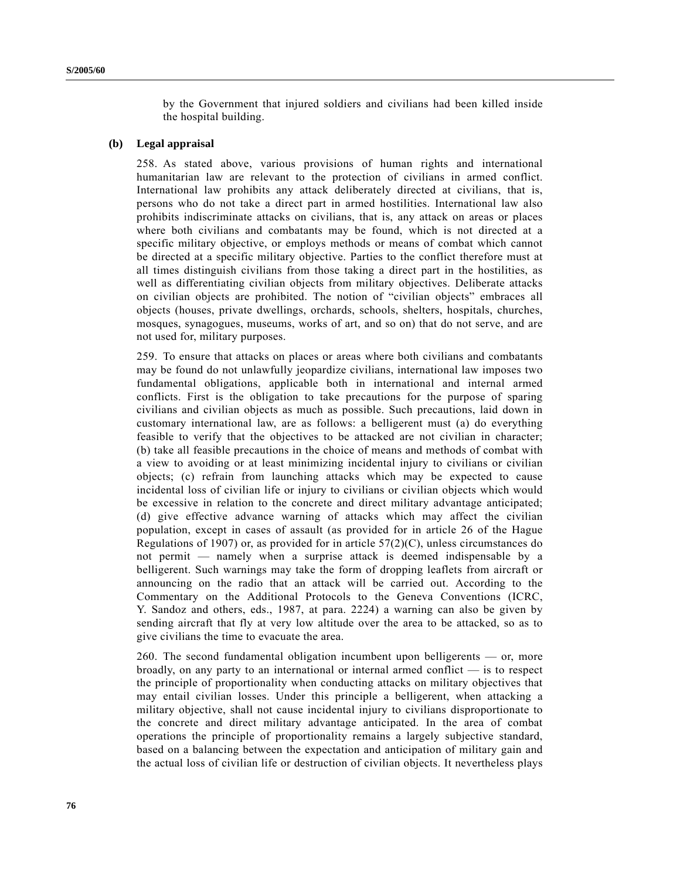by the Government that injured soldiers and civilians had been killed inside the hospital building.

## **(b) Legal appraisal**

258. As stated above, various provisions of human rights and international humanitarian law are relevant to the protection of civilians in armed conflict. International law prohibits any attack deliberately directed at civilians, that is, persons who do not take a direct part in armed hostilities. International law also prohibits indiscriminate attacks on civilians, that is, any attack on areas or places where both civilians and combatants may be found, which is not directed at a specific military objective, or employs methods or means of combat which cannot be directed at a specific military objective. Parties to the conflict therefore must at all times distinguish civilians from those taking a direct part in the hostilities, as well as differentiating civilian objects from military objectives. Deliberate attacks on civilian objects are prohibited. The notion of "civilian objects" embraces all objects (houses, private dwellings, orchards, schools, shelters, hospitals, churches, mosques, synagogues, museums, works of art, and so on) that do not serve, and are not used for, military purposes.

259. To ensure that attacks on places or areas where both civilians and combatants may be found do not unlawfully jeopardize civilians, international law imposes two fundamental obligations, applicable both in international and internal armed conflicts. First is the obligation to take precautions for the purpose of sparing civilians and civilian objects as much as possible. Such precautions, laid down in customary international law, are as follows: a belligerent must (a) do everything feasible to verify that the objectives to be attacked are not civilian in character; (b) take all feasible precautions in the choice of means and methods of combat with a view to avoiding or at least minimizing incidental injury to civilians or civilian objects; (c) refrain from launching attacks which may be expected to cause incidental loss of civilian life or injury to civilians or civilian objects which would be excessive in relation to the concrete and direct military advantage anticipated; (d) give effective advance warning of attacks which may affect the civilian population, except in cases of assault (as provided for in article 26 of the Hague Regulations of 1907) or, as provided for in article  $57(2)(C)$ , unless circumstances do not permit  $-$  namely when a surprise attack is deemed indispensable by a belligerent. Such warnings may take the form of dropping leaflets from aircraft or announcing on the radio that an attack will be carried out. According to the Commentary on the Additional Protocols to the Geneva Conventions (ICRC, Y. Sandoz and others, eds., 1987, at para. 2224) a warning can also be given by sending aircraft that fly at very low altitude over the area to be attacked, so as to give civilians the time to evacuate the area.

260. The second fundamental obligation incumbent upon belligerents  $\sim$  or, more broadly, on any party to an international or internal armed conflict  $\overline{\phantom{a}}$  is to respect the principle of proportionality when conducting attacks on military objectives that may entail civilian losses. Under this principle a belligerent, when attacking a military objective, shall not cause incidental injury to civilians disproportionate to the concrete and direct military advantage anticipated. In the area of combat operations the principle of proportionality remains a largely subjective standard, based on a balancing between the expectation and anticipation of military gain and the actual loss of civilian life or destruction of civilian objects. It nevertheless plays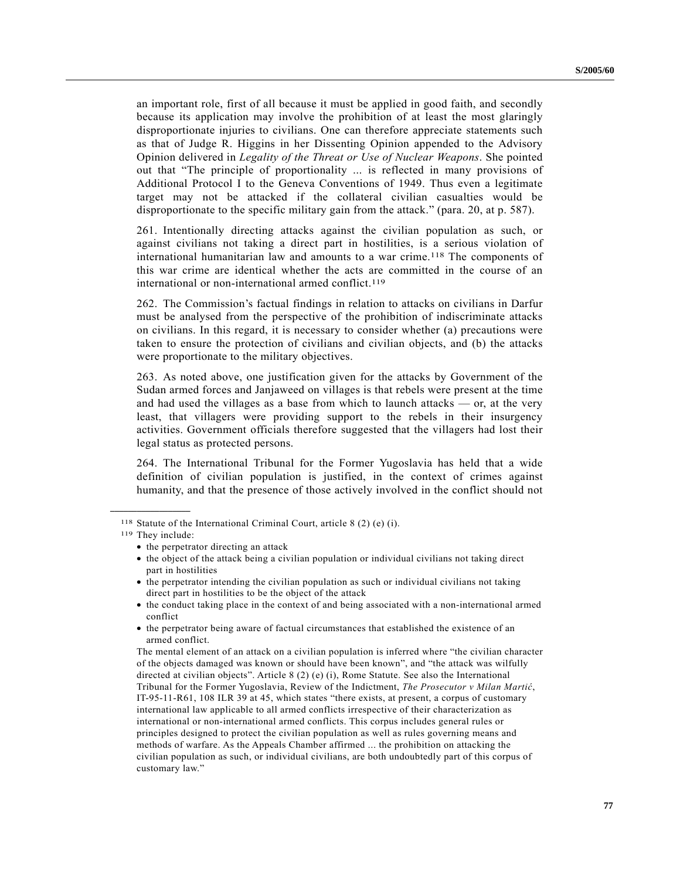an important role, first of all because it must be applied in good faith, and secondly because its application may involve the prohibition of at least the most glaringly disproportionate injuries to civilians. One can therefore appreciate statements such as that of Judge R. Higgins in her Dissenting Opinion appended to the Advisory Opinion delivered in *Legality of the Threat or Use of Nuclear Weapons*. She pointed out that "The principle of proportionality ... is reflected in many provisions of Additional Protocol I to the Geneva Conventions of 1949. Thus even a legitimate target may not be attacked if the collateral civilian casualties would be disproportionate to the specific military gain from the attack." (para. 20, at p. 587).

261. Intentionally directing attacks against the civilian population as such, or against civilians not taking a direct part in hostilities, is a serious violation of international humanitarian law and amounts to a war crime.118 The components of this war crime are identical whether the acts are committed in the course of an international or non-international armed conflict.<sup>119</sup>

262. The Commission's factual findings in relation to attacks on civilians in Darfur must be analysed from the perspective of the prohibition of indiscriminate attacks on civilians. In this regard, it is necessary to consider whether (a) precautions were taken to ensure the protection of civilians and civilian objects, and (b) the attacks were proportionate to the military objectives.

263. As noted above, one justification given for the attacks by Government of the Sudan armed forces and Janjaweed on villages is that rebels were present at the time and had used the villages as a base from which to launch attacks  $\sim$  or, at the very least, that villagers were providing support to the rebels in their insurgency activities. Government officials therefore suggested that the villagers had lost their legal status as protected persons.

264. The International Tribunal for the Former Yugoslavia has held that a wide definition of civilian population is justified, in the context of crimes against humanity, and that the presence of those actively involved in the conflict should not

**\_\_\_\_\_\_\_\_\_\_\_\_\_\_\_\_\_\_**

- the perpetrator directing an attack
- the object of the attack being a civilian population or individual civilians not taking direct part in hostilities

- the conduct taking place in the context of and being associated with a non-international armed conflict
- the perpetrator being aware of factual circumstances that established the existence of an armed conflict.

The mental element of an attack on a civilian population is inferred where "the civilian character of the objects damaged was known or should have been known", and "the attack was wilfully directed at civilian objects". Article 8 (2) (e) (i), Rome Statute. See also the International Tribunal for the Former Yugoslavia, Review of the Indictment, *The Prosecutor v Milan Martić*, IT-95-11-R61, 108 ILR 39 at 45, which states "there exists, at present, a corpus of customary international law applicable to all armed conflicts irrespective of their characterization as international or non-international armed conflicts. This corpus includes general rules or principles designed to protect the civilian population as well as rules governing means and methods of warfare. As the Appeals Chamber affirmed ... the prohibition on attacking the civilian population as such, or individual civilians, are both undoubtedly part of this corpus of customary law."

<sup>118</sup> Statute of the International Criminal Court, article 8 (2) (e) (i).

<sup>119</sup> They include:

<sup>•</sup> the perpetrator intending the civilian population as such or individual civilians not taking direct part in hostilities to be the object of the attack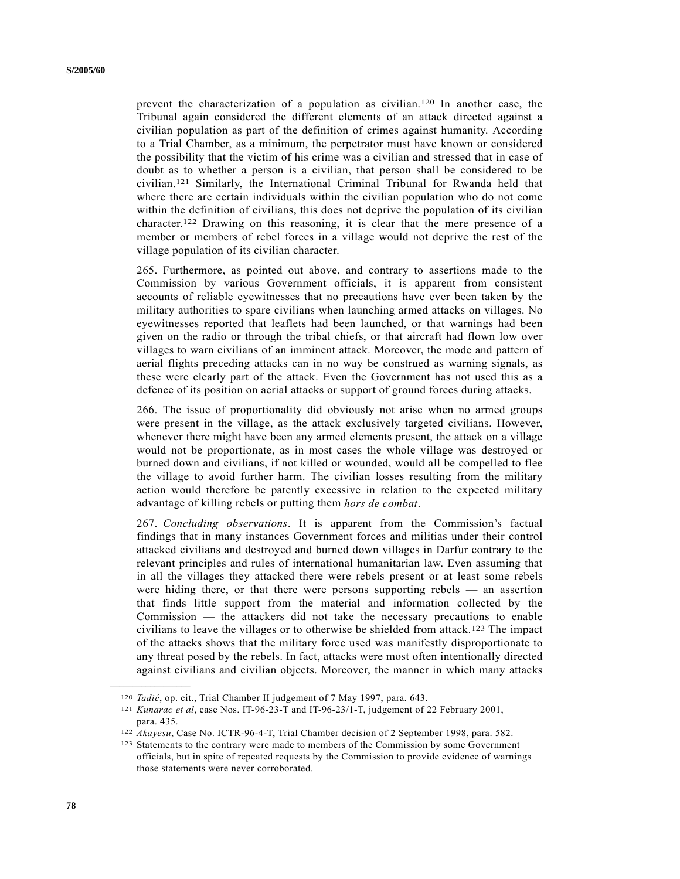prevent the characterization of a population as civilian.120 In another case, the Tribunal again considered the different elements of an attack directed against a civilian population as part of the definition of crimes against humanity. According to a Trial Chamber, as a minimum, the perpetrator must have known or considered the possibility that the victim of his crime was a civilian and stressed that in case of doubt as to whether a person is a civilian, that person shall be considered to be civilian.121 Similarly, the International Criminal Tribunal for Rwanda held that where there are certain individuals within the civilian population who do not come within the definition of civilians, this does not deprive the population of its civilian character.122 Drawing on this reasoning, it is clear that the mere presence of a member or members of rebel forces in a village would not deprive the rest of the village population of its civilian character.

265. Furthermore, as pointed out above, and contrary to assertions made to the Commission by various Government officials, it is apparent from consistent accounts of reliable eyewitnesses that no precautions have ever been taken by the military authorities to spare civilians when launching armed attacks on villages. No eyewitnesses reported that leaflets had been launched, or that warnings had been given on the radio or through the tribal chiefs, or that aircraft had flown low over villages to warn civilians of an imminent attack. Moreover, the mode and pattern of aerial flights preceding attacks can in no way be construed as warning signals, as these were clearly part of the attack. Even the Government has not used this as a defence of its position on aerial attacks or support of ground forces during attacks.

266. The issue of proportionality did obviously not arise when no armed groups were present in the village, as the attack exclusively targeted civilians. However, whenever there might have been any armed elements present, the attack on a village would not be proportionate, as in most cases the whole village was destroyed or burned down and civilians, if not killed or wounded, would all be compelled to flee the village to avoid further harm. The civilian losses resulting from the military action would therefore be patently excessive in relation to the expected military advantage of killing rebels or putting them *hors de combat*.

267. *Concluding observations*. It is apparent from the Commission's factual findings that in many instances Government forces and militias under their control attacked civilians and destroyed and burned down villages in Darfur contrary to the relevant principles and rules of international humanitarian law. Even assuming that in all the villages they attacked there were rebels present or at least some rebels were hiding there, or that there were persons supporting rebels  $-$  an assertion that finds little support from the material and information collected by the Commission  $-$  the attackers did not take the necessary precautions to enable civilians to leave the villages or to otherwise be shielded from attack.123 The impact of the attacks shows that the military force used was manifestly disproportionate to any threat posed by the rebels. In fact, attacks were most often intentionally directed against civilians and civilian objects. Moreover, the manner in which many attacks

**\_\_\_\_\_\_\_\_\_\_\_\_\_\_\_\_\_\_**

<sup>120</sup> *Tadić*, op. cit., Trial Chamber II judgement of 7 May 1997, para. 643.

<sup>121</sup> *Kunarac et al*, case Nos. IT-96-23-T and IT-96-23/1-T, judgement of 22 February 2001, para. 435.

<sup>122</sup> *Akayesu*, Case No. ICTR-96-4-T, Trial Chamber decision of 2 September 1998, para. 582.

<sup>123</sup> Statements to the contrary were made to members of the Commission by some Government officials, but in spite of repeated requests by the Commission to provide evidence of warnings those statements were never corroborated.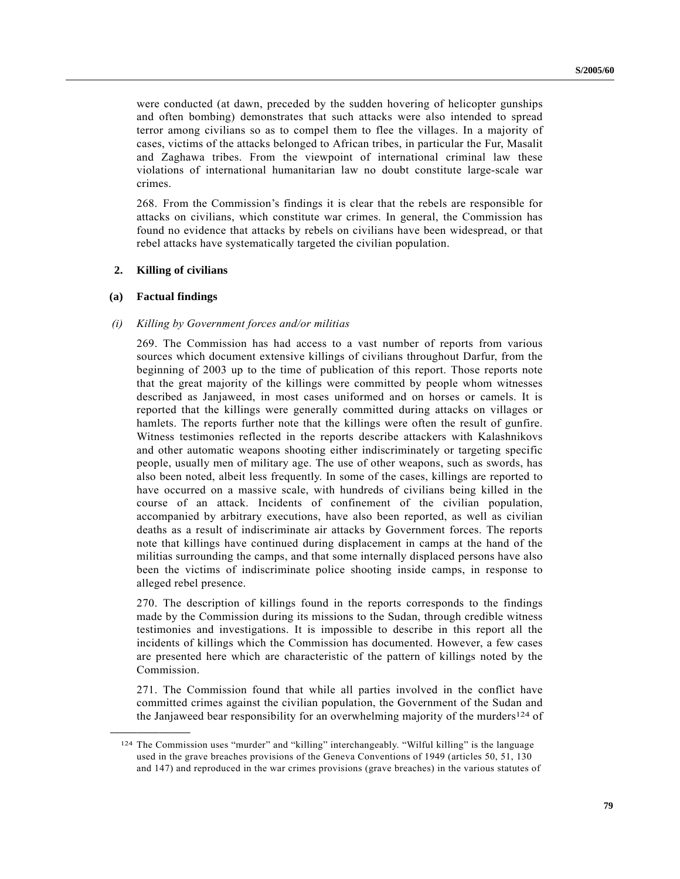were conducted (at dawn, preceded by the sudden hovering of helicopter gunships and often bombing) demonstrates that such attacks were also intended to spread terror among civilians so as to compel them to flee the villages. In a majority of cases, victims of the attacks belonged to African tribes, in particular the Fur, Masalit and Zaghawa tribes. From the viewpoint of international criminal law these violations of international humanitarian law no doubt constitute large-scale war crimes.

268. From the Commission's findings it is clear that the rebels are responsible for attacks on civilians, which constitute war crimes. In general, the Commission has found no evidence that attacks by rebels on civilians have been widespread, or that rebel attacks have systematically targeted the civilian population.

## **2. Killing of civilians**

# **(a) Factual findings**

**\_\_\_\_\_\_\_\_\_\_\_\_\_\_\_\_\_\_**

#### *(i) Killing by Government forces and/or militias*

269. The Commission has had access to a vast number of reports from various sources which document extensive killings of civilians throughout Darfur, from the beginning of 2003 up to the time of publication of this report. Those reports note that the great majority of the killings were committed by people whom witnesses described as Janjaweed, in most cases uniformed and on horses or camels. It is reported that the killings were generally committed during attacks on villages or hamlets. The reports further note that the killings were often the result of gunfire. Witness testimonies reflected in the reports describe attackers with Kalashnikovs and other automatic weapons shooting either indiscriminately or targeting specific people, usually men of military age. The use of other weapons, such as swords, has also been noted, albeit less frequently. In some of the cases, killings are reported to have occurred on a massive scale, with hundreds of civilians being killed in the course of an attack. Incidents of confinement of the civilian population, accompanied by arbitrary executions, have also been reported, as well as civilian deaths as a result of indiscriminate air attacks by Government forces. The reports note that killings have continued during displacement in camps at the hand of the militias surrounding the camps, and that some internally displaced persons have also been the victims of indiscriminate police shooting inside camps, in response to alleged rebel presence.

270. The description of killings found in the reports corresponds to the findings made by the Commission during its missions to the Sudan, through credible witness testimonies and investigations. It is impossible to describe in this report all the incidents of killings which the Commission has documented. However, a few cases are presented here which are characteristic of the pattern of killings noted by the Commission.

271. The Commission found that while all parties involved in the conflict have committed crimes against the civilian population, the Government of the Sudan and the Janjaweed bear responsibility for an overwhelming majority of the murders<sup>124</sup> of

<sup>124</sup> The Commission uses "murder" and "killing" interchangeably. "Wilful killing" is the language used in the grave breaches provisions of the Geneva Conventions of 1949 (articles 50, 51, 130 and 147) and reproduced in the war crimes provisions (grave breaches) in the various statutes of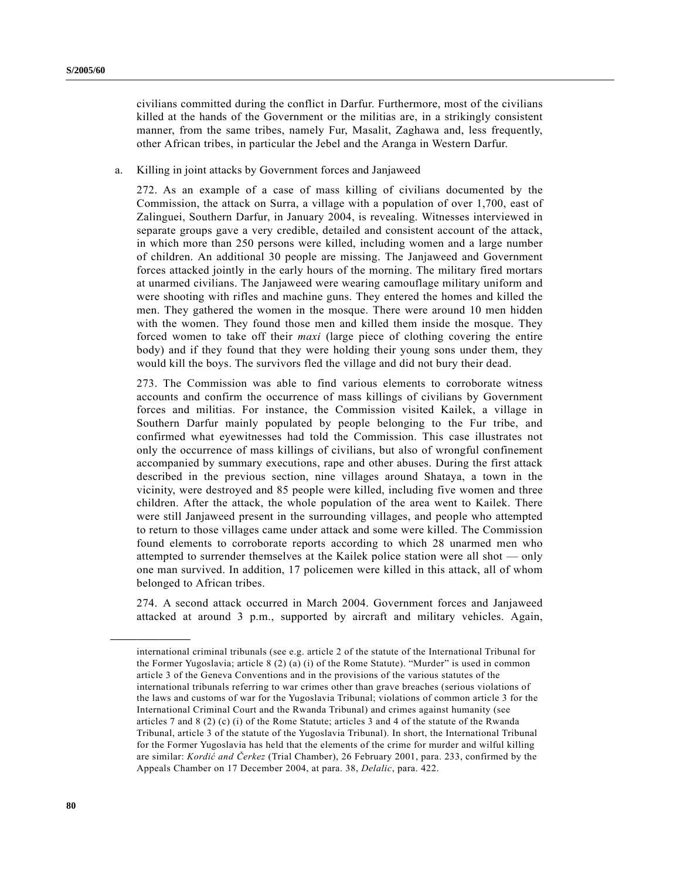civilians committed during the conflict in Darfur. Furthermore, most of the civilians killed at the hands of the Government or the militias are, in a strikingly consistent manner, from the same tribes, namely Fur, Masalit, Zaghawa and, less frequently, other African tribes, in particular the Jebel and the Aranga in Western Darfur.

## a. Killing in joint attacks by Government forces and Janjaweed

272. As an example of a case of mass killing of civilians documented by the Commission, the attack on Surra, a village with a population of over 1,700, east of Zalinguei, Southern Darfur, in January 2004, is revealing. Witnesses interviewed in separate groups gave a very credible, detailed and consistent account of the attack, in which more than 250 persons were killed, including women and a large number of children. An additional 30 people are missing. The Janjaweed and Government forces attacked jointly in the early hours of the morning. The military fired mortars at unarmed civilians. The Janjaweed were wearing camouflage military uniform and were shooting with rifles and machine guns. They entered the homes and killed the men. They gathered the women in the mosque. There were around 10 men hidden with the women. They found those men and killed them inside the mosque. They forced women to take off their *maxi* (large piece of clothing covering the entire body) and if they found that they were holding their young sons under them, they would kill the boys. The survivors fled the village and did not bury their dead.

273. The Commission was able to find various elements to corroborate witness accounts and confirm the occurrence of mass killings of civilians by Government forces and militias. For instance, the Commission visited Kailek, a village in Southern Darfur mainly populated by people belonging to the Fur tribe, and confirmed what eyewitnesses had told the Commission. This case illustrates not only the occurrence of mass killings of civilians, but also of wrongful confinement accompanied by summary executions, rape and other abuses. During the first attack described in the previous section, nine villages around Shataya, a town in the vicinity, were destroyed and 85 people were killed, including five women and three children. After the attack, the whole population of the area went to Kailek. There were still Janjaweed present in the surrounding villages, and people who attempted to return to those villages came under attack and some were killed. The Commission found elements to corroborate reports according to which 28 unarmed men who attempted to surrender themselves at the Kailek police station were all shot  $-$  only one man survived. In addition, 17 policemen were killed in this attack, all of whom belonged to African tribes.

274. A second attack occurred in March 2004. Government forces and Janjaweed attacked at around 3 p.m., supported by aircraft and military vehicles. Again,

**\_\_\_\_\_\_\_\_\_\_\_\_\_\_\_\_\_\_**

international criminal tribunals (see e.g. article 2 of the statute of the International Tribunal for the Former Yugoslavia; article  $8(2)(a)(i)$  of the Rome Statute). "Murder" is used in common article 3 of the Geneva Conventions and in the provisions of the various statutes of the international tribunals referring to war crimes other than grave breaches (serious violations of the laws and customs of war for the Yugoslavia Tribunal; violations of common article 3 for the International Criminal Court and the Rwanda Tribunal) and crimes against humanity (see articles 7 and 8 (2) (c) (i) of the Rome Statute; articles 3 and 4 of the statute of the Rwanda Tribunal, article 3 of the statute of the Yugoslavia Tribunal). In short, the International Tribunal for the Former Yugoslavia has held that the elements of the crime for murder and wilful killing are similar: *Kordić and Čerkez* (Trial Chamber), 26 February 2001, para. 233, confirmed by the Appeals Chamber on 17 December 2004, at para. 38, *Delalic*, para. 422.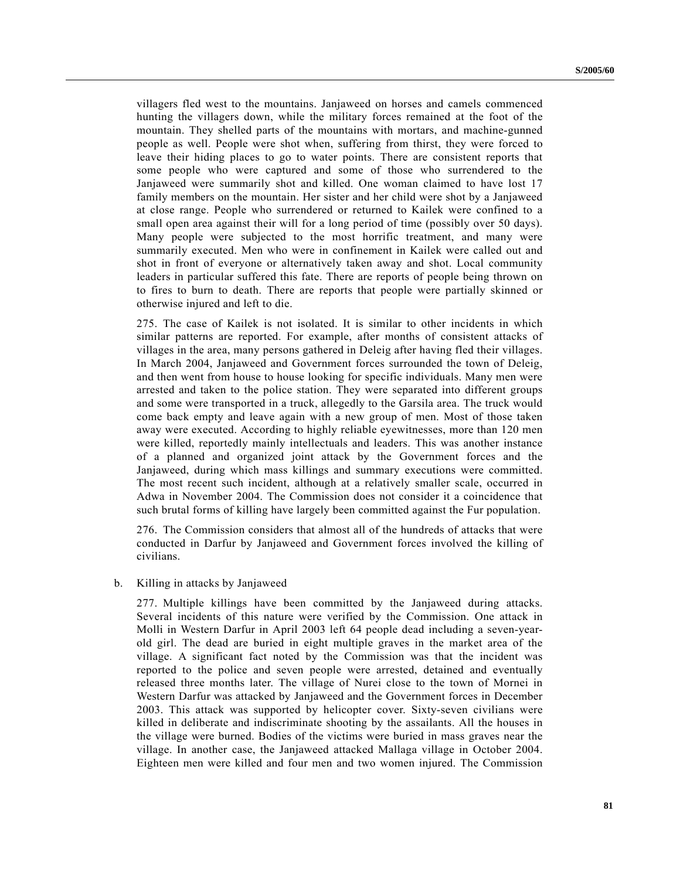villagers fled west to the mountains. Janjaweed on horses and camels commenced hunting the villagers down, while the military forces remained at the foot of the mountain. They shelled parts of the mountains with mortars, and machine-gunned people as well. People were shot when, suffering from thirst, they were forced to leave their hiding places to go to water points. There are consistent reports that some people who were captured and some of those who surrendered to the Janjaweed were summarily shot and killed. One woman claimed to have lost 17 family members on the mountain. Her sister and her child were shot by a Janjaweed at close range. People who surrendered or returned to Kailek were confined to a small open area against their will for a long period of time (possibly over 50 days). Many people were subjected to the most horrific treatment, and many were summarily executed. Men who were in confinement in Kailek were called out and shot in front of everyone or alternatively taken away and shot. Local community leaders in particular suffered this fate. There are reports of people being thrown on to fires to burn to death. There are reports that people were partially skinned or otherwise injured and left to die.

275. The case of Kailek is not isolated. It is similar to other incidents in which similar patterns are reported. For example, after months of consistent attacks of villages in the area, many persons gathered in Deleig after having fled their villages. In March 2004, Janjaweed and Government forces surrounded the town of Deleig, and then went from house to house looking for specific individuals. Many men were arrested and taken to the police station. They were separated into different groups and some were transported in a truck, allegedly to the Garsila area. The truck would come back empty and leave again with a new group of men. Most of those taken away were executed. According to highly reliable eyewitnesses, more than 120 men were killed, reportedly mainly intellectuals and leaders. This was another instance of a planned and organized joint attack by the Government forces and the Janjaweed, during which mass killings and summary executions were committed. The most recent such incident, although at a relatively smaller scale, occurred in Adwa in November 2004. The Commission does not consider it a coincidence that such brutal forms of killing have largely been committed against the Fur population.

276. The Commission considers that almost all of the hundreds of attacks that were conducted in Darfur by Janjaweed and Government forces involved the killing of civilians.

#### b. Killing in attacks by Janjaweed

277. Multiple killings have been committed by the Janjaweed during attacks. Several incidents of this nature were verified by the Commission. One attack in Molli in Western Darfur in April 2003 left 64 people dead including a seven-yearold girl. The dead are buried in eight multiple graves in the market area of the village. A significant fact noted by the Commission was that the incident was reported to the police and seven people were arrested, detained and eventually released three months later. The village of Nurei close to the town of Mornei in Western Darfur was attacked by Janjaweed and the Government forces in December 2003. This attack was supported by helicopter cover. Sixty-seven civilians were killed in deliberate and indiscriminate shooting by the assailants. All the houses in the village were burned. Bodies of the victims were buried in mass graves near the village. In another case, the Janjaweed attacked Mallaga village in October 2004. Eighteen men were killed and four men and two women injured. The Commission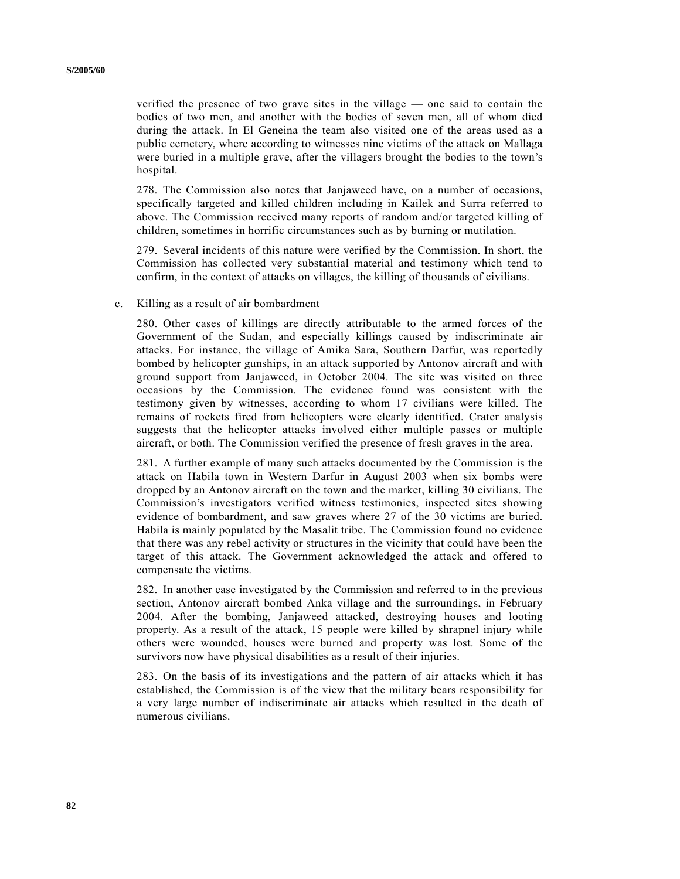verified the presence of two grave sites in the village  $-$  one said to contain the bodies of two men, and another with the bodies of seven men, all of whom died during the attack. In El Geneina the team also visited one of the areas used as a public cemetery, where according to witnesses nine victims of the attack on Mallaga were buried in a multiple grave, after the villagers brought the bodies to the town's hospital.

278. The Commission also notes that Janjaweed have, on a number of occasions, specifically targeted and killed children including in Kailek and Surra referred to above. The Commission received many reports of random and/or targeted killing of children, sometimes in horrific circumstances such as by burning or mutilation.

279. Several incidents of this nature were verified by the Commission. In short, the Commission has collected very substantial material and testimony which tend to confirm, in the context of attacks on villages, the killing of thousands of civilians.

#### c. Killing as a result of air bombardment

280. Other cases of killings are directly attributable to the armed forces of the Government of the Sudan, and especially killings caused by indiscriminate air attacks. For instance, the village of Amika Sara, Southern Darfur, was reportedly bombed by helicopter gunships, in an attack supported by Antonov aircraft and with ground support from Janjaweed, in October 2004. The site was visited on three occasions by the Commission. The evidence found was consistent with the testimony given by witnesses, according to whom 17 civilians were killed. The remains of rockets fired from helicopters were clearly identified. Crater analysis suggests that the helicopter attacks involved either multiple passes or multiple aircraft, or both. The Commission verified the presence of fresh graves in the area.

281. A further example of many such attacks documented by the Commission is the attack on Habila town in Western Darfur in August 2003 when six bombs were dropped by an Antonov aircraft on the town and the market, killing 30 civilians. The Commission's investigators verified witness testimonies, inspected sites showing evidence of bombardment, and saw graves where 27 of the 30 victims are buried. Habila is mainly populated by the Masalit tribe. The Commission found no evidence that there was any rebel activity or structures in the vicinity that could have been the target of this attack. The Government acknowledged the attack and offered to compensate the victims.

282. In another case investigated by the Commission and referred to in the previous section, Antonov aircraft bombed Anka village and the surroundings, in February 2004. After the bombing, Janjaweed attacked, destroying houses and looting property. As a result of the attack, 15 people were killed by shrapnel injury while others were wounded, houses were burned and property was lost. Some of the survivors now have physical disabilities as a result of their injuries.

283. On the basis of its investigations and the pattern of air attacks which it has established, the Commission is of the view that the military bears responsibility for a very large number of indiscriminate air attacks which resulted in the death of numerous civilians.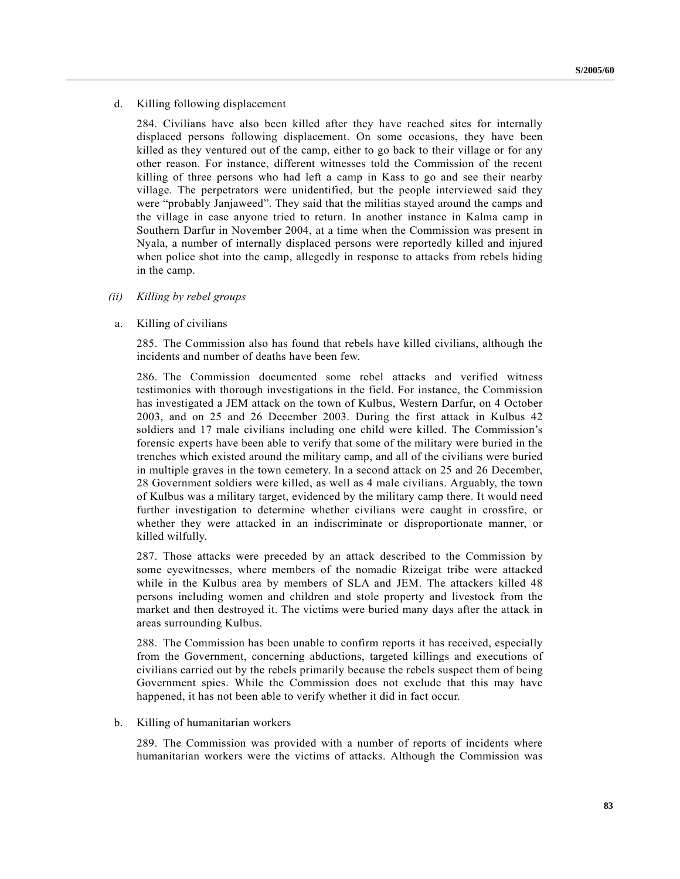# d. Killing following displacement

284. Civilians have also been killed after they have reached sites for internally displaced persons following displacement. On some occasions, they have been killed as they ventured out of the camp, either to go back to their village or for any other reason. For instance, different witnesses told the Commission of the recent killing of three persons who had left a camp in Kass to go and see their nearby village. The perpetrators were unidentified, but the people interviewed said they were "probably Janjaweed". They said that the militias stayed around the camps and the village in case anyone tried to return. In another instance in Kalma camp in Southern Darfur in November 2004, at a time when the Commission was present in Nyala, a number of internally displaced persons were reportedly killed and injured when police shot into the camp, allegedly in response to attacks from rebels hiding in the camp.

# *(ii) Killing by rebel groups*

# a. Killing of civilians

285. The Commission also has found that rebels have killed civilians, although the incidents and number of deaths have been few.

286. The Commission documented some rebel attacks and verified witness testimonies with thorough investigations in the field. For instance, the Commission has investigated a JEM attack on the town of Kulbus, Western Darfur, on 4 October 2003, and on 25 and 26 December 2003. During the first attack in Kulbus 42 soldiers and 17 male civilians including one child were killed. The Commission's forensic experts have been able to verify that some of the military were buried in the trenches which existed around the military camp, and all of the civilians were buried in multiple graves in the town cemetery. In a second attack on 25 and 26 December, 28 Government soldiers were killed, as well as 4 male civilians. Arguably, the town of Kulbus was a military target, evidenced by the military camp there. It would need further investigation to determine whether civilians were caught in crossfire, or whether they were attacked in an indiscriminate or disproportionate manner, or killed wilfully.

287. Those attacks were preceded by an attack described to the Commission by some eyewitnesses, where members of the nomadic Rizeigat tribe were attacked while in the Kulbus area by members of SLA and JEM. The attackers killed 48 persons including women and children and stole property and livestock from the market and then destroyed it. The victims were buried many days after the attack in areas surrounding Kulbus.

288. The Commission has been unable to confirm reports it has received, especially from the Government, concerning abductions, targeted killings and executions of civilians carried out by the rebels primarily because the rebels suspect them of being Government spies. While the Commission does not exclude that this may have happened, it has not been able to verify whether it did in fact occur.

## b. Killing of humanitarian workers

289. The Commission was provided with a number of reports of incidents where humanitarian workers were the victims of attacks. Although the Commission was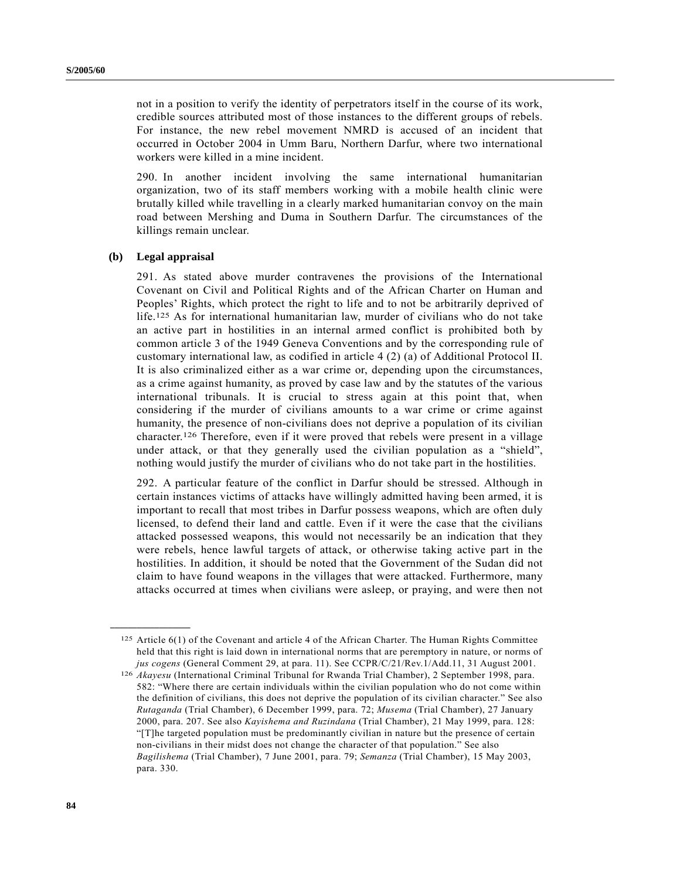not in a position to verify the identity of perpetrators itself in the course of its work, credible sources attributed most of those instances to the different groups of rebels. For instance, the new rebel movement NMRD is accused of an incident that occurred in October 2004 in Umm Baru, Northern Darfur, where two international workers were killed in a mine incident.

290. In another incident involving the same international humanitarian organization, two of its staff members working with a mobile health clinic were brutally killed while travelling in a clearly marked humanitarian convoy on the main road between Mershing and Duma in Southern Darfur. The circumstances of the killings remain unclear.

## **(b) Legal appraisal**

**\_\_\_\_\_\_\_\_\_\_\_\_\_\_\_\_\_\_**

291. As stated above murder contravenes the provisions of the International Covenant on Civil and Political Rights and of the African Charter on Human and Peoples' Rights, which protect the right to life and to not be arbitrarily deprived of life.125 As for international humanitarian law, murder of civilians who do not take an active part in hostilities in an internal armed conflict is prohibited both by common article 3 of the 1949 Geneva Conventions and by the corresponding rule of customary international law, as codified in article 4 (2) (a) of Additional Protocol II. It is also criminalized either as a war crime or, depending upon the circumstances, as a crime against humanity, as proved by case law and by the statutes of the various international tribunals. It is crucial to stress again at this point that, when considering if the murder of civilians amounts to a war crime or crime against humanity, the presence of non-civilians does not deprive a population of its civilian character.126 Therefore, even if it were proved that rebels were present in a village under attack, or that they generally used the civilian population as a "shield", nothing would justify the murder of civilians who do not take part in the hostilities.

292. A particular feature of the conflict in Darfur should be stressed. Although in certain instances victims of attacks have willingly admitted having been armed, it is important to recall that most tribes in Darfur possess weapons, which are often duly licensed, to defend their land and cattle. Even if it were the case that the civilians attacked possessed weapons, this would not necessarily be an indication that they were rebels, hence lawful targets of attack, or otherwise taking active part in the hostilities. In addition, it should be noted that the Government of the Sudan did not claim to have found weapons in the villages that were attacked. Furthermore, many attacks occurred at times when civilians were asleep, or praying, and were then not

126 *Akayesu* (International Criminal Tribunal for Rwanda Trial Chamber), 2 September 1998, para. 582: "Where there are certain individuals within the civilian population who do not come within the definition of civilians, this does not deprive the population of its civilian character." See also *Rutaganda* (Trial Chamber), 6 December 1999, para. 72; *Musema* (Trial Chamber), 27 January 2000, para. 207. See also *Kayishema and Ruzindana* (Trial Chamber), 21 May 1999, para. 128: ì[T]he targeted population must be predominantly civilian in nature but the presence of certain non-civilians in their midst does not change the character of that population." See also *Bagilishema* (Trial Chamber), 7 June 2001, para. 79; *Semanza* (Trial Chamber), 15 May 2003, para. 330.

<sup>125</sup> Article 6(1) of the Covenant and article 4 of the African Charter. The Human Rights Committee held that this right is laid down in international norms that are peremptory in nature, or norms of *jus cogens* (General Comment 29, at para. 11). See CCPR/C/21/Rev.1/Add.11, 31 August 2001.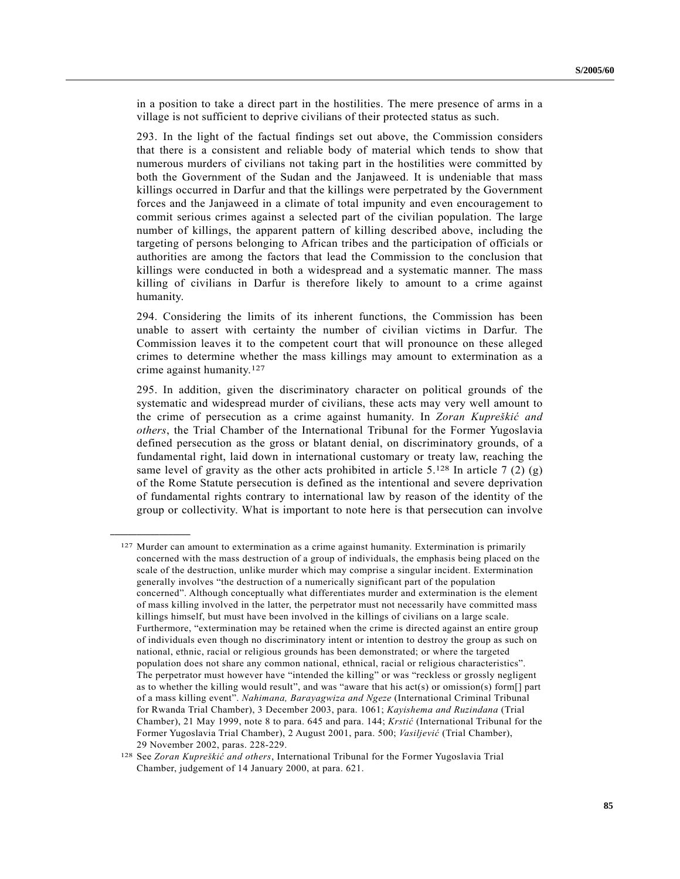in a position to take a direct part in the hostilities. The mere presence of arms in a village is not sufficient to deprive civilians of their protected status as such.

293. In the light of the factual findings set out above, the Commission considers that there is a consistent and reliable body of material which tends to show that numerous murders of civilians not taking part in the hostilities were committed by both the Government of the Sudan and the Janjaweed. It is undeniable that mass killings occurred in Darfur and that the killings were perpetrated by the Government forces and the Janjaweed in a climate of total impunity and even encouragement to commit serious crimes against a selected part of the civilian population. The large number of killings, the apparent pattern of killing described above, including the targeting of persons belonging to African tribes and the participation of officials or authorities are among the factors that lead the Commission to the conclusion that killings were conducted in both a widespread and a systematic manner. The mass killing of civilians in Darfur is therefore likely to amount to a crime against humanity.

294. Considering the limits of its inherent functions, the Commission has been unable to assert with certainty the number of civilian victims in Darfur. The Commission leaves it to the competent court that will pronounce on these alleged crimes to determine whether the mass killings may amount to extermination as a crime against humanity.127

295. In addition, given the discriminatory character on political grounds of the systematic and widespread murder of civilians, these acts may very well amount to the crime of persecution as a crime against humanity. In *Zoran Kupreökić and others*, the Trial Chamber of the International Tribunal for the Former Yugoslavia defined persecution as the gross or blatant denial, on discriminatory grounds, of a fundamental right, laid down in international customary or treaty law, reaching the same level of gravity as the other acts prohibited in article  $5.^{128}$  In article  $7$  (2) (g) of the Rome Statute persecution is defined as the intentional and severe deprivation of fundamental rights contrary to international law by reason of the identity of the group or collectivity. What is important to note here is that persecution can involve

**\_\_\_\_\_\_\_\_\_\_\_\_\_\_\_\_\_\_**

<sup>127</sup> Murder can amount to extermination as a crime against humanity. Extermination is primarily concerned with the mass destruction of a group of individuals, the emphasis being placed on the scale of the destruction, unlike murder which may comprise a singular incident. Extermination generally involves "the destruction of a numerically significant part of the population concernedî. Although conceptually what differentiates murder and extermination is the element of mass killing involved in the latter, the perpetrator must not necessarily have committed mass killings himself, but must have been involved in the killings of civilians on a large scale. Furthermore, "extermination may be retained when the crime is directed against an entire group of individuals even though no discriminatory intent or intention to destroy the group as such on national, ethnic, racial or religious grounds has been demonstrated; or where the targeted population does not share any common national, ethnical, racial or religious characteristics". The perpetrator must however have "intended the killing" or was "reckless or grossly negligent as to whether the killing would result", and was "aware that his  $act(s)$  or omission(s) form[] part of a mass killing eventî. *Nahimana, Barayagwiza and Ngeze* (International Criminal Tribunal for Rwanda Trial Chamber), 3 December 2003, para. 1061; *Kayishema and Ruzindana* (Trial Chamber), 21 May 1999, note 8 to para. 645 and para. 144; *Krstić* (International Tribunal for the Former Yugoslavia Trial Chamber), 2 August 2001, para. 500; *Vasiljević* (Trial Chamber), 29 November 2002, paras. 228-229.

<sup>128</sup> See *Zoran Kupreökić and others*, International Tribunal for the Former Yugoslavia Trial Chamber, judgement of 14 January 2000, at para. 621.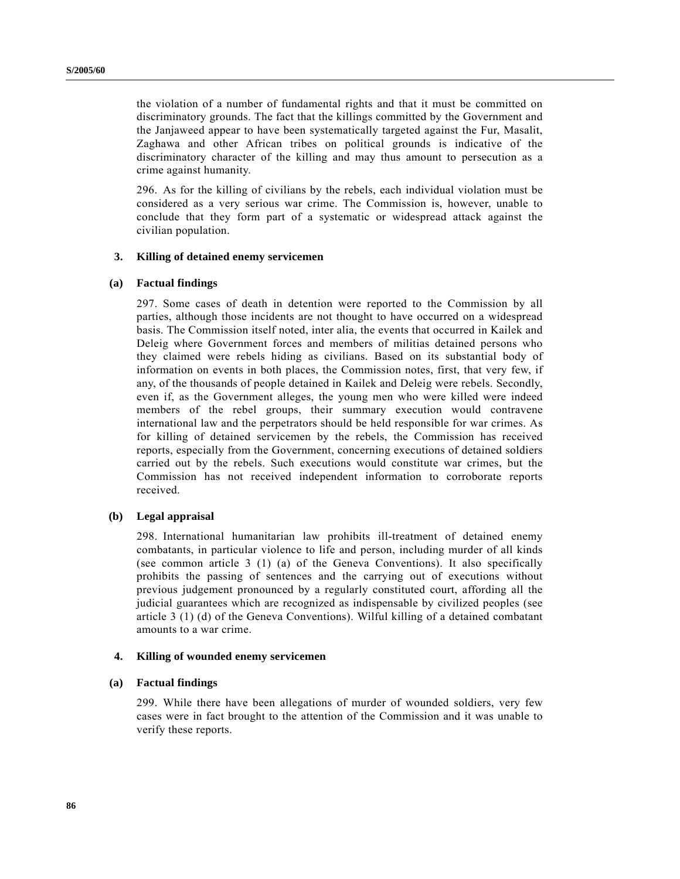the violation of a number of fundamental rights and that it must be committed on discriminatory grounds. The fact that the killings committed by the Government and the Janjaweed appear to have been systematically targeted against the Fur, Masalit, Zaghawa and other African tribes on political grounds is indicative of the discriminatory character of the killing and may thus amount to persecution as a crime against humanity.

296. As for the killing of civilians by the rebels, each individual violation must be considered as a very serious war crime. The Commission is, however, unable to conclude that they form part of a systematic or widespread attack against the civilian population.

#### **3. Killing of detained enemy servicemen**

#### **(a) Factual findings**

297. Some cases of death in detention were reported to the Commission by all parties, although those incidents are not thought to have occurred on a widespread basis. The Commission itself noted, inter alia, the events that occurred in Kailek and Deleig where Government forces and members of militias detained persons who they claimed were rebels hiding as civilians. Based on its substantial body of information on events in both places, the Commission notes, first, that very few, if any, of the thousands of people detained in Kailek and Deleig were rebels. Secondly, even if, as the Government alleges, the young men who were killed were indeed members of the rebel groups, their summary execution would contravene international law and the perpetrators should be held responsible for war crimes. As for killing of detained servicemen by the rebels, the Commission has received reports, especially from the Government, concerning executions of detained soldiers carried out by the rebels. Such executions would constitute war crimes, but the Commission has not received independent information to corroborate reports received.

## **(b) Legal appraisal**

298. International humanitarian law prohibits ill-treatment of detained enemy combatants, in particular violence to life and person, including murder of all kinds (see common article 3 (1) (a) of the Geneva Conventions). It also specifically prohibits the passing of sentences and the carrying out of executions without previous judgement pronounced by a regularly constituted court, affording all the judicial guarantees which are recognized as indispensable by civilized peoples (see article 3 (1) (d) of the Geneva Conventions). Wilful killing of a detained combatant amounts to a war crime.

#### **4. Killing of wounded enemy servicemen**

## **(a) Factual findings**

299. While there have been allegations of murder of wounded soldiers, very few cases were in fact brought to the attention of the Commission and it was unable to verify these reports.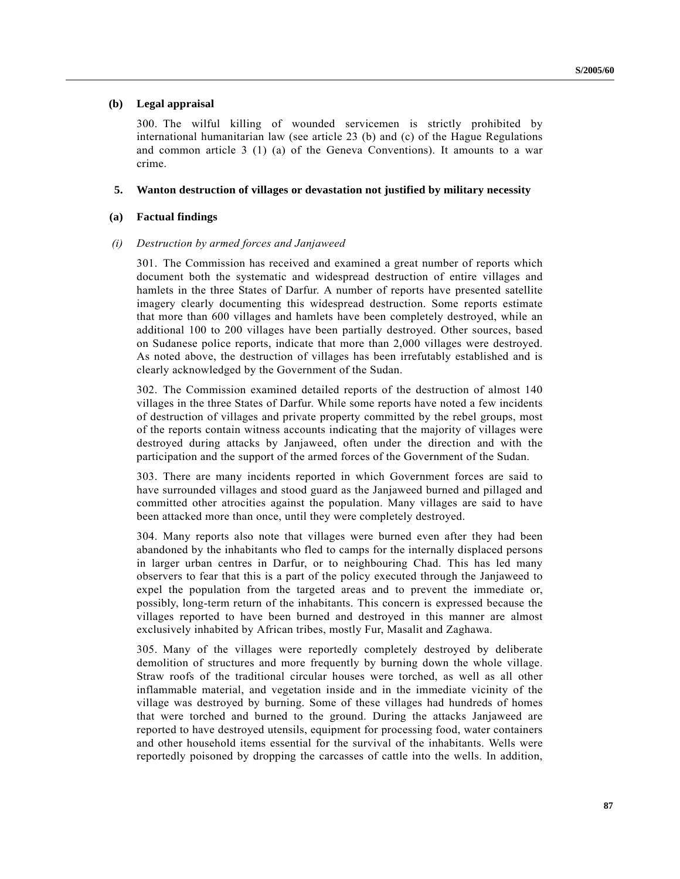# **(b) Legal appraisal**

300. The wilful killing of wounded servicemen is strictly prohibited by international humanitarian law (see article 23 (b) and (c) of the Hague Regulations and common article 3 (1) (a) of the Geneva Conventions). It amounts to a war crime.

## **5. Wanton destruction of villages or devastation not justified by military necessity**

## **(a) Factual findings**

## *(i) Destruction by armed forces and Janjaweed*

301. The Commission has received and examined a great number of reports which document both the systematic and widespread destruction of entire villages and hamlets in the three States of Darfur. A number of reports have presented satellite imagery clearly documenting this widespread destruction. Some reports estimate that more than 600 villages and hamlets have been completely destroyed, while an additional 100 to 200 villages have been partially destroyed. Other sources, based on Sudanese police reports, indicate that more than 2,000 villages were destroyed. As noted above, the destruction of villages has been irrefutably established and is clearly acknowledged by the Government of the Sudan.

302. The Commission examined detailed reports of the destruction of almost 140 villages in the three States of Darfur. While some reports have noted a few incidents of destruction of villages and private property committed by the rebel groups, most of the reports contain witness accounts indicating that the majority of villages were destroyed during attacks by Janjaweed, often under the direction and with the participation and the support of the armed forces of the Government of the Sudan.

303. There are many incidents reported in which Government forces are said to have surrounded villages and stood guard as the Janjaweed burned and pillaged and committed other atrocities against the population. Many villages are said to have been attacked more than once, until they were completely destroyed.

304. Many reports also note that villages were burned even after they had been abandoned by the inhabitants who fled to camps for the internally displaced persons in larger urban centres in Darfur, or to neighbouring Chad. This has led many observers to fear that this is a part of the policy executed through the Janjaweed to expel the population from the targeted areas and to prevent the immediate or, possibly, long-term return of the inhabitants. This concern is expressed because the villages reported to have been burned and destroyed in this manner are almost exclusively inhabited by African tribes, mostly Fur, Masalit and Zaghawa.

305. Many of the villages were reportedly completely destroyed by deliberate demolition of structures and more frequently by burning down the whole village. Straw roofs of the traditional circular houses were torched, as well as all other inflammable material, and vegetation inside and in the immediate vicinity of the village was destroyed by burning. Some of these villages had hundreds of homes that were torched and burned to the ground. During the attacks Janjaweed are reported to have destroyed utensils, equipment for processing food, water containers and other household items essential for the survival of the inhabitants. Wells were reportedly poisoned by dropping the carcasses of cattle into the wells. In addition,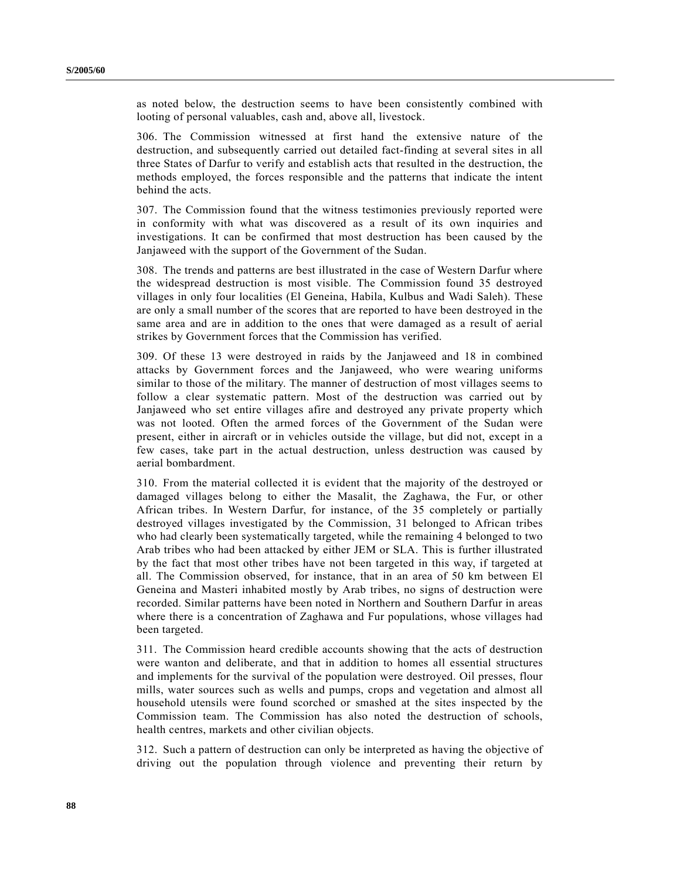as noted below, the destruction seems to have been consistently combined with looting of personal valuables, cash and, above all, livestock.

306. The Commission witnessed at first hand the extensive nature of the destruction, and subsequently carried out detailed fact-finding at several sites in all three States of Darfur to verify and establish acts that resulted in the destruction, the methods employed, the forces responsible and the patterns that indicate the intent behind the acts.

307. The Commission found that the witness testimonies previously reported were in conformity with what was discovered as a result of its own inquiries and investigations. It can be confirmed that most destruction has been caused by the Janjaweed with the support of the Government of the Sudan.

308. The trends and patterns are best illustrated in the case of Western Darfur where the widespread destruction is most visible. The Commission found 35 destroyed villages in only four localities (El Geneina, Habila, Kulbus and Wadi Saleh). These are only a small number of the scores that are reported to have been destroyed in the same area and are in addition to the ones that were damaged as a result of aerial strikes by Government forces that the Commission has verified.

309. Of these 13 were destroyed in raids by the Janjaweed and 18 in combined attacks by Government forces and the Janjaweed, who were wearing uniforms similar to those of the military. The manner of destruction of most villages seems to follow a clear systematic pattern. Most of the destruction was carried out by Janjaweed who set entire villages afire and destroyed any private property which was not looted. Often the armed forces of the Government of the Sudan were present, either in aircraft or in vehicles outside the village, but did not, except in a few cases, take part in the actual destruction, unless destruction was caused by aerial bombardment.

310. From the material collected it is evident that the majority of the destroyed or damaged villages belong to either the Masalit, the Zaghawa, the Fur, or other African tribes. In Western Darfur, for instance, of the 35 completely or partially destroyed villages investigated by the Commission, 31 belonged to African tribes who had clearly been systematically targeted, while the remaining 4 belonged to two Arab tribes who had been attacked by either JEM or SLA. This is further illustrated by the fact that most other tribes have not been targeted in this way, if targeted at all. The Commission observed, for instance, that in an area of 50 km between El Geneina and Masteri inhabited mostly by Arab tribes, no signs of destruction were recorded. Similar patterns have been noted in Northern and Southern Darfur in areas where there is a concentration of Zaghawa and Fur populations, whose villages had been targeted.

311. The Commission heard credible accounts showing that the acts of destruction were wanton and deliberate, and that in addition to homes all essential structures and implements for the survival of the population were destroyed. Oil presses, flour mills, water sources such as wells and pumps, crops and vegetation and almost all household utensils were found scorched or smashed at the sites inspected by the Commission team. The Commission has also noted the destruction of schools, health centres, markets and other civilian objects.

312. Such a pattern of destruction can only be interpreted as having the objective of driving out the population through violence and preventing their return by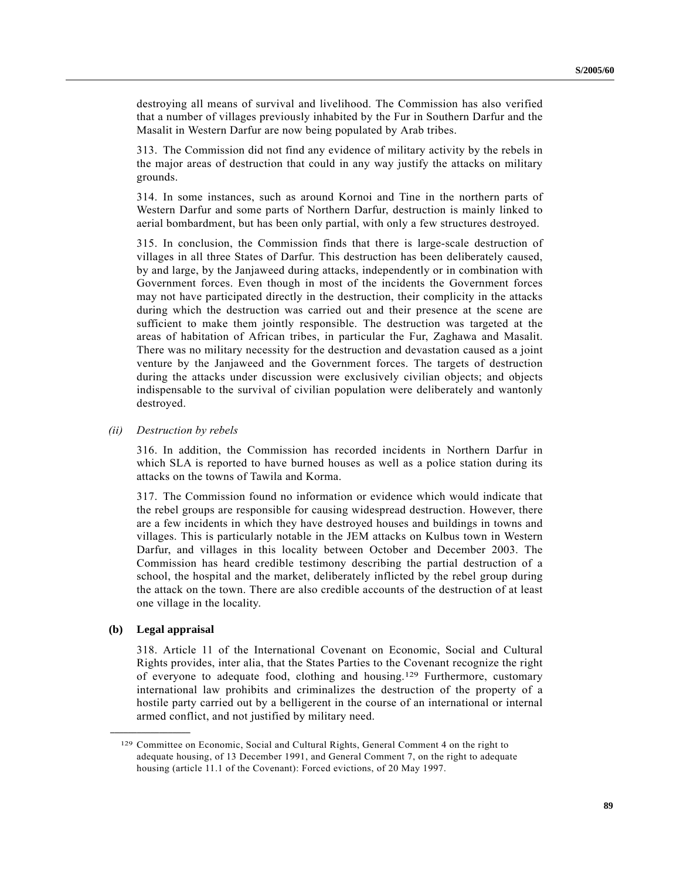destroying all means of survival and livelihood. The Commission has also verified that a number of villages previously inhabited by the Fur in Southern Darfur and the Masalit in Western Darfur are now being populated by Arab tribes.

313. The Commission did not find any evidence of military activity by the rebels in the major areas of destruction that could in any way justify the attacks on military grounds.

314. In some instances, such as around Kornoi and Tine in the northern parts of Western Darfur and some parts of Northern Darfur, destruction is mainly linked to aerial bombardment, but has been only partial, with only a few structures destroyed.

315. In conclusion, the Commission finds that there is large-scale destruction of villages in all three States of Darfur. This destruction has been deliberately caused, by and large, by the Janjaweed during attacks, independently or in combination with Government forces. Even though in most of the incidents the Government forces may not have participated directly in the destruction, their complicity in the attacks during which the destruction was carried out and their presence at the scene are sufficient to make them jointly responsible. The destruction was targeted at the areas of habitation of African tribes, in particular the Fur, Zaghawa and Masalit. There was no military necessity for the destruction and devastation caused as a joint venture by the Janjaweed and the Government forces. The targets of destruction during the attacks under discussion were exclusively civilian objects; and objects indispensable to the survival of civilian population were deliberately and wantonly destroyed.

#### *(ii) Destruction by rebels*

316. In addition, the Commission has recorded incidents in Northern Darfur in which SLA is reported to have burned houses as well as a police station during its attacks on the towns of Tawila and Korma.

317. The Commission found no information or evidence which would indicate that the rebel groups are responsible for causing widespread destruction. However, there are a few incidents in which they have destroyed houses and buildings in towns and villages. This is particularly notable in the JEM attacks on Kulbus town in Western Darfur, and villages in this locality between October and December 2003. The Commission has heard credible testimony describing the partial destruction of a school, the hospital and the market, deliberately inflicted by the rebel group during the attack on the town. There are also credible accounts of the destruction of at least one village in the locality.

#### **(b) Legal appraisal**

**\_\_\_\_\_\_\_\_\_\_\_\_\_\_\_\_\_\_**

318. Article 11 of the International Covenant on Economic, Social and Cultural Rights provides, inter alia, that the States Parties to the Covenant recognize the right of everyone to adequate food, clothing and housing.129 Furthermore, customary international law prohibits and criminalizes the destruction of the property of a hostile party carried out by a belligerent in the course of an international or internal armed conflict, and not justified by military need.

<sup>129</sup> Committee on Economic, Social and Cultural Rights, General Comment 4 on the right to adequate housing, of 13 December 1991, and General Comment 7, on the right to adequate housing (article 11.1 of the Covenant): Forced evictions, of 20 May 1997.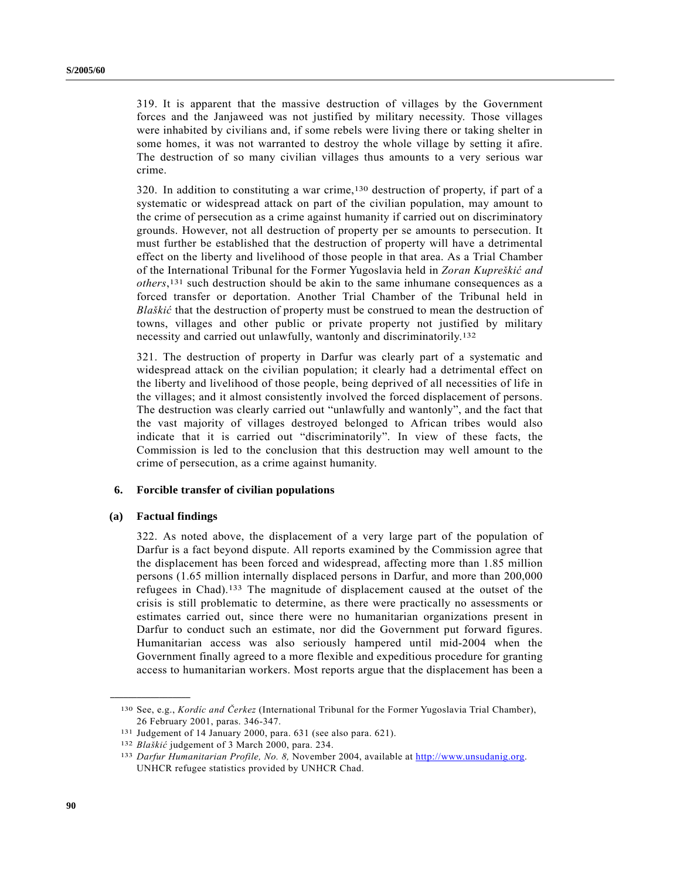319. It is apparent that the massive destruction of villages by the Government forces and the Janjaweed was not justified by military necessity. Those villages were inhabited by civilians and, if some rebels were living there or taking shelter in some homes, it was not warranted to destroy the whole village by setting it afire. The destruction of so many civilian villages thus amounts to a very serious war crime.

320. In addition to constituting a war crime,130 destruction of property, if part of a systematic or widespread attack on part of the civilian population, may amount to the crime of persecution as a crime against humanity if carried out on discriminatory grounds. However, not all destruction of property per se amounts to persecution. It must further be established that the destruction of property will have a detrimental effect on the liberty and livelihood of those people in that area. As a Trial Chamber of the International Tribunal for the Former Yugoslavia held in *Zoran Kupreökić and others*,131 such destruction should be akin to the same inhumane consequences as a forced transfer or deportation. Another Trial Chamber of the Tribunal held in *Blaökić* that the destruction of property must be construed to mean the destruction of towns, villages and other public or private property not justified by military necessity and carried out unlawfully, wantonly and discriminatorily.132

321. The destruction of property in Darfur was clearly part of a systematic and widespread attack on the civilian population; it clearly had a detrimental effect on the liberty and livelihood of those people, being deprived of all necessities of life in the villages; and it almost consistently involved the forced displacement of persons. The destruction was clearly carried out "unlawfully and wantonly", and the fact that the vast majority of villages destroyed belonged to African tribes would also indicate that it is carried out "discriminatorily". In view of these facts, the Commission is led to the conclusion that this destruction may well amount to the crime of persecution, as a crime against humanity.

## **6. Forcible transfer of civilian populations**

## **(a) Factual findings**

**\_\_\_\_\_\_\_\_\_\_\_\_\_\_\_\_\_\_**

322. As noted above, the displacement of a very large part of the population of Darfur is a fact beyond dispute. All reports examined by the Commission agree that the displacement has been forced and widespread, affecting more than 1.85 million persons (1.65 million internally displaced persons in Darfur, and more than 200,000 refugees in Chad).133 The magnitude of displacement caused at the outset of the crisis is still problematic to determine, as there were practically no assessments or estimates carried out, since there were no humanitarian organizations present in Darfur to conduct such an estimate, nor did the Government put forward figures. Humanitarian access was also seriously hampered until mid-2004 when the Government finally agreed to a more flexible and expeditious procedure for granting access to humanitarian workers. Most reports argue that the displacement has been a

<sup>130</sup> See, e.g., *KordÌc and Čerkez* (International Tribunal for the Former Yugoslavia Trial Chamber), 26 February 2001, paras. 346-347.

<sup>131</sup> Judgement of 14 January 2000, para. 631 (see also para. 621).

<sup>132</sup> *Blaökić* judgement of 3 March 2000, para. 234.

<sup>133</sup> *Darfur Humanitarian Profile, No. 8,* November 2004, available at http://www.unsudanig.org. UNHCR refugee statistics provided by UNHCR Chad.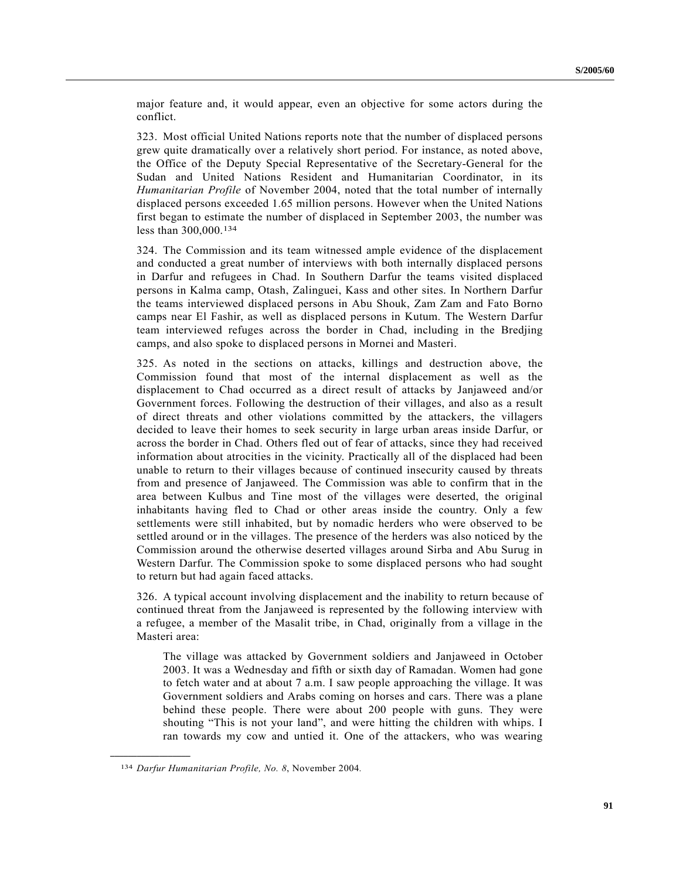major feature and, it would appear, even an objective for some actors during the conflict.

323. Most official United Nations reports note that the number of displaced persons grew quite dramatically over a relatively short period. For instance, as noted above, the Office of the Deputy Special Representative of the Secretary-General for the Sudan and United Nations Resident and Humanitarian Coordinator, in its *Humanitarian Profile* of November 2004, noted that the total number of internally displaced persons exceeded 1.65 million persons. However when the United Nations first began to estimate the number of displaced in September 2003, the number was less than 300,000.134

324. The Commission and its team witnessed ample evidence of the displacement and conducted a great number of interviews with both internally displaced persons in Darfur and refugees in Chad. In Southern Darfur the teams visited displaced persons in Kalma camp, Otash, Zalinguei, Kass and other sites. In Northern Darfur the teams interviewed displaced persons in Abu Shouk, Zam Zam and Fato Borno camps near El Fashir, as well as displaced persons in Kutum. The Western Darfur team interviewed refuges across the border in Chad, including in the Bredjing camps, and also spoke to displaced persons in Mornei and Masteri.

325. As noted in the sections on attacks, killings and destruction above, the Commission found that most of the internal displacement as well as the displacement to Chad occurred as a direct result of attacks by Janjaweed and/or Government forces. Following the destruction of their villages, and also as a result of direct threats and other violations committed by the attackers, the villagers decided to leave their homes to seek security in large urban areas inside Darfur, or across the border in Chad. Others fled out of fear of attacks, since they had received information about atrocities in the vicinity. Practically all of the displaced had been unable to return to their villages because of continued insecurity caused by threats from and presence of Janjaweed. The Commission was able to confirm that in the area between Kulbus and Tine most of the villages were deserted, the original inhabitants having fled to Chad or other areas inside the country. Only a few settlements were still inhabited, but by nomadic herders who were observed to be settled around or in the villages. The presence of the herders was also noticed by the Commission around the otherwise deserted villages around Sirba and Abu Surug in Western Darfur. The Commission spoke to some displaced persons who had sought to return but had again faced attacks.

326. A typical account involving displacement and the inability to return because of continued threat from the Janjaweed is represented by the following interview with a refugee, a member of the Masalit tribe, in Chad, originally from a village in the Masteri area:

The village was attacked by Government soldiers and Janjaweed in October 2003. It was a Wednesday and fifth or sixth day of Ramadan. Women had gone to fetch water and at about 7 a.m. I saw people approaching the village. It was Government soldiers and Arabs coming on horses and cars. There was a plane behind these people. There were about 200 people with guns. They were shouting "This is not your land", and were hitting the children with whips. I ran towards my cow and untied it. One of the attackers, who was wearing

**\_\_\_\_\_\_\_\_\_\_\_\_\_\_\_\_\_\_**

<sup>134</sup> *Darfur Humanitarian Profile, No. 8*, November 2004*.*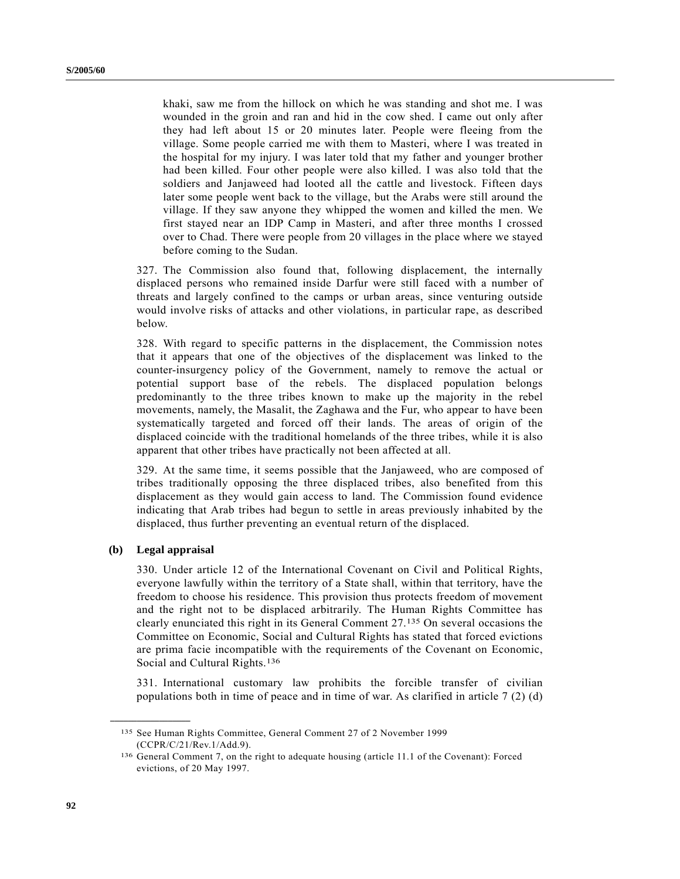khaki, saw me from the hillock on which he was standing and shot me. I was wounded in the groin and ran and hid in the cow shed. I came out only after they had left about 15 or 20 minutes later. People were fleeing from the village. Some people carried me with them to Masteri, where I was treated in the hospital for my injury. I was later told that my father and younger brother had been killed. Four other people were also killed. I was also told that the soldiers and Janjaweed had looted all the cattle and livestock. Fifteen days later some people went back to the village, but the Arabs were still around the village. If they saw anyone they whipped the women and killed the men. We first stayed near an IDP Camp in Masteri, and after three months I crossed over to Chad. There were people from 20 villages in the place where we stayed before coming to the Sudan.

327. The Commission also found that, following displacement, the internally displaced persons who remained inside Darfur were still faced with a number of threats and largely confined to the camps or urban areas, since venturing outside would involve risks of attacks and other violations, in particular rape, as described below.

328. With regard to specific patterns in the displacement, the Commission notes that it appears that one of the objectives of the displacement was linked to the counter-insurgency policy of the Government, namely to remove the actual or potential support base of the rebels. The displaced population belongs predominantly to the three tribes known to make up the majority in the rebel movements, namely, the Masalit, the Zaghawa and the Fur, who appear to have been systematically targeted and forced off their lands. The areas of origin of the displaced coincide with the traditional homelands of the three tribes, while it is also apparent that other tribes have practically not been affected at all.

329. At the same time, it seems possible that the Janjaweed, who are composed of tribes traditionally opposing the three displaced tribes, also benefited from this displacement as they would gain access to land. The Commission found evidence indicating that Arab tribes had begun to settle in areas previously inhabited by the displaced, thus further preventing an eventual return of the displaced.

# **(b) Legal appraisal**

**\_\_\_\_\_\_\_\_\_\_\_\_\_\_\_\_\_\_**

330. Under article 12 of the International Covenant on Civil and Political Rights, everyone lawfully within the territory of a State shall, within that territory, have the freedom to choose his residence. This provision thus protects freedom of movement and the right not to be displaced arbitrarily. The Human Rights Committee has clearly enunciated this right in its General Comment 27.135 On several occasions the Committee on Economic, Social and Cultural Rights has stated that forced evictions are prima facie incompatible with the requirements of the Covenant on Economic, Social and Cultural Rights.136

331. International customary law prohibits the forcible transfer of civilian populations both in time of peace and in time of war. As clarified in article 7 (2) (d)

<sup>135</sup> See Human Rights Committee, General Comment 27 of 2 November 1999 (CCPR/C/21/Rev.1/Add.9).

<sup>136</sup> General Comment 7, on the right to adequate housing (article 11.1 of the Covenant): Forced evictions, of 20 May 1997.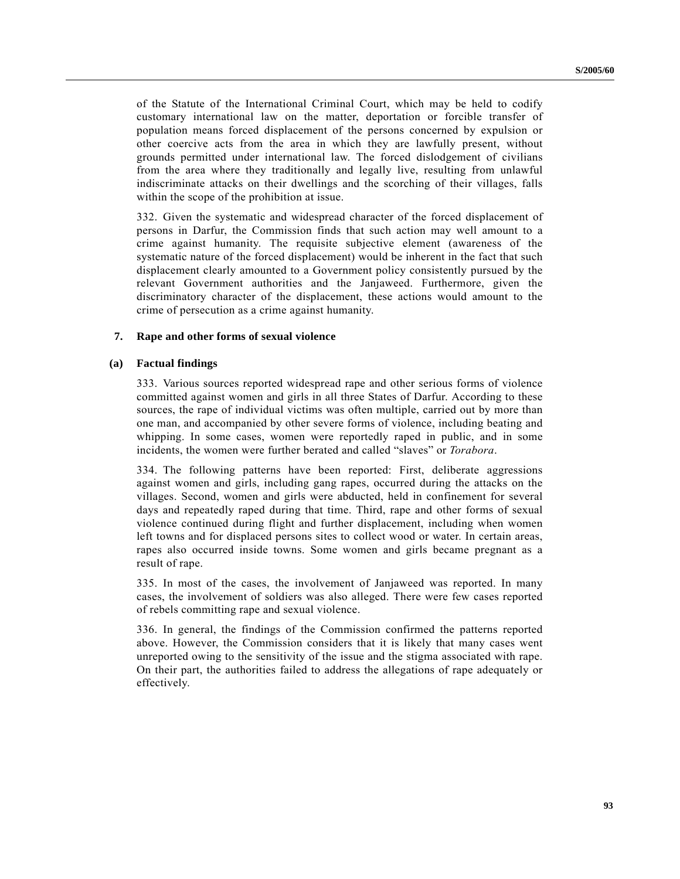of the Statute of the International Criminal Court, which may be held to codify customary international law on the matter, deportation or forcible transfer of population means forced displacement of the persons concerned by expulsion or other coercive acts from the area in which they are lawfully present, without grounds permitted under international law. The forced dislodgement of civilians from the area where they traditionally and legally live, resulting from unlawful indiscriminate attacks on their dwellings and the scorching of their villages, falls within the scope of the prohibition at issue.

332. Given the systematic and widespread character of the forced displacement of persons in Darfur, the Commission finds that such action may well amount to a crime against humanity. The requisite subjective element (awareness of the systematic nature of the forced displacement) would be inherent in the fact that such displacement clearly amounted to a Government policy consistently pursued by the relevant Government authorities and the Janjaweed. Furthermore, given the discriminatory character of the displacement, these actions would amount to the crime of persecution as a crime against humanity.

## **7. Rape and other forms of sexual violence**

## **(a) Factual findings**

333. Various sources reported widespread rape and other serious forms of violence committed against women and girls in all three States of Darfur. According to these sources, the rape of individual victims was often multiple, carried out by more than one man, and accompanied by other severe forms of violence, including beating and whipping. In some cases, women were reportedly raped in public, and in some incidents, the women were further berated and called "slaves" or *Torabora*.

334. The following patterns have been reported: First, deliberate aggressions against women and girls, including gang rapes, occurred during the attacks on the villages. Second, women and girls were abducted, held in confinement for several days and repeatedly raped during that time. Third, rape and other forms of sexual violence continued during flight and further displacement, including when women left towns and for displaced persons sites to collect wood or water. In certain areas, rapes also occurred inside towns. Some women and girls became pregnant as a result of rape.

335. In most of the cases, the involvement of Janjaweed was reported. In many cases, the involvement of soldiers was also alleged. There were few cases reported of rebels committing rape and sexual violence.

336. In general, the findings of the Commission confirmed the patterns reported above. However, the Commission considers that it is likely that many cases went unreported owing to the sensitivity of the issue and the stigma associated with rape. On their part, the authorities failed to address the allegations of rape adequately or effectively.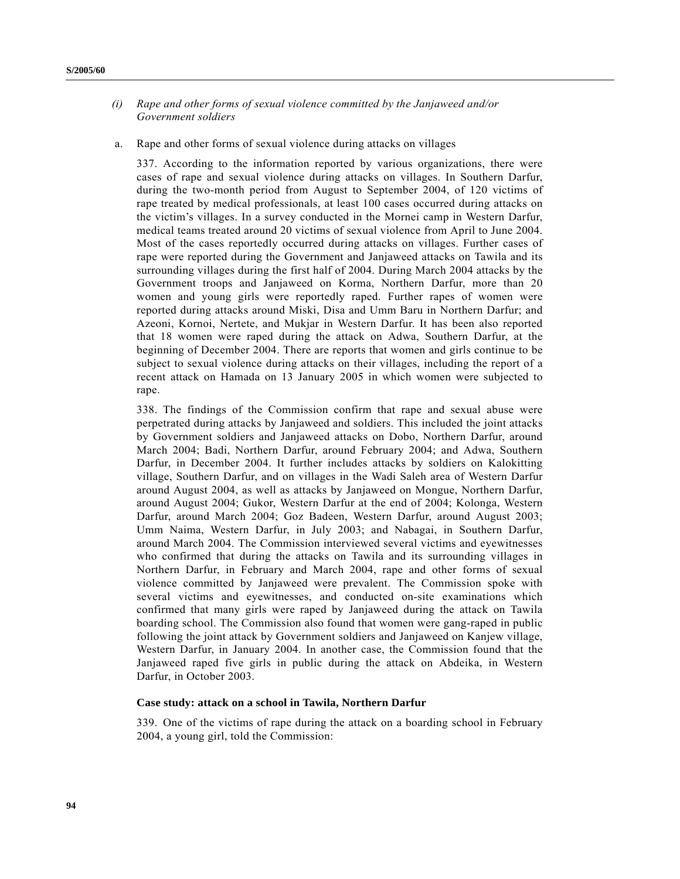# *(i) Rape and other forms of sexual violence committed by the Janjaweed and/or Government soldiers*

a. Rape and other forms of sexual violence during attacks on villages

337. According to the information reported by various organizations, there were cases of rape and sexual violence during attacks on villages. In Southern Darfur, during the two-month period from August to September 2004, of 120 victims of rape treated by medical professionals, at least 100 cases occurred during attacks on the victimís villages. In a survey conducted in the Mornei camp in Western Darfur, medical teams treated around 20 victims of sexual violence from April to June 2004. Most of the cases reportedly occurred during attacks on villages. Further cases of rape were reported during the Government and Janjaweed attacks on Tawila and its surrounding villages during the first half of 2004. During March 2004 attacks by the Government troops and Janjaweed on Korma, Northern Darfur, more than 20 women and young girls were reportedly raped. Further rapes of women were reported during attacks around Miski, Disa and Umm Baru in Northern Darfur; and Azeoni, Kornoi, Nertete, and Mukjar in Western Darfur. It has been also reported that 18 women were raped during the attack on Adwa, Southern Darfur, at the beginning of December 2004. There are reports that women and girls continue to be subject to sexual violence during attacks on their villages, including the report of a recent attack on Hamada on 13 January 2005 in which women were subjected to rape.

338. The findings of the Commission confirm that rape and sexual abuse were perpetrated during attacks by Janjaweed and soldiers. This included the joint attacks by Government soldiers and Janjaweed attacks on Dobo, Northern Darfur, around March 2004; Badi, Northern Darfur, around February 2004; and Adwa, Southern Darfur, in December 2004. It further includes attacks by soldiers on Kalokitting village, Southern Darfur, and on villages in the Wadi Saleh area of Western Darfur around August 2004, as well as attacks by Janjaweed on Mongue, Northern Darfur, around August 2004; Gukor, Western Darfur at the end of 2004; Kolonga, Western Darfur, around March 2004; Goz Badeen, Western Darfur, around August 2003; Umm Naima, Western Darfur, in July 2003; and Nabagai, in Southern Darfur, around March 2004. The Commission interviewed several victims and eyewitnesses who confirmed that during the attacks on Tawila and its surrounding villages in Northern Darfur, in February and March 2004, rape and other forms of sexual violence committed by Janjaweed were prevalent. The Commission spoke with several victims and eyewitnesses, and conducted on-site examinations which confirmed that many girls were raped by Janjaweed during the attack on Tawila boarding school. The Commission also found that women were gang-raped in public following the joint attack by Government soldiers and Janjaweed on Kanjew village, Western Darfur, in January 2004. In another case, the Commission found that the Janjaweed raped five girls in public during the attack on Abdeika, in Western Darfur, in October 2003.

## **Case study: attack on a school in Tawila, Northern Darfur**

339. One of the victims of rape during the attack on a boarding school in February 2004, a young girl, told the Commission: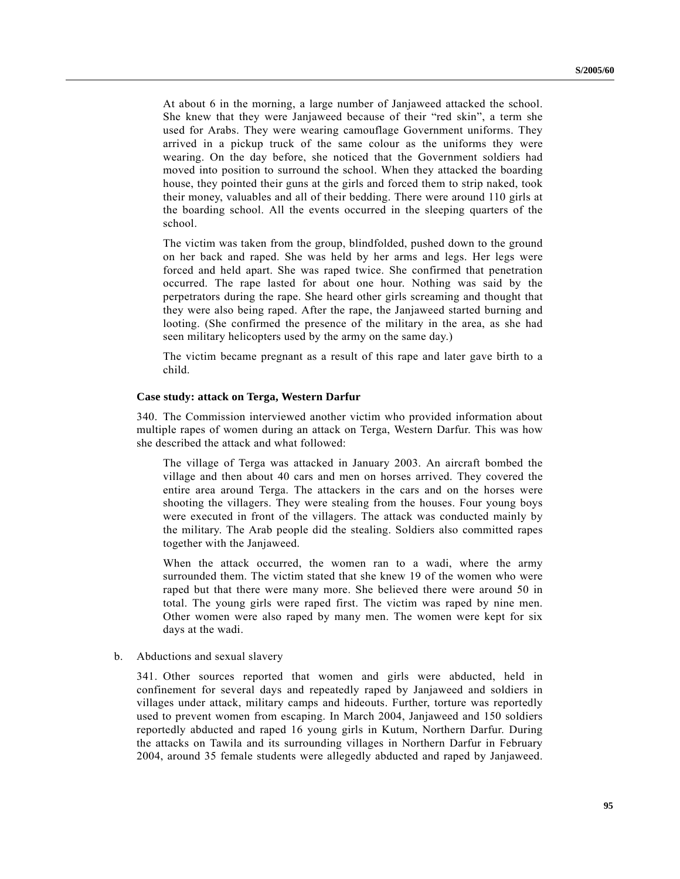At about 6 in the morning, a large number of Janjaweed attacked the school. She knew that they were Janjaweed because of their "red skin", a term she used for Arabs. They were wearing camouflage Government uniforms. They arrived in a pickup truck of the same colour as the uniforms they were wearing. On the day before, she noticed that the Government soldiers had moved into position to surround the school. When they attacked the boarding house, they pointed their guns at the girls and forced them to strip naked, took their money, valuables and all of their bedding. There were around 110 girls at the boarding school. All the events occurred in the sleeping quarters of the school.

The victim was taken from the group, blindfolded, pushed down to the ground on her back and raped. She was held by her arms and legs. Her legs were forced and held apart. She was raped twice. She confirmed that penetration occurred. The rape lasted for about one hour. Nothing was said by the perpetrators during the rape. She heard other girls screaming and thought that they were also being raped. After the rape, the Janjaweed started burning and looting. (She confirmed the presence of the military in the area, as she had seen military helicopters used by the army on the same day.)

The victim became pregnant as a result of this rape and later gave birth to a child.

## **Case study: attack on Terga, Western Darfur**

340. The Commission interviewed another victim who provided information about multiple rapes of women during an attack on Terga, Western Darfur. This was how she described the attack and what followed:

The village of Terga was attacked in January 2003. An aircraft bombed the village and then about 40 cars and men on horses arrived. They covered the entire area around Terga. The attackers in the cars and on the horses were shooting the villagers. They were stealing from the houses. Four young boys were executed in front of the villagers. The attack was conducted mainly by the military. The Arab people did the stealing. Soldiers also committed rapes together with the Janjaweed.

When the attack occurred, the women ran to a wadi, where the army surrounded them. The victim stated that she knew 19 of the women who were raped but that there were many more. She believed there were around 50 in total. The young girls were raped first. The victim was raped by nine men. Other women were also raped by many men. The women were kept for six days at the wadi.

b. Abductions and sexual slavery

341. Other sources reported that women and girls were abducted, held in confinement for several days and repeatedly raped by Janjaweed and soldiers in villages under attack, military camps and hideouts. Further, torture was reportedly used to prevent women from escaping. In March 2004, Janjaweed and 150 soldiers reportedly abducted and raped 16 young girls in Kutum, Northern Darfur. During the attacks on Tawila and its surrounding villages in Northern Darfur in February 2004, around 35 female students were allegedly abducted and raped by Janjaweed.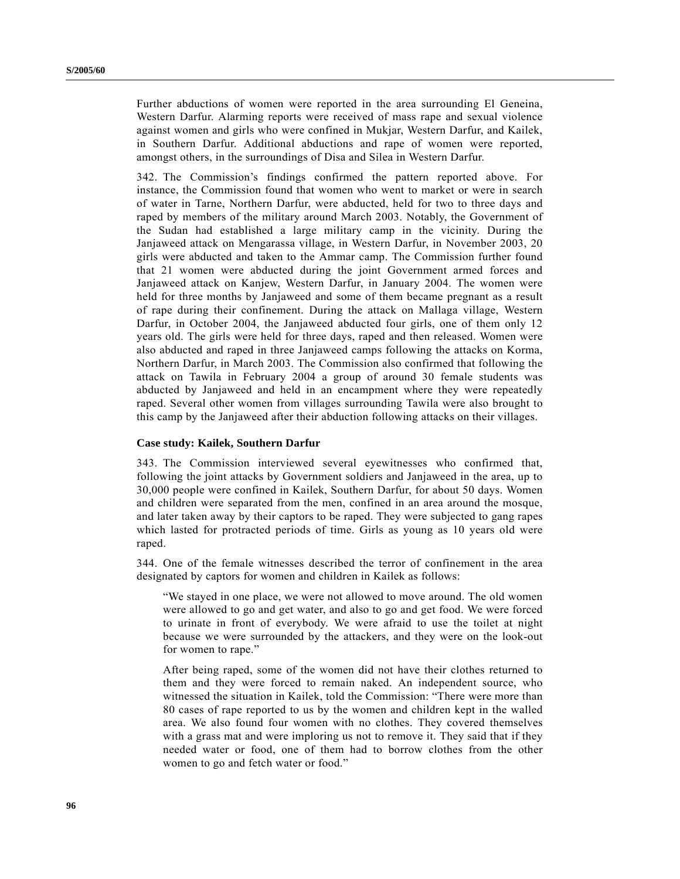Further abductions of women were reported in the area surrounding El Geneina, Western Darfur. Alarming reports were received of mass rape and sexual violence against women and girls who were confined in Mukjar, Western Darfur, and Kailek, in Southern Darfur. Additional abductions and rape of women were reported, amongst others, in the surroundings of Disa and Silea in Western Darfur.

342. The Commissionís findings confirmed the pattern reported above. For instance, the Commission found that women who went to market or were in search of water in Tarne, Northern Darfur, were abducted, held for two to three days and raped by members of the military around March 2003. Notably, the Government of the Sudan had established a large military camp in the vicinity. During the Janjaweed attack on Mengarassa village, in Western Darfur, in November 2003, 20 girls were abducted and taken to the Ammar camp. The Commission further found that 21 women were abducted during the joint Government armed forces and Janjaweed attack on Kanjew, Western Darfur, in January 2004. The women were held for three months by Janjaweed and some of them became pregnant as a result of rape during their confinement. During the attack on Mallaga village, Western Darfur, in October 2004, the Janjaweed abducted four girls, one of them only 12 years old. The girls were held for three days, raped and then released. Women were also abducted and raped in three Janjaweed camps following the attacks on Korma, Northern Darfur, in March 2003. The Commission also confirmed that following the attack on Tawila in February 2004 a group of around 30 female students was abducted by Janjaweed and held in an encampment where they were repeatedly raped. Several other women from villages surrounding Tawila were also brought to this camp by the Janjaweed after their abduction following attacks on their villages.

### **Case study: Kailek, Southern Darfur**

343. The Commission interviewed several eyewitnesses who confirmed that, following the joint attacks by Government soldiers and Janjaweed in the area, up to 30,000 people were confined in Kailek, Southern Darfur, for about 50 days. Women and children were separated from the men, confined in an area around the mosque, and later taken away by their captors to be raped. They were subjected to gang rapes which lasted for protracted periods of time. Girls as young as 10 years old were raped.

344. One of the female witnesses described the terror of confinement in the area designated by captors for women and children in Kailek as follows:

"We stayed in one place, we were not allowed to move around. The old women were allowed to go and get water, and also to go and get food. We were forced to urinate in front of everybody. We were afraid to use the toilet at night because we were surrounded by the attackers, and they were on the look-out for women to rape."

After being raped, some of the women did not have their clothes returned to them and they were forced to remain naked. An independent source, who witnessed the situation in Kailek, told the Commission: "There were more than 80 cases of rape reported to us by the women and children kept in the walled area. We also found four women with no clothes. They covered themselves with a grass mat and were imploring us not to remove it. They said that if they needed water or food, one of them had to borrow clothes from the other women to go and fetch water or food."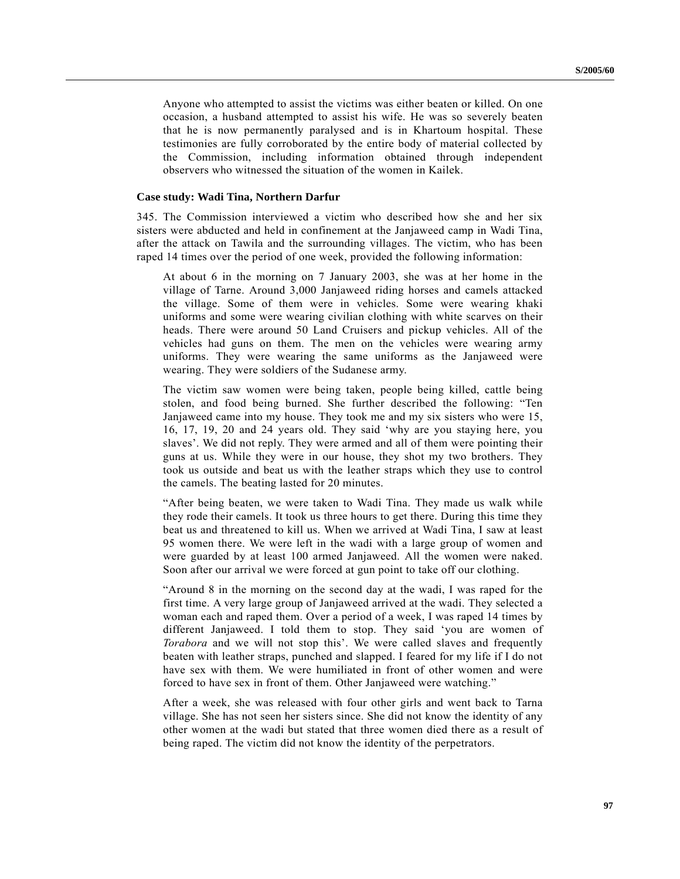Anyone who attempted to assist the victims was either beaten or killed. On one occasion, a husband attempted to assist his wife. He was so severely beaten that he is now permanently paralysed and is in Khartoum hospital. These testimonies are fully corroborated by the entire body of material collected by the Commission, including information obtained through independent observers who witnessed the situation of the women in Kailek.

#### **Case study: Wadi Tina, Northern Darfur**

345. The Commission interviewed a victim who described how she and her six sisters were abducted and held in confinement at the Janjaweed camp in Wadi Tina, after the attack on Tawila and the surrounding villages. The victim, who has been raped 14 times over the period of one week, provided the following information:

At about 6 in the morning on 7 January 2003, she was at her home in the village of Tarne. Around 3,000 Janjaweed riding horses and camels attacked the village. Some of them were in vehicles. Some were wearing khaki uniforms and some were wearing civilian clothing with white scarves on their heads. There were around 50 Land Cruisers and pickup vehicles. All of the vehicles had guns on them. The men on the vehicles were wearing army uniforms. They were wearing the same uniforms as the Janjaweed were wearing. They were soldiers of the Sudanese army.

The victim saw women were being taken, people being killed, cattle being stolen, and food being burned. She further described the following: "Ten Janjaweed came into my house. They took me and my six sisters who were 15, 16, 17, 19, 20 and 24 years old. They said ëwhy are you staying here, you slaves'. We did not reply. They were armed and all of them were pointing their guns at us. While they were in our house, they shot my two brothers. They took us outside and beat us with the leather straps which they use to control the camels. The beating lasted for 20 minutes.

ìAfter being beaten, we were taken to Wadi Tina. They made us walk while they rode their camels. It took us three hours to get there. During this time they beat us and threatened to kill us. When we arrived at Wadi Tina, I saw at least 95 women there. We were left in the wadi with a large group of women and were guarded by at least 100 armed Janjaweed. All the women were naked. Soon after our arrival we were forced at gun point to take off our clothing.

ìAround 8 in the morning on the second day at the wadi, I was raped for the first time. A very large group of Janjaweed arrived at the wadi. They selected a woman each and raped them. Over a period of a week, I was raped 14 times by different Janjaweed. I told them to stop. They said 'you are women of *Torabora* and we will not stop this'. We were called slaves and frequently beaten with leather straps, punched and slapped. I feared for my life if I do not have sex with them. We were humiliated in front of other women and were forced to have sex in front of them. Other Janjaweed were watching."

After a week, she was released with four other girls and went back to Tarna village. She has not seen her sisters since. She did not know the identity of any other women at the wadi but stated that three women died there as a result of being raped. The victim did not know the identity of the perpetrators.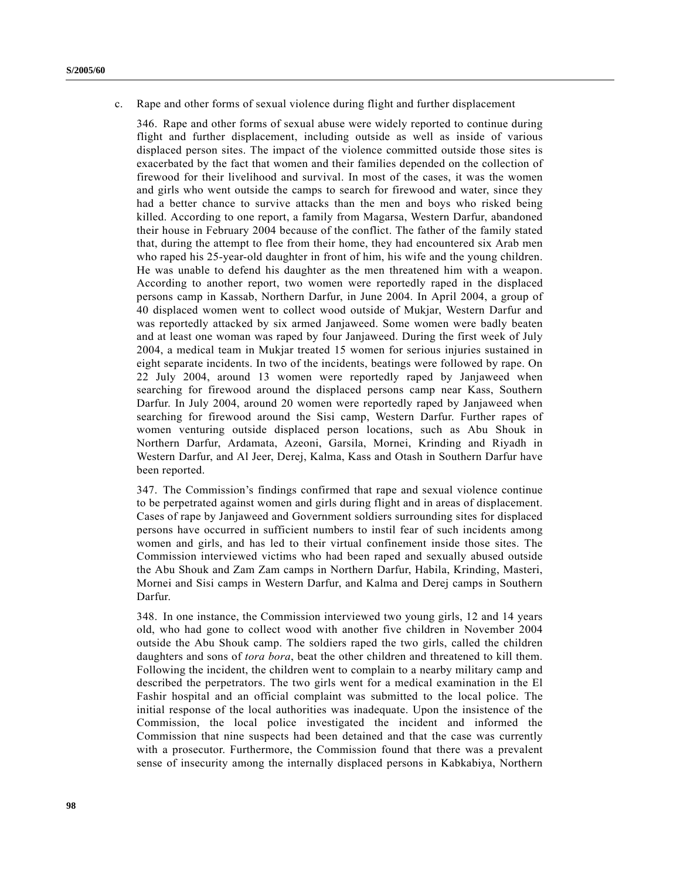c. Rape and other forms of sexual violence during flight and further displacement

346. Rape and other forms of sexual abuse were widely reported to continue during flight and further displacement, including outside as well as inside of various displaced person sites. The impact of the violence committed outside those sites is exacerbated by the fact that women and their families depended on the collection of firewood for their livelihood and survival. In most of the cases, it was the women and girls who went outside the camps to search for firewood and water, since they had a better chance to survive attacks than the men and boys who risked being killed. According to one report, a family from Magarsa, Western Darfur, abandoned their house in February 2004 because of the conflict. The father of the family stated that, during the attempt to flee from their home, they had encountered six Arab men who raped his 25-year-old daughter in front of him, his wife and the young children. He was unable to defend his daughter as the men threatened him with a weapon. According to another report, two women were reportedly raped in the displaced persons camp in Kassab, Northern Darfur, in June 2004. In April 2004, a group of 40 displaced women went to collect wood outside of Mukjar, Western Darfur and was reportedly attacked by six armed Janjaweed. Some women were badly beaten and at least one woman was raped by four Janjaweed. During the first week of July 2004, a medical team in Mukjar treated 15 women for serious injuries sustained in eight separate incidents. In two of the incidents, beatings were followed by rape. On 22 July 2004, around 13 women were reportedly raped by Janjaweed when searching for firewood around the displaced persons camp near Kass, Southern Darfur. In July 2004, around 20 women were reportedly raped by Janjaweed when searching for firewood around the Sisi camp, Western Darfur. Further rapes of women venturing outside displaced person locations, such as Abu Shouk in Northern Darfur, Ardamata, Azeoni, Garsila, Mornei, Krinding and Riyadh in Western Darfur, and Al Jeer, Derej, Kalma, Kass and Otash in Southern Darfur have been reported.

347. The Commission's findings confirmed that rape and sexual violence continue to be perpetrated against women and girls during flight and in areas of displacement. Cases of rape by Janjaweed and Government soldiers surrounding sites for displaced persons have occurred in sufficient numbers to instil fear of such incidents among women and girls, and has led to their virtual confinement inside those sites. The Commission interviewed victims who had been raped and sexually abused outside the Abu Shouk and Zam Zam camps in Northern Darfur, Habila, Krinding, Masteri, Mornei and Sisi camps in Western Darfur, and Kalma and Derej camps in Southern Darfur.

348. In one instance, the Commission interviewed two young girls, 12 and 14 years old, who had gone to collect wood with another five children in November 2004 outside the Abu Shouk camp. The soldiers raped the two girls, called the children daughters and sons of *tora bora*, beat the other children and threatened to kill them. Following the incident, the children went to complain to a nearby military camp and described the perpetrators. The two girls went for a medical examination in the El Fashir hospital and an official complaint was submitted to the local police. The initial response of the local authorities was inadequate. Upon the insistence of the Commission, the local police investigated the incident and informed the Commission that nine suspects had been detained and that the case was currently with a prosecutor. Furthermore, the Commission found that there was a prevalent sense of insecurity among the internally displaced persons in Kabkabiya, Northern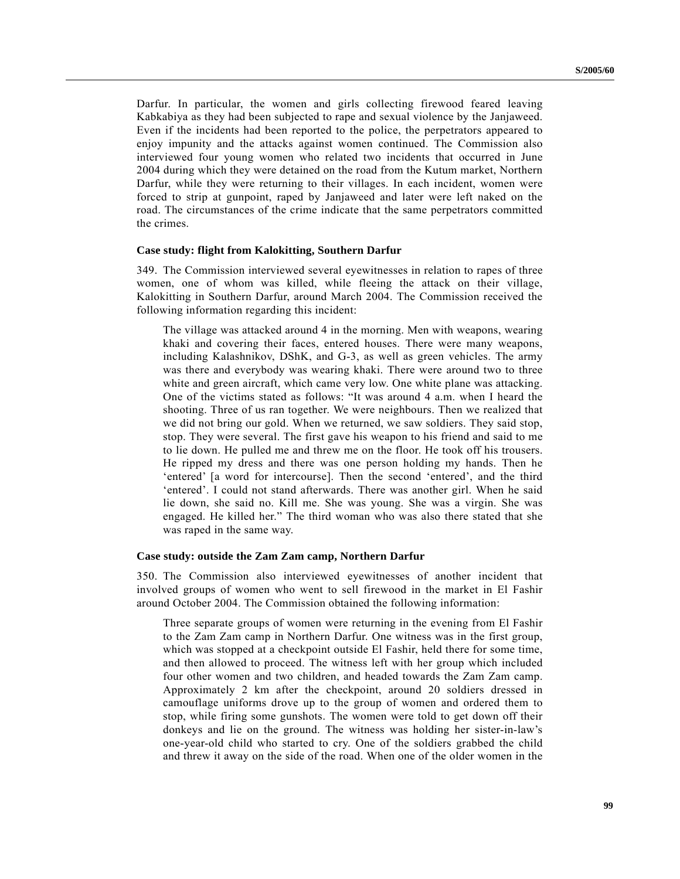Darfur. In particular, the women and girls collecting firewood feared leaving Kabkabiya as they had been subjected to rape and sexual violence by the Janjaweed. Even if the incidents had been reported to the police, the perpetrators appeared to enjoy impunity and the attacks against women continued. The Commission also interviewed four young women who related two incidents that occurred in June 2004 during which they were detained on the road from the Kutum market, Northern Darfur, while they were returning to their villages. In each incident, women were forced to strip at gunpoint, raped by Janjaweed and later were left naked on the road. The circumstances of the crime indicate that the same perpetrators committed the crimes.

### **Case study: flight from Kalokitting, Southern Darfur**

349. The Commission interviewed several eyewitnesses in relation to rapes of three women, one of whom was killed, while fleeing the attack on their village, Kalokitting in Southern Darfur, around March 2004. The Commission received the following information regarding this incident:

The village was attacked around 4 in the morning. Men with weapons, wearing khaki and covering their faces, entered houses. There were many weapons, including Kalashnikov, DShK, and G-3, as well as green vehicles. The army was there and everybody was wearing khaki. There were around two to three white and green aircraft, which came very low. One white plane was attacking. One of the victims stated as follows: "It was around 4 a.m. when I heard the shooting. Three of us ran together. We were neighbours. Then we realized that we did not bring our gold. When we returned, we saw soldiers. They said stop, stop. They were several. The first gave his weapon to his friend and said to me to lie down. He pulled me and threw me on the floor. He took off his trousers. He ripped my dress and there was one person holding my hands. Then he 'entered' [a word for intercourse]. Then the second 'entered', and the third ëenteredí. I could not stand afterwards. There was another girl. When he said lie down, she said no. Kill me. She was young. She was a virgin. She was engaged. He killed her." The third woman who was also there stated that she was raped in the same way.

#### **Case study: outside the Zam Zam camp, Northern Darfur**

350. The Commission also interviewed eyewitnesses of another incident that involved groups of women who went to sell firewood in the market in El Fashir around October 2004. The Commission obtained the following information:

Three separate groups of women were returning in the evening from El Fashir to the Zam Zam camp in Northern Darfur. One witness was in the first group, which was stopped at a checkpoint outside El Fashir, held there for some time, and then allowed to proceed. The witness left with her group which included four other women and two children, and headed towards the Zam Zam camp. Approximately 2 km after the checkpoint, around 20 soldiers dressed in camouflage uniforms drove up to the group of women and ordered them to stop, while firing some gunshots. The women were told to get down off their donkeys and lie on the ground. The witness was holding her sister-in-lawís one-year-old child who started to cry. One of the soldiers grabbed the child and threw it away on the side of the road. When one of the older women in the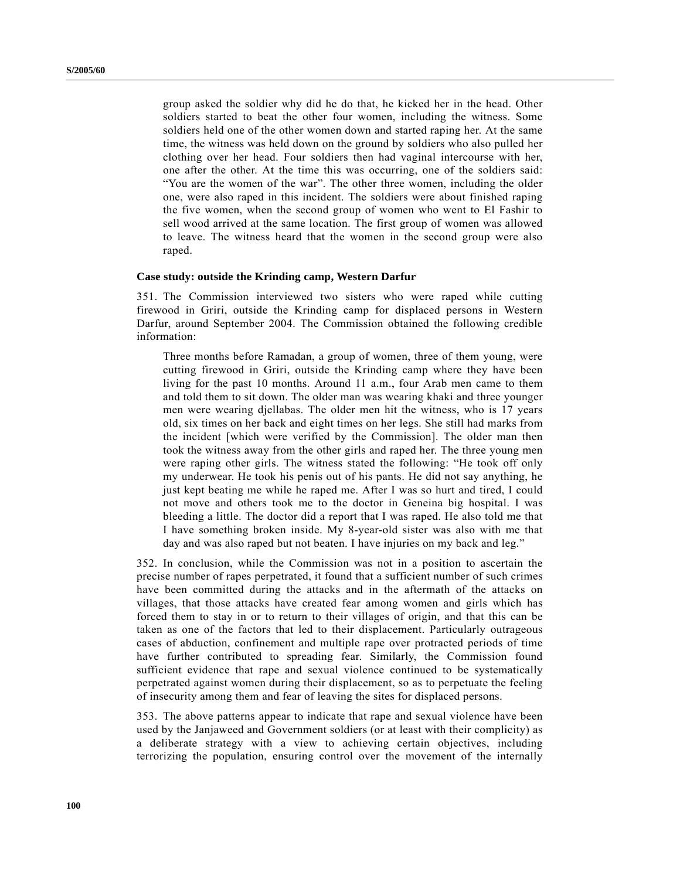group asked the soldier why did he do that, he kicked her in the head. Other soldiers started to beat the other four women, including the witness. Some soldiers held one of the other women down and started raping her. At the same time, the witness was held down on the ground by soldiers who also pulled her clothing over her head. Four soldiers then had vaginal intercourse with her, one after the other. At the time this was occurring, one of the soldiers said: "You are the women of the war". The other three women, including the older one, were also raped in this incident. The soldiers were about finished raping the five women, when the second group of women who went to El Fashir to sell wood arrived at the same location. The first group of women was allowed to leave. The witness heard that the women in the second group were also raped.

### **Case study: outside the Krinding camp, Western Darfur**

351. The Commission interviewed two sisters who were raped while cutting firewood in Griri, outside the Krinding camp for displaced persons in Western Darfur, around September 2004. The Commission obtained the following credible information:

Three months before Ramadan, a group of women, three of them young, were cutting firewood in Griri, outside the Krinding camp where they have been living for the past 10 months. Around 11 a.m., four Arab men came to them and told them to sit down. The older man was wearing khaki and three younger men were wearing djellabas. The older men hit the witness, who is 17 years old, six times on her back and eight times on her legs. She still had marks from the incident [which were verified by the Commission]. The older man then took the witness away from the other girls and raped her. The three young men were raping other girls. The witness stated the following: "He took off only my underwear. He took his penis out of his pants. He did not say anything, he just kept beating me while he raped me. After I was so hurt and tired, I could not move and others took me to the doctor in Geneina big hospital. I was bleeding a little. The doctor did a report that I was raped. He also told me that I have something broken inside. My 8-year-old sister was also with me that day and was also raped but not beaten. I have injuries on my back and leg."

352. In conclusion, while the Commission was not in a position to ascertain the precise number of rapes perpetrated, it found that a sufficient number of such crimes have been committed during the attacks and in the aftermath of the attacks on villages, that those attacks have created fear among women and girls which has forced them to stay in or to return to their villages of origin, and that this can be taken as one of the factors that led to their displacement. Particularly outrageous cases of abduction, confinement and multiple rape over protracted periods of time have further contributed to spreading fear. Similarly, the Commission found sufficient evidence that rape and sexual violence continued to be systematically perpetrated against women during their displacement, so as to perpetuate the feeling of insecurity among them and fear of leaving the sites for displaced persons.

353. The above patterns appear to indicate that rape and sexual violence have been used by the Janjaweed and Government soldiers (or at least with their complicity) as a deliberate strategy with a view to achieving certain objectives, including terrorizing the population, ensuring control over the movement of the internally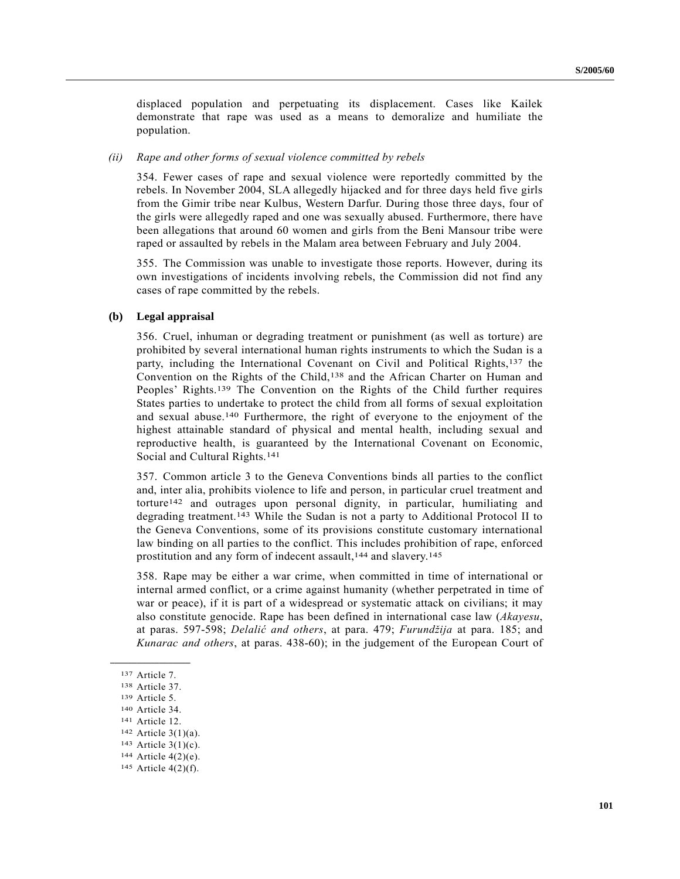displaced population and perpetuating its displacement. Cases like Kailek demonstrate that rape was used as a means to demoralize and humiliate the population.

#### *(ii) Rape and other forms of sexual violence committed by rebels*

354. Fewer cases of rape and sexual violence were reportedly committed by the rebels. In November 2004, SLA allegedly hijacked and for three days held five girls from the Gimir tribe near Kulbus, Western Darfur. During those three days, four of the girls were allegedly raped and one was sexually abused. Furthermore, there have been allegations that around 60 women and girls from the Beni Mansour tribe were raped or assaulted by rebels in the Malam area between February and July 2004.

355. The Commission was unable to investigate those reports. However, during its own investigations of incidents involving rebels, the Commission did not find any cases of rape committed by the rebels.

# **(b) Legal appraisal**

356. Cruel, inhuman or degrading treatment or punishment (as well as torture) are prohibited by several international human rights instruments to which the Sudan is a party, including the International Covenant on Civil and Political Rights,137 the Convention on the Rights of the Child,138 and the African Charter on Human and Peoples' Rights.<sup>139</sup> The Convention on the Rights of the Child further requires States parties to undertake to protect the child from all forms of sexual exploitation and sexual abuse.140 Furthermore, the right of everyone to the enjoyment of the highest attainable standard of physical and mental health, including sexual and reproductive health, is guaranteed by the International Covenant on Economic, Social and Cultural Rights.141

357. Common article 3 to the Geneva Conventions binds all parties to the conflict and, inter alia, prohibits violence to life and person, in particular cruel treatment and torture142 and outrages upon personal dignity, in particular, humiliating and degrading treatment.143 While the Sudan is not a party to Additional Protocol II to the Geneva Conventions, some of its provisions constitute customary international law binding on all parties to the conflict. This includes prohibition of rape, enforced prostitution and any form of indecent assault,<sup>144</sup> and slavery.<sup>145</sup>

358. Rape may be either a war crime, when committed in time of international or internal armed conflict, or a crime against humanity (whether perpetrated in time of war or peace), if it is part of a widespread or systematic attack on civilians; it may also constitute genocide. Rape has been defined in international case law (*Akayesu*, at paras. 597-598; *Delalić and others*, at para. 479; *Furundûija* at para. 185; and *Kunarac and others*, at paras. 438-60); in the judgement of the European Court of

142 Article 3(1)(a).

**\_\_\_\_\_\_\_\_\_\_\_\_\_\_\_\_\_\_** 137 Article 7.

<sup>138</sup> Article 37.

<sup>139</sup> Article 5.

<sup>140</sup> Article 34.

<sup>141</sup> Article 12.

<sup>143</sup> Article 3(1)(c).

<sup>144</sup> Article 4(2)(e).

<sup>145</sup> Article 4(2)(f).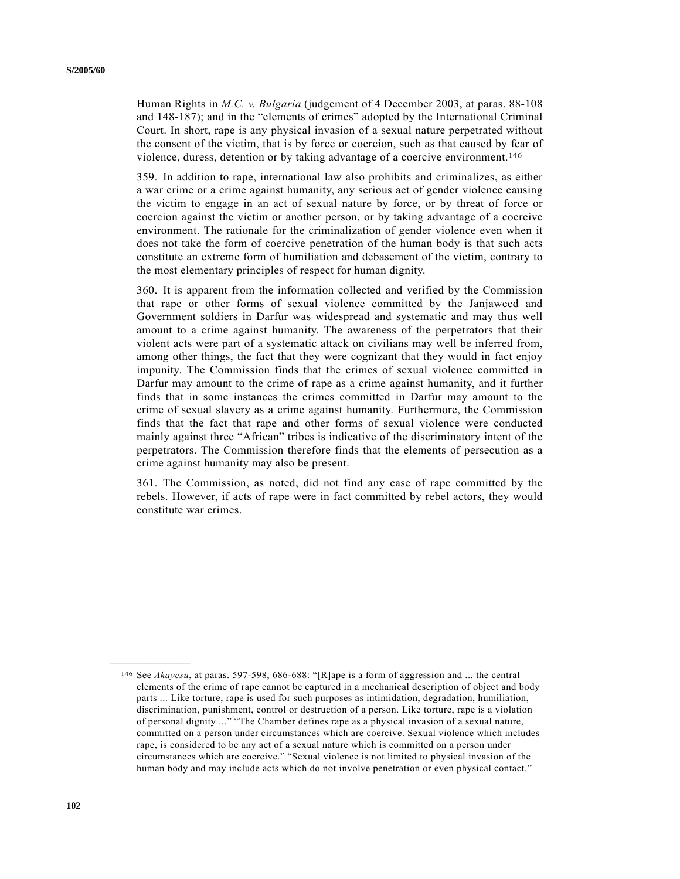Human Rights in *M.C. v. Bulgaria* (judgement of 4 December 2003, at paras. 88-108 and 148-187); and in the "elements of crimes" adopted by the International Criminal Court. In short, rape is any physical invasion of a sexual nature perpetrated without the consent of the victim, that is by force or coercion, such as that caused by fear of violence, duress, detention or by taking advantage of a coercive environment.146

359. In addition to rape, international law also prohibits and criminalizes, as either a war crime or a crime against humanity, any serious act of gender violence causing the victim to engage in an act of sexual nature by force, or by threat of force or coercion against the victim or another person, or by taking advantage of a coercive environment. The rationale for the criminalization of gender violence even when it does not take the form of coercive penetration of the human body is that such acts constitute an extreme form of humiliation and debasement of the victim, contrary to the most elementary principles of respect for human dignity.

360. It is apparent from the information collected and verified by the Commission that rape or other forms of sexual violence committed by the Janjaweed and Government soldiers in Darfur was widespread and systematic and may thus well amount to a crime against humanity. The awareness of the perpetrators that their violent acts were part of a systematic attack on civilians may well be inferred from, among other things, the fact that they were cognizant that they would in fact enjoy impunity. The Commission finds that the crimes of sexual violence committed in Darfur may amount to the crime of rape as a crime against humanity, and it further finds that in some instances the crimes committed in Darfur may amount to the crime of sexual slavery as a crime against humanity. Furthermore, the Commission finds that the fact that rape and other forms of sexual violence were conducted mainly against three "African" tribes is indicative of the discriminatory intent of the perpetrators. The Commission therefore finds that the elements of persecution as a crime against humanity may also be present.

361. The Commission, as noted, did not find any case of rape committed by the rebels. However, if acts of rape were in fact committed by rebel actors, they would constitute war crimes.

**\_\_\_\_\_\_\_\_\_\_\_\_\_\_\_\_\_\_**

<sup>&</sup>lt;sup>146</sup> See *Akayesu*, at paras. 597-598, 686-688: "[R]ape is a form of aggression and ... the central elements of the crime of rape cannot be captured in a mechanical description of object and body parts ... Like torture, rape is used for such purposes as intimidation, degradation, humiliation, discrimination, punishment, control or destruction of a person. Like torture, rape is a violation of personal dignity ..." "The Chamber defines rape as a physical invasion of a sexual nature, committed on a person under circumstances which are coercive. Sexual violence which includes rape, is considered to be any act of a sexual nature which is committed on a person under circumstances which are coercive." "Sexual violence is not limited to physical invasion of the human body and may include acts which do not involve penetration or even physical contact."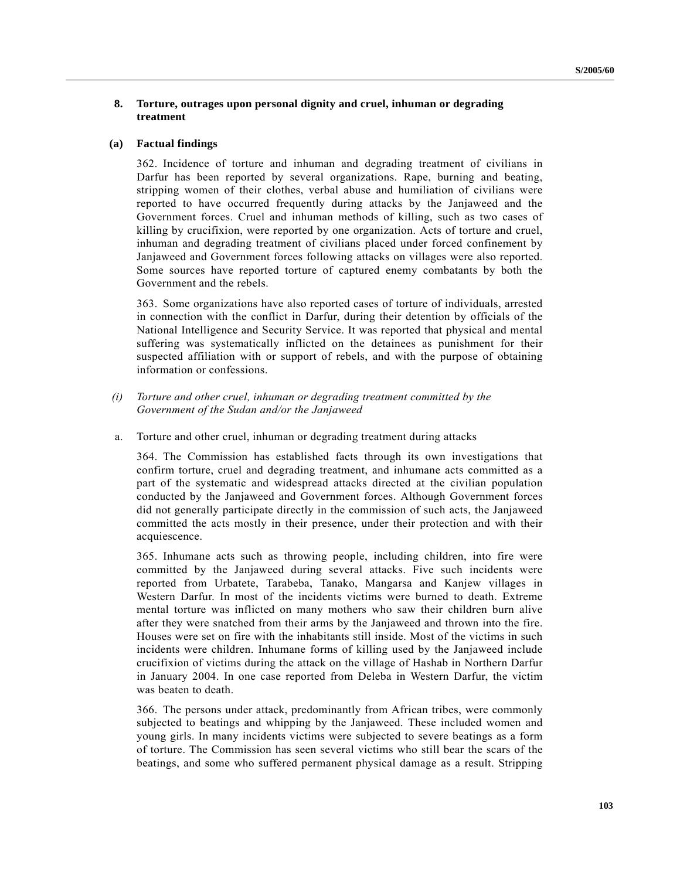# **8. Torture, outrages upon personal dignity and cruel, inhuman or degrading treatment**

# **(a) Factual findings**

362. Incidence of torture and inhuman and degrading treatment of civilians in Darfur has been reported by several organizations. Rape, burning and beating, stripping women of their clothes, verbal abuse and humiliation of civilians were reported to have occurred frequently during attacks by the Janjaweed and the Government forces. Cruel and inhuman methods of killing, such as two cases of killing by crucifixion, were reported by one organization. Acts of torture and cruel, inhuman and degrading treatment of civilians placed under forced confinement by Janjaweed and Government forces following attacks on villages were also reported. Some sources have reported torture of captured enemy combatants by both the Government and the rebels.

363. Some organizations have also reported cases of torture of individuals, arrested in connection with the conflict in Darfur, during their detention by officials of the National Intelligence and Security Service. It was reported that physical and mental suffering was systematically inflicted on the detainees as punishment for their suspected affiliation with or support of rebels, and with the purpose of obtaining information or confessions.

- *(i) Torture and other cruel, inhuman or degrading treatment committed by the Government of the Sudan and/or the Janjaweed*
- a. Torture and other cruel, inhuman or degrading treatment during attacks

364. The Commission has established facts through its own investigations that confirm torture, cruel and degrading treatment, and inhumane acts committed as a part of the systematic and widespread attacks directed at the civilian population conducted by the Janjaweed and Government forces. Although Government forces did not generally participate directly in the commission of such acts, the Janjaweed committed the acts mostly in their presence, under their protection and with their acquiescence.

365. Inhumane acts such as throwing people, including children, into fire were committed by the Janjaweed during several attacks. Five such incidents were reported from Urbatete, Tarabeba, Tanako, Mangarsa and Kanjew villages in Western Darfur. In most of the incidents victims were burned to death. Extreme mental torture was inflicted on many mothers who saw their children burn alive after they were snatched from their arms by the Janjaweed and thrown into the fire. Houses were set on fire with the inhabitants still inside. Most of the victims in such incidents were children. Inhumane forms of killing used by the Janjaweed include crucifixion of victims during the attack on the village of Hashab in Northern Darfur in January 2004. In one case reported from Deleba in Western Darfur, the victim was beaten to death.

366. The persons under attack, predominantly from African tribes, were commonly subjected to beatings and whipping by the Janjaweed. These included women and young girls. In many incidents victims were subjected to severe beatings as a form of torture. The Commission has seen several victims who still bear the scars of the beatings, and some who suffered permanent physical damage as a result. Stripping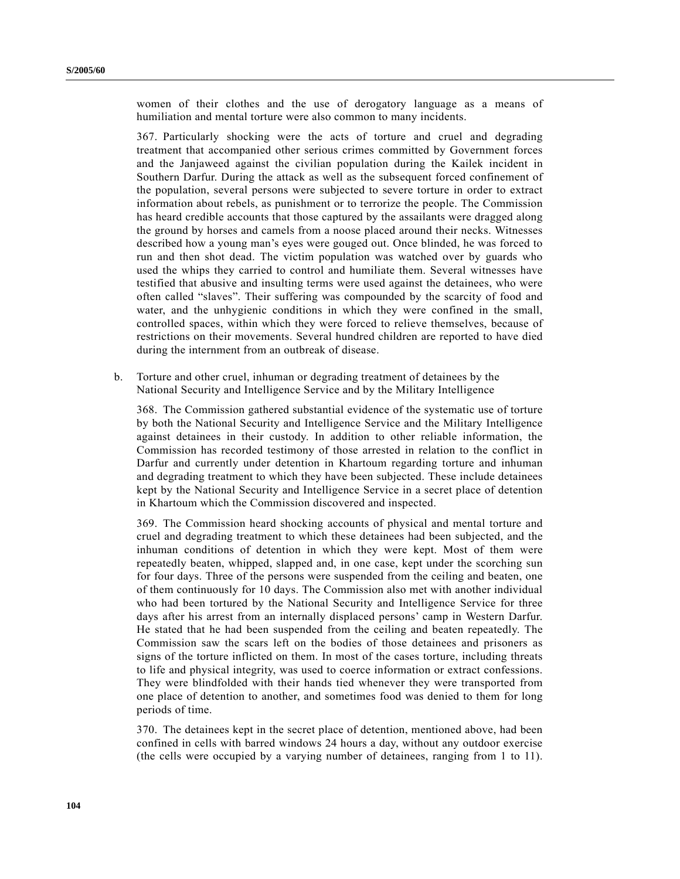women of their clothes and the use of derogatory language as a means of humiliation and mental torture were also common to many incidents.

367. Particularly shocking were the acts of torture and cruel and degrading treatment that accompanied other serious crimes committed by Government forces and the Janjaweed against the civilian population during the Kailek incident in Southern Darfur. During the attack as well as the subsequent forced confinement of the population, several persons were subjected to severe torture in order to extract information about rebels, as punishment or to terrorize the people. The Commission has heard credible accounts that those captured by the assailants were dragged along the ground by horses and camels from a noose placed around their necks. Witnesses described how a young man's eyes were gouged out. Once blinded, he was forced to run and then shot dead. The victim population was watched over by guards who used the whips they carried to control and humiliate them. Several witnesses have testified that abusive and insulting terms were used against the detainees, who were often called "slaves". Their suffering was compounded by the scarcity of food and water, and the unhygienic conditions in which they were confined in the small, controlled spaces, within which they were forced to relieve themselves, because of restrictions on their movements. Several hundred children are reported to have died during the internment from an outbreak of disease.

b. Torture and other cruel, inhuman or degrading treatment of detainees by the National Security and Intelligence Service and by the Military Intelligence

368. The Commission gathered substantial evidence of the systematic use of torture by both the National Security and Intelligence Service and the Military Intelligence against detainees in their custody. In addition to other reliable information, the Commission has recorded testimony of those arrested in relation to the conflict in Darfur and currently under detention in Khartoum regarding torture and inhuman and degrading treatment to which they have been subjected. These include detainees kept by the National Security and Intelligence Service in a secret place of detention in Khartoum which the Commission discovered and inspected.

369. The Commission heard shocking accounts of physical and mental torture and cruel and degrading treatment to which these detainees had been subjected, and the inhuman conditions of detention in which they were kept. Most of them were repeatedly beaten, whipped, slapped and, in one case, kept under the scorching sun for four days. Three of the persons were suspended from the ceiling and beaten, one of them continuously for 10 days. The Commission also met with another individual who had been tortured by the National Security and Intelligence Service for three days after his arrest from an internally displaced persons' camp in Western Darfur. He stated that he had been suspended from the ceiling and beaten repeatedly. The Commission saw the scars left on the bodies of those detainees and prisoners as signs of the torture inflicted on them. In most of the cases torture, including threats to life and physical integrity, was used to coerce information or extract confessions. They were blindfolded with their hands tied whenever they were transported from one place of detention to another, and sometimes food was denied to them for long periods of time.

370. The detainees kept in the secret place of detention, mentioned above, had been confined in cells with barred windows 24 hours a day, without any outdoor exercise (the cells were occupied by a varying number of detainees, ranging from 1 to 11).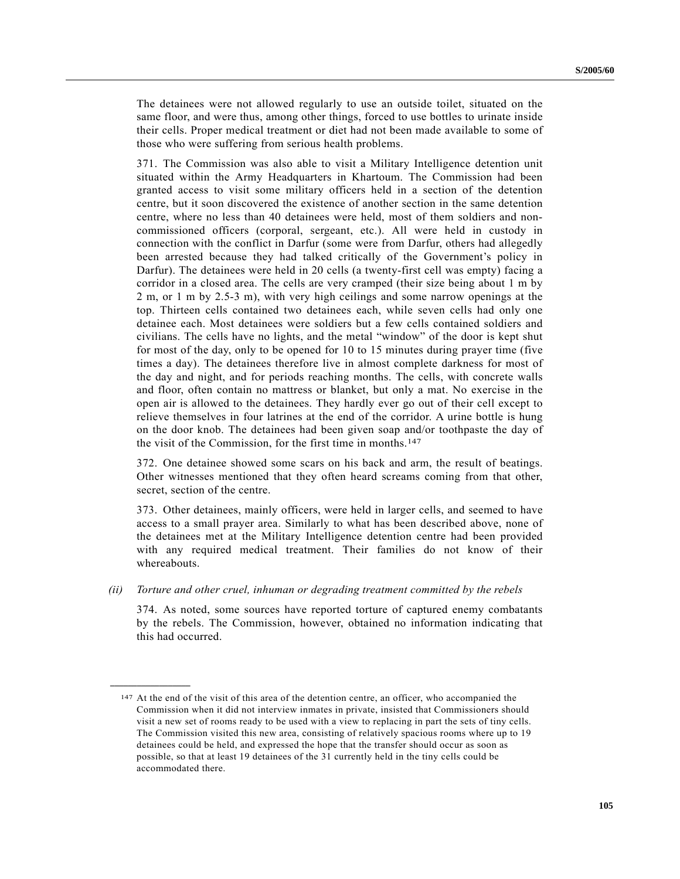The detainees were not allowed regularly to use an outside toilet, situated on the same floor, and were thus, among other things, forced to use bottles to urinate inside their cells. Proper medical treatment or diet had not been made available to some of those who were suffering from serious health problems.

371. The Commission was also able to visit a Military Intelligence detention unit situated within the Army Headquarters in Khartoum. The Commission had been granted access to visit some military officers held in a section of the detention centre, but it soon discovered the existence of another section in the same detention centre, where no less than 40 detainees were held, most of them soldiers and noncommissioned officers (corporal, sergeant, etc.). All were held in custody in connection with the conflict in Darfur (some were from Darfur, others had allegedly been arrested because they had talked critically of the Government's policy in Darfur). The detainees were held in 20 cells (a twenty-first cell was empty) facing a corridor in a closed area. The cells are very cramped (their size being about 1 m by 2 m, or 1 m by 2.5-3 m), with very high ceilings and some narrow openings at the top. Thirteen cells contained two detainees each, while seven cells had only one detainee each. Most detainees were soldiers but a few cells contained soldiers and civilians. The cells have no lights, and the metal "window" of the door is kept shut for most of the day, only to be opened for 10 to 15 minutes during prayer time (five times a day). The detainees therefore live in almost complete darkness for most of the day and night, and for periods reaching months. The cells, with concrete walls and floor, often contain no mattress or blanket, but only a mat. No exercise in the open air is allowed to the detainees. They hardly ever go out of their cell except to relieve themselves in four latrines at the end of the corridor. A urine bottle is hung on the door knob. The detainees had been given soap and/or toothpaste the day of the visit of the Commission, for the first time in months.147

372. One detainee showed some scars on his back and arm, the result of beatings. Other witnesses mentioned that they often heard screams coming from that other, secret, section of the centre.

373. Other detainees, mainly officers, were held in larger cells, and seemed to have access to a small prayer area. Similarly to what has been described above, none of the detainees met at the Military Intelligence detention centre had been provided with any required medical treatment. Their families do not know of their whereabouts.

## *(ii) Torture and other cruel, inhuman or degrading treatment committed by the rebels*

**\_\_\_\_\_\_\_\_\_\_\_\_\_\_\_\_\_\_**

374. As noted, some sources have reported torture of captured enemy combatants by the rebels. The Commission, however, obtained no information indicating that this had occurred.

<sup>147</sup> At the end of the visit of this area of the detention centre, an officer, who accompanied the Commission when it did not interview inmates in private, insisted that Commissioners should visit a new set of rooms ready to be used with a view to replacing in part the sets of tiny cells. The Commission visited this new area, consisting of relatively spacious rooms where up to 19 detainees could be held, and expressed the hope that the transfer should occur as soon as possible, so that at least 19 detainees of the 31 currently held in the tiny cells could be accommodated there.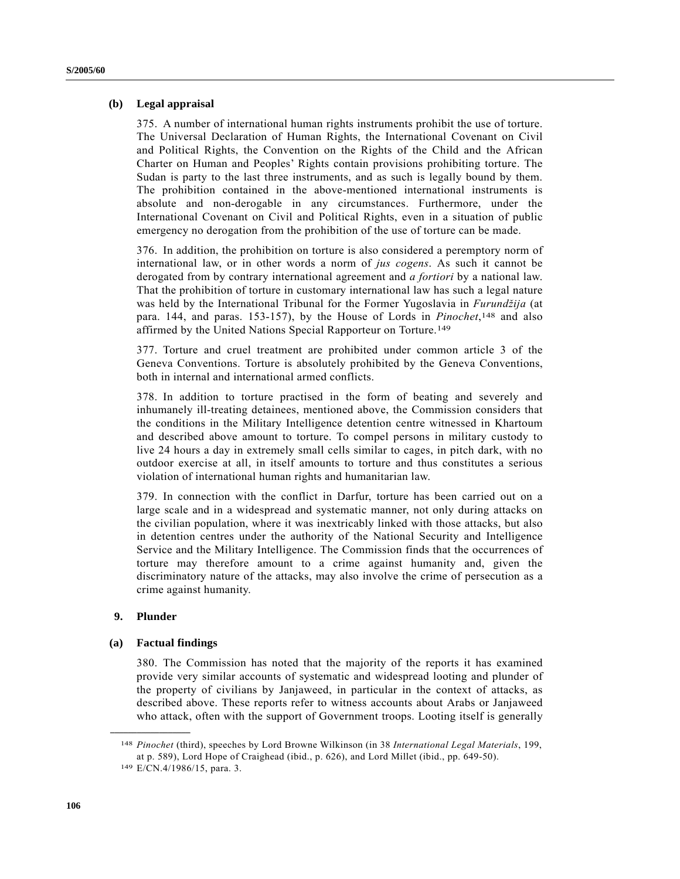## **(b) Legal appraisal**

375. A number of international human rights instruments prohibit the use of torture. The Universal Declaration of Human Rights, the International Covenant on Civil and Political Rights, the Convention on the Rights of the Child and the African Charter on Human and Peoples' Rights contain provisions prohibiting torture. The Sudan is party to the last three instruments, and as such is legally bound by them. The prohibition contained in the above-mentioned international instruments is absolute and non-derogable in any circumstances. Furthermore, under the International Covenant on Civil and Political Rights, even in a situation of public emergency no derogation from the prohibition of the use of torture can be made.

376. In addition, the prohibition on torture is also considered a peremptory norm of international law, or in other words a norm of *jus cogens*. As such it cannot be derogated from by contrary international agreement and *a fortiori* by a national law. That the prohibition of torture in customary international law has such a legal nature was held by the International Tribunal for the Former Yugoslavia in *Furundžija* (at para. 144, and paras. 153-157), by the House of Lords in *Pinochet*,148 and also affirmed by the United Nations Special Rapporteur on Torture.149

377. Torture and cruel treatment are prohibited under common article 3 of the Geneva Conventions. Torture is absolutely prohibited by the Geneva Conventions, both in internal and international armed conflicts.

378. In addition to torture practised in the form of beating and severely and inhumanely ill-treating detainees, mentioned above, the Commission considers that the conditions in the Military Intelligence detention centre witnessed in Khartoum and described above amount to torture. To compel persons in military custody to live 24 hours a day in extremely small cells similar to cages, in pitch dark, with no outdoor exercise at all, in itself amounts to torture and thus constitutes a serious violation of international human rights and humanitarian law.

379. In connection with the conflict in Darfur, torture has been carried out on a large scale and in a widespread and systematic manner, not only during attacks on the civilian population, where it was inextricably linked with those attacks, but also in detention centres under the authority of the National Security and Intelligence Service and the Military Intelligence. The Commission finds that the occurrences of torture may therefore amount to a crime against humanity and, given the discriminatory nature of the attacks, may also involve the crime of persecution as a crime against humanity.

## **9. Plunder**

**\_\_\_\_\_\_\_\_\_\_\_\_\_\_\_\_\_\_**

## **(a) Factual findings**

380. The Commission has noted that the majority of the reports it has examined provide very similar accounts of systematic and widespread looting and plunder of the property of civilians by Janjaweed, in particular in the context of attacks, as described above. These reports refer to witness accounts about Arabs or Janjaweed who attack, often with the support of Government troops. Looting itself is generally

<sup>148</sup> *Pinochet* (third), speeches by Lord Browne Wilkinson (in 38 *International Legal Materials*, 199, at p. 589), Lord Hope of Craighead (ibid., p. 626), and Lord Millet (ibid., pp. 649-50).

<sup>149</sup> E/CN.4/1986/15, para. 3.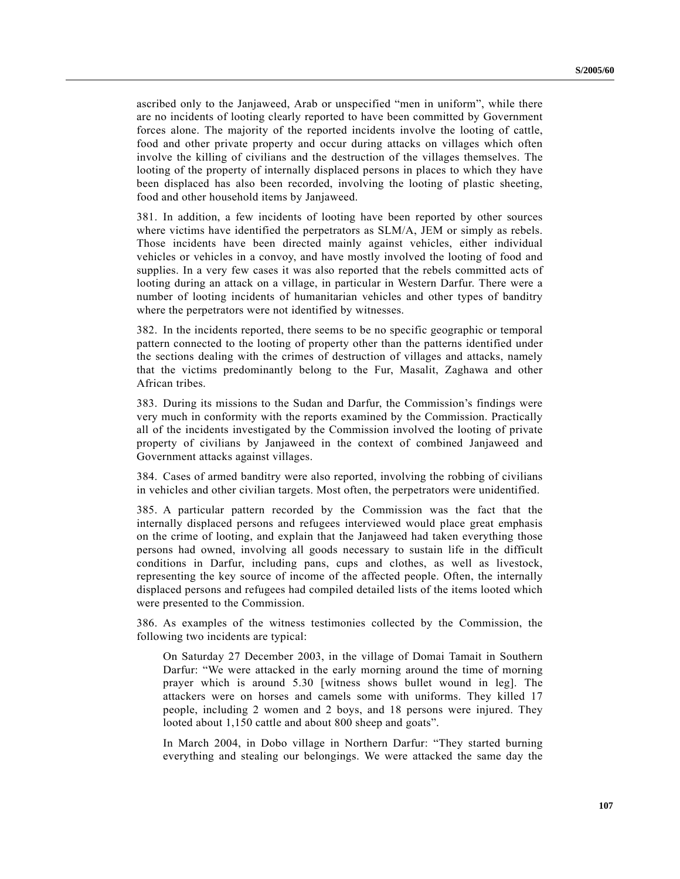ascribed only to the Janjaweed, Arab or unspecified "men in uniform", while there are no incidents of looting clearly reported to have been committed by Government forces alone. The majority of the reported incidents involve the looting of cattle, food and other private property and occur during attacks on villages which often involve the killing of civilians and the destruction of the villages themselves. The looting of the property of internally displaced persons in places to which they have been displaced has also been recorded, involving the looting of plastic sheeting, food and other household items by Janjaweed.

381. In addition, a few incidents of looting have been reported by other sources where victims have identified the perpetrators as SLM/A, JEM or simply as rebels. Those incidents have been directed mainly against vehicles, either individual vehicles or vehicles in a convoy, and have mostly involved the looting of food and supplies. In a very few cases it was also reported that the rebels committed acts of looting during an attack on a village, in particular in Western Darfur. There were a number of looting incidents of humanitarian vehicles and other types of banditry where the perpetrators were not identified by witnesses.

382. In the incidents reported, there seems to be no specific geographic or temporal pattern connected to the looting of property other than the patterns identified under the sections dealing with the crimes of destruction of villages and attacks, namely that the victims predominantly belong to the Fur, Masalit, Zaghawa and other African tribes.

383. During its missions to the Sudan and Darfur, the Commission's findings were very much in conformity with the reports examined by the Commission. Practically all of the incidents investigated by the Commission involved the looting of private property of civilians by Janjaweed in the context of combined Janjaweed and Government attacks against villages.

384. Cases of armed banditry were also reported, involving the robbing of civilians in vehicles and other civilian targets. Most often, the perpetrators were unidentified.

385. A particular pattern recorded by the Commission was the fact that the internally displaced persons and refugees interviewed would place great emphasis on the crime of looting, and explain that the Janjaweed had taken everything those persons had owned, involving all goods necessary to sustain life in the difficult conditions in Darfur, including pans, cups and clothes, as well as livestock, representing the key source of income of the affected people. Often, the internally displaced persons and refugees had compiled detailed lists of the items looted which were presented to the Commission.

386. As examples of the witness testimonies collected by the Commission, the following two incidents are typical:

On Saturday 27 December 2003, in the village of Domai Tamait in Southern Darfur: "We were attacked in the early morning around the time of morning prayer which is around 5.30 [witness shows bullet wound in leg]. The attackers were on horses and camels some with uniforms. They killed 17 people, including 2 women and 2 boys, and 18 persons were injured. They looted about 1,150 cattle and about 800 sheep and goats".

In March 2004, in Dobo village in Northern Darfur: "They started burning everything and stealing our belongings. We were attacked the same day the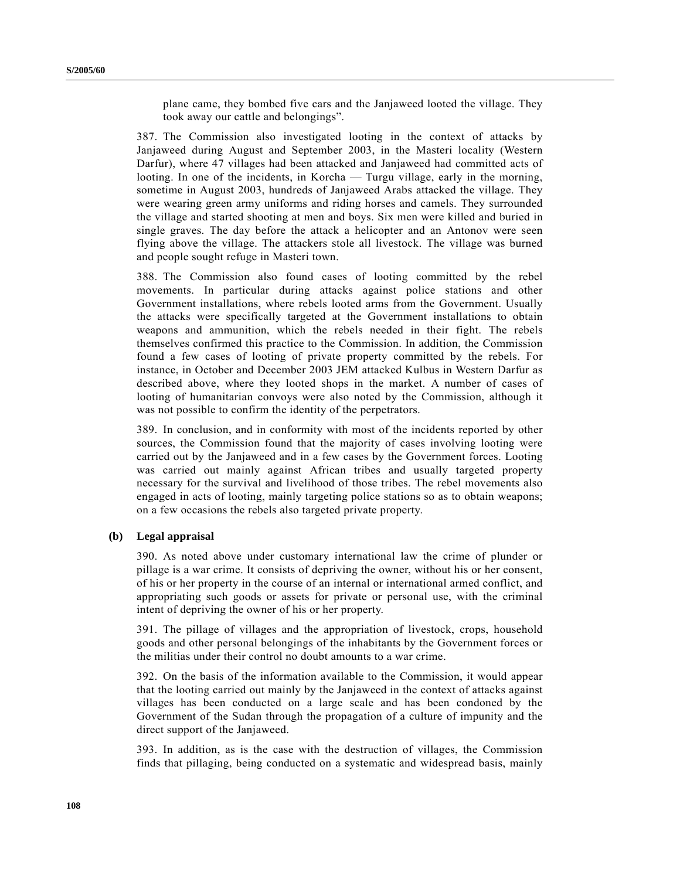plane came, they bombed five cars and the Janjaweed looted the village. They took away our cattle and belongings".

387. The Commission also investigated looting in the context of attacks by Janjaweed during August and September 2003, in the Masteri locality (Western Darfur), where 47 villages had been attacked and Janjaweed had committed acts of looting. In one of the incidents, in Korcha — Turgu village, early in the morning, sometime in August 2003, hundreds of Janjaweed Arabs attacked the village. They were wearing green army uniforms and riding horses and camels. They surrounded the village and started shooting at men and boys. Six men were killed and buried in single graves. The day before the attack a helicopter and an Antonov were seen flying above the village. The attackers stole all livestock. The village was burned and people sought refuge in Masteri town.

388. The Commission also found cases of looting committed by the rebel movements. In particular during attacks against police stations and other Government installations, where rebels looted arms from the Government. Usually the attacks were specifically targeted at the Government installations to obtain weapons and ammunition, which the rebels needed in their fight. The rebels themselves confirmed this practice to the Commission. In addition, the Commission found a few cases of looting of private property committed by the rebels. For instance, in October and December 2003 JEM attacked Kulbus in Western Darfur as described above, where they looted shops in the market. A number of cases of looting of humanitarian convoys were also noted by the Commission, although it was not possible to confirm the identity of the perpetrators.

389. In conclusion, and in conformity with most of the incidents reported by other sources, the Commission found that the majority of cases involving looting were carried out by the Janjaweed and in a few cases by the Government forces. Looting was carried out mainly against African tribes and usually targeted property necessary for the survival and livelihood of those tribes. The rebel movements also engaged in acts of looting, mainly targeting police stations so as to obtain weapons; on a few occasions the rebels also targeted private property.

## **(b) Legal appraisal**

390. As noted above under customary international law the crime of plunder or pillage is a war crime. It consists of depriving the owner, without his or her consent, of his or her property in the course of an internal or international armed conflict, and appropriating such goods or assets for private or personal use, with the criminal intent of depriving the owner of his or her property.

391. The pillage of villages and the appropriation of livestock, crops, household goods and other personal belongings of the inhabitants by the Government forces or the militias under their control no doubt amounts to a war crime.

392. On the basis of the information available to the Commission, it would appear that the looting carried out mainly by the Janjaweed in the context of attacks against villages has been conducted on a large scale and has been condoned by the Government of the Sudan through the propagation of a culture of impunity and the direct support of the Janjaweed.

393. In addition, as is the case with the destruction of villages, the Commission finds that pillaging, being conducted on a systematic and widespread basis, mainly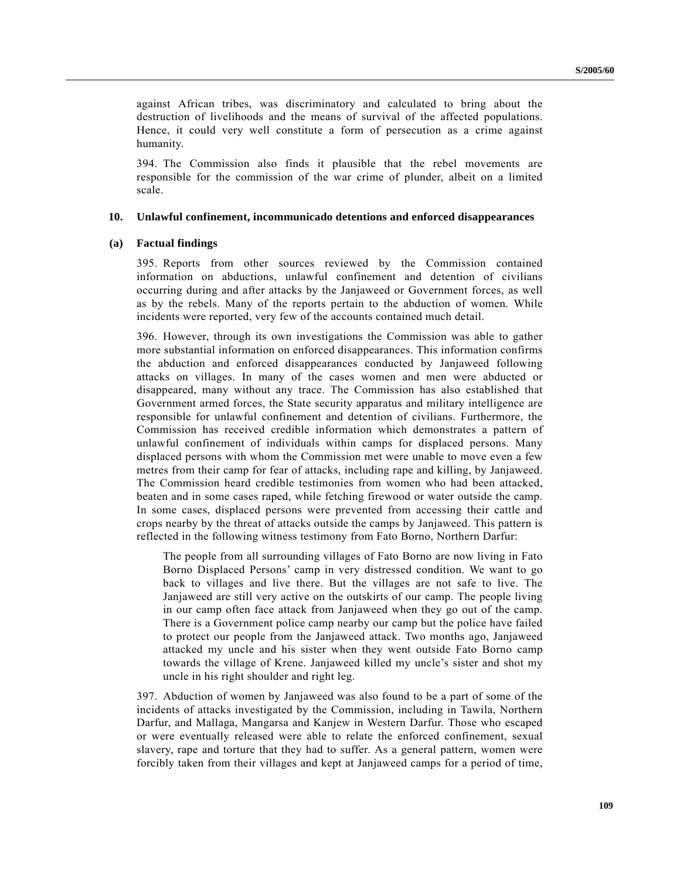against African tribes, was discriminatory and calculated to bring about the destruction of livelihoods and the means of survival of the affected populations. Hence, it could very well constitute a form of persecution as a crime against humanity.

394. The Commission also finds it plausible that the rebel movements are responsible for the commission of the war crime of plunder, albeit on a limited scale.

#### **10. Unlawful confinement, incommunicado detentions and enforced disappearances**

#### **(a) Factual findings**

395. Reports from other sources reviewed by the Commission contained information on abductions, unlawful confinement and detention of civilians occurring during and after attacks by the Janjaweed or Government forces, as well as by the rebels. Many of the reports pertain to the abduction of women. While incidents were reported, very few of the accounts contained much detail.

396. However, through its own investigations the Commission was able to gather more substantial information on enforced disappearances. This information confirms the abduction and enforced disappearances conducted by Janjaweed following attacks on villages. In many of the cases women and men were abducted or disappeared, many without any trace. The Commission has also established that Government armed forces, the State security apparatus and military intelligence are responsible for unlawful confinement and detention of civilians. Furthermore, the Commission has received credible information which demonstrates a pattern of unlawful confinement of individuals within camps for displaced persons. Many displaced persons with whom the Commission met were unable to move even a few metres from their camp for fear of attacks, including rape and killing, by Janjaweed. The Commission heard credible testimonies from women who had been attacked, beaten and in some cases raped, while fetching firewood or water outside the camp. In some cases, displaced persons were prevented from accessing their cattle and crops nearby by the threat of attacks outside the camps by Janjaweed. This pattern is reflected in the following witness testimony from Fato Borno, Northern Darfur:

The people from all surrounding villages of Fato Borno are now living in Fato Borno Displaced Persons' camp in very distressed condition. We want to go back to villages and live there. But the villages are not safe to live. The Janjaweed are still very active on the outskirts of our camp. The people living in our camp often face attack from Janjaweed when they go out of the camp. There is a Government police camp nearby our camp but the police have failed to protect our people from the Janjaweed attack. Two months ago, Janjaweed attacked my uncle and his sister when they went outside Fato Borno camp towards the village of Krene. Janjaweed killed my uncle's sister and shot my uncle in his right shoulder and right leg.

397. Abduction of women by Janjaweed was also found to be a part of some of the incidents of attacks investigated by the Commission, including in Tawila, Northern Darfur, and Mallaga, Mangarsa and Kanjew in Western Darfur. Those who escaped or were eventually released were able to relate the enforced confinement, sexual slavery, rape and torture that they had to suffer. As a general pattern, women were forcibly taken from their villages and kept at Janjaweed camps for a period of time,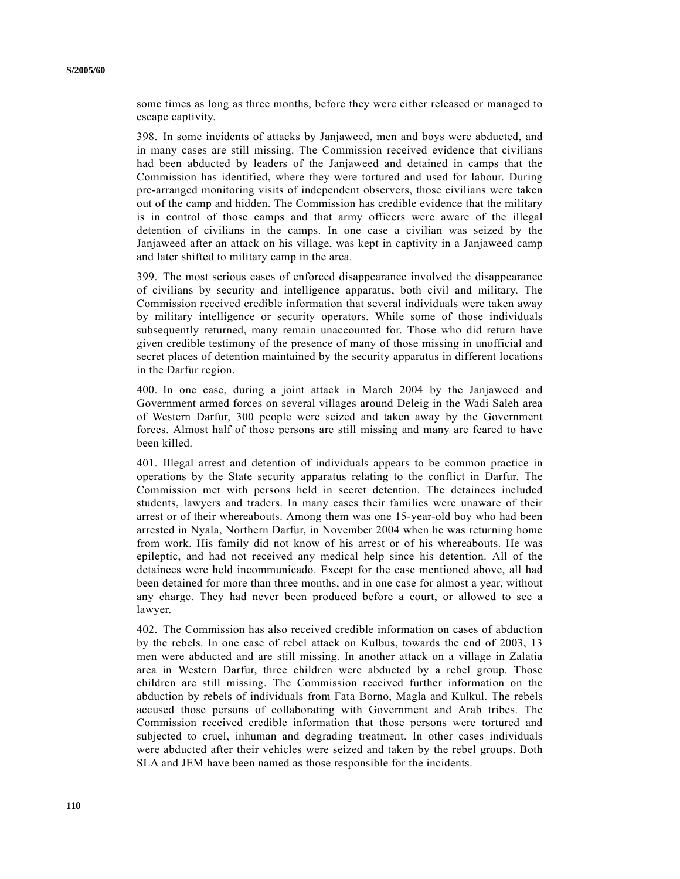some times as long as three months, before they were either released or managed to escape captivity.

398. In some incidents of attacks by Janjaweed, men and boys were abducted, and in many cases are still missing. The Commission received evidence that civilians had been abducted by leaders of the Janjaweed and detained in camps that the Commission has identified, where they were tortured and used for labour. During pre-arranged monitoring visits of independent observers, those civilians were taken out of the camp and hidden. The Commission has credible evidence that the military is in control of those camps and that army officers were aware of the illegal detention of civilians in the camps. In one case a civilian was seized by the Janjaweed after an attack on his village, was kept in captivity in a Janjaweed camp and later shifted to military camp in the area.

399. The most serious cases of enforced disappearance involved the disappearance of civilians by security and intelligence apparatus, both civil and military. The Commission received credible information that several individuals were taken away by military intelligence or security operators. While some of those individuals subsequently returned, many remain unaccounted for. Those who did return have given credible testimony of the presence of many of those missing in unofficial and secret places of detention maintained by the security apparatus in different locations in the Darfur region.

400. In one case, during a joint attack in March 2004 by the Janjaweed and Government armed forces on several villages around Deleig in the Wadi Saleh area of Western Darfur, 300 people were seized and taken away by the Government forces. Almost half of those persons are still missing and many are feared to have been killed.

401. Illegal arrest and detention of individuals appears to be common practice in operations by the State security apparatus relating to the conflict in Darfur. The Commission met with persons held in secret detention. The detainees included students, lawyers and traders. In many cases their families were unaware of their arrest or of their whereabouts. Among them was one 15-year-old boy who had been arrested in Nyala, Northern Darfur, in November 2004 when he was returning home from work. His family did not know of his arrest or of his whereabouts. He was epileptic, and had not received any medical help since his detention. All of the detainees were held incommunicado. Except for the case mentioned above, all had been detained for more than three months, and in one case for almost a year, without any charge. They had never been produced before a court, or allowed to see a lawyer.

402. The Commission has also received credible information on cases of abduction by the rebels. In one case of rebel attack on Kulbus, towards the end of 2003, 13 men were abducted and are still missing. In another attack on a village in Zalatia area in Western Darfur, three children were abducted by a rebel group. Those children are still missing. The Commission received further information on the abduction by rebels of individuals from Fata Borno, Magla and Kulkul. The rebels accused those persons of collaborating with Government and Arab tribes. The Commission received credible information that those persons were tortured and subjected to cruel, inhuman and degrading treatment. In other cases individuals were abducted after their vehicles were seized and taken by the rebel groups. Both SLA and JEM have been named as those responsible for the incidents.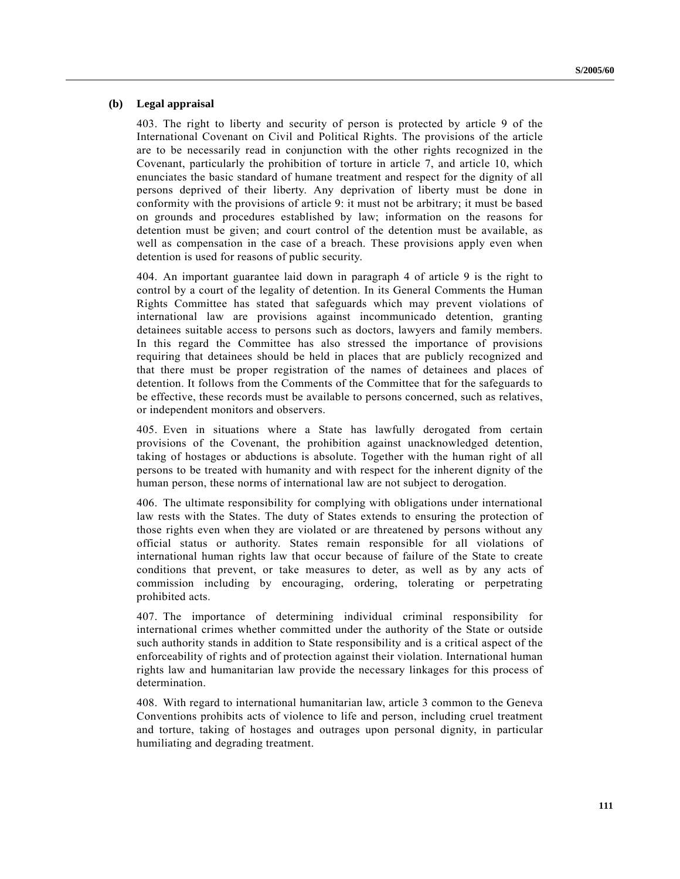#### **(b) Legal appraisal**

403. The right to liberty and security of person is protected by article 9 of the International Covenant on Civil and Political Rights. The provisions of the article are to be necessarily read in conjunction with the other rights recognized in the Covenant, particularly the prohibition of torture in article 7, and article 10, which enunciates the basic standard of humane treatment and respect for the dignity of all persons deprived of their liberty. Any deprivation of liberty must be done in conformity with the provisions of article 9: it must not be arbitrary; it must be based on grounds and procedures established by law; information on the reasons for detention must be given; and court control of the detention must be available, as well as compensation in the case of a breach. These provisions apply even when detention is used for reasons of public security.

404. An important guarantee laid down in paragraph 4 of article 9 is the right to control by a court of the legality of detention. In its General Comments the Human Rights Committee has stated that safeguards which may prevent violations of international law are provisions against incommunicado detention, granting detainees suitable access to persons such as doctors, lawyers and family members. In this regard the Committee has also stressed the importance of provisions requiring that detainees should be held in places that are publicly recognized and that there must be proper registration of the names of detainees and places of detention. It follows from the Comments of the Committee that for the safeguards to be effective, these records must be available to persons concerned, such as relatives, or independent monitors and observers.

405. Even in situations where a State has lawfully derogated from certain provisions of the Covenant, the prohibition against unacknowledged detention, taking of hostages or abductions is absolute. Together with the human right of all persons to be treated with humanity and with respect for the inherent dignity of the human person, these norms of international law are not subject to derogation.

406. The ultimate responsibility for complying with obligations under international law rests with the States. The duty of States extends to ensuring the protection of those rights even when they are violated or are threatened by persons without any official status or authority. States remain responsible for all violations of international human rights law that occur because of failure of the State to create conditions that prevent, or take measures to deter, as well as by any acts of commission including by encouraging, ordering, tolerating or perpetrating prohibited acts.

407. The importance of determining individual criminal responsibility for international crimes whether committed under the authority of the State or outside such authority stands in addition to State responsibility and is a critical aspect of the enforceability of rights and of protection against their violation. International human rights law and humanitarian law provide the necessary linkages for this process of determination.

408. With regard to international humanitarian law, article 3 common to the Geneva Conventions prohibits acts of violence to life and person, including cruel treatment and torture, taking of hostages and outrages upon personal dignity, in particular humiliating and degrading treatment.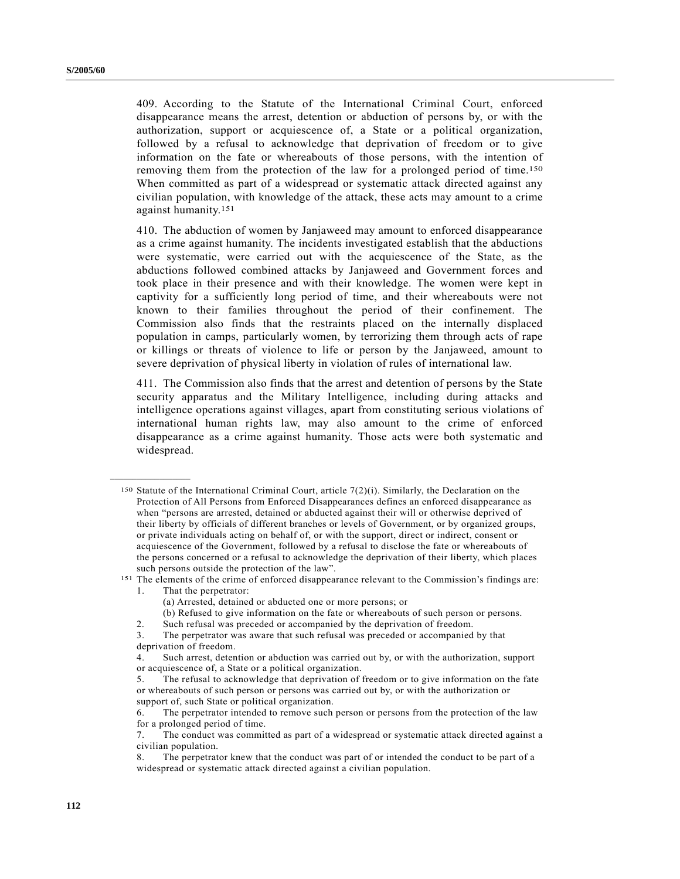409. According to the Statute of the International Criminal Court, enforced disappearance means the arrest, detention or abduction of persons by, or with the authorization, support or acquiescence of, a State or a political organization, followed by a refusal to acknowledge that deprivation of freedom or to give information on the fate or whereabouts of those persons, with the intention of removing them from the protection of the law for a prolonged period of time.150 When committed as part of a widespread or systematic attack directed against any civilian population, with knowledge of the attack, these acts may amount to a crime against humanity.151

410. The abduction of women by Janjaweed may amount to enforced disappearance as a crime against humanity. The incidents investigated establish that the abductions were systematic, were carried out with the acquiescence of the State, as the abductions followed combined attacks by Janjaweed and Government forces and took place in their presence and with their knowledge. The women were kept in captivity for a sufficiently long period of time, and their whereabouts were not known to their families throughout the period of their confinement. The Commission also finds that the restraints placed on the internally displaced population in camps, particularly women, by terrorizing them through acts of rape or killings or threats of violence to life or person by the Janjaweed, amount to severe deprivation of physical liberty in violation of rules of international law.

411. The Commission also finds that the arrest and detention of persons by the State security apparatus and the Military Intelligence, including during attacks and intelligence operations against villages, apart from constituting serious violations of international human rights law, may also amount to the crime of enforced disappearance as a crime against humanity. Those acts were both systematic and widespread.

1. That the perpetrator:

**\_\_\_\_\_\_\_\_\_\_\_\_\_\_\_\_\_\_**

(a) Arrested, detained or abducted one or more persons; or

(b) Refused to give information on the fate or whereabouts of such person or persons.

<sup>150</sup> Statute of the International Criminal Court, article 7(2)(i). Similarly, the Declaration on the Protection of All Persons from Enforced Disappearances defines an enforced disappearance as when "persons are arrested, detained or abducted against their will or otherwise deprived of their liberty by officials of different branches or levels of Government, or by organized groups, or private individuals acting on behalf of, or with the support, direct or indirect, consent or acquiescence of the Government, followed by a refusal to disclose the fate or whereabouts of the persons concerned or a refusal to acknowledge the deprivation of their liberty, which places such persons outside the protection of the law".

<sup>&</sup>lt;sup>151</sup> The elements of the crime of enforced disappearance relevant to the Commission's findings are:

<sup>2.</sup> Such refusal was preceded or accompanied by the deprivation of freedom.

<sup>3.</sup> The perpetrator was aware that such refusal was preceded or accompanied by that deprivation of freedom.

Such arrest, detention or abduction was carried out by, or with the authorization, support or acquiescence of, a State or a political organization.

<sup>5.</sup> The refusal to acknowledge that deprivation of freedom or to give information on the fate or whereabouts of such person or persons was carried out by, or with the authorization or support of, such State or political organization.

<sup>6.</sup> The perpetrator intended to remove such person or persons from the protection of the law for a prolonged period of time.

<sup>7.</sup> The conduct was committed as part of a widespread or systematic attack directed against a civilian population.

<sup>8.</sup> The perpetrator knew that the conduct was part of or intended the conduct to be part of a widespread or systematic attack directed against a civilian population.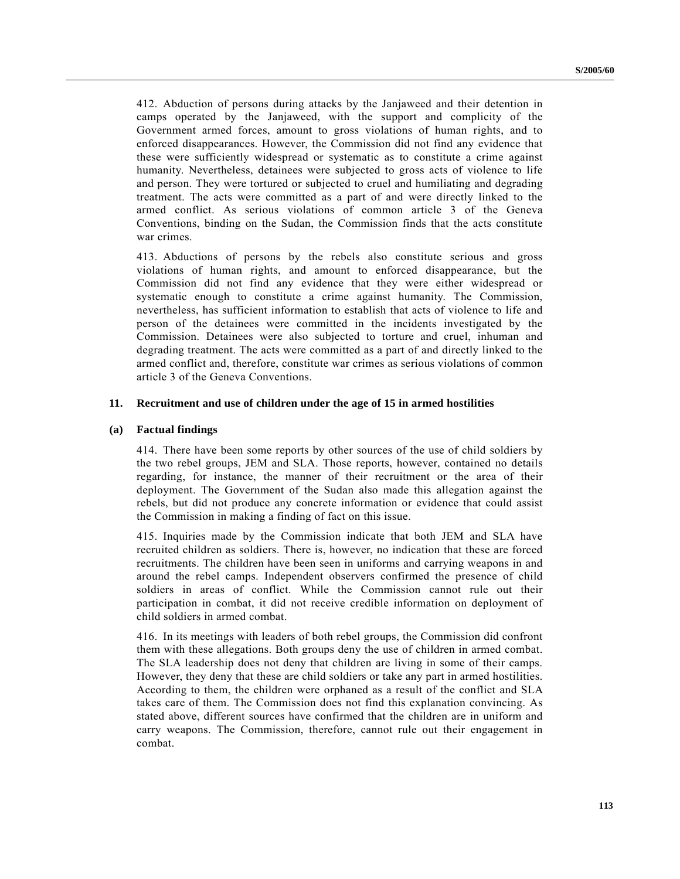412. Abduction of persons during attacks by the Janjaweed and their detention in camps operated by the Janjaweed, with the support and complicity of the Government armed forces, amount to gross violations of human rights, and to enforced disappearances. However, the Commission did not find any evidence that these were sufficiently widespread or systematic as to constitute a crime against humanity. Nevertheless, detainees were subjected to gross acts of violence to life and person. They were tortured or subjected to cruel and humiliating and degrading treatment. The acts were committed as a part of and were directly linked to the armed conflict. As serious violations of common article 3 of the Geneva Conventions, binding on the Sudan, the Commission finds that the acts constitute war crimes.

413. Abductions of persons by the rebels also constitute serious and gross violations of human rights, and amount to enforced disappearance, but the Commission did not find any evidence that they were either widespread or systematic enough to constitute a crime against humanity. The Commission, nevertheless, has sufficient information to establish that acts of violence to life and person of the detainees were committed in the incidents investigated by the Commission. Detainees were also subjected to torture and cruel, inhuman and degrading treatment. The acts were committed as a part of and directly linked to the armed conflict and, therefore, constitute war crimes as serious violations of common article 3 of the Geneva Conventions.

#### **11. Recruitment and use of children under the age of 15 in armed hostilities**

#### **(a) Factual findings**

414. There have been some reports by other sources of the use of child soldiers by the two rebel groups, JEM and SLA. Those reports, however, contained no details regarding, for instance, the manner of their recruitment or the area of their deployment. The Government of the Sudan also made this allegation against the rebels, but did not produce any concrete information or evidence that could assist the Commission in making a finding of fact on this issue.

415. Inquiries made by the Commission indicate that both JEM and SLA have recruited children as soldiers. There is, however, no indication that these are forced recruitments. The children have been seen in uniforms and carrying weapons in and around the rebel camps. Independent observers confirmed the presence of child soldiers in areas of conflict. While the Commission cannot rule out their participation in combat, it did not receive credible information on deployment of child soldiers in armed combat.

416. In its meetings with leaders of both rebel groups, the Commission did confront them with these allegations. Both groups deny the use of children in armed combat. The SLA leadership does not deny that children are living in some of their camps. However, they deny that these are child soldiers or take any part in armed hostilities. According to them, the children were orphaned as a result of the conflict and SLA takes care of them. The Commission does not find this explanation convincing. As stated above, different sources have confirmed that the children are in uniform and carry weapons. The Commission, therefore, cannot rule out their engagement in combat.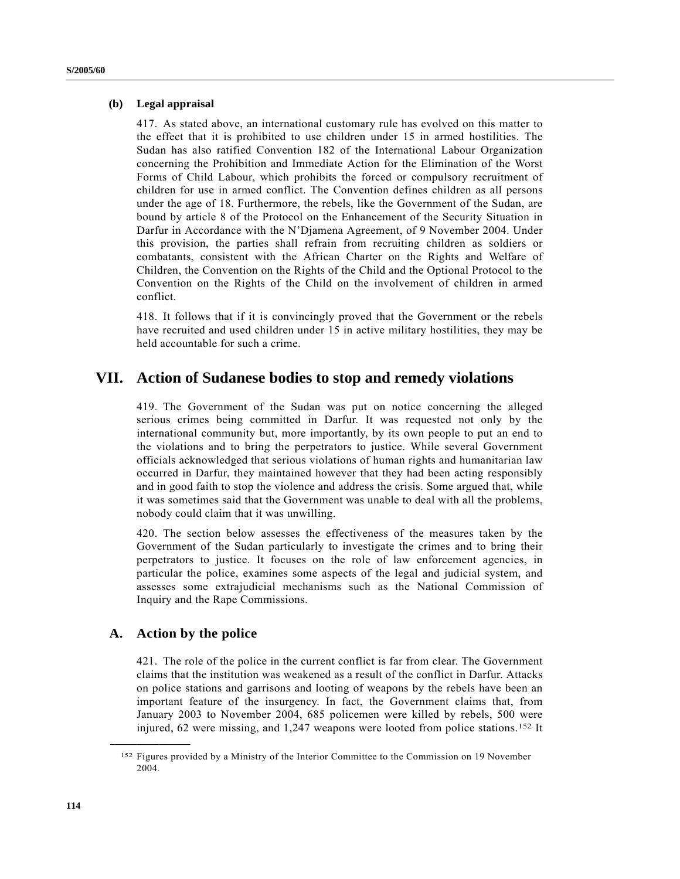#### **(b) Legal appraisal**

417. As stated above, an international customary rule has evolved on this matter to the effect that it is prohibited to use children under 15 in armed hostilities. The Sudan has also ratified Convention 182 of the International Labour Organization concerning the Prohibition and Immediate Action for the Elimination of the Worst Forms of Child Labour, which prohibits the forced or compulsory recruitment of children for use in armed conflict. The Convention defines children as all persons under the age of 18. Furthermore, the rebels, like the Government of the Sudan, are bound by article 8 of the Protocol on the Enhancement of the Security Situation in Darfur in Accordance with the N'Djamena Agreement, of 9 November 2004. Under this provision, the parties shall refrain from recruiting children as soldiers or combatants, consistent with the African Charter on the Rights and Welfare of Children, the Convention on the Rights of the Child and the Optional Protocol to the Convention on the Rights of the Child on the involvement of children in armed conflict.

418. It follows that if it is convincingly proved that the Government or the rebels have recruited and used children under 15 in active military hostilities, they may be held accountable for such a crime.

# **VII. Action of Sudanese bodies to stop and remedy violations**

419. The Government of the Sudan was put on notice concerning the alleged serious crimes being committed in Darfur. It was requested not only by the international community but, more importantly, by its own people to put an end to the violations and to bring the perpetrators to justice. While several Government officials acknowledged that serious violations of human rights and humanitarian law occurred in Darfur, they maintained however that they had been acting responsibly and in good faith to stop the violence and address the crisis. Some argued that, while it was sometimes said that the Government was unable to deal with all the problems, nobody could claim that it was unwilling.

420. The section below assesses the effectiveness of the measures taken by the Government of the Sudan particularly to investigate the crimes and to bring their perpetrators to justice. It focuses on the role of law enforcement agencies, in particular the police, examines some aspects of the legal and judicial system, and assesses some extrajudicial mechanisms such as the National Commission of Inquiry and the Rape Commissions.

### **A. Action by the police**

**\_\_\_\_\_\_\_\_\_\_\_\_\_\_\_\_\_\_**

421. The role of the police in the current conflict is far from clear. The Government claims that the institution was weakened as a result of the conflict in Darfur. Attacks on police stations and garrisons and looting of weapons by the rebels have been an important feature of the insurgency. In fact, the Government claims that, from January 2003 to November 2004, 685 policemen were killed by rebels, 500 were injured, 62 were missing, and 1,247 weapons were looted from police stations.152 It

<sup>152</sup> Figures provided by a Ministry of the Interior Committee to the Commission on 19 November 2004.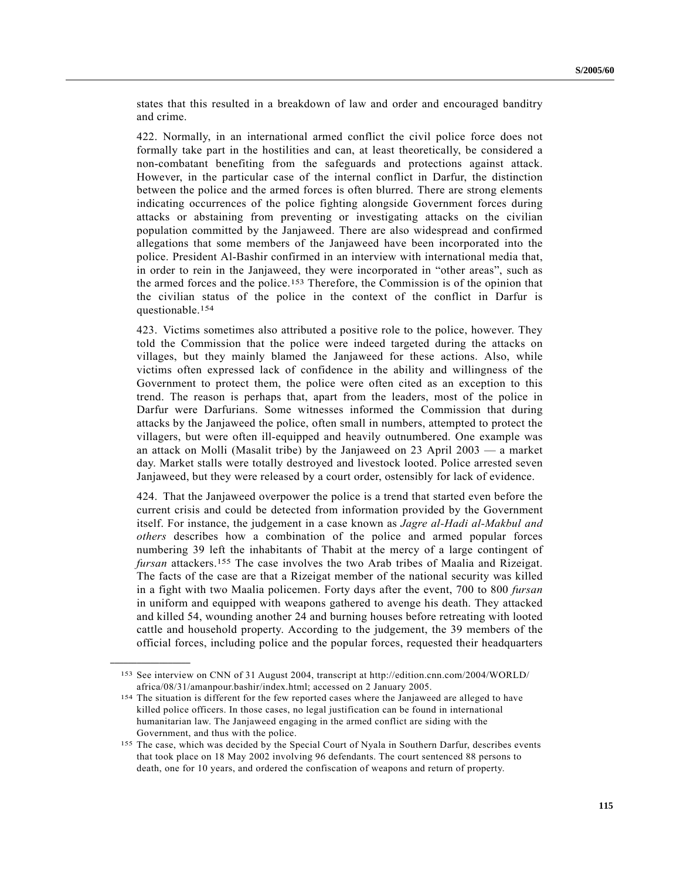states that this resulted in a breakdown of law and order and encouraged banditry and crime.

422. Normally, in an international armed conflict the civil police force does not formally take part in the hostilities and can, at least theoretically, be considered a non-combatant benefiting from the safeguards and protections against attack. However, in the particular case of the internal conflict in Darfur, the distinction between the police and the armed forces is often blurred. There are strong elements indicating occurrences of the police fighting alongside Government forces during attacks or abstaining from preventing or investigating attacks on the civilian population committed by the Janjaweed. There are also widespread and confirmed allegations that some members of the Janjaweed have been incorporated into the police. President Al-Bashir confirmed in an interview with international media that, in order to rein in the Janjaweed, they were incorporated in "other areas", such as the armed forces and the police.153 Therefore, the Commission is of the opinion that the civilian status of the police in the context of the conflict in Darfur is questionable.154

423. Victims sometimes also attributed a positive role to the police, however. They told the Commission that the police were indeed targeted during the attacks on villages, but they mainly blamed the Janjaweed for these actions. Also, while victims often expressed lack of confidence in the ability and willingness of the Government to protect them, the police were often cited as an exception to this trend. The reason is perhaps that, apart from the leaders, most of the police in Darfur were Darfurians. Some witnesses informed the Commission that during attacks by the Janjaweed the police, often small in numbers, attempted to protect the villagers, but were often ill-equipped and heavily outnumbered. One example was an attack on Molli (Masalit tribe) by the Janjaweed on 23 April 2003  $-$  a market day. Market stalls were totally destroyed and livestock looted. Police arrested seven Janjaweed, but they were released by a court order, ostensibly for lack of evidence.

424. That the Janjaweed overpower the police is a trend that started even before the current crisis and could be detected from information provided by the Government itself. For instance, the judgement in a case known as *Jagre al-Hadi al-Makbul and others* describes how a combination of the police and armed popular forces numbering 39 left the inhabitants of Thabit at the mercy of a large contingent of *fursan* attackers.155 The case involves the two Arab tribes of Maalia and Rizeigat. The facts of the case are that a Rizeigat member of the national security was killed in a fight with two Maalia policemen. Forty days after the event, 700 to 800 *fursan* in uniform and equipped with weapons gathered to avenge his death. They attacked and killed 54, wounding another 24 and burning houses before retreating with looted cattle and household property. According to the judgement, the 39 members of the official forces, including police and the popular forces, requested their headquarters

<sup>153</sup> See interview on CNN of 31 August 2004, transcript at http://edition.cnn.com/2004/WORLD/ africa/08/31/amanpour.bashir/index.html; accessed on 2 January 2005.

<sup>154</sup> The situation is different for the few reported cases where the Janjaweed are alleged to have killed police officers. In those cases, no legal justification can be found in international humanitarian law. The Janjaweed engaging in the armed conflict are siding with the Government, and thus with the police.

<sup>155</sup> The case, which was decided by the Special Court of Nyala in Southern Darfur, describes events that took place on 18 May 2002 involving 96 defendants. The court sentenced 88 persons to death, one for 10 years, and ordered the confiscation of weapons and return of property.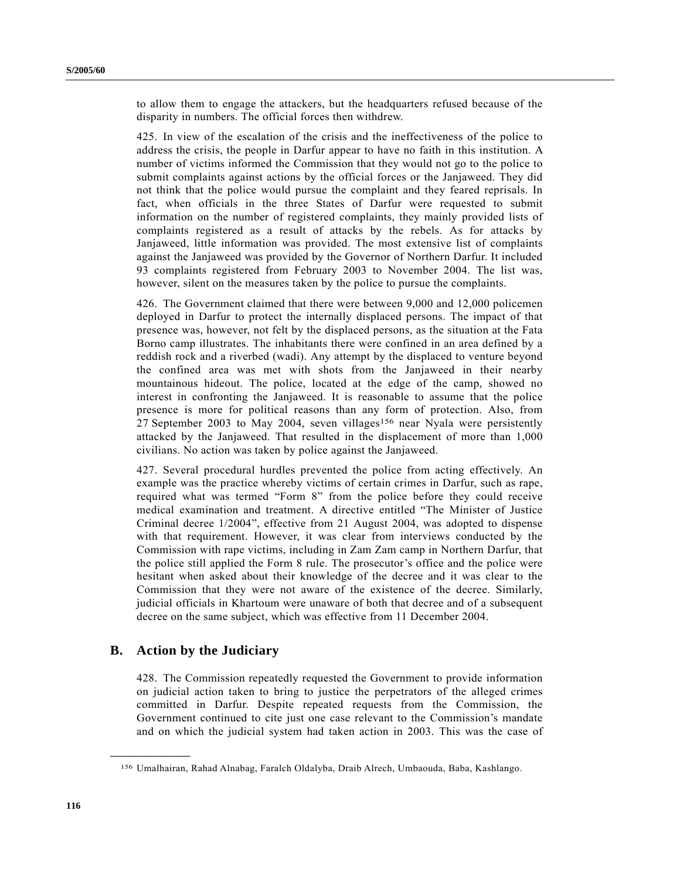to allow them to engage the attackers, but the headquarters refused because of the disparity in numbers. The official forces then withdrew.

425. In view of the escalation of the crisis and the ineffectiveness of the police to address the crisis, the people in Darfur appear to have no faith in this institution. A number of victims informed the Commission that they would not go to the police to submit complaints against actions by the official forces or the Janjaweed. They did not think that the police would pursue the complaint and they feared reprisals. In fact, when officials in the three States of Darfur were requested to submit information on the number of registered complaints, they mainly provided lists of complaints registered as a result of attacks by the rebels. As for attacks by Janjaweed, little information was provided. The most extensive list of complaints against the Janjaweed was provided by the Governor of Northern Darfur. It included 93 complaints registered from February 2003 to November 2004. The list was, however, silent on the measures taken by the police to pursue the complaints.

426. The Government claimed that there were between 9,000 and 12,000 policemen deployed in Darfur to protect the internally displaced persons. The impact of that presence was, however, not felt by the displaced persons, as the situation at the Fata Borno camp illustrates. The inhabitants there were confined in an area defined by a reddish rock and a riverbed (wadi). Any attempt by the displaced to venture beyond the confined area was met with shots from the Janjaweed in their nearby mountainous hideout. The police, located at the edge of the camp, showed no interest in confronting the Janjaweed. It is reasonable to assume that the police presence is more for political reasons than any form of protection. Also, from 27 September 2003 to May 2004, seven villages156 near Nyala were persistently attacked by the Janjaweed. That resulted in the displacement of more than 1,000 civilians. No action was taken by police against the Janjaweed.

427. Several procedural hurdles prevented the police from acting effectively. An example was the practice whereby victims of certain crimes in Darfur, such as rape, required what was termed "Form 8" from the police before they could receive medical examination and treatment. A directive entitled "The Minister of Justice Criminal decree 1/2004î, effective from 21 August 2004, was adopted to dispense with that requirement. However, it was clear from interviews conducted by the Commission with rape victims, including in Zam Zam camp in Northern Darfur, that the police still applied the Form 8 rule. The prosecutor's office and the police were hesitant when asked about their knowledge of the decree and it was clear to the Commission that they were not aware of the existence of the decree. Similarly, judicial officials in Khartoum were unaware of both that decree and of a subsequent decree on the same subject, which was effective from 11 December 2004.

### **B. Action by the Judiciary**

**\_\_\_\_\_\_\_\_\_\_\_\_\_\_\_\_\_\_**

428. The Commission repeatedly requested the Government to provide information on judicial action taken to bring to justice the perpetrators of the alleged crimes committed in Darfur. Despite repeated requests from the Commission, the Government continued to cite just one case relevant to the Commission's mandate and on which the judicial system had taken action in 2003. This was the case of

<sup>156</sup> Umalhairan, Rahad Alnabag, Faralch Oldalyba, Draib Alrech, Umbaouda, Baba, Kashlango.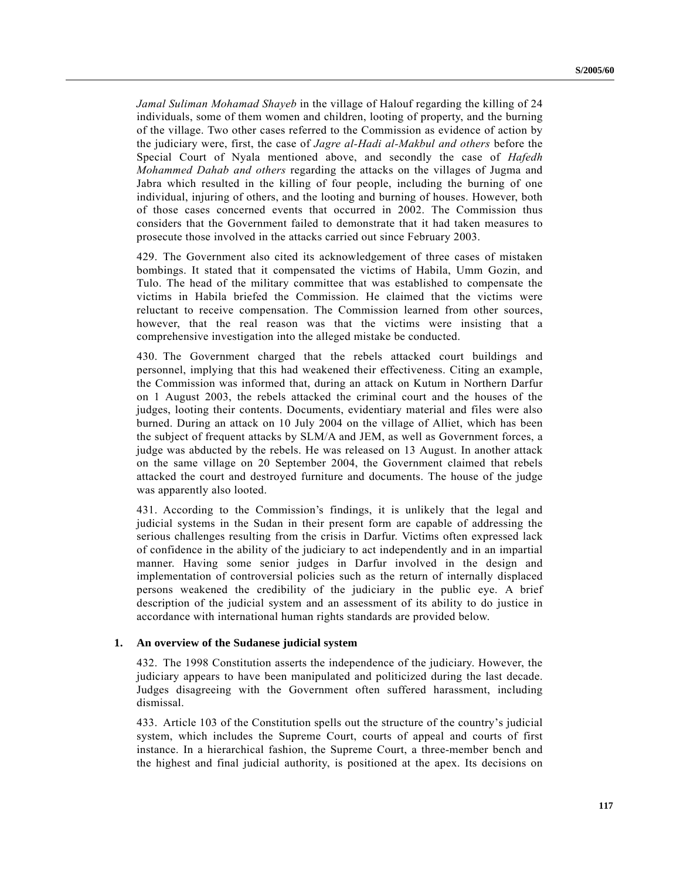*Jamal Suliman Mohamad Shayeb* in the village of Halouf regarding the killing of 24 individuals, some of them women and children, looting of property, and the burning of the village. Two other cases referred to the Commission as evidence of action by the judiciary were, first, the case of *Jagre al-Hadi al-Makbul and others* before the Special Court of Nyala mentioned above, and secondly the case of *Hafedh Mohammed Dahab and others* regarding the attacks on the villages of Jugma and Jabra which resulted in the killing of four people, including the burning of one individual, injuring of others, and the looting and burning of houses. However, both of those cases concerned events that occurred in 2002. The Commission thus considers that the Government failed to demonstrate that it had taken measures to prosecute those involved in the attacks carried out since February 2003.

429. The Government also cited its acknowledgement of three cases of mistaken bombings. It stated that it compensated the victims of Habila, Umm Gozin, and Tulo. The head of the military committee that was established to compensate the victims in Habila briefed the Commission. He claimed that the victims were reluctant to receive compensation. The Commission learned from other sources, however, that the real reason was that the victims were insisting that a comprehensive investigation into the alleged mistake be conducted.

430. The Government charged that the rebels attacked court buildings and personnel, implying that this had weakened their effectiveness. Citing an example, the Commission was informed that, during an attack on Kutum in Northern Darfur on 1 August 2003, the rebels attacked the criminal court and the houses of the judges, looting their contents. Documents, evidentiary material and files were also burned. During an attack on 10 July 2004 on the village of Alliet, which has been the subject of frequent attacks by SLM/A and JEM, as well as Government forces, a judge was abducted by the rebels. He was released on 13 August. In another attack on the same village on 20 September 2004, the Government claimed that rebels attacked the court and destroyed furniture and documents. The house of the judge was apparently also looted.

431. According to the Commission's findings, it is unlikely that the legal and judicial systems in the Sudan in their present form are capable of addressing the serious challenges resulting from the crisis in Darfur. Victims often expressed lack of confidence in the ability of the judiciary to act independently and in an impartial manner. Having some senior judges in Darfur involved in the design and implementation of controversial policies such as the return of internally displaced persons weakened the credibility of the judiciary in the public eye. A brief description of the judicial system and an assessment of its ability to do justice in accordance with international human rights standards are provided below.

#### **1. An overview of the Sudanese judicial system**

432. The 1998 Constitution asserts the independence of the judiciary. However, the judiciary appears to have been manipulated and politicized during the last decade. Judges disagreeing with the Government often suffered harassment, including dismissal.

433. Article 103 of the Constitution spells out the structure of the countryís judicial system, which includes the Supreme Court, courts of appeal and courts of first instance. In a hierarchical fashion, the Supreme Court, a three-member bench and the highest and final judicial authority, is positioned at the apex. Its decisions on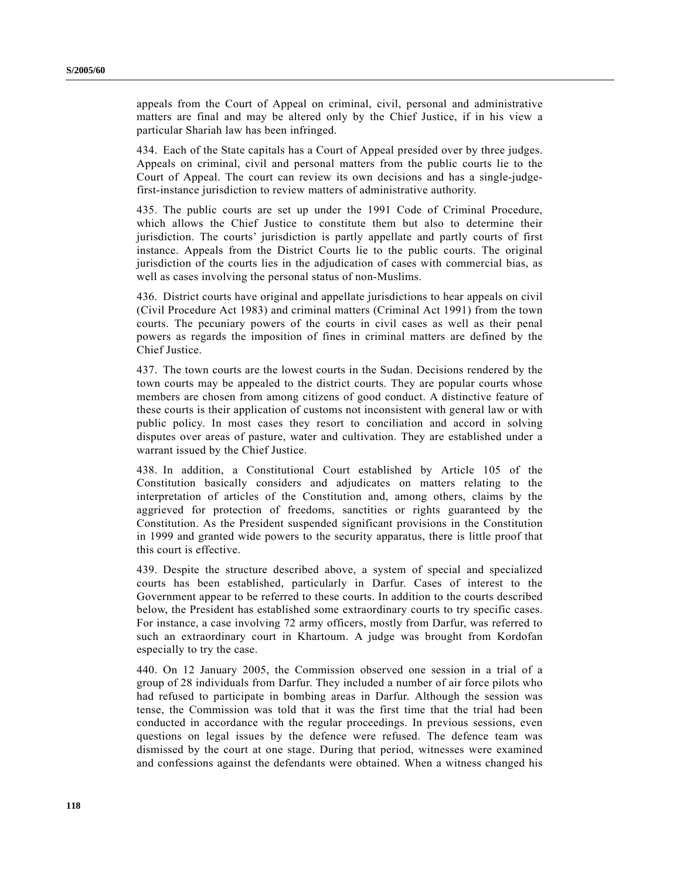appeals from the Court of Appeal on criminal, civil, personal and administrative matters are final and may be altered only by the Chief Justice, if in his view a particular Shariah law has been infringed.

434. Each of the State capitals has a Court of Appeal presided over by three judges. Appeals on criminal, civil and personal matters from the public courts lie to the Court of Appeal. The court can review its own decisions and has a single-judgefirst-instance jurisdiction to review matters of administrative authority.

435. The public courts are set up under the 1991 Code of Criminal Procedure, which allows the Chief Justice to constitute them but also to determine their jurisdiction. The courts' jurisdiction is partly appellate and partly courts of first instance. Appeals from the District Courts lie to the public courts. The original jurisdiction of the courts lies in the adjudication of cases with commercial bias, as well as cases involving the personal status of non-Muslims.

436. District courts have original and appellate jurisdictions to hear appeals on civil (Civil Procedure Act 1983) and criminal matters (Criminal Act 1991) from the town courts. The pecuniary powers of the courts in civil cases as well as their penal powers as regards the imposition of fines in criminal matters are defined by the Chief Justice.

437. The town courts are the lowest courts in the Sudan. Decisions rendered by the town courts may be appealed to the district courts. They are popular courts whose members are chosen from among citizens of good conduct. A distinctive feature of these courts is their application of customs not inconsistent with general law or with public policy. In most cases they resort to conciliation and accord in solving disputes over areas of pasture, water and cultivation. They are established under a warrant issued by the Chief Justice.

438. In addition, a Constitutional Court established by Article 105 of the Constitution basically considers and adjudicates on matters relating to the interpretation of articles of the Constitution and, among others, claims by the aggrieved for protection of freedoms, sanctities or rights guaranteed by the Constitution. As the President suspended significant provisions in the Constitution in 1999 and granted wide powers to the security apparatus, there is little proof that this court is effective.

439. Despite the structure described above, a system of special and specialized courts has been established, particularly in Darfur. Cases of interest to the Government appear to be referred to these courts. In addition to the courts described below, the President has established some extraordinary courts to try specific cases. For instance, a case involving 72 army officers, mostly from Darfur, was referred to such an extraordinary court in Khartoum. A judge was brought from Kordofan especially to try the case.

440. On 12 January 2005, the Commission observed one session in a trial of a group of 28 individuals from Darfur. They included a number of air force pilots who had refused to participate in bombing areas in Darfur. Although the session was tense, the Commission was told that it was the first time that the trial had been conducted in accordance with the regular proceedings. In previous sessions, even questions on legal issues by the defence were refused. The defence team was dismissed by the court at one stage. During that period, witnesses were examined and confessions against the defendants were obtained. When a witness changed his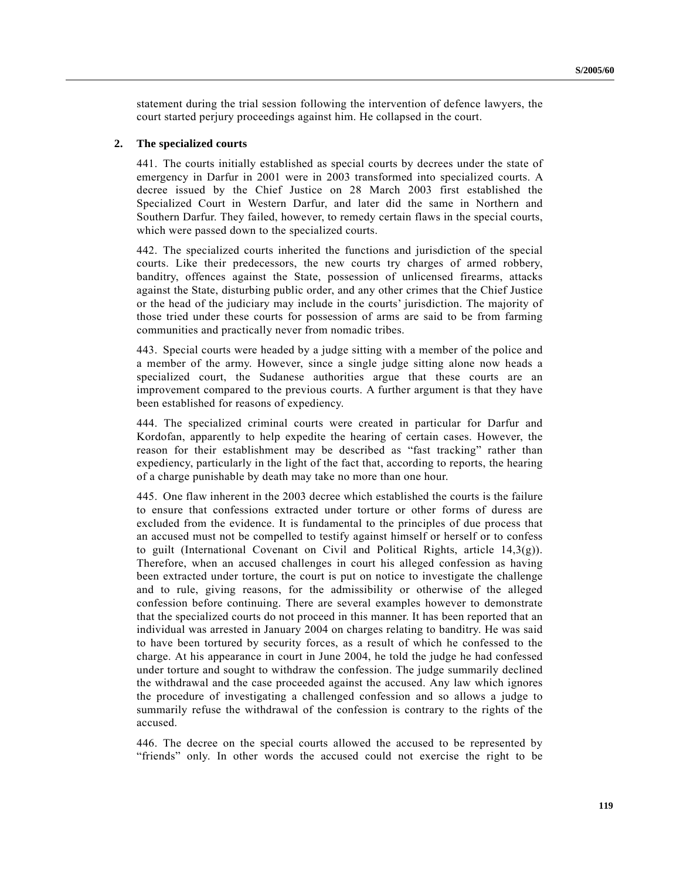statement during the trial session following the intervention of defence lawyers, the court started perjury proceedings against him. He collapsed in the court.

#### **2. The specialized courts**

441. The courts initially established as special courts by decrees under the state of emergency in Darfur in 2001 were in 2003 transformed into specialized courts. A decree issued by the Chief Justice on 28 March 2003 first established the Specialized Court in Western Darfur, and later did the same in Northern and Southern Darfur. They failed, however, to remedy certain flaws in the special courts, which were passed down to the specialized courts.

442. The specialized courts inherited the functions and jurisdiction of the special courts. Like their predecessors, the new courts try charges of armed robbery, banditry, offences against the State, possession of unlicensed firearms, attacks against the State, disturbing public order, and any other crimes that the Chief Justice or the head of the judiciary may include in the courts' jurisdiction. The majority of those tried under these courts for possession of arms are said to be from farming communities and practically never from nomadic tribes.

443. Special courts were headed by a judge sitting with a member of the police and a member of the army. However, since a single judge sitting alone now heads a specialized court, the Sudanese authorities argue that these courts are an improvement compared to the previous courts. A further argument is that they have been established for reasons of expediency.

444. The specialized criminal courts were created in particular for Darfur and Kordofan, apparently to help expedite the hearing of certain cases. However, the reason for their establishment may be described as "fast tracking" rather than expediency, particularly in the light of the fact that, according to reports, the hearing of a charge punishable by death may take no more than one hour.

445. One flaw inherent in the 2003 decree which established the courts is the failure to ensure that confessions extracted under torture or other forms of duress are excluded from the evidence. It is fundamental to the principles of due process that an accused must not be compelled to testify against himself or herself or to confess to guilt (International Covenant on Civil and Political Rights, article 14,3(g)). Therefore, when an accused challenges in court his alleged confession as having been extracted under torture, the court is put on notice to investigate the challenge and to rule, giving reasons, for the admissibility or otherwise of the alleged confession before continuing. There are several examples however to demonstrate that the specialized courts do not proceed in this manner. It has been reported that an individual was arrested in January 2004 on charges relating to banditry. He was said to have been tortured by security forces, as a result of which he confessed to the charge. At his appearance in court in June 2004, he told the judge he had confessed under torture and sought to withdraw the confession. The judge summarily declined the withdrawal and the case proceeded against the accused. Any law which ignores the procedure of investigating a challenged confession and so allows a judge to summarily refuse the withdrawal of the confession is contrary to the rights of the accused.

446. The decree on the special courts allowed the accused to be represented by "friends" only. In other words the accused could not exercise the right to be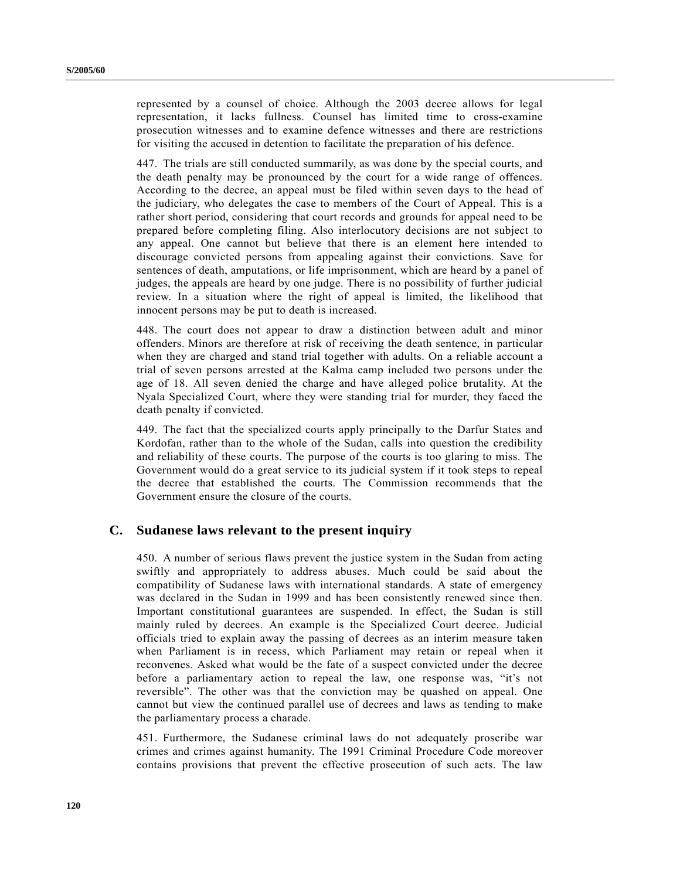represented by a counsel of choice. Although the 2003 decree allows for legal representation, it lacks fullness. Counsel has limited time to cross-examine prosecution witnesses and to examine defence witnesses and there are restrictions for visiting the accused in detention to facilitate the preparation of his defence.

447. The trials are still conducted summarily, as was done by the special courts, and the death penalty may be pronounced by the court for a wide range of offences. According to the decree, an appeal must be filed within seven days to the head of the judiciary, who delegates the case to members of the Court of Appeal. This is a rather short period, considering that court records and grounds for appeal need to be prepared before completing filing. Also interlocutory decisions are not subject to any appeal. One cannot but believe that there is an element here intended to discourage convicted persons from appealing against their convictions. Save for sentences of death, amputations, or life imprisonment, which are heard by a panel of judges, the appeals are heard by one judge. There is no possibility of further judicial review. In a situation where the right of appeal is limited, the likelihood that innocent persons may be put to death is increased.

448. The court does not appear to draw a distinction between adult and minor offenders. Minors are therefore at risk of receiving the death sentence, in particular when they are charged and stand trial together with adults. On a reliable account a trial of seven persons arrested at the Kalma camp included two persons under the age of 18. All seven denied the charge and have alleged police brutality. At the Nyala Specialized Court, where they were standing trial for murder, they faced the death penalty if convicted.

449. The fact that the specialized courts apply principally to the Darfur States and Kordofan, rather than to the whole of the Sudan, calls into question the credibility and reliability of these courts. The purpose of the courts is too glaring to miss. The Government would do a great service to its judicial system if it took steps to repeal the decree that established the courts. The Commission recommends that the Government ensure the closure of the courts.

## **C. Sudanese laws relevant to the present inquiry**

450. A number of serious flaws prevent the justice system in the Sudan from acting swiftly and appropriately to address abuses. Much could be said about the compatibility of Sudanese laws with international standards. A state of emergency was declared in the Sudan in 1999 and has been consistently renewed since then. Important constitutional guarantees are suspended. In effect, the Sudan is still mainly ruled by decrees. An example is the Specialized Court decree. Judicial officials tried to explain away the passing of decrees as an interim measure taken when Parliament is in recess, which Parliament may retain or repeal when it reconvenes. Asked what would be the fate of a suspect convicted under the decree before a parliamentary action to repeal the law, one response was, "it's not reversible". The other was that the conviction may be quashed on appeal. One cannot but view the continued parallel use of decrees and laws as tending to make the parliamentary process a charade.

451. Furthermore, the Sudanese criminal laws do not adequately proscribe war crimes and crimes against humanity. The 1991 Criminal Procedure Code moreover contains provisions that prevent the effective prosecution of such acts. The law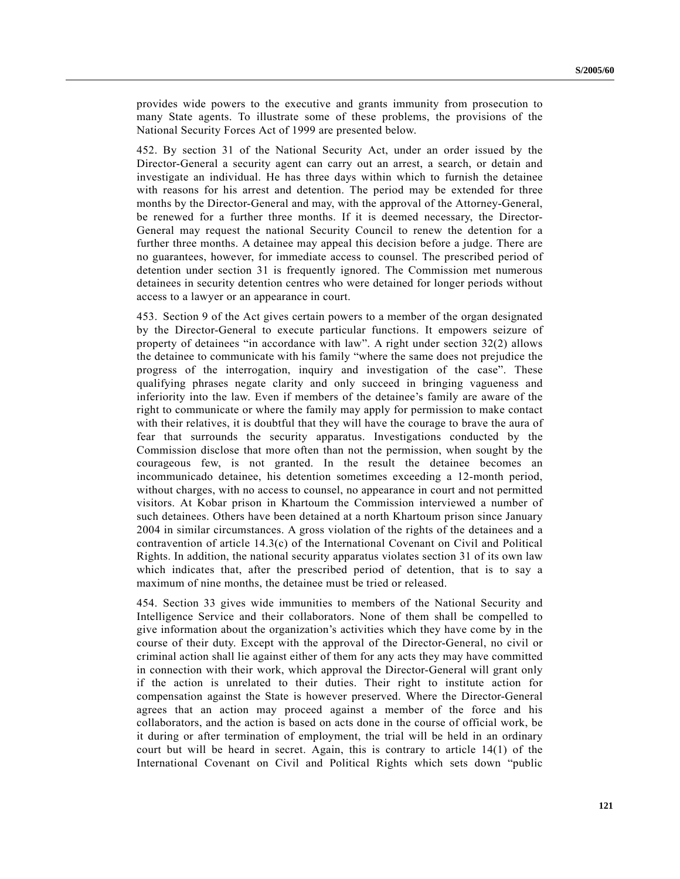provides wide powers to the executive and grants immunity from prosecution to many State agents. To illustrate some of these problems, the provisions of the National Security Forces Act of 1999 are presented below.

452. By section 31 of the National Security Act, under an order issued by the Director-General a security agent can carry out an arrest, a search, or detain and investigate an individual. He has three days within which to furnish the detainee with reasons for his arrest and detention. The period may be extended for three months by the Director-General and may, with the approval of the Attorney-General, be renewed for a further three months. If it is deemed necessary, the Director-General may request the national Security Council to renew the detention for a further three months. A detainee may appeal this decision before a judge. There are no guarantees, however, for immediate access to counsel. The prescribed period of detention under section 31 is frequently ignored. The Commission met numerous detainees in security detention centres who were detained for longer periods without access to a lawyer or an appearance in court.

453. Section 9 of the Act gives certain powers to a member of the organ designated by the Director-General to execute particular functions. It empowers seizure of property of detainees "in accordance with law". A right under section  $32(2)$  allows the detainee to communicate with his family "where the same does not prejudice the progress of the interrogation, inquiry and investigation of the caseî. These qualifying phrases negate clarity and only succeed in bringing vagueness and inferiority into the law. Even if members of the detainee's family are aware of the right to communicate or where the family may apply for permission to make contact with their relatives, it is doubtful that they will have the courage to brave the aura of fear that surrounds the security apparatus. Investigations conducted by the Commission disclose that more often than not the permission, when sought by the courageous few, is not granted. In the result the detainee becomes an incommunicado detainee, his detention sometimes exceeding a 12-month period, without charges, with no access to counsel, no appearance in court and not permitted visitors. At Kobar prison in Khartoum the Commission interviewed a number of such detainees. Others have been detained at a north Khartoum prison since January 2004 in similar circumstances. A gross violation of the rights of the detainees and a contravention of article 14.3(c) of the International Covenant on Civil and Political Rights. In addition, the national security apparatus violates section 31 of its own law which indicates that, after the prescribed period of detention, that is to say a maximum of nine months, the detainee must be tried or released.

454. Section 33 gives wide immunities to members of the National Security and Intelligence Service and their collaborators. None of them shall be compelled to give information about the organization's activities which they have come by in the course of their duty. Except with the approval of the Director-General, no civil or criminal action shall lie against either of them for any acts they may have committed in connection with their work, which approval the Director-General will grant only if the action is unrelated to their duties. Their right to institute action for compensation against the State is however preserved. Where the Director-General agrees that an action may proceed against a member of the force and his collaborators, and the action is based on acts done in the course of official work, be it during or after termination of employment, the trial will be held in an ordinary court but will be heard in secret. Again, this is contrary to article 14(1) of the International Covenant on Civil and Political Rights which sets down "public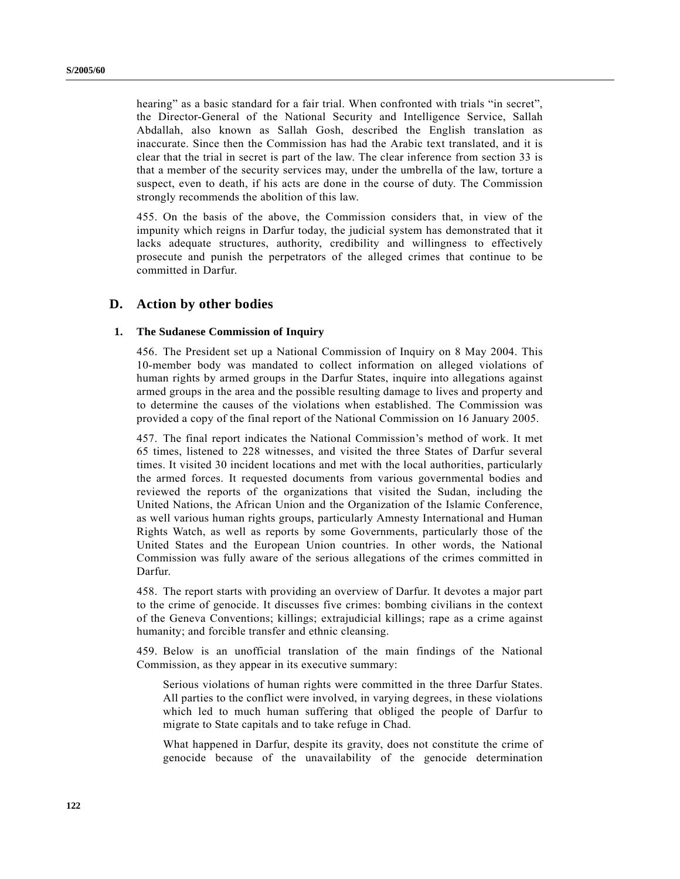hearing" as a basic standard for a fair trial. When confronted with trials "in secret", the Director-General of the National Security and Intelligence Service, Sallah Abdallah, also known as Sallah Gosh, described the English translation as inaccurate. Since then the Commission has had the Arabic text translated, and it is clear that the trial in secret is part of the law. The clear inference from section 33 is that a member of the security services may, under the umbrella of the law, torture a suspect, even to death, if his acts are done in the course of duty. The Commission strongly recommends the abolition of this law.

455. On the basis of the above, the Commission considers that, in view of the impunity which reigns in Darfur today, the judicial system has demonstrated that it lacks adequate structures, authority, credibility and willingness to effectively prosecute and punish the perpetrators of the alleged crimes that continue to be committed in Darfur.

#### **D. Action by other bodies**

#### **1. The Sudanese Commission of Inquiry**

456. The President set up a National Commission of Inquiry on 8 May 2004. This 10-member body was mandated to collect information on alleged violations of human rights by armed groups in the Darfur States, inquire into allegations against armed groups in the area and the possible resulting damage to lives and property and to determine the causes of the violations when established. The Commission was provided a copy of the final report of the National Commission on 16 January 2005.

457. The final report indicates the National Commission's method of work. It met 65 times, listened to 228 witnesses, and visited the three States of Darfur several times. It visited 30 incident locations and met with the local authorities, particularly the armed forces. It requested documents from various governmental bodies and reviewed the reports of the organizations that visited the Sudan, including the United Nations, the African Union and the Organization of the Islamic Conference, as well various human rights groups, particularly Amnesty International and Human Rights Watch, as well as reports by some Governments, particularly those of the United States and the European Union countries. In other words, the National Commission was fully aware of the serious allegations of the crimes committed in Darfur.

458. The report starts with providing an overview of Darfur. It devotes a major part to the crime of genocide. It discusses five crimes: bombing civilians in the context of the Geneva Conventions; killings; extrajudicial killings; rape as a crime against humanity; and forcible transfer and ethnic cleansing.

459. Below is an unofficial translation of the main findings of the National Commission, as they appear in its executive summary:

Serious violations of human rights were committed in the three Darfur States. All parties to the conflict were involved, in varying degrees, in these violations which led to much human suffering that obliged the people of Darfur to migrate to State capitals and to take refuge in Chad.

What happened in Darfur, despite its gravity, does not constitute the crime of genocide because of the unavailability of the genocide determination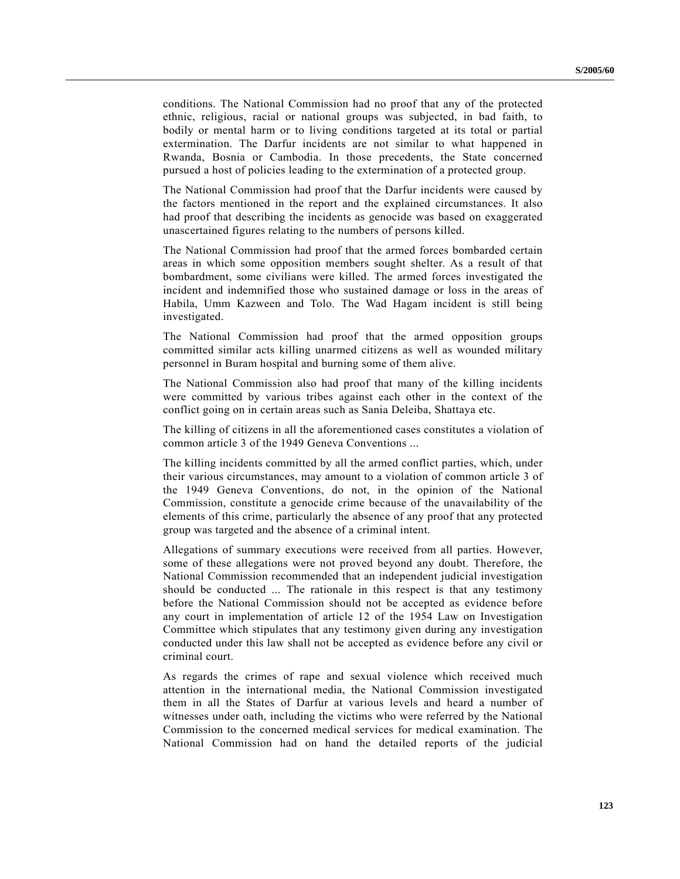conditions. The National Commission had no proof that any of the protected ethnic, religious, racial or national groups was subjected, in bad faith, to bodily or mental harm or to living conditions targeted at its total or partial extermination. The Darfur incidents are not similar to what happened in Rwanda, Bosnia or Cambodia. In those precedents, the State concerned pursued a host of policies leading to the extermination of a protected group.

The National Commission had proof that the Darfur incidents were caused by the factors mentioned in the report and the explained circumstances. It also had proof that describing the incidents as genocide was based on exaggerated unascertained figures relating to the numbers of persons killed.

The National Commission had proof that the armed forces bombarded certain areas in which some opposition members sought shelter. As a result of that bombardment, some civilians were killed. The armed forces investigated the incident and indemnified those who sustained damage or loss in the areas of Habila, Umm Kazween and Tolo. The Wad Hagam incident is still being investigated.

The National Commission had proof that the armed opposition groups committed similar acts killing unarmed citizens as well as wounded military personnel in Buram hospital and burning some of them alive.

The National Commission also had proof that many of the killing incidents were committed by various tribes against each other in the context of the conflict going on in certain areas such as Sania Deleiba, Shattaya etc.

The killing of citizens in all the aforementioned cases constitutes a violation of common article 3 of the 1949 Geneva Conventions ...

The killing incidents committed by all the armed conflict parties, which, under their various circumstances, may amount to a violation of common article 3 of the 1949 Geneva Conventions, do not, in the opinion of the National Commission, constitute a genocide crime because of the unavailability of the elements of this crime, particularly the absence of any proof that any protected group was targeted and the absence of a criminal intent.

Allegations of summary executions were received from all parties. However, some of these allegations were not proved beyond any doubt. Therefore, the National Commission recommended that an independent judicial investigation should be conducted ... The rationale in this respect is that any testimony before the National Commission should not be accepted as evidence before any court in implementation of article 12 of the 1954 Law on Investigation Committee which stipulates that any testimony given during any investigation conducted under this law shall not be accepted as evidence before any civil or criminal court.

As regards the crimes of rape and sexual violence which received much attention in the international media, the National Commission investigated them in all the States of Darfur at various levels and heard a number of witnesses under oath, including the victims who were referred by the National Commission to the concerned medical services for medical examination. The National Commission had on hand the detailed reports of the judicial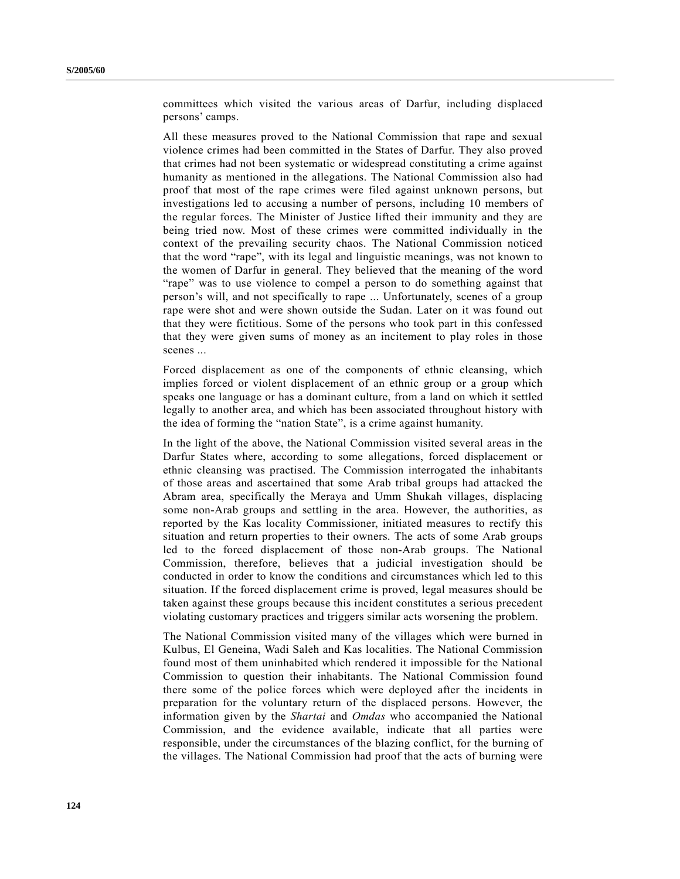committees which visited the various areas of Darfur, including displaced persons' camps.

All these measures proved to the National Commission that rape and sexual violence crimes had been committed in the States of Darfur. They also proved that crimes had not been systematic or widespread constituting a crime against humanity as mentioned in the allegations. The National Commission also had proof that most of the rape crimes were filed against unknown persons, but investigations led to accusing a number of persons, including 10 members of the regular forces. The Minister of Justice lifted their immunity and they are being tried now. Most of these crimes were committed individually in the context of the prevailing security chaos. The National Commission noticed that the word "rape", with its legal and linguistic meanings, was not known to the women of Darfur in general. They believed that the meaning of the word ìrapeî was to use violence to compel a person to do something against that person's will, and not specifically to rape ... Unfortunately, scenes of a group rape were shot and were shown outside the Sudan. Later on it was found out that they were fictitious. Some of the persons who took part in this confessed that they were given sums of money as an incitement to play roles in those scenes ...

Forced displacement as one of the components of ethnic cleansing, which implies forced or violent displacement of an ethnic group or a group which speaks one language or has a dominant culture, from a land on which it settled legally to another area, and which has been associated throughout history with the idea of forming the "nation State", is a crime against humanity.

In the light of the above, the National Commission visited several areas in the Darfur States where, according to some allegations, forced displacement or ethnic cleansing was practised. The Commission interrogated the inhabitants of those areas and ascertained that some Arab tribal groups had attacked the Abram area, specifically the Meraya and Umm Shukah villages, displacing some non-Arab groups and settling in the area. However, the authorities, as reported by the Kas locality Commissioner, initiated measures to rectify this situation and return properties to their owners. The acts of some Arab groups led to the forced displacement of those non-Arab groups. The National Commission, therefore, believes that a judicial investigation should be conducted in order to know the conditions and circumstances which led to this situation. If the forced displacement crime is proved, legal measures should be taken against these groups because this incident constitutes a serious precedent violating customary practices and triggers similar acts worsening the problem.

The National Commission visited many of the villages which were burned in Kulbus, El Geneina, Wadi Saleh and Kas localities. The National Commission found most of them uninhabited which rendered it impossible for the National Commission to question their inhabitants. The National Commission found there some of the police forces which were deployed after the incidents in preparation for the voluntary return of the displaced persons. However, the information given by the *Shartai* and *Omdas* who accompanied the National Commission, and the evidence available, indicate that all parties were responsible, under the circumstances of the blazing conflict, for the burning of the villages. The National Commission had proof that the acts of burning were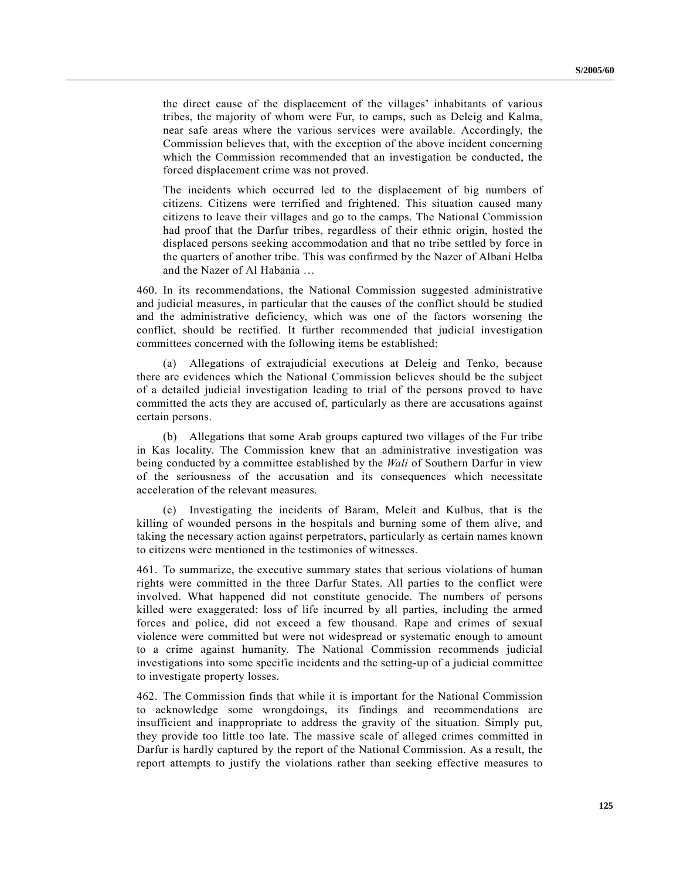the direct cause of the displacement of the villages' inhabitants of various tribes, the majority of whom were Fur, to camps, such as Deleig and Kalma, near safe areas where the various services were available. Accordingly, the Commission believes that, with the exception of the above incident concerning which the Commission recommended that an investigation be conducted, the forced displacement crime was not proved.

The incidents which occurred led to the displacement of big numbers of citizens. Citizens were terrified and frightened. This situation caused many citizens to leave their villages and go to the camps. The National Commission had proof that the Darfur tribes, regardless of their ethnic origin, hosted the displaced persons seeking accommodation and that no tribe settled by force in the quarters of another tribe. This was confirmed by the Nazer of Albani Helba and the Nazer of Al Habania ...

460. In its recommendations, the National Commission suggested administrative and judicial measures, in particular that the causes of the conflict should be studied and the administrative deficiency, which was one of the factors worsening the conflict, should be rectified. It further recommended that judicial investigation committees concerned with the following items be established:

(a) Allegations of extrajudicial executions at Deleig and Tenko, because there are evidences which the National Commission believes should be the subject of a detailed judicial investigation leading to trial of the persons proved to have committed the acts they are accused of, particularly as there are accusations against certain persons.

(b) Allegations that some Arab groups captured two villages of the Fur tribe in Kas locality. The Commission knew that an administrative investigation was being conducted by a committee established by the *Wali* of Southern Darfur in view of the seriousness of the accusation and its consequences which necessitate acceleration of the relevant measures.

(c) Investigating the incidents of Baram, Meleit and Kulbus, that is the killing of wounded persons in the hospitals and burning some of them alive, and taking the necessary action against perpetrators, particularly as certain names known to citizens were mentioned in the testimonies of witnesses.

461. To summarize, the executive summary states that serious violations of human rights were committed in the three Darfur States. All parties to the conflict were involved. What happened did not constitute genocide. The numbers of persons killed were exaggerated: loss of life incurred by all parties, including the armed forces and police, did not exceed a few thousand. Rape and crimes of sexual violence were committed but were not widespread or systematic enough to amount to a crime against humanity. The National Commission recommends judicial investigations into some specific incidents and the setting-up of a judicial committee to investigate property losses.

462. The Commission finds that while it is important for the National Commission to acknowledge some wrongdoings, its findings and recommendations are insufficient and inappropriate to address the gravity of the situation. Simply put, they provide too little too late. The massive scale of alleged crimes committed in Darfur is hardly captured by the report of the National Commission. As a result, the report attempts to justify the violations rather than seeking effective measures to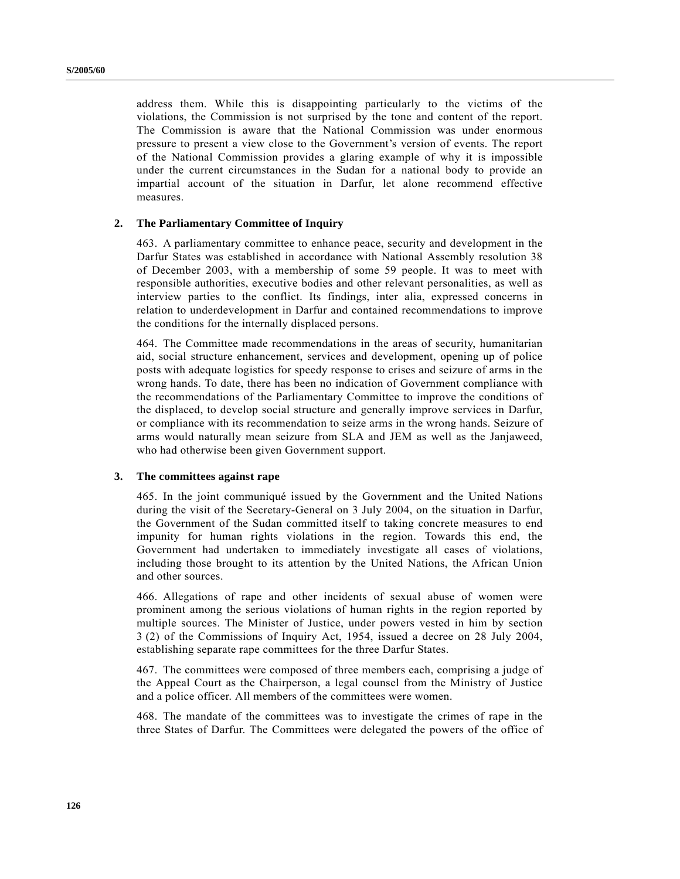address them. While this is disappointing particularly to the victims of the violations, the Commission is not surprised by the tone and content of the report. The Commission is aware that the National Commission was under enormous pressure to present a view close to the Governmentís version of events. The report of the National Commission provides a glaring example of why it is impossible under the current circumstances in the Sudan for a national body to provide an impartial account of the situation in Darfur, let alone recommend effective measures.

#### **2. The Parliamentary Committee of Inquiry**

463. A parliamentary committee to enhance peace, security and development in the Darfur States was established in accordance with National Assembly resolution 38 of December 2003, with a membership of some 59 people. It was to meet with responsible authorities, executive bodies and other relevant personalities, as well as interview parties to the conflict. Its findings, inter alia, expressed concerns in relation to underdevelopment in Darfur and contained recommendations to improve the conditions for the internally displaced persons.

464. The Committee made recommendations in the areas of security, humanitarian aid, social structure enhancement, services and development, opening up of police posts with adequate logistics for speedy response to crises and seizure of arms in the wrong hands. To date, there has been no indication of Government compliance with the recommendations of the Parliamentary Committee to improve the conditions of the displaced, to develop social structure and generally improve services in Darfur, or compliance with its recommendation to seize arms in the wrong hands. Seizure of arms would naturally mean seizure from SLA and JEM as well as the Janjaweed, who had otherwise been given Government support.

#### **3. The committees against rape**

465. In the joint communiqué issued by the Government and the United Nations during the visit of the Secretary-General on 3 July 2004, on the situation in Darfur, the Government of the Sudan committed itself to taking concrete measures to end impunity for human rights violations in the region. Towards this end, the Government had undertaken to immediately investigate all cases of violations, including those brought to its attention by the United Nations, the African Union and other sources.

466. Allegations of rape and other incidents of sexual abuse of women were prominent among the serious violations of human rights in the region reported by multiple sources. The Minister of Justice, under powers vested in him by section 3 (2) of the Commissions of Inquiry Act, 1954, issued a decree on 28 July 2004, establishing separate rape committees for the three Darfur States.

467. The committees were composed of three members each, comprising a judge of the Appeal Court as the Chairperson, a legal counsel from the Ministry of Justice and a police officer. All members of the committees were women.

468. The mandate of the committees was to investigate the crimes of rape in the three States of Darfur. The Committees were delegated the powers of the office of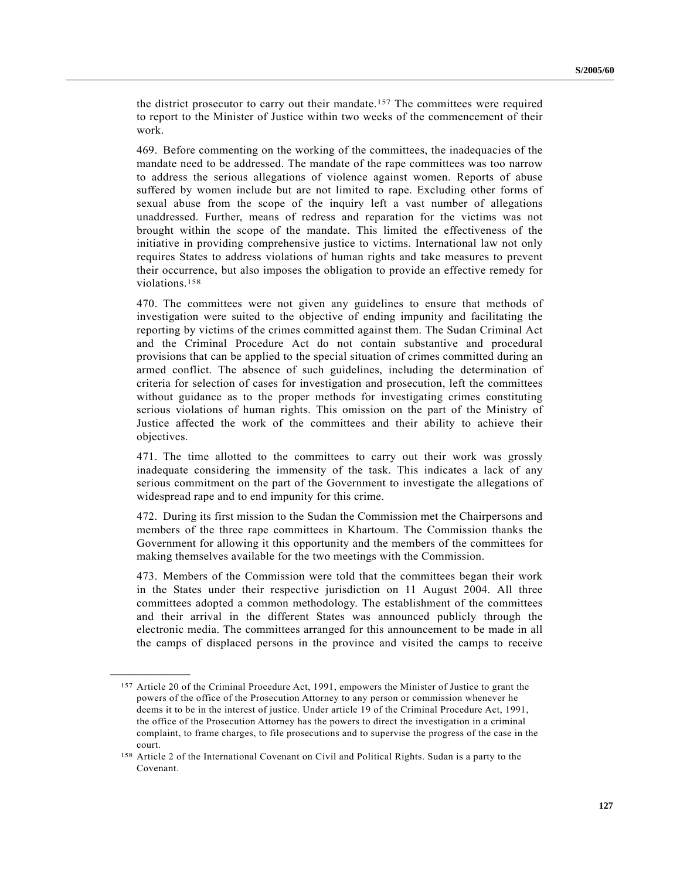the district prosecutor to carry out their mandate.157 The committees were required to report to the Minister of Justice within two weeks of the commencement of their work.

469. Before commenting on the working of the committees, the inadequacies of the mandate need to be addressed. The mandate of the rape committees was too narrow to address the serious allegations of violence against women. Reports of abuse suffered by women include but are not limited to rape. Excluding other forms of sexual abuse from the scope of the inquiry left a vast number of allegations unaddressed. Further, means of redress and reparation for the victims was not brought within the scope of the mandate. This limited the effectiveness of the initiative in providing comprehensive justice to victims. International law not only requires States to address violations of human rights and take measures to prevent their occurrence, but also imposes the obligation to provide an effective remedy for violations.158

470. The committees were not given any guidelines to ensure that methods of investigation were suited to the objective of ending impunity and facilitating the reporting by victims of the crimes committed against them. The Sudan Criminal Act and the Criminal Procedure Act do not contain substantive and procedural provisions that can be applied to the special situation of crimes committed during an armed conflict. The absence of such guidelines, including the determination of criteria for selection of cases for investigation and prosecution, left the committees without guidance as to the proper methods for investigating crimes constituting serious violations of human rights. This omission on the part of the Ministry of Justice affected the work of the committees and their ability to achieve their objectives.

471. The time allotted to the committees to carry out their work was grossly inadequate considering the immensity of the task. This indicates a lack of any serious commitment on the part of the Government to investigate the allegations of widespread rape and to end impunity for this crime.

472. During its first mission to the Sudan the Commission met the Chairpersons and members of the three rape committees in Khartoum. The Commission thanks the Government for allowing it this opportunity and the members of the committees for making themselves available for the two meetings with the Commission.

473. Members of the Commission were told that the committees began their work in the States under their respective jurisdiction on 11 August 2004. All three committees adopted a common methodology. The establishment of the committees and their arrival in the different States was announced publicly through the electronic media. The committees arranged for this announcement to be made in all the camps of displaced persons in the province and visited the camps to receive

<sup>157</sup> Article 20 of the Criminal Procedure Act, 1991, empowers the Minister of Justice to grant the powers of the office of the Prosecution Attorney to any person or commission whenever he deems it to be in the interest of justice. Under article 19 of the Criminal Procedure Act, 1991, the office of the Prosecution Attorney has the powers to direct the investigation in a criminal complaint, to frame charges, to file prosecutions and to supervise the progress of the case in the court.

<sup>158</sup> Article 2 of the International Covenant on Civil and Political Rights. Sudan is a party to the Covenant.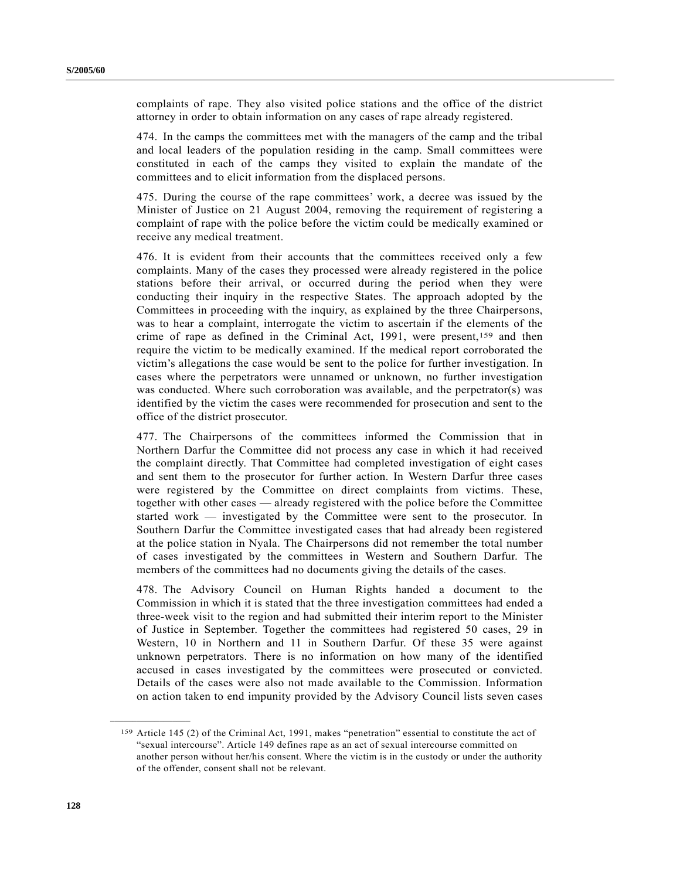complaints of rape. They also visited police stations and the office of the district attorney in order to obtain information on any cases of rape already registered.

474. In the camps the committees met with the managers of the camp and the tribal and local leaders of the population residing in the camp. Small committees were constituted in each of the camps they visited to explain the mandate of the committees and to elicit information from the displaced persons.

475. During the course of the rape committees' work, a decree was issued by the Minister of Justice on 21 August 2004, removing the requirement of registering a complaint of rape with the police before the victim could be medically examined or receive any medical treatment.

476. It is evident from their accounts that the committees received only a few complaints. Many of the cases they processed were already registered in the police stations before their arrival, or occurred during the period when they were conducting their inquiry in the respective States. The approach adopted by the Committees in proceeding with the inquiry, as explained by the three Chairpersons, was to hear a complaint, interrogate the victim to ascertain if the elements of the crime of rape as defined in the Criminal Act, 1991, were present,<sup>159</sup> and then require the victim to be medically examined. If the medical report corroborated the victimís allegations the case would be sent to the police for further investigation. In cases where the perpetrators were unnamed or unknown, no further investigation was conducted. Where such corroboration was available, and the perpetrator(s) was identified by the victim the cases were recommended for prosecution and sent to the office of the district prosecutor.

477. The Chairpersons of the committees informed the Commission that in Northern Darfur the Committee did not process any case in which it had received the complaint directly. That Committee had completed investigation of eight cases and sent them to the prosecutor for further action. In Western Darfur three cases were registered by the Committee on direct complaints from victims. These, together with other cases — already registered with the police before the Committee started work — investigated by the Committee were sent to the prosecutor. In Southern Darfur the Committee investigated cases that had already been registered at the police station in Nyala. The Chairpersons did not remember the total number of cases investigated by the committees in Western and Southern Darfur. The members of the committees had no documents giving the details of the cases.

478. The Advisory Council on Human Rights handed a document to the Commission in which it is stated that the three investigation committees had ended a three-week visit to the region and had submitted their interim report to the Minister of Justice in September. Together the committees had registered 50 cases, 29 in Western, 10 in Northern and 11 in Southern Darfur. Of these 35 were against unknown perpetrators. There is no information on how many of the identified accused in cases investigated by the committees were prosecuted or convicted. Details of the cases were also not made available to the Commission. Information on action taken to end impunity provided by the Advisory Council lists seven cases

<sup>&</sup>lt;sup>159</sup> Article 145 (2) of the Criminal Act, 1991, makes "penetration" essential to constitute the act of "sexual intercourse". Article 149 defines rape as an act of sexual intercourse committed on another person without her/his consent. Where the victim is in the custody or under the authority of the offender, consent shall not be relevant.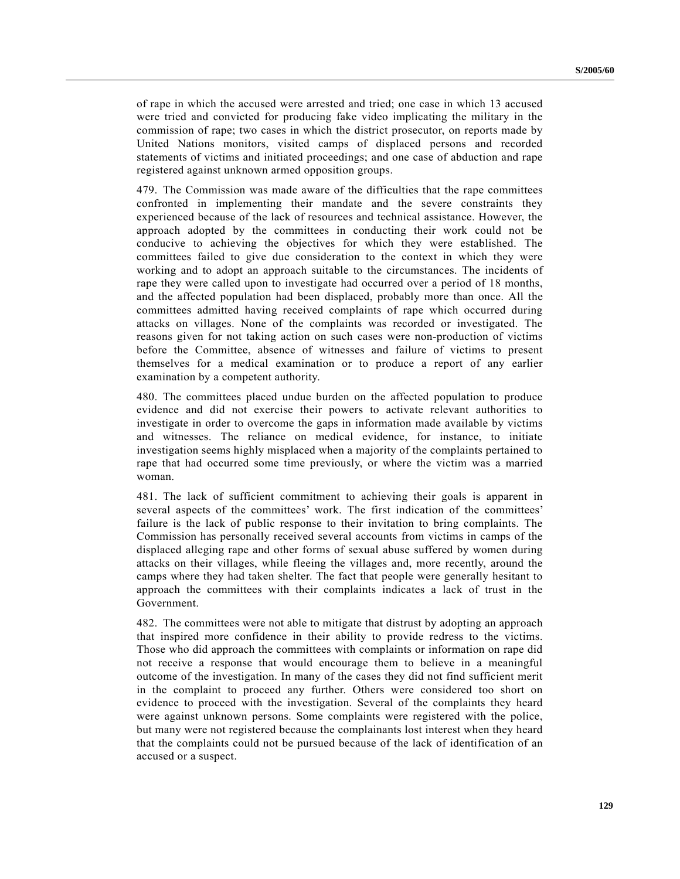of rape in which the accused were arrested and tried; one case in which 13 accused were tried and convicted for producing fake video implicating the military in the commission of rape; two cases in which the district prosecutor, on reports made by United Nations monitors, visited camps of displaced persons and recorded statements of victims and initiated proceedings; and one case of abduction and rape registered against unknown armed opposition groups.

479. The Commission was made aware of the difficulties that the rape committees confronted in implementing their mandate and the severe constraints they experienced because of the lack of resources and technical assistance. However, the approach adopted by the committees in conducting their work could not be conducive to achieving the objectives for which they were established. The committees failed to give due consideration to the context in which they were working and to adopt an approach suitable to the circumstances. The incidents of rape they were called upon to investigate had occurred over a period of 18 months, and the affected population had been displaced, probably more than once. All the committees admitted having received complaints of rape which occurred during attacks on villages. None of the complaints was recorded or investigated. The reasons given for not taking action on such cases were non-production of victims before the Committee, absence of witnesses and failure of victims to present themselves for a medical examination or to produce a report of any earlier examination by a competent authority.

480. The committees placed undue burden on the affected population to produce evidence and did not exercise their powers to activate relevant authorities to investigate in order to overcome the gaps in information made available by victims and witnesses. The reliance on medical evidence, for instance, to initiate investigation seems highly misplaced when a majority of the complaints pertained to rape that had occurred some time previously, or where the victim was a married woman.

481. The lack of sufficient commitment to achieving their goals is apparent in several aspects of the committees' work. The first indication of the committees' failure is the lack of public response to their invitation to bring complaints. The Commission has personally received several accounts from victims in camps of the displaced alleging rape and other forms of sexual abuse suffered by women during attacks on their villages, while fleeing the villages and, more recently, around the camps where they had taken shelter. The fact that people were generally hesitant to approach the committees with their complaints indicates a lack of trust in the Government.

482. The committees were not able to mitigate that distrust by adopting an approach that inspired more confidence in their ability to provide redress to the victims. Those who did approach the committees with complaints or information on rape did not receive a response that would encourage them to believe in a meaningful outcome of the investigation. In many of the cases they did not find sufficient merit in the complaint to proceed any further. Others were considered too short on evidence to proceed with the investigation. Several of the complaints they heard were against unknown persons. Some complaints were registered with the police, but many were not registered because the complainants lost interest when they heard that the complaints could not be pursued because of the lack of identification of an accused or a suspect.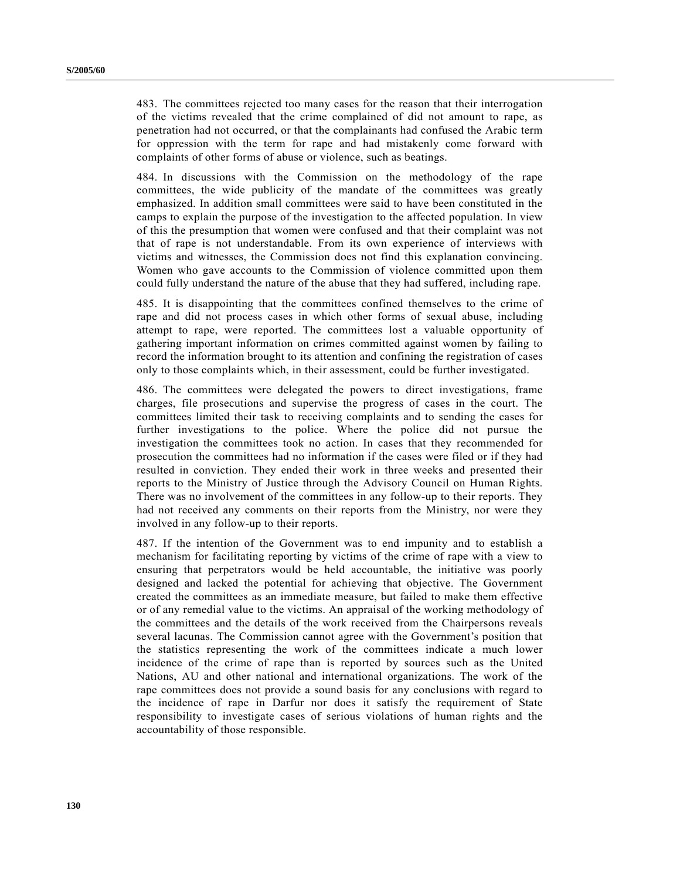483. The committees rejected too many cases for the reason that their interrogation of the victims revealed that the crime complained of did not amount to rape, as penetration had not occurred, or that the complainants had confused the Arabic term for oppression with the term for rape and had mistakenly come forward with complaints of other forms of abuse or violence, such as beatings.

484. In discussions with the Commission on the methodology of the rape committees, the wide publicity of the mandate of the committees was greatly emphasized. In addition small committees were said to have been constituted in the camps to explain the purpose of the investigation to the affected population. In view of this the presumption that women were confused and that their complaint was not that of rape is not understandable. From its own experience of interviews with victims and witnesses, the Commission does not find this explanation convincing. Women who gave accounts to the Commission of violence committed upon them could fully understand the nature of the abuse that they had suffered, including rape.

485. It is disappointing that the committees confined themselves to the crime of rape and did not process cases in which other forms of sexual abuse, including attempt to rape, were reported. The committees lost a valuable opportunity of gathering important information on crimes committed against women by failing to record the information brought to its attention and confining the registration of cases only to those complaints which, in their assessment, could be further investigated.

486. The committees were delegated the powers to direct investigations, frame charges, file prosecutions and supervise the progress of cases in the court. The committees limited their task to receiving complaints and to sending the cases for further investigations to the police. Where the police did not pursue the investigation the committees took no action. In cases that they recommended for prosecution the committees had no information if the cases were filed or if they had resulted in conviction. They ended their work in three weeks and presented their reports to the Ministry of Justice through the Advisory Council on Human Rights. There was no involvement of the committees in any follow-up to their reports. They had not received any comments on their reports from the Ministry, nor were they involved in any follow-up to their reports.

487. If the intention of the Government was to end impunity and to establish a mechanism for facilitating reporting by victims of the crime of rape with a view to ensuring that perpetrators would be held accountable, the initiative was poorly designed and lacked the potential for achieving that objective. The Government created the committees as an immediate measure, but failed to make them effective or of any remedial value to the victims. An appraisal of the working methodology of the committees and the details of the work received from the Chairpersons reveals several lacunas. The Commission cannot agree with the Government's position that the statistics representing the work of the committees indicate a much lower incidence of the crime of rape than is reported by sources such as the United Nations, AU and other national and international organizations. The work of the rape committees does not provide a sound basis for any conclusions with regard to the incidence of rape in Darfur nor does it satisfy the requirement of State responsibility to investigate cases of serious violations of human rights and the accountability of those responsible.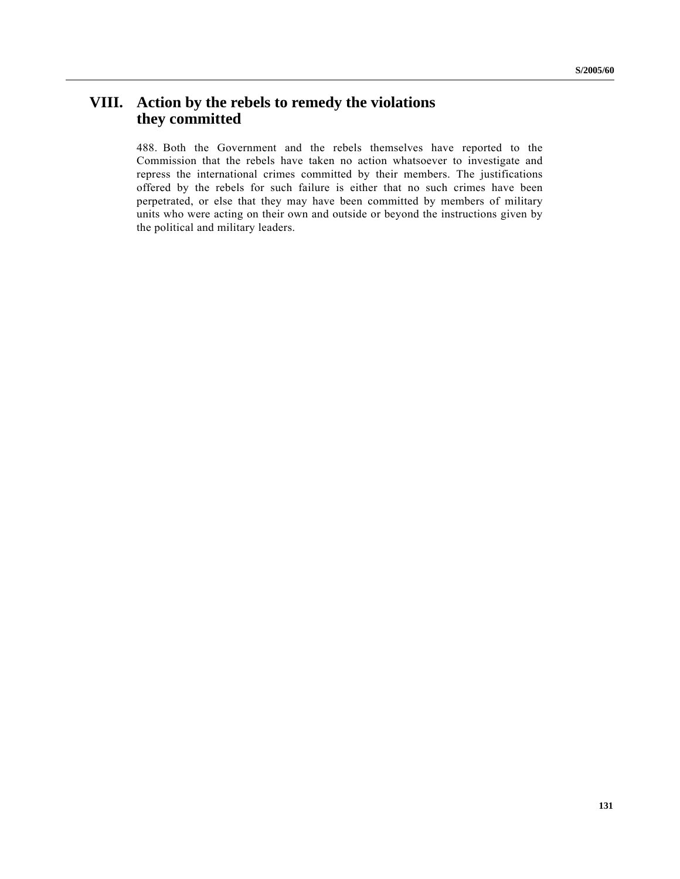# **VIII. Action by the rebels to remedy the violations they committed**

488. Both the Government and the rebels themselves have reported to the Commission that the rebels have taken no action whatsoever to investigate and repress the international crimes committed by their members. The justifications offered by the rebels for such failure is either that no such crimes have been perpetrated, or else that they may have been committed by members of military units who were acting on their own and outside or beyond the instructions given by the political and military leaders.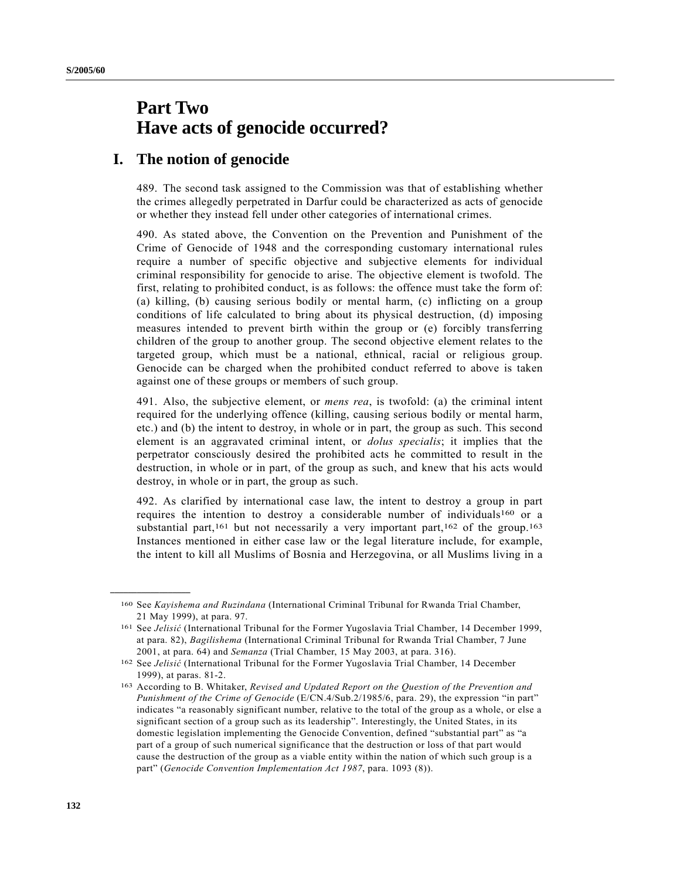# **Part Two Have acts of genocide occurred?**

## **I. The notion of genocide**

489. The second task assigned to the Commission was that of establishing whether the crimes allegedly perpetrated in Darfur could be characterized as acts of genocide or whether they instead fell under other categories of international crimes.

490. As stated above, the Convention on the Prevention and Punishment of the Crime of Genocide of 1948 and the corresponding customary international rules require a number of specific objective and subjective elements for individual criminal responsibility for genocide to arise. The objective element is twofold. The first, relating to prohibited conduct, is as follows: the offence must take the form of: (a) killing, (b) causing serious bodily or mental harm, (c) inflicting on a group conditions of life calculated to bring about its physical destruction, (d) imposing measures intended to prevent birth within the group or (e) forcibly transferring children of the group to another group. The second objective element relates to the targeted group, which must be a national, ethnical, racial or religious group. Genocide can be charged when the prohibited conduct referred to above is taken against one of these groups or members of such group.

491. Also, the subjective element, or *mens rea*, is twofold: (a) the criminal intent required for the underlying offence (killing, causing serious bodily or mental harm, etc.) and (b) the intent to destroy, in whole or in part, the group as such. This second element is an aggravated criminal intent, or *dolus specialis*; it implies that the perpetrator consciously desired the prohibited acts he committed to result in the destruction, in whole or in part, of the group as such, and knew that his acts would destroy, in whole or in part, the group as such.

492. As clarified by international case law, the intent to destroy a group in part requires the intention to destroy a considerable number of individuals<sup>160</sup> or a substantial part,<sup>161</sup> but not necessarily a very important part,<sup>162</sup> of the group.<sup>163</sup> Instances mentioned in either case law or the legal literature include, for example, the intent to kill all Muslims of Bosnia and Herzegovina, or all Muslims living in a

<sup>160</sup> See *Kayishema and Ruzindana* (International Criminal Tribunal for Rwanda Trial Chamber, 21 May 1999), at para. 97.

<sup>161</sup> See *Jelisić* (International Tribunal for the Former Yugoslavia Trial Chamber, 14 December 1999, at para. 82), *Bagilishema* (International Criminal Tribunal for Rwanda Trial Chamber, 7 June 2001, at para. 64) and *Semanza* (Trial Chamber, 15 May 2003, at para. 316).

<sup>162</sup> See *Jelisić* (International Tribunal for the Former Yugoslavia Trial Chamber, 14 December 1999), at paras. 81-2.

<sup>163</sup> According to B. Whitaker, *Revised and Updated Report on the Question of the Prevention and Punishment of the Crime of Genocide* (E/CN.4/Sub.2/1985/6, para. 29), the expression "in part" indicates "a reasonably significant number, relative to the total of the group as a whole, or else a significant section of a group such as its leadership". Interestingly, the United States, in its domestic legislation implementing the Genocide Convention, defined "substantial part" as "a part of a group of such numerical significance that the destruction or loss of that part would cause the destruction of the group as a viable entity within the nation of which such group is a part" (*Genocide Convention Implementation Act 1987*, para. 1093 (8)).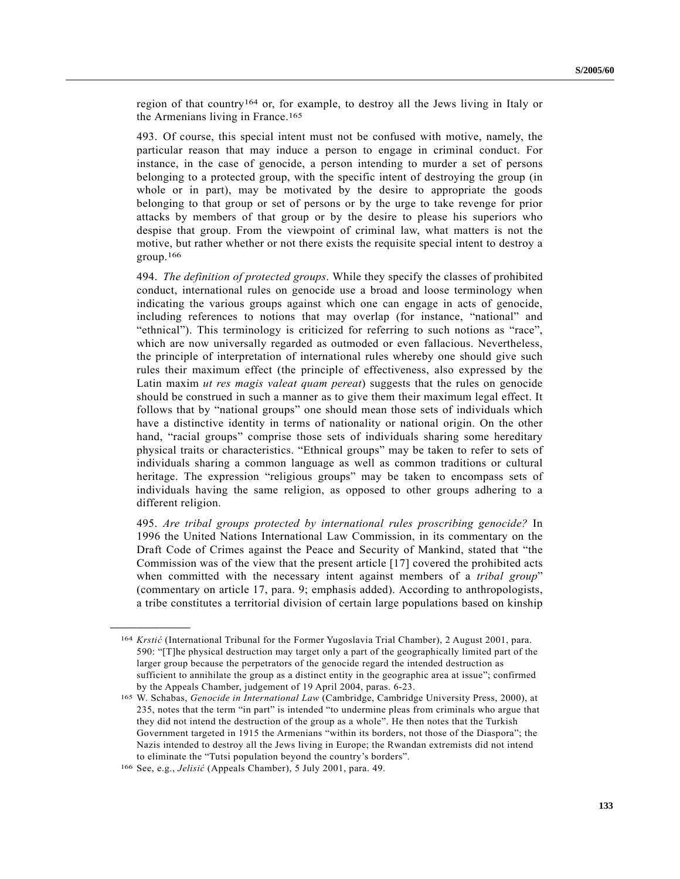region of that country164 or, for example, to destroy all the Jews living in Italy or the Armenians living in France.165

493. Of course, this special intent must not be confused with motive, namely, the particular reason that may induce a person to engage in criminal conduct. For instance, in the case of genocide, a person intending to murder a set of persons belonging to a protected group, with the specific intent of destroying the group (in whole or in part), may be motivated by the desire to appropriate the goods belonging to that group or set of persons or by the urge to take revenge for prior attacks by members of that group or by the desire to please his superiors who despise that group. From the viewpoint of criminal law, what matters is not the motive, but rather whether or not there exists the requisite special intent to destroy a group.166

494. *The definition of protected groups*. While they specify the classes of prohibited conduct, international rules on genocide use a broad and loose terminology when indicating the various groups against which one can engage in acts of genocide, including references to notions that may overlap (for instance, "national" and "ethnical"). This terminology is criticized for referring to such notions as "race", which are now universally regarded as outmoded or even fallacious. Nevertheless, the principle of interpretation of international rules whereby one should give such rules their maximum effect (the principle of effectiveness, also expressed by the Latin maxim *ut res magis valeat quam pereat*) suggests that the rules on genocide should be construed in such a manner as to give them their maximum legal effect. It follows that by "national groups" one should mean those sets of individuals which have a distinctive identity in terms of nationality or national origin. On the other hand, "racial groups" comprise those sets of individuals sharing some hereditary physical traits or characteristics. "Ethnical groups" may be taken to refer to sets of individuals sharing a common language as well as common traditions or cultural heritage. The expression "religious groups" may be taken to encompass sets of individuals having the same religion, as opposed to other groups adhering to a different religion.

495. *Are tribal groups protected by international rules proscribing genocide?* In 1996 the United Nations International Law Commission, in its commentary on the Draft Code of Crimes against the Peace and Security of Mankind, stated that "the Commission was of the view that the present article [17] covered the prohibited acts when committed with the necessary intent against members of a *tribal group*" (commentary on article 17, para. 9; emphasis added). According to anthropologists, a tribe constitutes a territorial division of certain large populations based on kinship

<sup>164</sup> *Krstić* (International Tribunal for the Former Yugoslavia Trial Chamber), 2 August 2001, para. 590: "[T]he physical destruction may target only a part of the geographically limited part of the larger group because the perpetrators of the genocide regard the intended destruction as sufficient to annihilate the group as a distinct entity in the geographic area at issue"; confirmed by the Appeals Chamber, judgement of 19 April 2004, paras. 6-23.

<sup>165</sup> W. Schabas, *Genocide in International Law* (Cambridge, Cambridge University Press, 2000), at 235, notes that the term "in part" is intended "to undermine pleas from criminals who argue that they did not intend the destruction of the group as a whole". He then notes that the Turkish Government targeted in 1915 the Armenians "within its borders, not those of the Diaspora"; the Nazis intended to destroy all the Jews living in Europe; the Rwandan extremists did not intend to eliminate the "Tutsi population beyond the country's borders".

<sup>166</sup> See, e.g., *Jelisić* (Appeals Chamber), 5 July 2001, para. 49.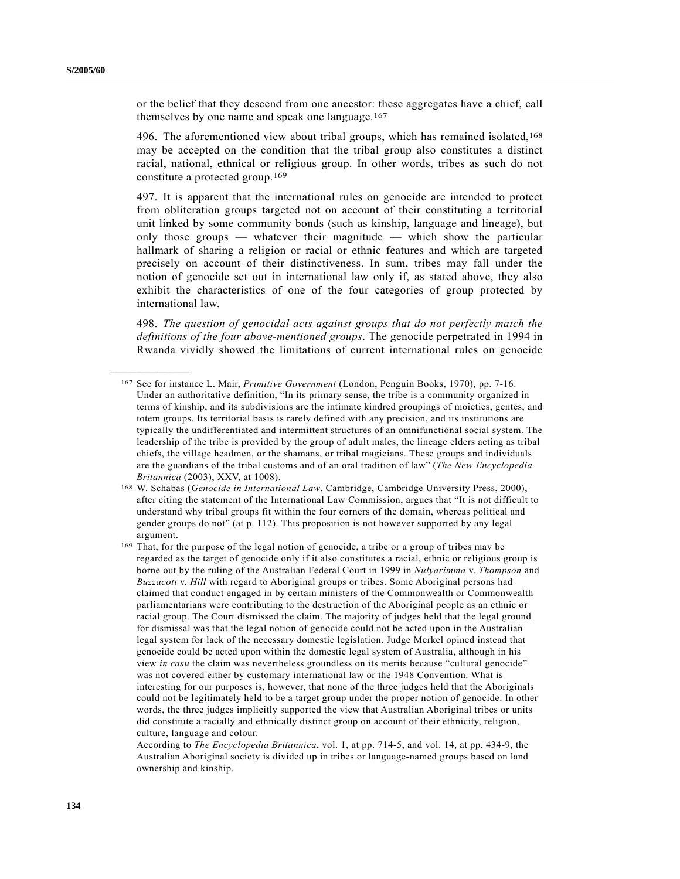**\_\_\_\_\_\_\_\_\_\_\_\_\_\_\_\_\_\_**

or the belief that they descend from one ancestor: these aggregates have a chief, call themselves by one name and speak one language.167

496. The aforementioned view about tribal groups, which has remained isolated,<sup>168</sup> may be accepted on the condition that the tribal group also constitutes a distinct racial, national, ethnical or religious group. In other words, tribes as such do not constitute a protected group.169

497. It is apparent that the international rules on genocide are intended to protect from obliteration groups targeted not on account of their constituting a territorial unit linked by some community bonds (such as kinship, language and lineage), but only those groups  $\overline{\phantom{a}}$  whatever their magnitude  $\overline{\phantom{a}}$  which show the particular hallmark of sharing a religion or racial or ethnic features and which are targeted precisely on account of their distinctiveness. In sum, tribes may fall under the notion of genocide set out in international law only if, as stated above, they also exhibit the characteristics of one of the four categories of group protected by international law.

498. *The question of genocidal acts against groups that do not perfectly match the definitions of the four above-mentioned groups*. The genocide perpetrated in 1994 in Rwanda vividly showed the limitations of current international rules on genocide

According to *The Encyclopedia Britannica*, vol. 1, at pp. 714-5, and vol. 14, at pp. 434-9, the Australian Aboriginal society is divided up in tribes or language-named groups based on land ownership and kinship.

<sup>167</sup> See for instance L. Mair, *Primitive Government* (London, Penguin Books, 1970), pp. 7-16. Under an authoritative definition, "In its primary sense, the tribe is a community organized in terms of kinship, and its subdivisions are the intimate kindred groupings of moieties, gentes, and totem groups. Its territorial basis is rarely defined with any precision, and its institutions are typically the undifferentiated and intermittent structures of an omnifunctional social system. The leadership of the tribe is provided by the group of adult males, the lineage elders acting as tribal chiefs, the village headmen, or the shamans, or tribal magicians. These groups and individuals are the guardians of the tribal customs and of an oral tradition of lawî (*The New Encyclopedia Britannica* (2003), XXV, at 1008).

<sup>168</sup> W. Schabas (*Genocide in International Law*, Cambridge, Cambridge University Press, 2000), after citing the statement of the International Law Commission, argues that "It is not difficult to understand why tribal groups fit within the four corners of the domain, whereas political and gender groups do not" (at p. 112). This proposition is not however supported by any legal argument.

<sup>169</sup> That, for the purpose of the legal notion of genocide, a tribe or a group of tribes may be regarded as the target of genocide only if it also constitutes a racial, ethnic or religious group is borne out by the ruling of the Australian Federal Court in 1999 in *Nulyarimma* v. *Thompson* and *Buzzacott* v. *Hill* with regard to Aboriginal groups or tribes. Some Aboriginal persons had claimed that conduct engaged in by certain ministers of the Commonwealth or Commonwealth parliamentarians were contributing to the destruction of the Aboriginal people as an ethnic or racial group. The Court dismissed the claim. The majority of judges held that the legal ground for dismissal was that the legal notion of genocide could not be acted upon in the Australian legal system for lack of the necessary domestic legislation. Judge Merkel opined instead that genocide could be acted upon within the domestic legal system of Australia, although in his view *in casu* the claim was nevertheless groundless on its merits because "cultural genocide" was not covered either by customary international law or the 1948 Convention. What is interesting for our purposes is, however, that none of the three judges held that the Aboriginals could not be legitimately held to be a target group under the proper notion of genocide. In other words, the three judges implicitly supported the view that Australian Aboriginal tribes or units did constitute a racially and ethnically distinct group on account of their ethnicity, religion, culture, language and colour.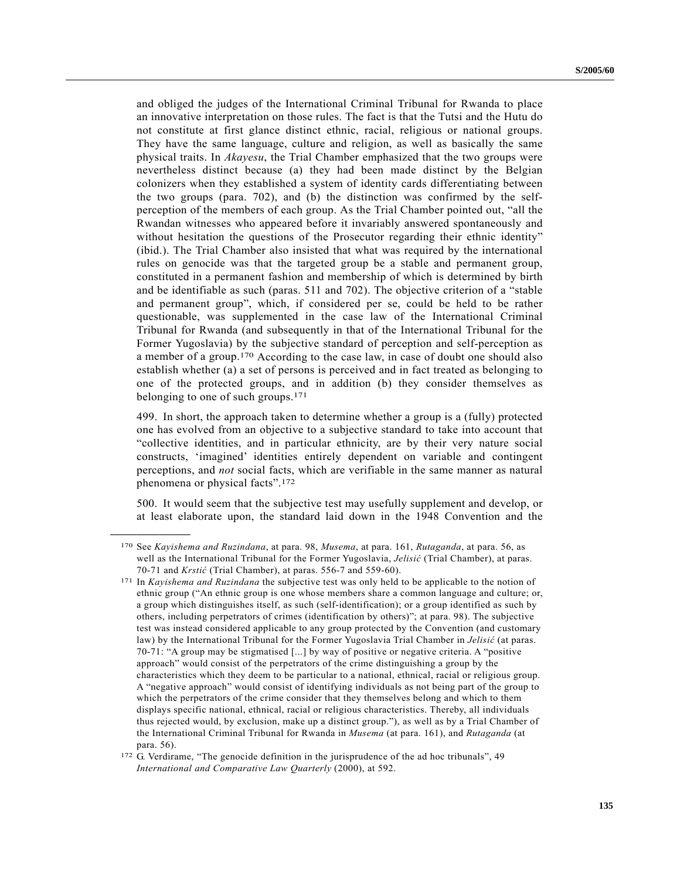and obliged the judges of the International Criminal Tribunal for Rwanda to place an innovative interpretation on those rules. The fact is that the Tutsi and the Hutu do not constitute at first glance distinct ethnic, racial, religious or national groups. They have the same language, culture and religion, as well as basically the same physical traits. In *Akayesu*, the Trial Chamber emphasized that the two groups were nevertheless distinct because (a) they had been made distinct by the Belgian colonizers when they established a system of identity cards differentiating between the two groups (para. 702), and (b) the distinction was confirmed by the selfperception of the members of each group. As the Trial Chamber pointed out, "all the Rwandan witnesses who appeared before it invariably answered spontaneously and without hesitation the questions of the Prosecutor regarding their ethnic identity" (ibid.). The Trial Chamber also insisted that what was required by the international rules on genocide was that the targeted group be a stable and permanent group, constituted in a permanent fashion and membership of which is determined by birth and be identifiable as such (paras.  $511$  and  $702$ ). The objective criterion of a "stable and permanent group", which, if considered per se, could be held to be rather questionable, was supplemented in the case law of the International Criminal Tribunal for Rwanda (and subsequently in that of the International Tribunal for the Former Yugoslavia) by the subjective standard of perception and self-perception as a member of a group.170 According to the case law, in case of doubt one should also establish whether (a) a set of persons is perceived and in fact treated as belonging to one of the protected groups, and in addition (b) they consider themselves as belonging to one of such groups.171

499. In short, the approach taken to determine whether a group is a (fully) protected one has evolved from an objective to a subjective standard to take into account that ìcollective identities, and in particular ethnicity, are by their very nature social constructs, 'imagined' identities entirely dependent on variable and contingent perceptions, and *not* social facts, which are verifiable in the same manner as natural phenomena or physical facts".<sup>172</sup>

500. It would seem that the subjective test may usefully supplement and develop, or at least elaborate upon, the standard laid down in the 1948 Convention and the

<sup>170</sup> See *Kayishema and Ruzindana*, at para. 98, *Musema*, at para. 161, *Rutaganda*, at para. 56, as well as the International Tribunal for the Former Yugoslavia, *Jelisić* (Trial Chamber), at paras. 70-71 and *Krstić* (Trial Chamber), at paras. 556-7 and 559-60).

<sup>171</sup> In *Kayishema and Ruzindana* the subjective test was only held to be applicable to the notion of ethnic group ("An ethnic group is one whose members share a common language and culture; or, a group which distinguishes itself, as such (self-identification); or a group identified as such by others, including perpetrators of crimes (identification by others)"; at para. 98). The subjective test was instead considered applicable to any group protected by the Convention (and customary law) by the International Tribunal for the Former Yugoslavia Trial Chamber in *Jelisić* (at paras. 70-71: "A group may be stigmatised  $[...]$  by way of positive or negative criteria. A "positive approach" would consist of the perpetrators of the crime distinguishing a group by the characteristics which they deem to be particular to a national, ethnical, racial or religious group. A "negative approach" would consist of identifying individuals as not being part of the group to which the perpetrators of the crime consider that they themselves belong and which to them displays specific national, ethnical, racial or religious characteristics. Thereby, all individuals thus rejected would, by exclusion, make up a distinct group."), as well as by a Trial Chamber of the International Criminal Tribunal for Rwanda in *Musema* (at para. 161), and *Rutaganda* (at para. 56).

<sup>172</sup> G. Verdirame, "The genocide definition in the jurisprudence of the ad hoc tribunals", 49 *International and Comparative Law Quarterly* (2000), at 592.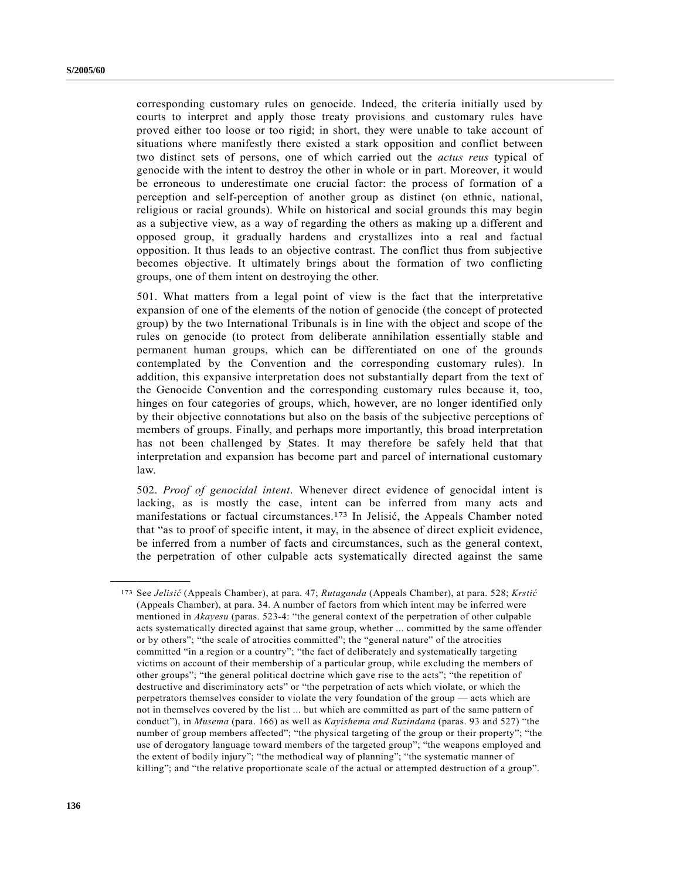corresponding customary rules on genocide. Indeed, the criteria initially used by courts to interpret and apply those treaty provisions and customary rules have proved either too loose or too rigid; in short, they were unable to take account of situations where manifestly there existed a stark opposition and conflict between two distinct sets of persons, one of which carried out the *actus reus* typical of genocide with the intent to destroy the other in whole or in part. Moreover, it would be erroneous to underestimate one crucial factor: the process of formation of a perception and self-perception of another group as distinct (on ethnic, national, religious or racial grounds). While on historical and social grounds this may begin as a subjective view, as a way of regarding the others as making up a different and opposed group, it gradually hardens and crystallizes into a real and factual opposition. It thus leads to an objective contrast. The conflict thus from subjective becomes objective. It ultimately brings about the formation of two conflicting groups, one of them intent on destroying the other.

501. What matters from a legal point of view is the fact that the interpretative expansion of one of the elements of the notion of genocide (the concept of protected group) by the two International Tribunals is in line with the object and scope of the rules on genocide (to protect from deliberate annihilation essentially stable and permanent human groups, which can be differentiated on one of the grounds contemplated by the Convention and the corresponding customary rules). In addition, this expansive interpretation does not substantially depart from the text of the Genocide Convention and the corresponding customary rules because it, too, hinges on four categories of groups, which, however, are no longer identified only by their objective connotations but also on the basis of the subjective perceptions of members of groups. Finally, and perhaps more importantly, this broad interpretation has not been challenged by States. It may therefore be safely held that that interpretation and expansion has become part and parcel of international customary law.

502. *Proof of genocidal intent*. Whenever direct evidence of genocidal intent is lacking, as is mostly the case, intent can be inferred from many acts and manifestations or factual circumstances.173 In Jelisić, the Appeals Chamber noted that "as to proof of specific intent, it may, in the absence of direct explicit evidence, be inferred from a number of facts and circumstances, such as the general context, the perpetration of other culpable acts systematically directed against the same

<sup>173</sup> See *Jelisić* (Appeals Chamber), at para. 47; *Rutaganda* (Appeals Chamber), at para. 528; *Krstić* (Appeals Chamber), at para. 34. A number of factors from which intent may be inferred were mentioned in *Akayesu* (paras. 523-4: "the general context of the perpetration of other culpable acts systematically directed against that same group, whether ... committed by the same offender or by others"; "the scale of atrocities committed"; the "general nature" of the atrocities committed "in a region or a country"; "the fact of deliberately and systematically targeting victims on account of their membership of a particular group, while excluding the members of other groups"; "the general political doctrine which gave rise to the acts"; "the repetition of destructive and discriminatory acts" or "the perpetration of acts which violate, or which the perpetrators themselves consider to violate the very foundation of the group — acts which are not in themselves covered by the list ... but which are committed as part of the same pattern of conduct"), in *Musema* (para. 166) as well as *Kayishema and Ruzindana* (paras. 93 and 527) "the number of group members affected"; "the physical targeting of the group or their property"; "the use of derogatory language toward members of the targeted group"; "the weapons employed and the extent of bodily injury"; "the methodical way of planning"; "the systematic manner of killing"; and "the relative proportionate scale of the actual or attempted destruction of a group".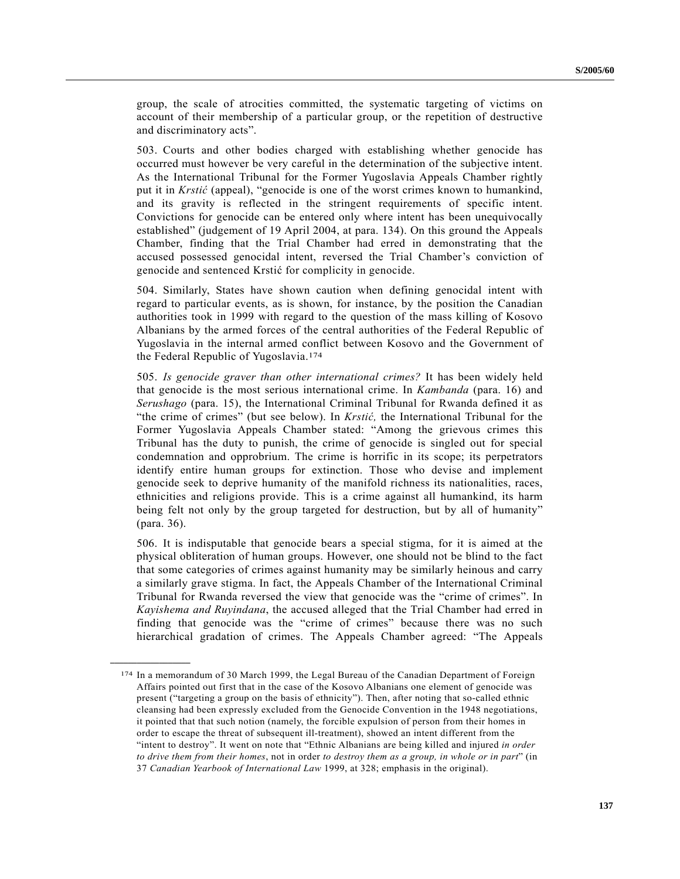group, the scale of atrocities committed, the systematic targeting of victims on account of their membership of a particular group, or the repetition of destructive and discriminatory acts".

503. Courts and other bodies charged with establishing whether genocide has occurred must however be very careful in the determination of the subjective intent. As the International Tribunal for the Former Yugoslavia Appeals Chamber rightly put it in *Krstić* (appeal), "genocide is one of the worst crimes known to humankind, and its gravity is reflected in the stringent requirements of specific intent. Convictions for genocide can be entered only where intent has been unequivocally establishedî (judgement of 19 April 2004, at para. 134). On this ground the Appeals Chamber, finding that the Trial Chamber had erred in demonstrating that the accused possessed genocidal intent, reversed the Trial Chamber's conviction of genocide and sentenced Krstić for complicity in genocide.

504. Similarly, States have shown caution when defining genocidal intent with regard to particular events, as is shown, for instance, by the position the Canadian authorities took in 1999 with regard to the question of the mass killing of Kosovo Albanians by the armed forces of the central authorities of the Federal Republic of Yugoslavia in the internal armed conflict between Kosovo and the Government of the Federal Republic of Yugoslavia.174

505. *Is genocide graver than other international crimes?* It has been widely held that genocide is the most serious international crime. In *Kambanda* (para. 16) and *Serushago* (para. 15), the International Criminal Tribunal for Rwanda defined it as ìthe crime of crimesî (but see below). In *Krstić,* the International Tribunal for the Former Yugoslavia Appeals Chamber stated: "Among the grievous crimes this Tribunal has the duty to punish, the crime of genocide is singled out for special condemnation and opprobrium. The crime is horrific in its scope; its perpetrators identify entire human groups for extinction. Those who devise and implement genocide seek to deprive humanity of the manifold richness its nationalities, races, ethnicities and religions provide. This is a crime against all humankind, its harm being felt not only by the group targeted for destruction, but by all of humanity" (para. 36).

506. It is indisputable that genocide bears a special stigma, for it is aimed at the physical obliteration of human groups. However, one should not be blind to the fact that some categories of crimes against humanity may be similarly heinous and carry a similarly grave stigma. In fact, the Appeals Chamber of the International Criminal Tribunal for Rwanda reversed the view that genocide was the "crime of crimes". In *Kayishema and Ruyindana*, the accused alleged that the Trial Chamber had erred in finding that genocide was the "crime of crimes" because there was no such hierarchical gradation of crimes. The Appeals Chamber agreed: "The Appeals

<sup>174</sup> In a memorandum of 30 March 1999, the Legal Bureau of the Canadian Department of Foreign Affairs pointed out first that in the case of the Kosovo Albanians one element of genocide was present ("targeting a group on the basis of ethnicity"). Then, after noting that so-called ethnic cleansing had been expressly excluded from the Genocide Convention in the 1948 negotiations, it pointed that that such notion (namely, the forcible expulsion of person from their homes in order to escape the threat of subsequent ill-treatment), showed an intent different from the "intent to destroy". It went on note that "Ethnic Albanians are being killed and injured *in order to drive them from their homes*, not in order *to destroy them as a group, in whole or in part*î (in 37 *Canadian Yearbook of International Law* 1999, at 328; emphasis in the original).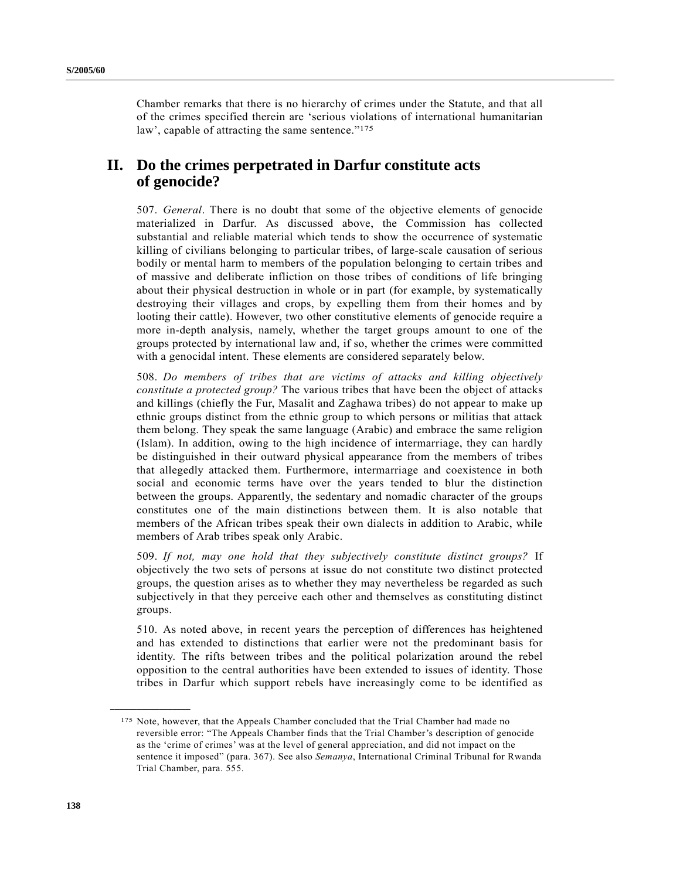Chamber remarks that there is no hierarchy of crimes under the Statute, and that all of the crimes specified therein are ëserious violations of international humanitarian law', capable of attracting the same sentence. $175$ 

# **II. Do the crimes perpetrated in Darfur constitute acts of genocide?**

507. *General*. There is no doubt that some of the objective elements of genocide materialized in Darfur. As discussed above, the Commission has collected substantial and reliable material which tends to show the occurrence of systematic killing of civilians belonging to particular tribes, of large-scale causation of serious bodily or mental harm to members of the population belonging to certain tribes and of massive and deliberate infliction on those tribes of conditions of life bringing about their physical destruction in whole or in part (for example, by systematically destroying their villages and crops, by expelling them from their homes and by looting their cattle). However, two other constitutive elements of genocide require a more in-depth analysis, namely, whether the target groups amount to one of the groups protected by international law and, if so, whether the crimes were committed with a genocidal intent. These elements are considered separately below.

508. *Do members of tribes that are victims of attacks and killing objectively constitute a protected group?* The various tribes that have been the object of attacks and killings (chiefly the Fur, Masalit and Zaghawa tribes) do not appear to make up ethnic groups distinct from the ethnic group to which persons or militias that attack them belong. They speak the same language (Arabic) and embrace the same religion (Islam). In addition, owing to the high incidence of intermarriage, they can hardly be distinguished in their outward physical appearance from the members of tribes that allegedly attacked them. Furthermore, intermarriage and coexistence in both social and economic terms have over the years tended to blur the distinction between the groups. Apparently, the sedentary and nomadic character of the groups constitutes one of the main distinctions between them. It is also notable that members of the African tribes speak their own dialects in addition to Arabic, while members of Arab tribes speak only Arabic.

509. *If not, may one hold that they subjectively constitute distinct groups?* If objectively the two sets of persons at issue do not constitute two distinct protected groups, the question arises as to whether they may nevertheless be regarded as such subjectively in that they perceive each other and themselves as constituting distinct groups.

510. As noted above, in recent years the perception of differences has heightened and has extended to distinctions that earlier were not the predominant basis for identity. The rifts between tribes and the political polarization around the rebel opposition to the central authorities have been extended to issues of identity. Those tribes in Darfur which support rebels have increasingly come to be identified as

<sup>175</sup> Note, however, that the Appeals Chamber concluded that the Trial Chamber had made no reversible error: "The Appeals Chamber finds that the Trial Chamber's description of genocide as the 'crime of crimes' was at the level of general appreciation, and did not impact on the sentence it imposed" (para. 367). See also *Semanya*, International Criminal Tribunal for Rwanda Trial Chamber, para. 555.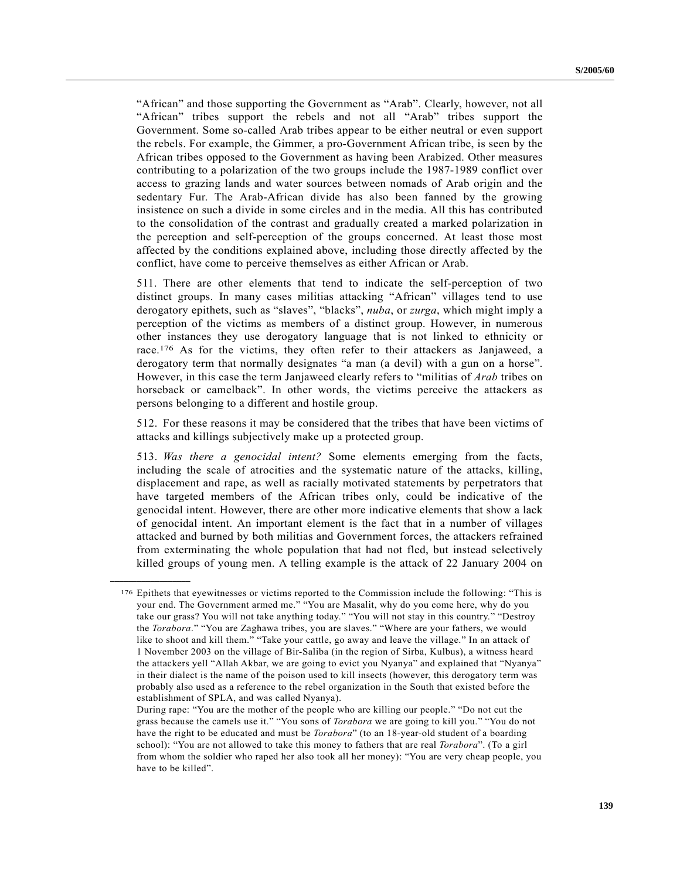"African" and those supporting the Government as "Arab". Clearly, however, not all "African" tribes support the rebels and not all "Arab" tribes support the Government. Some so-called Arab tribes appear to be either neutral or even support the rebels. For example, the Gimmer, a pro-Government African tribe, is seen by the African tribes opposed to the Government as having been Arabized. Other measures contributing to a polarization of the two groups include the 1987-1989 conflict over access to grazing lands and water sources between nomads of Arab origin and the sedentary Fur. The Arab-African divide has also been fanned by the growing insistence on such a divide in some circles and in the media. All this has contributed to the consolidation of the contrast and gradually created a marked polarization in the perception and self-perception of the groups concerned. At least those most affected by the conditions explained above, including those directly affected by the conflict, have come to perceive themselves as either African or Arab.

511. There are other elements that tend to indicate the self-perception of two distinct groups. In many cases militias attacking "African" villages tend to use derogatory epithets, such as "slaves", "blacks", *nuba*, or *zurga*, which might imply a perception of the victims as members of a distinct group. However, in numerous other instances they use derogatory language that is not linked to ethnicity or race.<sup>176</sup> As for the victims, they often refer to their attackers as Janjaweed, a derogatory term that normally designates "a man (a devil) with a gun on a horse". However, in this case the term Janjaweed clearly refers to "militias of *Arab* tribes on horseback or camelback". In other words, the victims perceive the attackers as persons belonging to a different and hostile group.

512. For these reasons it may be considered that the tribes that have been victims of attacks and killings subjectively make up a protected group.

513. *Was there a genocidal intent?* Some elements emerging from the facts, including the scale of atrocities and the systematic nature of the attacks, killing, displacement and rape, as well as racially motivated statements by perpetrators that have targeted members of the African tribes only, could be indicative of the genocidal intent. However, there are other more indicative elements that show a lack of genocidal intent. An important element is the fact that in a number of villages attacked and burned by both militias and Government forces, the attackers refrained from exterminating the whole population that had not fled, but instead selectively killed groups of young men. A telling example is the attack of 22 January 2004 on

<sup>&</sup>lt;sup>176</sup> Epithets that eyewitnesses or victims reported to the Commission include the following: "This is your end. The Government armed me." "You are Masalit, why do you come here, why do you take our grass? You will not take anything today." "You will not stay in this country." "Destroy the *Torabora*." "You are Zaghawa tribes, you are slaves." "Where are your fathers, we would like to shoot and kill them." "Take your cattle, go away and leave the village." In an attack of 1 November 2003 on the village of Bir-Saliba (in the region of Sirba, Kulbus), a witness heard the attackers yell "Allah Akbar, we are going to evict you Nyanya" and explained that "Nyanya" in their dialect is the name of the poison used to kill insects (however, this derogatory term was probably also used as a reference to the rebel organization in the South that existed before the establishment of SPLA, and was called Nyanya).

During rape: "You are the mother of the people who are killing our people." "Do not cut the grass because the camels use it." "You sons of *Torabora* we are going to kill you." "You do not have the right to be educated and must be *Torabora*" (to an 18-year-old student of a boarding school): "You are not allowed to take this money to fathers that are real *Torabora*". (To a girl from whom the soldier who raped her also took all her money): "You are very cheap people, you have to be killed".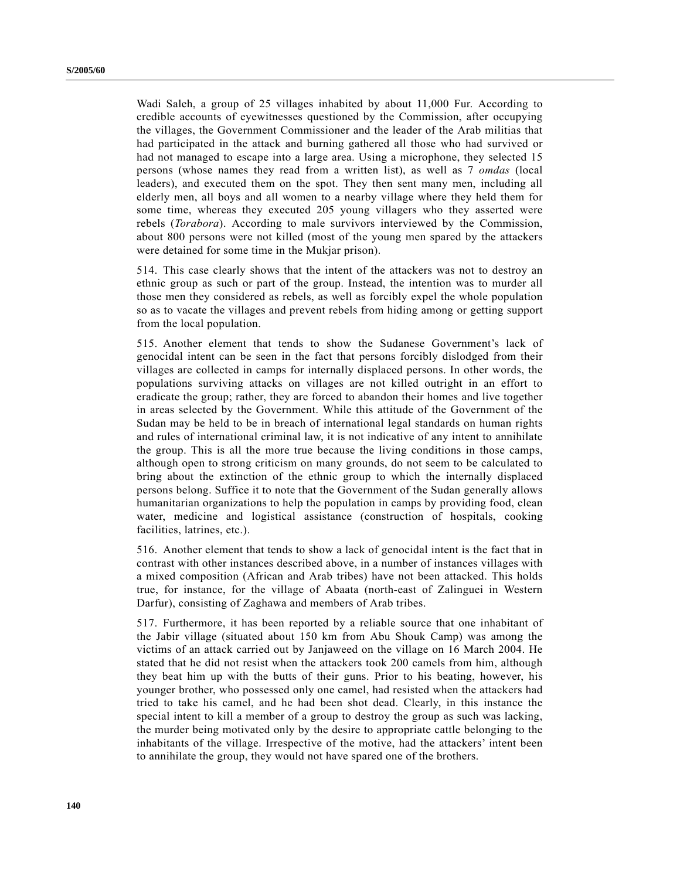Wadi Saleh, a group of 25 villages inhabited by about 11,000 Fur. According to credible accounts of eyewitnesses questioned by the Commission, after occupying the villages, the Government Commissioner and the leader of the Arab militias that had participated in the attack and burning gathered all those who had survived or had not managed to escape into a large area. Using a microphone, they selected 15 persons (whose names they read from a written list), as well as 7 *omdas* (local leaders), and executed them on the spot. They then sent many men, including all elderly men, all boys and all women to a nearby village where they held them for some time, whereas they executed 205 young villagers who they asserted were rebels (*Torabora*). According to male survivors interviewed by the Commission, about 800 persons were not killed (most of the young men spared by the attackers were detained for some time in the Mukjar prison).

514. This case clearly shows that the intent of the attackers was not to destroy an ethnic group as such or part of the group. Instead, the intention was to murder all those men they considered as rebels, as well as forcibly expel the whole population so as to vacate the villages and prevent rebels from hiding among or getting support from the local population.

515. Another element that tends to show the Sudanese Governmentís lack of genocidal intent can be seen in the fact that persons forcibly dislodged from their villages are collected in camps for internally displaced persons. In other words, the populations surviving attacks on villages are not killed outright in an effort to eradicate the group; rather, they are forced to abandon their homes and live together in areas selected by the Government. While this attitude of the Government of the Sudan may be held to be in breach of international legal standards on human rights and rules of international criminal law, it is not indicative of any intent to annihilate the group. This is all the more true because the living conditions in those camps, although open to strong criticism on many grounds, do not seem to be calculated to bring about the extinction of the ethnic group to which the internally displaced persons belong. Suffice it to note that the Government of the Sudan generally allows humanitarian organizations to help the population in camps by providing food, clean water, medicine and logistical assistance (construction of hospitals, cooking facilities, latrines, etc.).

516. Another element that tends to show a lack of genocidal intent is the fact that in contrast with other instances described above, in a number of instances villages with a mixed composition (African and Arab tribes) have not been attacked. This holds true, for instance, for the village of Abaata (north-east of Zalinguei in Western Darfur), consisting of Zaghawa and members of Arab tribes.

517. Furthermore, it has been reported by a reliable source that one inhabitant of the Jabir village (situated about 150 km from Abu Shouk Camp) was among the victims of an attack carried out by Janjaweed on the village on 16 March 2004. He stated that he did not resist when the attackers took 200 camels from him, although they beat him up with the butts of their guns. Prior to his beating, however, his younger brother, who possessed only one camel, had resisted when the attackers had tried to take his camel, and he had been shot dead. Clearly, in this instance the special intent to kill a member of a group to destroy the group as such was lacking, the murder being motivated only by the desire to appropriate cattle belonging to the inhabitants of the village. Irrespective of the motive, had the attackers' intent been to annihilate the group, they would not have spared one of the brothers.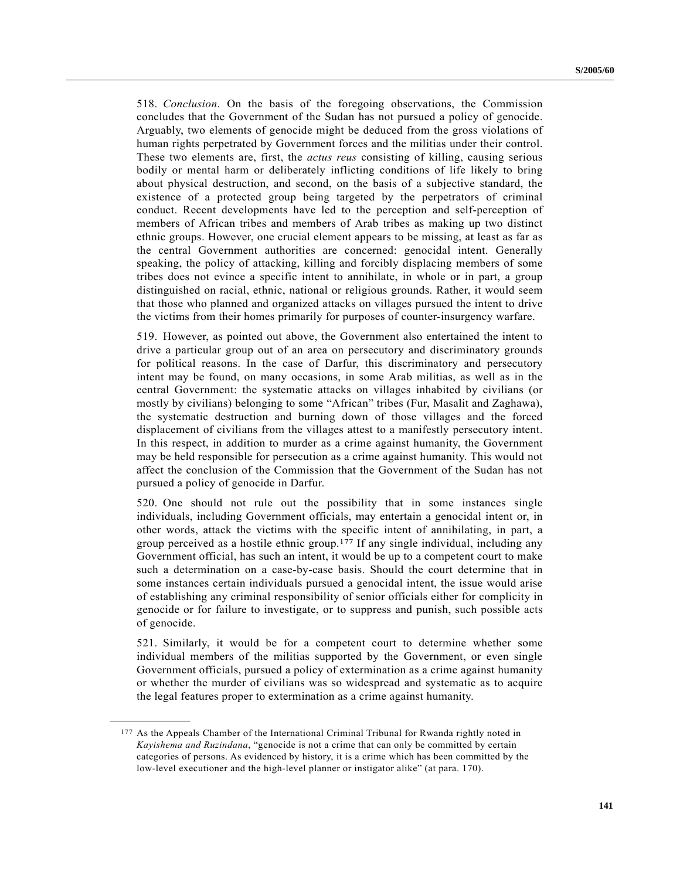518. *Conclusion*. On the basis of the foregoing observations, the Commission concludes that the Government of the Sudan has not pursued a policy of genocide. Arguably, two elements of genocide might be deduced from the gross violations of human rights perpetrated by Government forces and the militias under their control. These two elements are, first, the *actus reus* consisting of killing, causing serious bodily or mental harm or deliberately inflicting conditions of life likely to bring about physical destruction, and second, on the basis of a subjective standard, the existence of a protected group being targeted by the perpetrators of criminal conduct. Recent developments have led to the perception and self-perception of members of African tribes and members of Arab tribes as making up two distinct ethnic groups. However, one crucial element appears to be missing, at least as far as the central Government authorities are concerned: genocidal intent. Generally speaking, the policy of attacking, killing and forcibly displacing members of some tribes does not evince a specific intent to annihilate, in whole or in part, a group distinguished on racial, ethnic, national or religious grounds. Rather, it would seem that those who planned and organized attacks on villages pursued the intent to drive the victims from their homes primarily for purposes of counter-insurgency warfare.

519. However, as pointed out above, the Government also entertained the intent to drive a particular group out of an area on persecutory and discriminatory grounds for political reasons. In the case of Darfur, this discriminatory and persecutory intent may be found, on many occasions, in some Arab militias, as well as in the central Government: the systematic attacks on villages inhabited by civilians (or mostly by civilians) belonging to some "African" tribes (Fur, Masalit and Zaghawa), the systematic destruction and burning down of those villages and the forced displacement of civilians from the villages attest to a manifestly persecutory intent. In this respect, in addition to murder as a crime against humanity, the Government may be held responsible for persecution as a crime against humanity. This would not affect the conclusion of the Commission that the Government of the Sudan has not pursued a policy of genocide in Darfur.

520. One should not rule out the possibility that in some instances single individuals, including Government officials, may entertain a genocidal intent or, in other words, attack the victims with the specific intent of annihilating, in part, a group perceived as a hostile ethnic group.177 If any single individual, including any Government official, has such an intent, it would be up to a competent court to make such a determination on a case-by-case basis. Should the court determine that in some instances certain individuals pursued a genocidal intent, the issue would arise of establishing any criminal responsibility of senior officials either for complicity in genocide or for failure to investigate, or to suppress and punish, such possible acts of genocide.

521. Similarly, it would be for a competent court to determine whether some individual members of the militias supported by the Government, or even single Government officials, pursued a policy of extermination as a crime against humanity or whether the murder of civilians was so widespread and systematic as to acquire the legal features proper to extermination as a crime against humanity.

<sup>177</sup> As the Appeals Chamber of the International Criminal Tribunal for Rwanda rightly noted in *Kayishema and Ruzindana*, "genocide is not a crime that can only be committed by certain categories of persons. As evidenced by history, it is a crime which has been committed by the low-level executioner and the high-level planner or instigator alike" (at para. 170).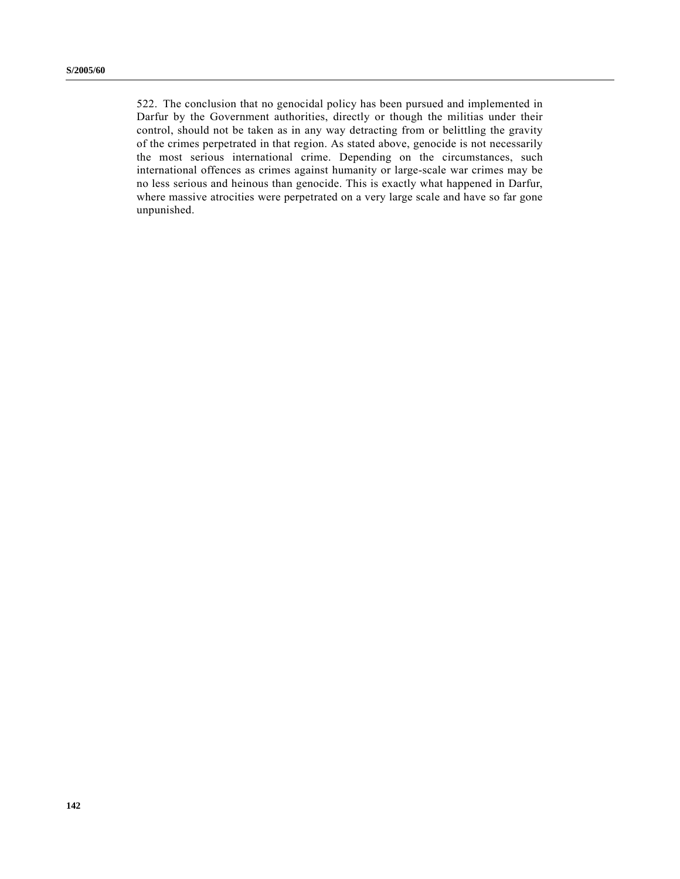522. The conclusion that no genocidal policy has been pursued and implemented in Darfur by the Government authorities, directly or though the militias under their control, should not be taken as in any way detracting from or belittling the gravity of the crimes perpetrated in that region. As stated above, genocide is not necessarily the most serious international crime. Depending on the circumstances, such international offences as crimes against humanity or large-scale war crimes may be no less serious and heinous than genocide. This is exactly what happened in Darfur, where massive atrocities were perpetrated on a very large scale and have so far gone unpunished.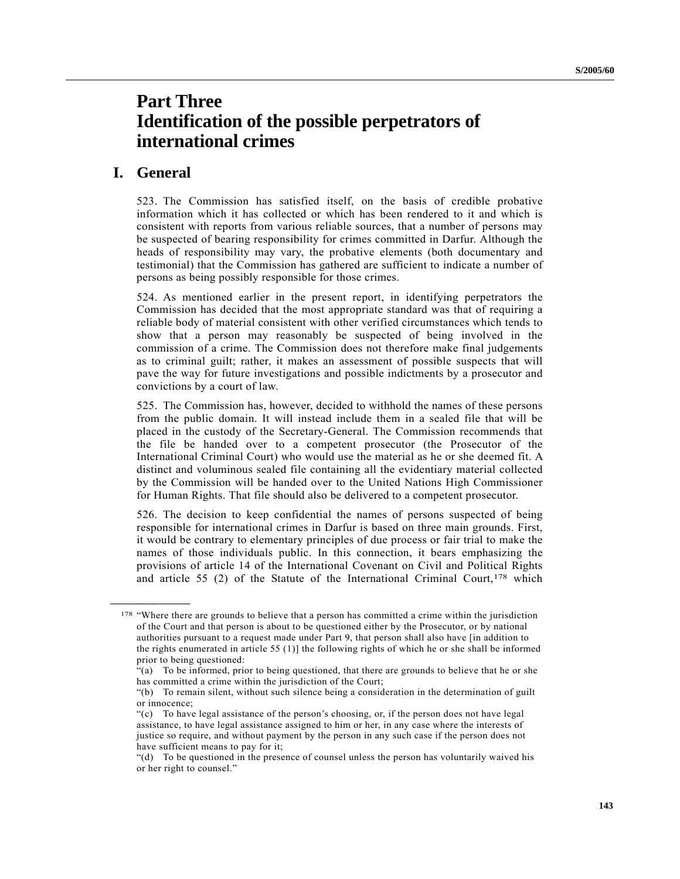# **Part Three Identification of the possible perpetrators of international crimes**

## **I. General**

**\_\_\_\_\_\_\_\_\_\_\_\_\_\_\_\_\_\_**

523. The Commission has satisfied itself, on the basis of credible probative information which it has collected or which has been rendered to it and which is consistent with reports from various reliable sources, that a number of persons may be suspected of bearing responsibility for crimes committed in Darfur. Although the heads of responsibility may vary, the probative elements (both documentary and testimonial) that the Commission has gathered are sufficient to indicate a number of persons as being possibly responsible for those crimes.

524. As mentioned earlier in the present report, in identifying perpetrators the Commission has decided that the most appropriate standard was that of requiring a reliable body of material consistent with other verified circumstances which tends to show that a person may reasonably be suspected of being involved in the commission of a crime. The Commission does not therefore make final judgements as to criminal guilt; rather, it makes an assessment of possible suspects that will pave the way for future investigations and possible indictments by a prosecutor and convictions by a court of law.

525. The Commission has, however, decided to withhold the names of these persons from the public domain. It will instead include them in a sealed file that will be placed in the custody of the Secretary-General. The Commission recommends that the file be handed over to a competent prosecutor (the Prosecutor of the International Criminal Court) who would use the material as he or she deemed fit. A distinct and voluminous sealed file containing all the evidentiary material collected by the Commission will be handed over to the United Nations High Commissioner for Human Rights. That file should also be delivered to a competent prosecutor.

526. The decision to keep confidential the names of persons suspected of being responsible for international crimes in Darfur is based on three main grounds. First, it would be contrary to elementary principles of due process or fair trial to make the names of those individuals public. In this connection, it bears emphasizing the provisions of article 14 of the International Covenant on Civil and Political Rights and article 55 (2) of the Statute of the International Criminal Court,  $178$  which

<sup>&</sup>lt;sup>178</sup> "Where there are grounds to believe that a person has committed a crime within the jurisdiction of the Court and that person is about to be questioned either by the Prosecutor, or by national authorities pursuant to a request made under Part 9, that person shall also have [in addition to the rights enumerated in article 55 (1)] the following rights of which he or she shall be informed prior to being questioned:

 $\degree$ (a) To be informed, prior to being questioned, that there are grounds to believe that he or she has committed a crime within the jurisdiction of the Court;

 $f(b)$  To remain silent, without such silence being a consideration in the determination of guilt or innocence;

 $\degree$ (c) To have legal assistance of the person's choosing, or, if the person does not have legal assistance, to have legal assistance assigned to him or her, in any case where the interests of justice so require, and without payment by the person in any such case if the person does not have sufficient means to pay for it;

ì(d) To be questioned in the presence of counsel unless the person has voluntarily waived his or her right to counsel."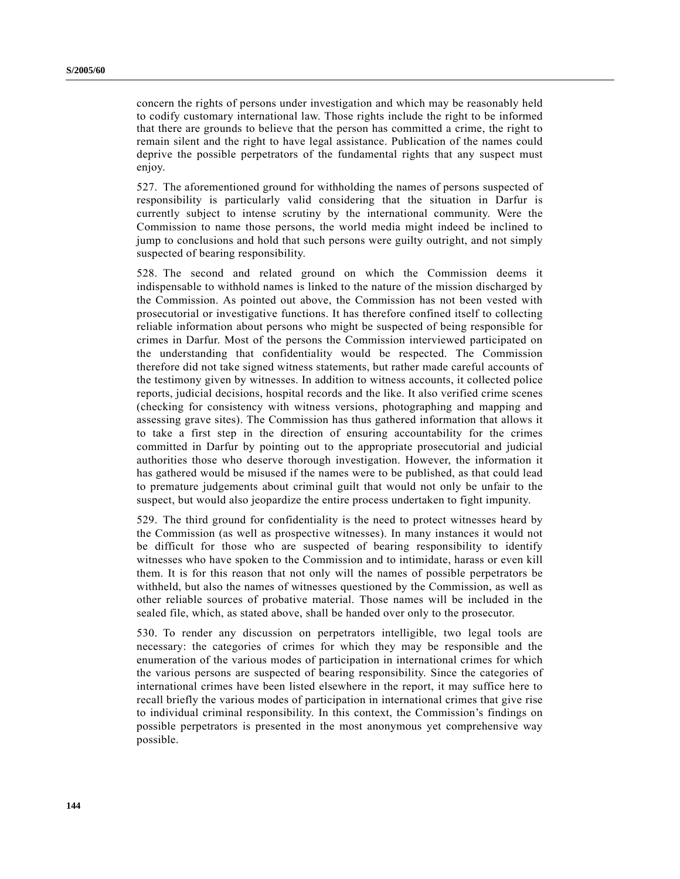concern the rights of persons under investigation and which may be reasonably held to codify customary international law. Those rights include the right to be informed that there are grounds to believe that the person has committed a crime, the right to remain silent and the right to have legal assistance. Publication of the names could deprive the possible perpetrators of the fundamental rights that any suspect must enjoy.

527. The aforementioned ground for withholding the names of persons suspected of responsibility is particularly valid considering that the situation in Darfur is currently subject to intense scrutiny by the international community. Were the Commission to name those persons, the world media might indeed be inclined to jump to conclusions and hold that such persons were guilty outright, and not simply suspected of bearing responsibility.

528. The second and related ground on which the Commission deems it indispensable to withhold names is linked to the nature of the mission discharged by the Commission. As pointed out above, the Commission has not been vested with prosecutorial or investigative functions. It has therefore confined itself to collecting reliable information about persons who might be suspected of being responsible for crimes in Darfur. Most of the persons the Commission interviewed participated on the understanding that confidentiality would be respected. The Commission therefore did not take signed witness statements, but rather made careful accounts of the testimony given by witnesses. In addition to witness accounts, it collected police reports, judicial decisions, hospital records and the like. It also verified crime scenes (checking for consistency with witness versions, photographing and mapping and assessing grave sites). The Commission has thus gathered information that allows it to take a first step in the direction of ensuring accountability for the crimes committed in Darfur by pointing out to the appropriate prosecutorial and judicial authorities those who deserve thorough investigation. However, the information it has gathered would be misused if the names were to be published, as that could lead to premature judgements about criminal guilt that would not only be unfair to the suspect, but would also jeopardize the entire process undertaken to fight impunity.

529. The third ground for confidentiality is the need to protect witnesses heard by the Commission (as well as prospective witnesses). In many instances it would not be difficult for those who are suspected of bearing responsibility to identify witnesses who have spoken to the Commission and to intimidate, harass or even kill them. It is for this reason that not only will the names of possible perpetrators be withheld, but also the names of witnesses questioned by the Commission, as well as other reliable sources of probative material. Those names will be included in the sealed file, which, as stated above, shall be handed over only to the prosecutor.

530. To render any discussion on perpetrators intelligible, two legal tools are necessary: the categories of crimes for which they may be responsible and the enumeration of the various modes of participation in international crimes for which the various persons are suspected of bearing responsibility. Since the categories of international crimes have been listed elsewhere in the report, it may suffice here to recall briefly the various modes of participation in international crimes that give rise to individual criminal responsibility. In this context, the Commission's findings on possible perpetrators is presented in the most anonymous yet comprehensive way possible.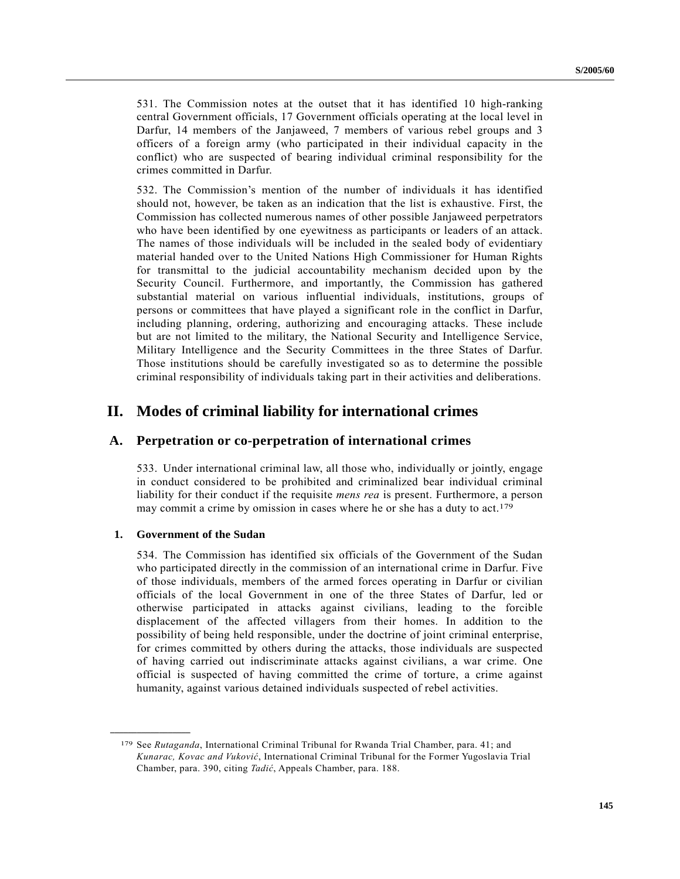531. The Commission notes at the outset that it has identified 10 high-ranking central Government officials, 17 Government officials operating at the local level in Darfur, 14 members of the Janjaweed, 7 members of various rebel groups and 3 officers of a foreign army (who participated in their individual capacity in the conflict) who are suspected of bearing individual criminal responsibility for the crimes committed in Darfur.

532. The Commission's mention of the number of individuals it has identified should not, however, be taken as an indication that the list is exhaustive. First, the Commission has collected numerous names of other possible Janjaweed perpetrators who have been identified by one eyewitness as participants or leaders of an attack. The names of those individuals will be included in the sealed body of evidentiary material handed over to the United Nations High Commissioner for Human Rights for transmittal to the judicial accountability mechanism decided upon by the Security Council. Furthermore, and importantly, the Commission has gathered substantial material on various influential individuals, institutions, groups of persons or committees that have played a significant role in the conflict in Darfur, including planning, ordering, authorizing and encouraging attacks. These include but are not limited to the military, the National Security and Intelligence Service, Military Intelligence and the Security Committees in the three States of Darfur. Those institutions should be carefully investigated so as to determine the possible criminal responsibility of individuals taking part in their activities and deliberations.

## **II. Modes of criminal liability for international crimes**

### **A. Perpetration or co-perpetration of international crimes**

533. Under international criminal law, all those who, individually or jointly, engage in conduct considered to be prohibited and criminalized bear individual criminal liability for their conduct if the requisite *mens rea* is present. Furthermore, a person may commit a crime by omission in cases where he or she has a duty to act.<sup>179</sup>

### **1. Government of the Sudan**

**\_\_\_\_\_\_\_\_\_\_\_\_\_\_\_\_\_\_**

534. The Commission has identified six officials of the Government of the Sudan who participated directly in the commission of an international crime in Darfur. Five of those individuals, members of the armed forces operating in Darfur or civilian officials of the local Government in one of the three States of Darfur, led or otherwise participated in attacks against civilians, leading to the forcible displacement of the affected villagers from their homes. In addition to the possibility of being held responsible, under the doctrine of joint criminal enterprise, for crimes committed by others during the attacks, those individuals are suspected of having carried out indiscriminate attacks against civilians, a war crime. One official is suspected of having committed the crime of torture, a crime against humanity, against various detained individuals suspected of rebel activities.

<sup>179</sup> See *Rutaganda*, International Criminal Tribunal for Rwanda Trial Chamber, para. 41; and *Kunarac, Kovac and Vuković*, International Criminal Tribunal for the Former Yugoslavia Trial Chamber, para. 390, citing *Tadić*, Appeals Chamber, para. 188.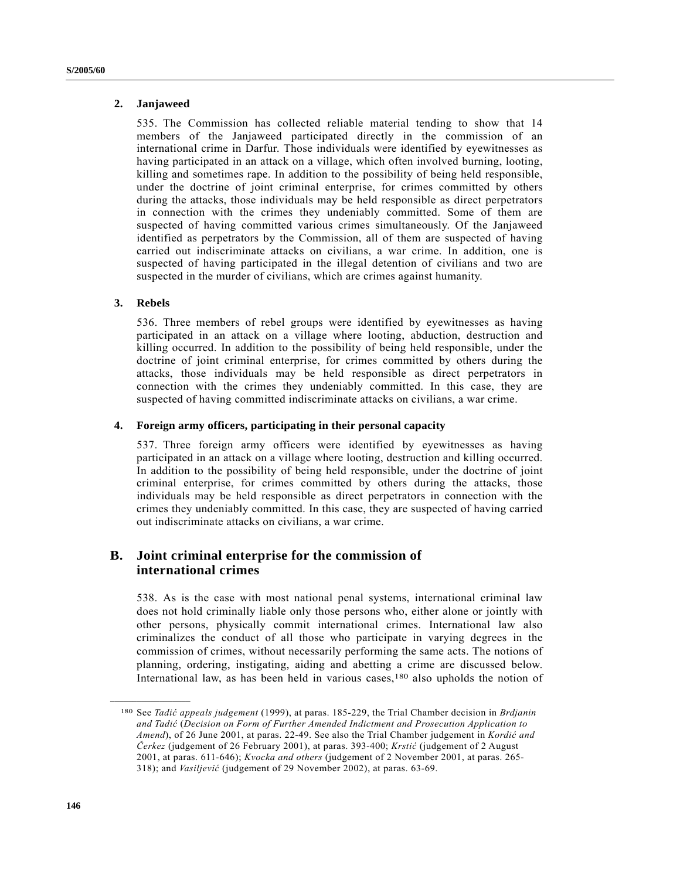#### **2. Janjaweed**

535. The Commission has collected reliable material tending to show that 14 members of the Janjaweed participated directly in the commission of an international crime in Darfur. Those individuals were identified by eyewitnesses as having participated in an attack on a village, which often involved burning, looting, killing and sometimes rape. In addition to the possibility of being held responsible, under the doctrine of joint criminal enterprise, for crimes committed by others during the attacks, those individuals may be held responsible as direct perpetrators in connection with the crimes they undeniably committed. Some of them are suspected of having committed various crimes simultaneously. Of the Janjaweed identified as perpetrators by the Commission, all of them are suspected of having carried out indiscriminate attacks on civilians, a war crime. In addition, one is suspected of having participated in the illegal detention of civilians and two are suspected in the murder of civilians, which are crimes against humanity.

#### **3. Rebels**

**\_\_\_\_\_\_\_\_\_\_\_\_\_\_\_\_\_\_**

536. Three members of rebel groups were identified by eyewitnesses as having participated in an attack on a village where looting, abduction, destruction and killing occurred. In addition to the possibility of being held responsible, under the doctrine of joint criminal enterprise, for crimes committed by others during the attacks, those individuals may be held responsible as direct perpetrators in connection with the crimes they undeniably committed. In this case, they are suspected of having committed indiscriminate attacks on civilians, a war crime.

#### **4. Foreign army officers, participating in their personal capacity**

537. Three foreign army officers were identified by eyewitnesses as having participated in an attack on a village where looting, destruction and killing occurred. In addition to the possibility of being held responsible, under the doctrine of joint criminal enterprise, for crimes committed by others during the attacks, those individuals may be held responsible as direct perpetrators in connection with the crimes they undeniably committed. In this case, they are suspected of having carried out indiscriminate attacks on civilians, a war crime.

## **B. Joint criminal enterprise for the commission of international crimes**

538. As is the case with most national penal systems, international criminal law does not hold criminally liable only those persons who, either alone or jointly with other persons, physically commit international crimes. International law also criminalizes the conduct of all those who participate in varying degrees in the commission of crimes, without necessarily performing the same acts. The notions of planning, ordering, instigating, aiding and abetting a crime are discussed below. International law, as has been held in various cases,180 also upholds the notion of

<sup>180</sup> See *Tadić appeals judgement* (1999), at paras. 185-229, the Trial Chamber decision in *Brdjanin and Tadić* (*Decision on Form of Further Amended Indictment and Prosecution Application to Amend*), of 26 June 2001, at paras. 22-49. See also the Trial Chamber judgement in *Kordić and Čerkez* (judgement of 26 February 2001), at paras. 393-400; *Krstić* (judgement of 2 August 2001, at paras. 611-646); *Kvocka and others* (judgement of 2 November 2001, at paras. 265- 318); and *Vasiljević* (judgement of 29 November 2002), at paras. 63-69.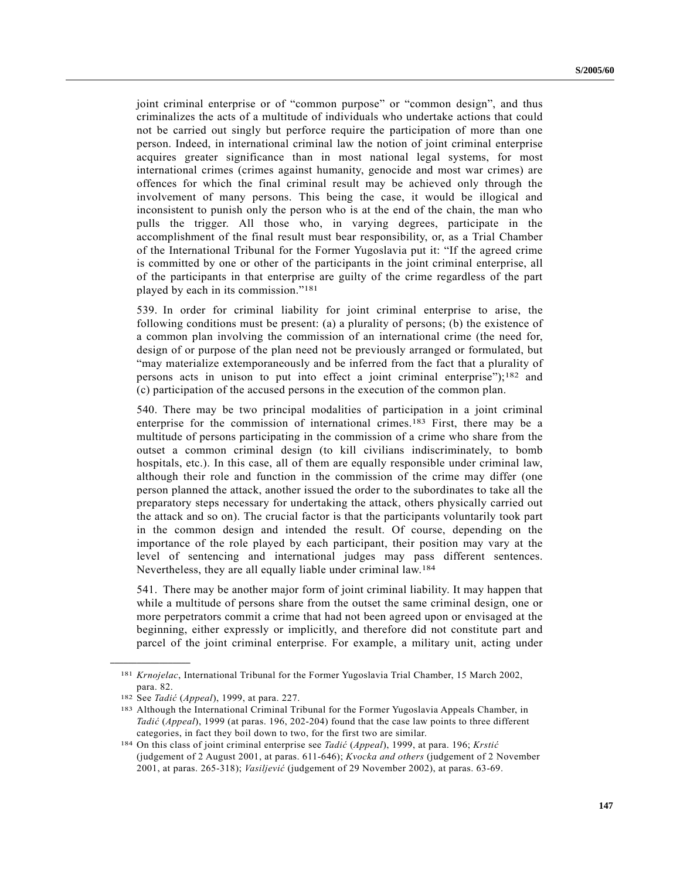joint criminal enterprise or of "common purpose" or "common design", and thus criminalizes the acts of a multitude of individuals who undertake actions that could not be carried out singly but perforce require the participation of more than one person. Indeed, in international criminal law the notion of joint criminal enterprise acquires greater significance than in most national legal systems, for most international crimes (crimes against humanity, genocide and most war crimes) are offences for which the final criminal result may be achieved only through the involvement of many persons. This being the case, it would be illogical and inconsistent to punish only the person who is at the end of the chain, the man who pulls the trigger. All those who, in varying degrees, participate in the accomplishment of the final result must bear responsibility, or, as a Trial Chamber of the International Tribunal for the Former Yugoslavia put it: "If the agreed crime is committed by one or other of the participants in the joint criminal enterprise, all of the participants in that enterprise are guilty of the crime regardless of the part played by each in its commission."<sup>181</sup>

539. In order for criminal liability for joint criminal enterprise to arise, the following conditions must be present: (a) a plurality of persons; (b) the existence of a common plan involving the commission of an international crime (the need for, design of or purpose of the plan need not be previously arranged or formulated, but ìmay materialize extemporaneously and be inferred from the fact that a plurality of persons acts in unison to put into effect a joint criminal enterprise");<sup>182</sup> and (c) participation of the accused persons in the execution of the common plan.

540. There may be two principal modalities of participation in a joint criminal enterprise for the commission of international crimes.183 First, there may be a multitude of persons participating in the commission of a crime who share from the outset a common criminal design (to kill civilians indiscriminately, to bomb hospitals, etc.). In this case, all of them are equally responsible under criminal law, although their role and function in the commission of the crime may differ (one person planned the attack, another issued the order to the subordinates to take all the preparatory steps necessary for undertaking the attack, others physically carried out the attack and so on). The crucial factor is that the participants voluntarily took part in the common design and intended the result. Of course, depending on the importance of the role played by each participant, their position may vary at the level of sentencing and international judges may pass different sentences. Nevertheless, they are all equally liable under criminal law.184

541. There may be another major form of joint criminal liability. It may happen that while a multitude of persons share from the outset the same criminal design, one or more perpetrators commit a crime that had not been agreed upon or envisaged at the beginning, either expressly or implicitly, and therefore did not constitute part and parcel of the joint criminal enterprise. For example, a military unit, acting under

<sup>181</sup> *Krnojelac*, International Tribunal for the Former Yugoslavia Trial Chamber, 15 March 2002, para. 82.

<sup>182</sup> See *Tadić* (*Appeal*), 1999, at para. 227.

<sup>183</sup> Although the International Criminal Tribunal for the Former Yugoslavia Appeals Chamber, in *Tadić* (*Appeal*), 1999 (at paras. 196, 202-204) found that the case law points to three different categories, in fact they boil down to two, for the first two are similar.

<sup>184</sup> On this class of joint criminal enterprise see *Tadić* (*Appeal*), 1999, at para. 196; *Krstić* (judgement of 2 August 2001, at paras. 611-646); *Kvocka and others* (judgement of 2 November 2001, at paras. 265-318); *Vasiljević* (judgement of 29 November 2002), at paras. 63-69.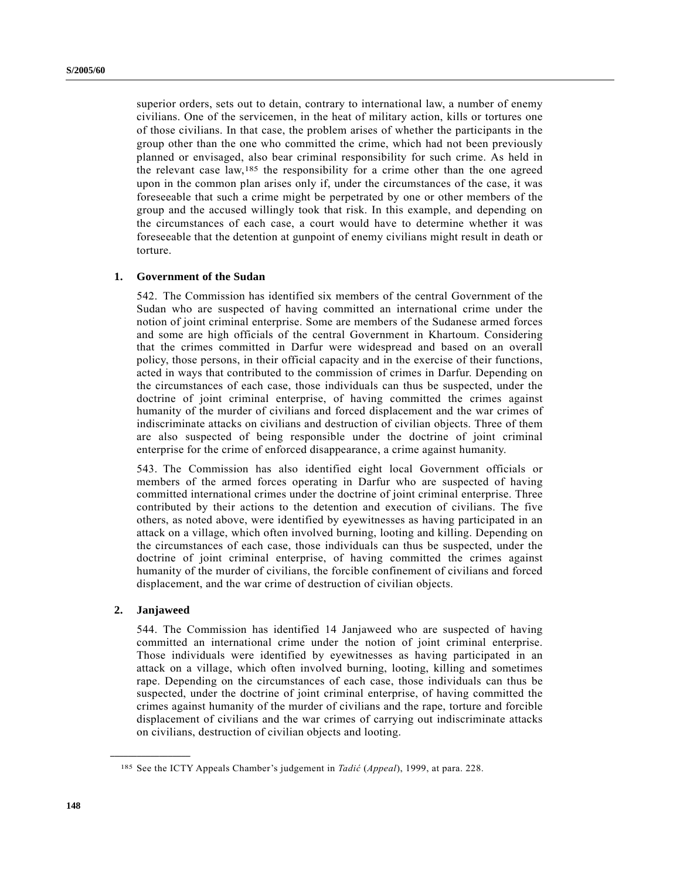superior orders, sets out to detain, contrary to international law, a number of enemy civilians. One of the servicemen, in the heat of military action, kills or tortures one of those civilians. In that case, the problem arises of whether the participants in the group other than the one who committed the crime, which had not been previously planned or envisaged, also bear criminal responsibility for such crime. As held in the relevant case law,185 the responsibility for a crime other than the one agreed upon in the common plan arises only if, under the circumstances of the case, it was foreseeable that such a crime might be perpetrated by one or other members of the group and the accused willingly took that risk. In this example, and depending on the circumstances of each case, a court would have to determine whether it was foreseeable that the detention at gunpoint of enemy civilians might result in death or torture.

#### **1. Government of the Sudan**

542. The Commission has identified six members of the central Government of the Sudan who are suspected of having committed an international crime under the notion of joint criminal enterprise. Some are members of the Sudanese armed forces and some are high officials of the central Government in Khartoum. Considering that the crimes committed in Darfur were widespread and based on an overall policy, those persons, in their official capacity and in the exercise of their functions, acted in ways that contributed to the commission of crimes in Darfur. Depending on the circumstances of each case, those individuals can thus be suspected, under the doctrine of joint criminal enterprise, of having committed the crimes against humanity of the murder of civilians and forced displacement and the war crimes of indiscriminate attacks on civilians and destruction of civilian objects. Three of them are also suspected of being responsible under the doctrine of joint criminal enterprise for the crime of enforced disappearance, a crime against humanity.

543. The Commission has also identified eight local Government officials or members of the armed forces operating in Darfur who are suspected of having committed international crimes under the doctrine of joint criminal enterprise. Three contributed by their actions to the detention and execution of civilians. The five others, as noted above, were identified by eyewitnesses as having participated in an attack on a village, which often involved burning, looting and killing. Depending on the circumstances of each case, those individuals can thus be suspected, under the doctrine of joint criminal enterprise, of having committed the crimes against humanity of the murder of civilians, the forcible confinement of civilians and forced displacement, and the war crime of destruction of civilian objects.

#### **2. Janjaweed**

**\_\_\_\_\_\_\_\_\_\_\_\_\_\_\_\_\_\_**

544. The Commission has identified 14 Janjaweed who are suspected of having committed an international crime under the notion of joint criminal enterprise. Those individuals were identified by eyewitnesses as having participated in an attack on a village, which often involved burning, looting, killing and sometimes rape. Depending on the circumstances of each case, those individuals can thus be suspected, under the doctrine of joint criminal enterprise, of having committed the crimes against humanity of the murder of civilians and the rape, torture and forcible displacement of civilians and the war crimes of carrying out indiscriminate attacks on civilians, destruction of civilian objects and looting.

<sup>&</sup>lt;sup>185</sup> See the ICTY Appeals Chamber's judgement in *Tadić* (Appeal), 1999, at para. 228.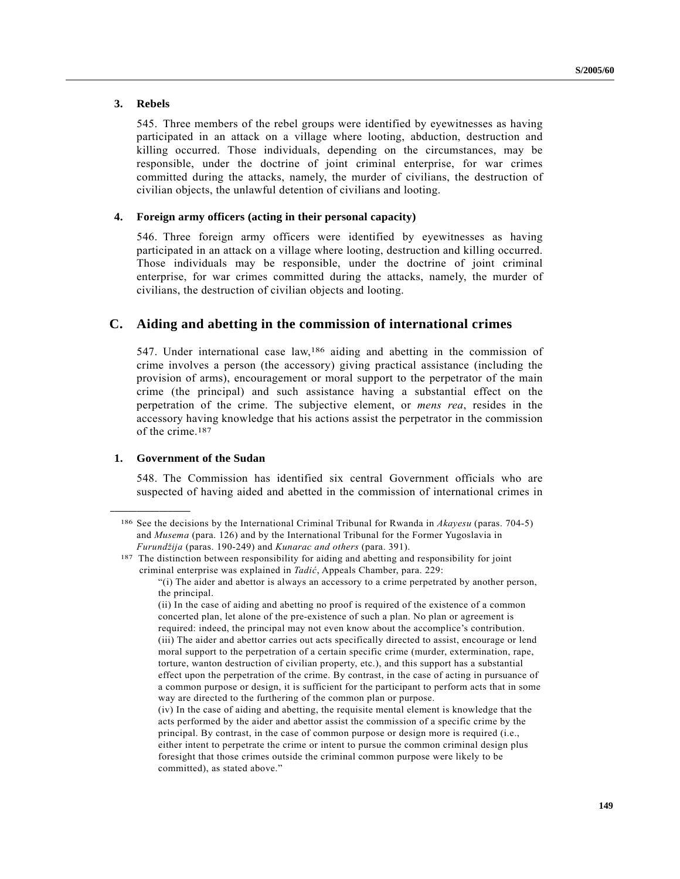### **3. Rebels**

545. Three members of the rebel groups were identified by eyewitnesses as having participated in an attack on a village where looting, abduction, destruction and killing occurred. Those individuals, depending on the circumstances, may be responsible, under the doctrine of joint criminal enterprise, for war crimes committed during the attacks, namely, the murder of civilians, the destruction of civilian objects, the unlawful detention of civilians and looting.

#### **4. Foreign army officers (acting in their personal capacity)**

546. Three foreign army officers were identified by eyewitnesses as having participated in an attack on a village where looting, destruction and killing occurred. Those individuals may be responsible, under the doctrine of joint criminal enterprise, for war crimes committed during the attacks, namely, the murder of civilians, the destruction of civilian objects and looting.

## **C. Aiding and abetting in the commission of international crimes**

547. Under international case law,186 aiding and abetting in the commission of crime involves a person (the accessory) giving practical assistance (including the provision of arms), encouragement or moral support to the perpetrator of the main crime (the principal) and such assistance having a substantial effect on the perpetration of the crime. The subjective element, or *mens rea*, resides in the accessory having knowledge that his actions assist the perpetrator in the commission of the crime.187

#### **1. Government of the Sudan**

**\_\_\_\_\_\_\_\_\_\_\_\_\_\_\_\_\_\_**

548. The Commission has identified six central Government officials who are suspected of having aided and abetted in the commission of international crimes in

ì(i) The aider and abettor is always an accessory to a crime perpetrated by another person, the principal.

(ii) In the case of aiding and abetting no proof is required of the existence of a common concerted plan, let alone of the pre-existence of such a plan. No plan or agreement is required: indeed, the principal may not even know about the accomplice's contribution. (iii) The aider and abettor carries out acts specifically directed to assist, encourage or lend moral support to the perpetration of a certain specific crime (murder, extermination, rape, torture, wanton destruction of civilian property, etc.), and this support has a substantial effect upon the perpetration of the crime. By contrast, in the case of acting in pursuance of a common purpose or design, it is sufficient for the participant to perform acts that in some way are directed to the furthering of the common plan or purpose.

(iv) In the case of aiding and abetting, the requisite mental element is knowledge that the acts performed by the aider and abettor assist the commission of a specific crime by the principal. By contrast, in the case of common purpose or design more is required (i.e., either intent to perpetrate the crime or intent to pursue the common criminal design plus foresight that those crimes outside the criminal common purpose were likely to be committed), as stated above."

<sup>186</sup> See the decisions by the International Criminal Tribunal for Rwanda in *Akayesu* (paras. 704-5) and *Musema* (para. 126) and by the International Tribunal for the Former Yugoslavia in *Furundžija* (paras. 190-249) and *Kunarac and others* (para. 391).

<sup>&</sup>lt;sup>187</sup> The distinction between responsibility for aiding and abetting and responsibility for joint criminal enterprise was explained in *Tadić*, Appeals Chamber, para. 229: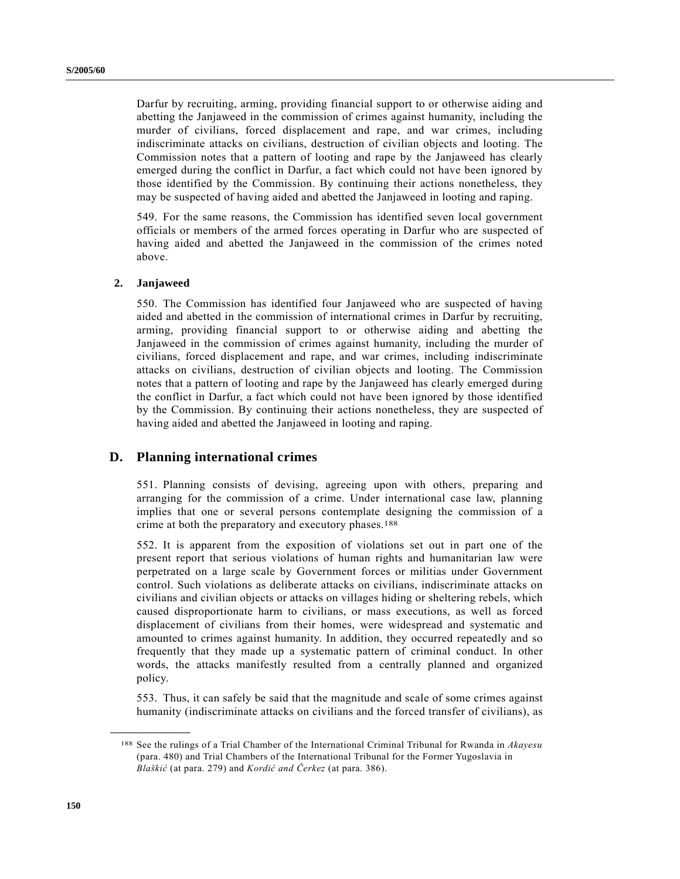Darfur by recruiting, arming, providing financial support to or otherwise aiding and abetting the Janjaweed in the commission of crimes against humanity, including the murder of civilians, forced displacement and rape, and war crimes, including indiscriminate attacks on civilians, destruction of civilian objects and looting. The Commission notes that a pattern of looting and rape by the Janjaweed has clearly emerged during the conflict in Darfur, a fact which could not have been ignored by those identified by the Commission. By continuing their actions nonetheless, they may be suspected of having aided and abetted the Janjaweed in looting and raping.

549. For the same reasons, the Commission has identified seven local government officials or members of the armed forces operating in Darfur who are suspected of having aided and abetted the Janjaweed in the commission of the crimes noted above.

#### **2. Janjaweed**

**\_\_\_\_\_\_\_\_\_\_\_\_\_\_\_\_\_\_**

550. The Commission has identified four Janjaweed who are suspected of having aided and abetted in the commission of international crimes in Darfur by recruiting, arming, providing financial support to or otherwise aiding and abetting the Janjaweed in the commission of crimes against humanity, including the murder of civilians, forced displacement and rape, and war crimes, including indiscriminate attacks on civilians, destruction of civilian objects and looting. The Commission notes that a pattern of looting and rape by the Janjaweed has clearly emerged during the conflict in Darfur, a fact which could not have been ignored by those identified by the Commission. By continuing their actions nonetheless, they are suspected of having aided and abetted the Janjaweed in looting and raping.

### **D. Planning international crimes**

551. Planning consists of devising, agreeing upon with others, preparing and arranging for the commission of a crime. Under international case law, planning implies that one or several persons contemplate designing the commission of a crime at both the preparatory and executory phases.188

552. It is apparent from the exposition of violations set out in part one of the present report that serious violations of human rights and humanitarian law were perpetrated on a large scale by Government forces or militias under Government control. Such violations as deliberate attacks on civilians, indiscriminate attacks on civilians and civilian objects or attacks on villages hiding or sheltering rebels, which caused disproportionate harm to civilians, or mass executions, as well as forced displacement of civilians from their homes, were widespread and systematic and amounted to crimes against humanity. In addition, they occurred repeatedly and so frequently that they made up a systematic pattern of criminal conduct. In other words, the attacks manifestly resulted from a centrally planned and organized policy.

553. Thus, it can safely be said that the magnitude and scale of some crimes against humanity (indiscriminate attacks on civilians and the forced transfer of civilians), as

<sup>188</sup> See the rulings of a Trial Chamber of the International Criminal Tribunal for Rwanda in *Akayesu* (para. 480) and Trial Chambers of the International Tribunal for the Former Yugoslavia in *Blaökić* (at para. 279) and *Kordić and Čerkez* (at para. 386).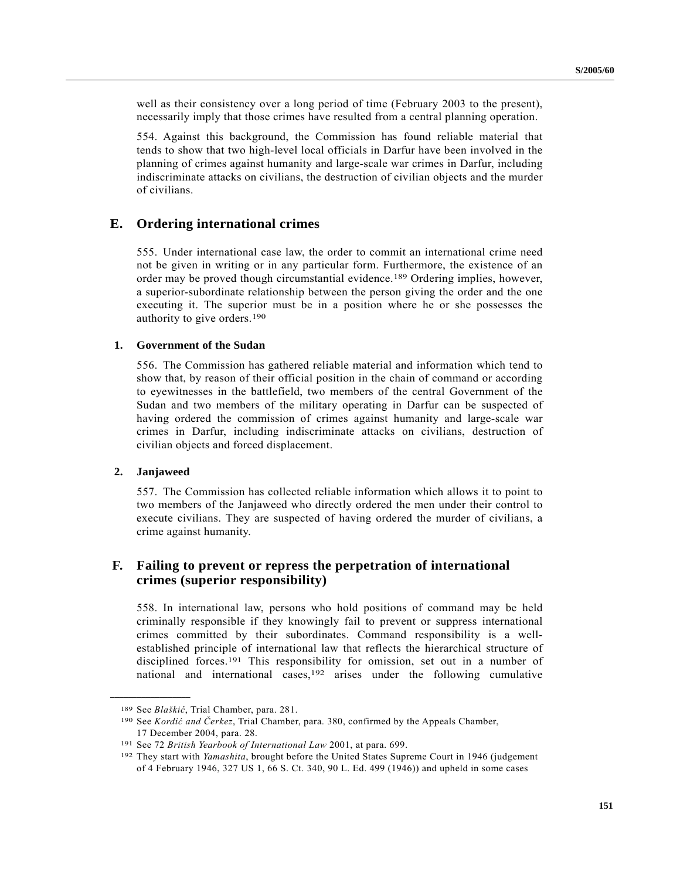well as their consistency over a long period of time (February 2003 to the present), necessarily imply that those crimes have resulted from a central planning operation.

554. Against this background, the Commission has found reliable material that tends to show that two high-level local officials in Darfur have been involved in the planning of crimes against humanity and large-scale war crimes in Darfur, including indiscriminate attacks on civilians, the destruction of civilian objects and the murder of civilians.

## **E. Ordering international crimes**

555. Under international case law, the order to commit an international crime need not be given in writing or in any particular form. Furthermore, the existence of an order may be proved though circumstantial evidence.189 Ordering implies, however, a superior-subordinate relationship between the person giving the order and the one executing it. The superior must be in a position where he or she possesses the authority to give orders.190

#### **1. Government of the Sudan**

556. The Commission has gathered reliable material and information which tend to show that, by reason of their official position in the chain of command or according to eyewitnesses in the battlefield, two members of the central Government of the Sudan and two members of the military operating in Darfur can be suspected of having ordered the commission of crimes against humanity and large-scale war crimes in Darfur, including indiscriminate attacks on civilians, destruction of civilian objects and forced displacement.

#### **2. Janjaweed**

**\_\_\_\_\_\_\_\_\_\_\_\_\_\_\_\_\_\_**

557. The Commission has collected reliable information which allows it to point to two members of the Janjaweed who directly ordered the men under their control to execute civilians. They are suspected of having ordered the murder of civilians, a crime against humanity.

## **F. Failing to prevent or repress the perpetration of international crimes (superior responsibility)**

558. In international law, persons who hold positions of command may be held criminally responsible if they knowingly fail to prevent or suppress international crimes committed by their subordinates. Command responsibility is a wellestablished principle of international law that reflects the hierarchical structure of disciplined forces.191 This responsibility for omission, set out in a number of national and international cases,192 arises under the following cumulative

<sup>189</sup> See *Blaökić*, Trial Chamber, para. 281.

<sup>190</sup> See *Kordić and Čerkez*, Trial Chamber, para. 380, confirmed by the Appeals Chamber, 17 December 2004, para. 28.

<sup>191</sup> See 72 *British Yearbook of International Law* 2001, at para. 699.

<sup>192</sup> They start with *Yamashita*, brought before the United States Supreme Court in 1946 (judgement of 4 February 1946, 327 US 1, 66 S. Ct. 340, 90 L. Ed. 499 (1946)) and upheld in some cases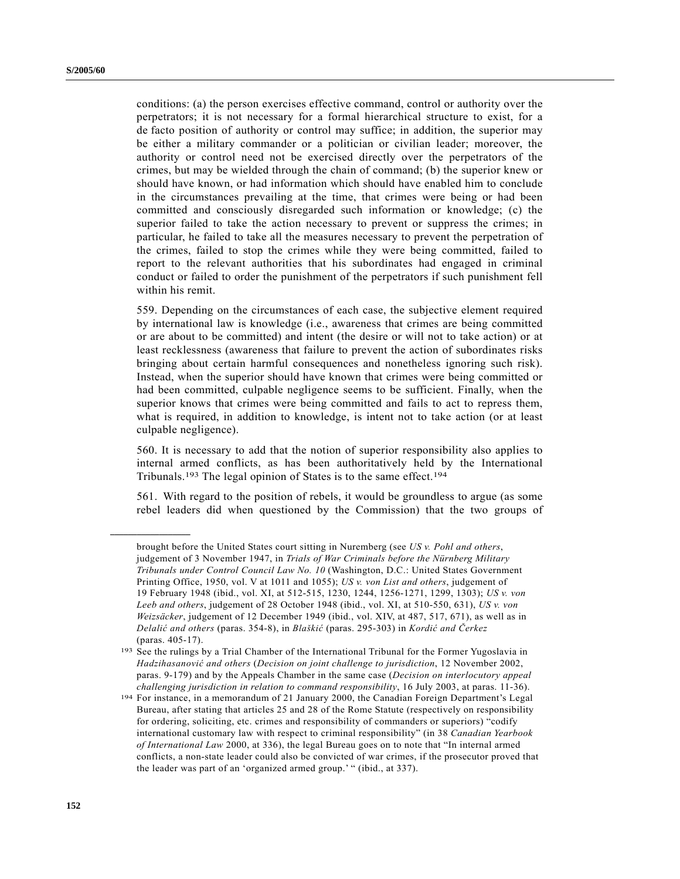conditions: (a) the person exercises effective command, control or authority over the perpetrators; it is not necessary for a formal hierarchical structure to exist, for a de facto position of authority or control may suffice; in addition, the superior may be either a military commander or a politician or civilian leader; moreover, the authority or control need not be exercised directly over the perpetrators of the crimes, but may be wielded through the chain of command; (b) the superior knew or should have known, or had information which should have enabled him to conclude in the circumstances prevailing at the time, that crimes were being or had been committed and consciously disregarded such information or knowledge; (c) the superior failed to take the action necessary to prevent or suppress the crimes; in particular, he failed to take all the measures necessary to prevent the perpetration of the crimes, failed to stop the crimes while they were being committed, failed to report to the relevant authorities that his subordinates had engaged in criminal conduct or failed to order the punishment of the perpetrators if such punishment fell within his remit.

559. Depending on the circumstances of each case, the subjective element required by international law is knowledge (i.e., awareness that crimes are being committed or are about to be committed) and intent (the desire or will not to take action) or at least recklessness (awareness that failure to prevent the action of subordinates risks bringing about certain harmful consequences and nonetheless ignoring such risk). Instead, when the superior should have known that crimes were being committed or had been committed, culpable negligence seems to be sufficient. Finally, when the superior knows that crimes were being committed and fails to act to repress them, what is required, in addition to knowledge, is intent not to take action (or at least culpable negligence).

560. It is necessary to add that the notion of superior responsibility also applies to internal armed conflicts, as has been authoritatively held by the International Tribunals.193 The legal opinion of States is to the same effect.194

561. With regard to the position of rebels, it would be groundless to argue (as some rebel leaders did when questioned by the Commission) that the two groups of

brought before the United States court sitting in Nuremberg (see *US v. Pohl and others*, judgement of 3 November 1947, in *Trials of War Criminals before the Nürnberg Military Tribunals under Control Council Law No. 10* (Washington, D.C.: United States Government Printing Office, 1950, vol. V at 1011 and 1055); *US v. von List and others*, judgement of 19 February 1948 (ibid., vol. XI, at 512-515, 1230, 1244, 1256-1271, 1299, 1303); *US v. von Leeb and others*, judgement of 28 October 1948 (ibid., vol. XI, at 510-550, 631), *US v. von Weizs‰cker*, judgement of 12 December 1949 (ibid., vol. XIV, at 487, 517, 671), as well as in *Delalić and others* (paras. 354-8), in *Blaökić* (paras. 295-303) in *Kordić and Čerkez* (paras. 405-17).

<sup>193</sup> See the rulings by a Trial Chamber of the International Tribunal for the Former Yugoslavia in *Hadzihasanović and others* (*Decision on joint challenge to jurisdiction*, 12 November 2002, paras. 9-179) and by the Appeals Chamber in the same case (*Decision on interlocutory appeal challenging jurisdiction in relation to command responsibility*, 16 July 2003, at paras. 11-36).

<sup>194</sup> For instance, in a memorandum of 21 January 2000, the Canadian Foreign Department's Legal Bureau, after stating that articles 25 and 28 of the Rome Statute (respectively on responsibility for ordering, soliciting, etc. crimes and responsibility of commanders or superiors) "codify international customary law with respect to criminal responsibilityî (in 38 *Canadian Yearbook of International Law* 2000, at 336), the legal Bureau goes on to note that "In internal armed conflicts, a non-state leader could also be convicted of war crimes, if the prosecutor proved that the leader was part of an 'organized armed group.' " (ibid., at 337).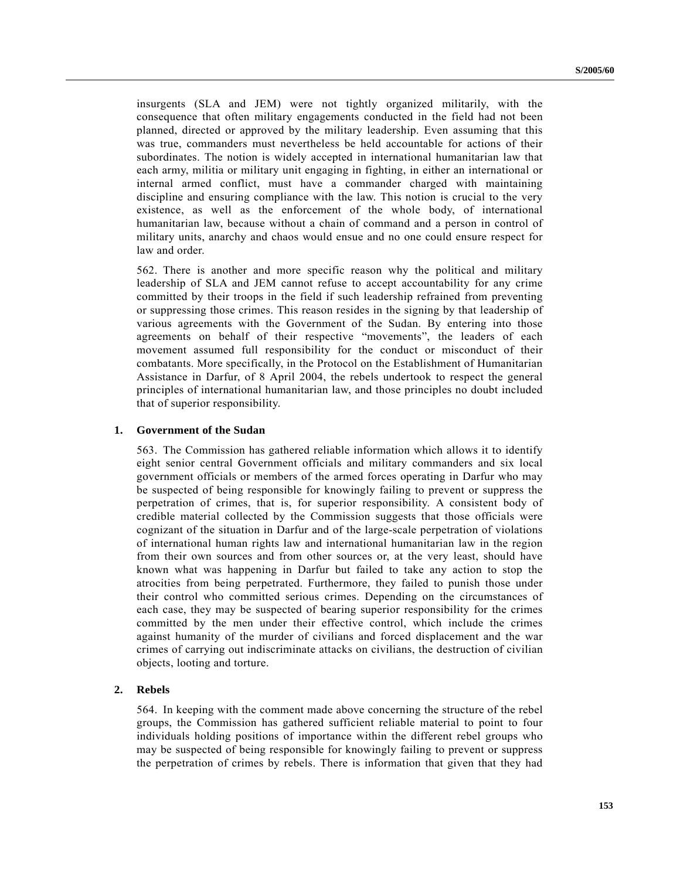insurgents (SLA and JEM) were not tightly organized militarily, with the consequence that often military engagements conducted in the field had not been planned, directed or approved by the military leadership. Even assuming that this was true, commanders must nevertheless be held accountable for actions of their subordinates. The notion is widely accepted in international humanitarian law that each army, militia or military unit engaging in fighting, in either an international or internal armed conflict, must have a commander charged with maintaining discipline and ensuring compliance with the law. This notion is crucial to the very existence, as well as the enforcement of the whole body, of international humanitarian law, because without a chain of command and a person in control of military units, anarchy and chaos would ensue and no one could ensure respect for law and order.

562. There is another and more specific reason why the political and military leadership of SLA and JEM cannot refuse to accept accountability for any crime committed by their troops in the field if such leadership refrained from preventing or suppressing those crimes. This reason resides in the signing by that leadership of various agreements with the Government of the Sudan. By entering into those agreements on behalf of their respective "movements", the leaders of each movement assumed full responsibility for the conduct or misconduct of their combatants. More specifically, in the Protocol on the Establishment of Humanitarian Assistance in Darfur, of 8 April 2004, the rebels undertook to respect the general principles of international humanitarian law, and those principles no doubt included that of superior responsibility.

### **1. Government of the Sudan**

563. The Commission has gathered reliable information which allows it to identify eight senior central Government officials and military commanders and six local government officials or members of the armed forces operating in Darfur who may be suspected of being responsible for knowingly failing to prevent or suppress the perpetration of crimes, that is, for superior responsibility. A consistent body of credible material collected by the Commission suggests that those officials were cognizant of the situation in Darfur and of the large-scale perpetration of violations of international human rights law and international humanitarian law in the region from their own sources and from other sources or, at the very least, should have known what was happening in Darfur but failed to take any action to stop the atrocities from being perpetrated. Furthermore, they failed to punish those under their control who committed serious crimes. Depending on the circumstances of each case, they may be suspected of bearing superior responsibility for the crimes committed by the men under their effective control, which include the crimes against humanity of the murder of civilians and forced displacement and the war crimes of carrying out indiscriminate attacks on civilians, the destruction of civilian objects, looting and torture.

### **2. Rebels**

564. In keeping with the comment made above concerning the structure of the rebel groups, the Commission has gathered sufficient reliable material to point to four individuals holding positions of importance within the different rebel groups who may be suspected of being responsible for knowingly failing to prevent or suppress the perpetration of crimes by rebels. There is information that given that they had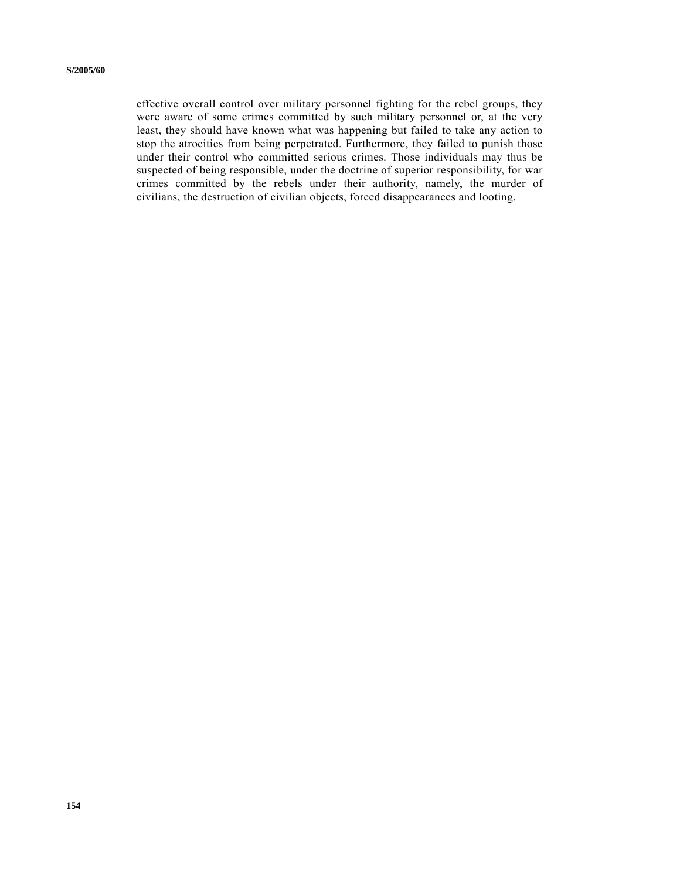effective overall control over military personnel fighting for the rebel groups, they were aware of some crimes committed by such military personnel or, at the very least, they should have known what was happening but failed to take any action to stop the atrocities from being perpetrated. Furthermore, they failed to punish those under their control who committed serious crimes. Those individuals may thus be suspected of being responsible, under the doctrine of superior responsibility, for war crimes committed by the rebels under their authority, namely, the murder of civilians, the destruction of civilian objects, forced disappearances and looting.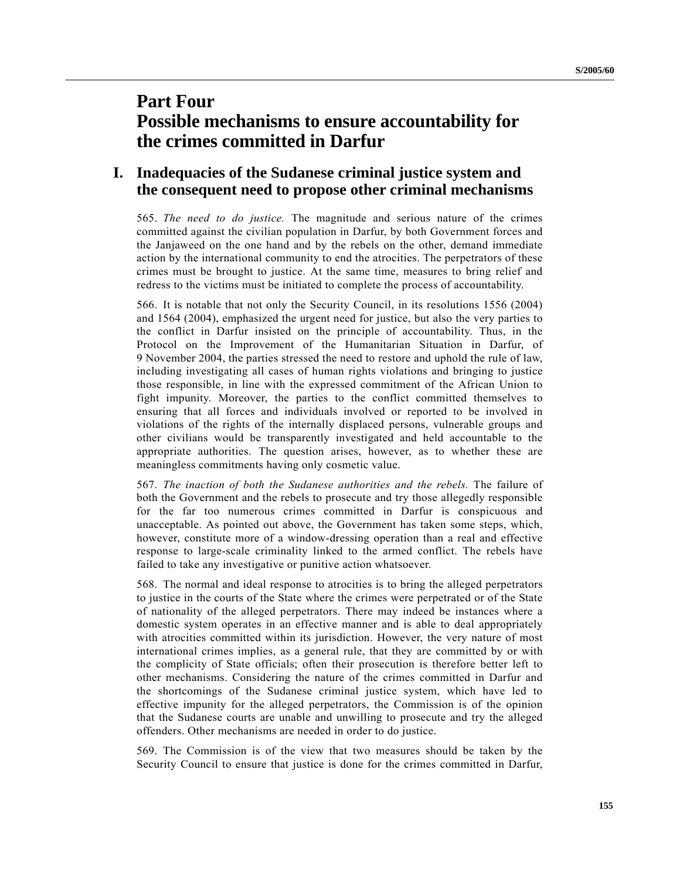# **Part Four Possible mechanisms to ensure accountability for the crimes committed in Darfur**

## **I. Inadequacies of the Sudanese criminal justice system and the consequent need to propose other criminal mechanisms**

565. *The need to do justice.* The magnitude and serious nature of the crimes committed against the civilian population in Darfur, by both Government forces and the Janjaweed on the one hand and by the rebels on the other, demand immediate action by the international community to end the atrocities. The perpetrators of these crimes must be brought to justice. At the same time, measures to bring relief and redress to the victims must be initiated to complete the process of accountability.

566. It is notable that not only the Security Council, in its resolutions 1556 (2004) and 1564 (2004), emphasized the urgent need for justice, but also the very parties to the conflict in Darfur insisted on the principle of accountability. Thus, in the Protocol on the Improvement of the Humanitarian Situation in Darfur, of 9 November 2004, the parties stressed the need to restore and uphold the rule of law, including investigating all cases of human rights violations and bringing to justice those responsible, in line with the expressed commitment of the African Union to fight impunity. Moreover, the parties to the conflict committed themselves to ensuring that all forces and individuals involved or reported to be involved in violations of the rights of the internally displaced persons, vulnerable groups and other civilians would be transparently investigated and held accountable to the appropriate authorities. The question arises, however, as to whether these are meaningless commitments having only cosmetic value.

567. *The inaction of both the Sudanese authorities and the rebels.* The failure of both the Government and the rebels to prosecute and try those allegedly responsible for the far too numerous crimes committed in Darfur is conspicuous and unacceptable. As pointed out above, the Government has taken some steps, which, however, constitute more of a window-dressing operation than a real and effective response to large-scale criminality linked to the armed conflict. The rebels have failed to take any investigative or punitive action whatsoever.

568. The normal and ideal response to atrocities is to bring the alleged perpetrators to justice in the courts of the State where the crimes were perpetrated or of the State of nationality of the alleged perpetrators. There may indeed be instances where a domestic system operates in an effective manner and is able to deal appropriately with atrocities committed within its jurisdiction. However, the very nature of most international crimes implies, as a general rule, that they are committed by or with the complicity of State officials; often their prosecution is therefore better left to other mechanisms. Considering the nature of the crimes committed in Darfur and the shortcomings of the Sudanese criminal justice system, which have led to effective impunity for the alleged perpetrators, the Commission is of the opinion that the Sudanese courts are unable and unwilling to prosecute and try the alleged offenders. Other mechanisms are needed in order to do justice.

569. The Commission is of the view that two measures should be taken by the Security Council to ensure that justice is done for the crimes committed in Darfur,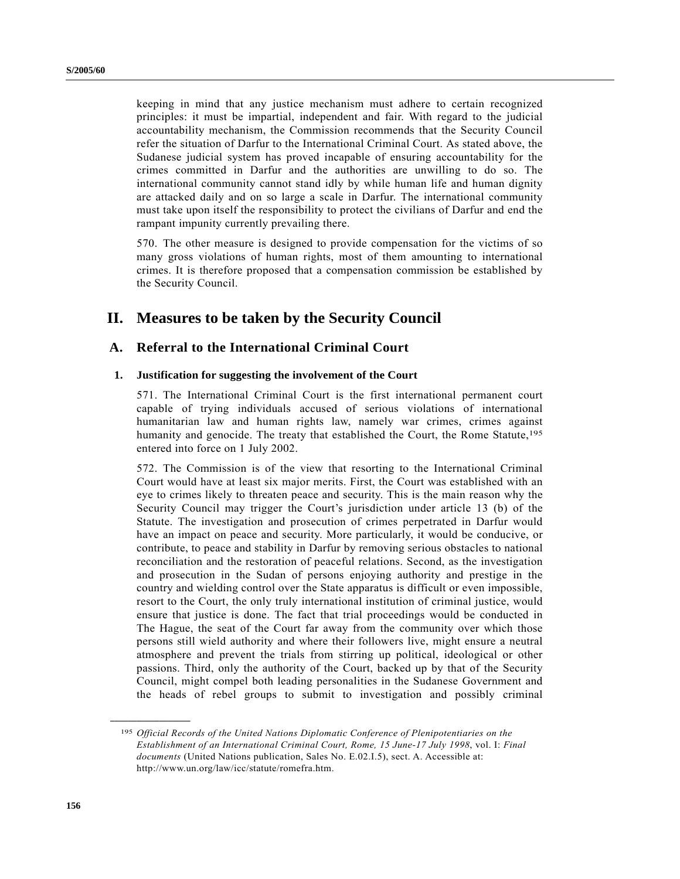keeping in mind that any justice mechanism must adhere to certain recognized principles: it must be impartial, independent and fair. With regard to the judicial accountability mechanism, the Commission recommends that the Security Council refer the situation of Darfur to the International Criminal Court. As stated above, the Sudanese judicial system has proved incapable of ensuring accountability for the crimes committed in Darfur and the authorities are unwilling to do so. The international community cannot stand idly by while human life and human dignity are attacked daily and on so large a scale in Darfur. The international community must take upon itself the responsibility to protect the civilians of Darfur and end the rampant impunity currently prevailing there.

570. The other measure is designed to provide compensation for the victims of so many gross violations of human rights, most of them amounting to international crimes. It is therefore proposed that a compensation commission be established by the Security Council.

## **II. Measures to be taken by the Security Council**

## **A. Referral to the International Criminal Court**

#### **1. Justification for suggesting the involvement of the Court**

571. The International Criminal Court is the first international permanent court capable of trying individuals accused of serious violations of international humanitarian law and human rights law, namely war crimes, crimes against humanity and genocide. The treaty that established the Court, the Rome Statute,195 entered into force on 1 July 2002.

572. The Commission is of the view that resorting to the International Criminal Court would have at least six major merits. First, the Court was established with an eye to crimes likely to threaten peace and security. This is the main reason why the Security Council may trigger the Court's jurisdiction under article 13 (b) of the Statute. The investigation and prosecution of crimes perpetrated in Darfur would have an impact on peace and security. More particularly, it would be conducive, or contribute, to peace and stability in Darfur by removing serious obstacles to national reconciliation and the restoration of peaceful relations. Second, as the investigation and prosecution in the Sudan of persons enjoying authority and prestige in the country and wielding control over the State apparatus is difficult or even impossible, resort to the Court, the only truly international institution of criminal justice, would ensure that justice is done. The fact that trial proceedings would be conducted in The Hague, the seat of the Court far away from the community over which those persons still wield authority and where their followers live, might ensure a neutral atmosphere and prevent the trials from stirring up political, ideological or other passions. Third, only the authority of the Court, backed up by that of the Security Council, might compel both leading personalities in the Sudanese Government and the heads of rebel groups to submit to investigation and possibly criminal

<sup>195</sup> *Official Records of the United Nations Diplomatic Conference of Plenipotentiaries on the Establishment of an International Criminal Court, Rome, 15 June-17 July 1998*, vol. I: *Final documents* (United Nations publication, Sales No. E.02.I.5), sect. A. Accessible at: http://www.un.org/law/icc/statute/romefra.htm.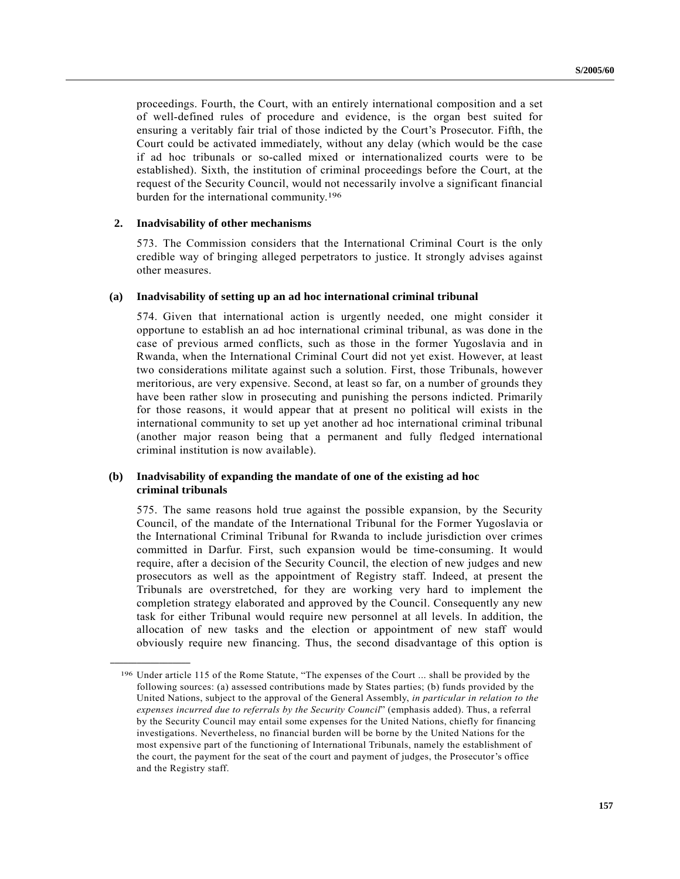proceedings. Fourth, the Court, with an entirely international composition and a set of well-defined rules of procedure and evidence, is the organ best suited for ensuring a veritably fair trial of those indicted by the Court's Prosecutor. Fifth, the Court could be activated immediately, without any delay (which would be the case if ad hoc tribunals or so-called mixed or internationalized courts were to be established). Sixth, the institution of criminal proceedings before the Court, at the request of the Security Council, would not necessarily involve a significant financial burden for the international community.196

#### **2. Inadvisability of other mechanisms**

**\_\_\_\_\_\_\_\_\_\_\_\_\_\_\_\_\_\_**

573. The Commission considers that the International Criminal Court is the only credible way of bringing alleged perpetrators to justice. It strongly advises against other measures.

#### **(a) Inadvisability of setting up an ad hoc international criminal tribunal**

574. Given that international action is urgently needed, one might consider it opportune to establish an ad hoc international criminal tribunal, as was done in the case of previous armed conflicts, such as those in the former Yugoslavia and in Rwanda, when the International Criminal Court did not yet exist. However, at least two considerations militate against such a solution. First, those Tribunals, however meritorious, are very expensive. Second, at least so far, on a number of grounds they have been rather slow in prosecuting and punishing the persons indicted. Primarily for those reasons, it would appear that at present no political will exists in the international community to set up yet another ad hoc international criminal tribunal (another major reason being that a permanent and fully fledged international criminal institution is now available).

#### **(b) Inadvisability of expanding the mandate of one of the existing ad hoc criminal tribunals**

575. The same reasons hold true against the possible expansion, by the Security Council, of the mandate of the International Tribunal for the Former Yugoslavia or the International Criminal Tribunal for Rwanda to include jurisdiction over crimes committed in Darfur. First, such expansion would be time-consuming. It would require, after a decision of the Security Council, the election of new judges and new prosecutors as well as the appointment of Registry staff. Indeed, at present the Tribunals are overstretched, for they are working very hard to implement the completion strategy elaborated and approved by the Council. Consequently any new task for either Tribunal would require new personnel at all levels. In addition, the allocation of new tasks and the election or appointment of new staff would obviously require new financing. Thus, the second disadvantage of this option is

<sup>&</sup>lt;sup>196</sup> Under article 115 of the Rome Statute, "The expenses of the Court ... shall be provided by the following sources: (a) assessed contributions made by States parties; (b) funds provided by the United Nations, subject to the approval of the General Assembly, *in particular in relation to the expenses incurred due to referrals by the Security Council*î (emphasis added). Thus, a referral by the Security Council may entail some expenses for the United Nations, chiefly for financing investigations. Nevertheless, no financial burden will be borne by the United Nations for the most expensive part of the functioning of International Tribunals, namely the establishment of the court, the payment for the seat of the court and payment of judges, the Prosecutor's office and the Registry staff.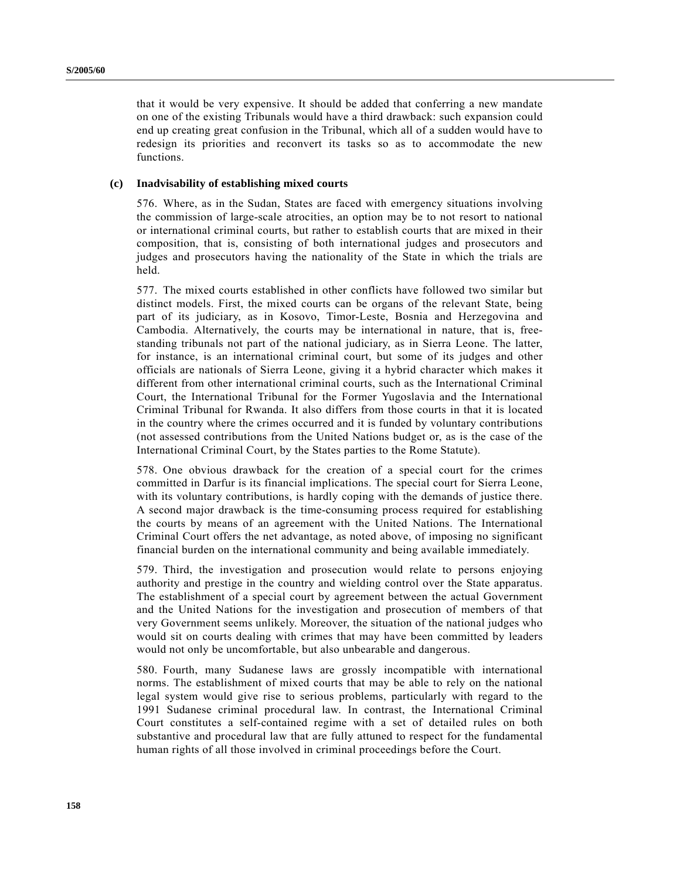that it would be very expensive. It should be added that conferring a new mandate on one of the existing Tribunals would have a third drawback: such expansion could end up creating great confusion in the Tribunal, which all of a sudden would have to redesign its priorities and reconvert its tasks so as to accommodate the new functions.

#### **(c) Inadvisability of establishing mixed courts**

576. Where, as in the Sudan, States are faced with emergency situations involving the commission of large-scale atrocities, an option may be to not resort to national or international criminal courts, but rather to establish courts that are mixed in their composition, that is, consisting of both international judges and prosecutors and judges and prosecutors having the nationality of the State in which the trials are held.

577. The mixed courts established in other conflicts have followed two similar but distinct models. First, the mixed courts can be organs of the relevant State, being part of its judiciary, as in Kosovo, Timor-Leste, Bosnia and Herzegovina and Cambodia. Alternatively, the courts may be international in nature, that is, freestanding tribunals not part of the national judiciary, as in Sierra Leone. The latter, for instance, is an international criminal court, but some of its judges and other officials are nationals of Sierra Leone, giving it a hybrid character which makes it different from other international criminal courts, such as the International Criminal Court, the International Tribunal for the Former Yugoslavia and the International Criminal Tribunal for Rwanda. It also differs from those courts in that it is located in the country where the crimes occurred and it is funded by voluntary contributions (not assessed contributions from the United Nations budget or, as is the case of the International Criminal Court, by the States parties to the Rome Statute).

578. One obvious drawback for the creation of a special court for the crimes committed in Darfur is its financial implications. The special court for Sierra Leone, with its voluntary contributions, is hardly coping with the demands of justice there. A second major drawback is the time-consuming process required for establishing the courts by means of an agreement with the United Nations. The International Criminal Court offers the net advantage, as noted above, of imposing no significant financial burden on the international community and being available immediately.

579. Third, the investigation and prosecution would relate to persons enjoying authority and prestige in the country and wielding control over the State apparatus. The establishment of a special court by agreement between the actual Government and the United Nations for the investigation and prosecution of members of that very Government seems unlikely. Moreover, the situation of the national judges who would sit on courts dealing with crimes that may have been committed by leaders would not only be uncomfortable, but also unbearable and dangerous.

580. Fourth, many Sudanese laws are grossly incompatible with international norms. The establishment of mixed courts that may be able to rely on the national legal system would give rise to serious problems, particularly with regard to the 1991 Sudanese criminal procedural law. In contrast, the International Criminal Court constitutes a self-contained regime with a set of detailed rules on both substantive and procedural law that are fully attuned to respect for the fundamental human rights of all those involved in criminal proceedings before the Court.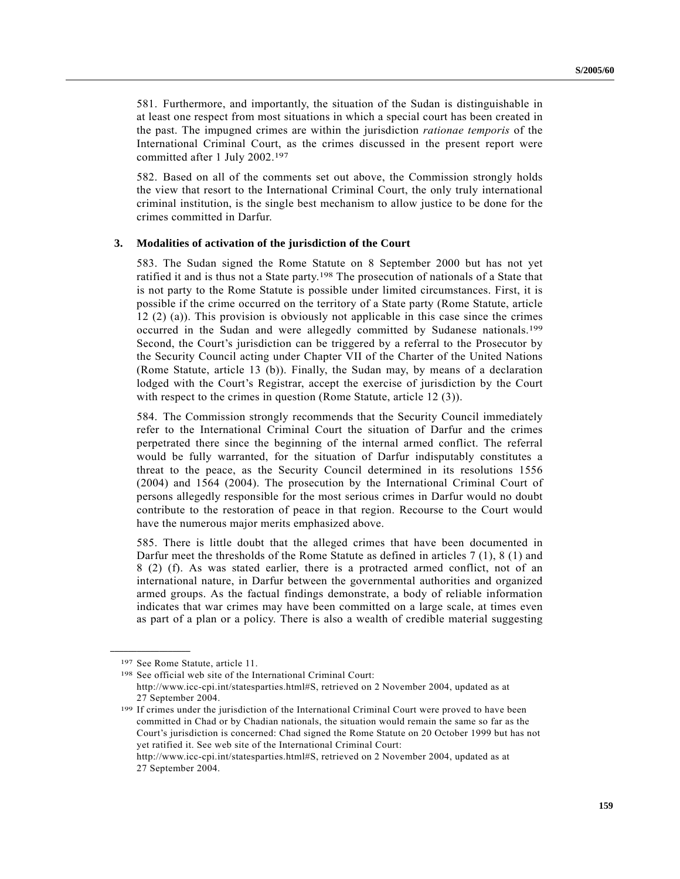581. Furthermore, and importantly, the situation of the Sudan is distinguishable in at least one respect from most situations in which a special court has been created in the past. The impugned crimes are within the jurisdiction *rationae temporis* of the International Criminal Court, as the crimes discussed in the present report were committed after 1 July 2002.197

582. Based on all of the comments set out above, the Commission strongly holds the view that resort to the International Criminal Court, the only truly international criminal institution, is the single best mechanism to allow justice to be done for the crimes committed in Darfur.

#### **3. Modalities of activation of the jurisdiction of the Court**

583. The Sudan signed the Rome Statute on 8 September 2000 but has not yet ratified it and is thus not a State party.198 The prosecution of nationals of a State that is not party to the Rome Statute is possible under limited circumstances. First, it is possible if the crime occurred on the territory of a State party (Rome Statute, article 12 (2) (a)). This provision is obviously not applicable in this case since the crimes occurred in the Sudan and were allegedly committed by Sudanese nationals.199 Second, the Court's jurisdiction can be triggered by a referral to the Prosecutor by the Security Council acting under Chapter VII of the Charter of the United Nations (Rome Statute, article 13 (b)). Finally, the Sudan may, by means of a declaration lodged with the Court's Registrar, accept the exercise of jurisdiction by the Court with respect to the crimes in question (Rome Statute, article 12 (3)).

584. The Commission strongly recommends that the Security Council immediately refer to the International Criminal Court the situation of Darfur and the crimes perpetrated there since the beginning of the internal armed conflict. The referral would be fully warranted, for the situation of Darfur indisputably constitutes a threat to the peace, as the Security Council determined in its resolutions 1556 (2004) and 1564 (2004). The prosecution by the International Criminal Court of persons allegedly responsible for the most serious crimes in Darfur would no doubt contribute to the restoration of peace in that region. Recourse to the Court would have the numerous major merits emphasized above.

585. There is little doubt that the alleged crimes that have been documented in Darfur meet the thresholds of the Rome Statute as defined in articles 7 (1), 8 (1) and 8 (2) (f). As was stated earlier, there is a protracted armed conflict, not of an international nature, in Darfur between the governmental authorities and organized armed groups. As the factual findings demonstrate, a body of reliable information indicates that war crimes may have been committed on a large scale, at times even as part of a plan or a policy. There is also a wealth of credible material suggesting

<sup>197</sup> See Rome Statute, article 11.

<sup>198</sup> See official web site of the International Criminal Court: http://www.icc-cpi.int/statesparties.html#S, retrieved on 2 November 2004, updated as at 27 September 2004.

<sup>199</sup> If crimes under the jurisdiction of the International Criminal Court were proved to have been committed in Chad or by Chadian nationals, the situation would remain the same so far as the Court's jurisdiction is concerned: Chad signed the Rome Statute on 20 October 1999 but has not yet ratified it. See web site of the International Criminal Court:

http://www.icc-cpi.int/statesparties.html#S, retrieved on 2 November 2004, updated as at 27 September 2004.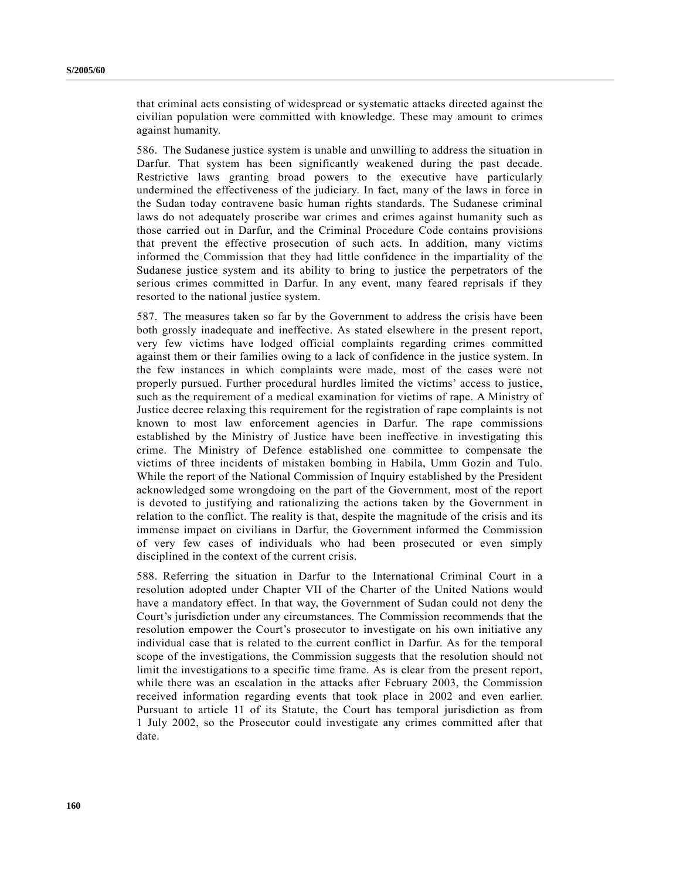that criminal acts consisting of widespread or systematic attacks directed against the civilian population were committed with knowledge. These may amount to crimes against humanity.

586. The Sudanese justice system is unable and unwilling to address the situation in Darfur. That system has been significantly weakened during the past decade. Restrictive laws granting broad powers to the executive have particularly undermined the effectiveness of the judiciary. In fact, many of the laws in force in the Sudan today contravene basic human rights standards. The Sudanese criminal laws do not adequately proscribe war crimes and crimes against humanity such as those carried out in Darfur, and the Criminal Procedure Code contains provisions that prevent the effective prosecution of such acts. In addition, many victims informed the Commission that they had little confidence in the impartiality of the Sudanese justice system and its ability to bring to justice the perpetrators of the serious crimes committed in Darfur. In any event, many feared reprisals if they resorted to the national justice system.

587. The measures taken so far by the Government to address the crisis have been both grossly inadequate and ineffective. As stated elsewhere in the present report, very few victims have lodged official complaints regarding crimes committed against them or their families owing to a lack of confidence in the justice system. In the few instances in which complaints were made, most of the cases were not properly pursued. Further procedural hurdles limited the victimsí access to justice, such as the requirement of a medical examination for victims of rape. A Ministry of Justice decree relaxing this requirement for the registration of rape complaints is not known to most law enforcement agencies in Darfur. The rape commissions established by the Ministry of Justice have been ineffective in investigating this crime. The Ministry of Defence established one committee to compensate the victims of three incidents of mistaken bombing in Habila, Umm Gozin and Tulo. While the report of the National Commission of Inquiry established by the President acknowledged some wrongdoing on the part of the Government, most of the report is devoted to justifying and rationalizing the actions taken by the Government in relation to the conflict. The reality is that, despite the magnitude of the crisis and its immense impact on civilians in Darfur, the Government informed the Commission of very few cases of individuals who had been prosecuted or even simply disciplined in the context of the current crisis.

588. Referring the situation in Darfur to the International Criminal Court in a resolution adopted under Chapter VII of the Charter of the United Nations would have a mandatory effect. In that way, the Government of Sudan could not deny the Court's jurisdiction under any circumstances. The Commission recommends that the resolution empower the Court's prosecutor to investigate on his own initiative any individual case that is related to the current conflict in Darfur. As for the temporal scope of the investigations, the Commission suggests that the resolution should not limit the investigations to a specific time frame. As is clear from the present report, while there was an escalation in the attacks after February 2003, the Commission received information regarding events that took place in 2002 and even earlier. Pursuant to article 11 of its Statute, the Court has temporal jurisdiction as from 1 July 2002, so the Prosecutor could investigate any crimes committed after that date.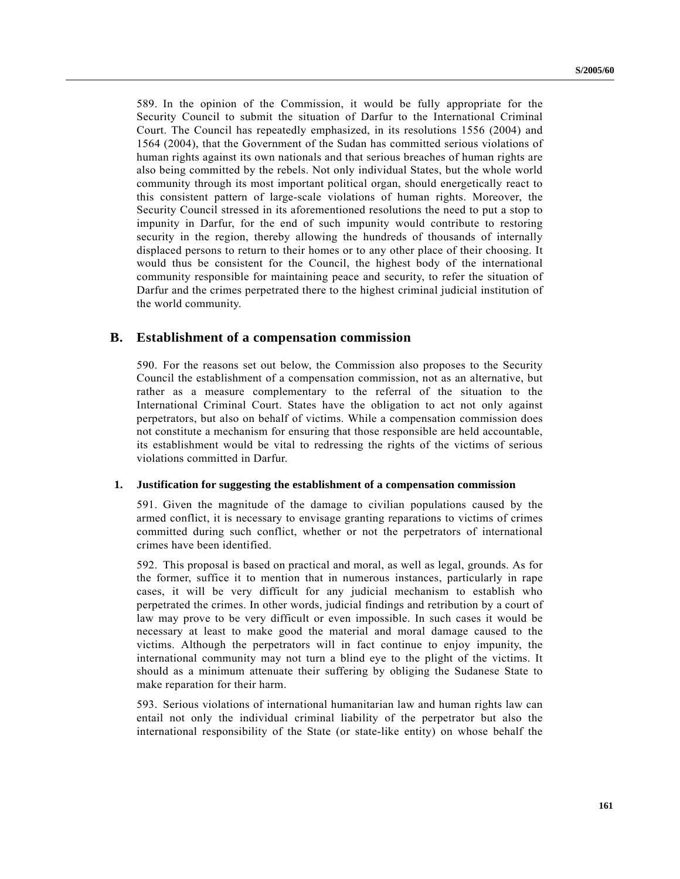589. In the opinion of the Commission, it would be fully appropriate for the Security Council to submit the situation of Darfur to the International Criminal Court. The Council has repeatedly emphasized, in its resolutions 1556 (2004) and 1564 (2004), that the Government of the Sudan has committed serious violations of human rights against its own nationals and that serious breaches of human rights are also being committed by the rebels. Not only individual States, but the whole world community through its most important political organ, should energetically react to this consistent pattern of large-scale violations of human rights. Moreover, the Security Council stressed in its aforementioned resolutions the need to put a stop to impunity in Darfur, for the end of such impunity would contribute to restoring security in the region, thereby allowing the hundreds of thousands of internally displaced persons to return to their homes or to any other place of their choosing. It would thus be consistent for the Council, the highest body of the international community responsible for maintaining peace and security, to refer the situation of Darfur and the crimes perpetrated there to the highest criminal judicial institution of the world community.

## **B. Establishment of a compensation commission**

590. For the reasons set out below, the Commission also proposes to the Security Council the establishment of a compensation commission, not as an alternative, but rather as a measure complementary to the referral of the situation to the International Criminal Court. States have the obligation to act not only against perpetrators, but also on behalf of victims. While a compensation commission does not constitute a mechanism for ensuring that those responsible are held accountable, its establishment would be vital to redressing the rights of the victims of serious violations committed in Darfur.

#### **1. Justification for suggesting the establishment of a compensation commission**

591. Given the magnitude of the damage to civilian populations caused by the armed conflict, it is necessary to envisage granting reparations to victims of crimes committed during such conflict, whether or not the perpetrators of international crimes have been identified.

592. This proposal is based on practical and moral, as well as legal, grounds. As for the former, suffice it to mention that in numerous instances, particularly in rape cases, it will be very difficult for any judicial mechanism to establish who perpetrated the crimes. In other words, judicial findings and retribution by a court of law may prove to be very difficult or even impossible. In such cases it would be necessary at least to make good the material and moral damage caused to the victims. Although the perpetrators will in fact continue to enjoy impunity, the international community may not turn a blind eye to the plight of the victims. It should as a minimum attenuate their suffering by obliging the Sudanese State to make reparation for their harm.

593. Serious violations of international humanitarian law and human rights law can entail not only the individual criminal liability of the perpetrator but also the international responsibility of the State (or state-like entity) on whose behalf the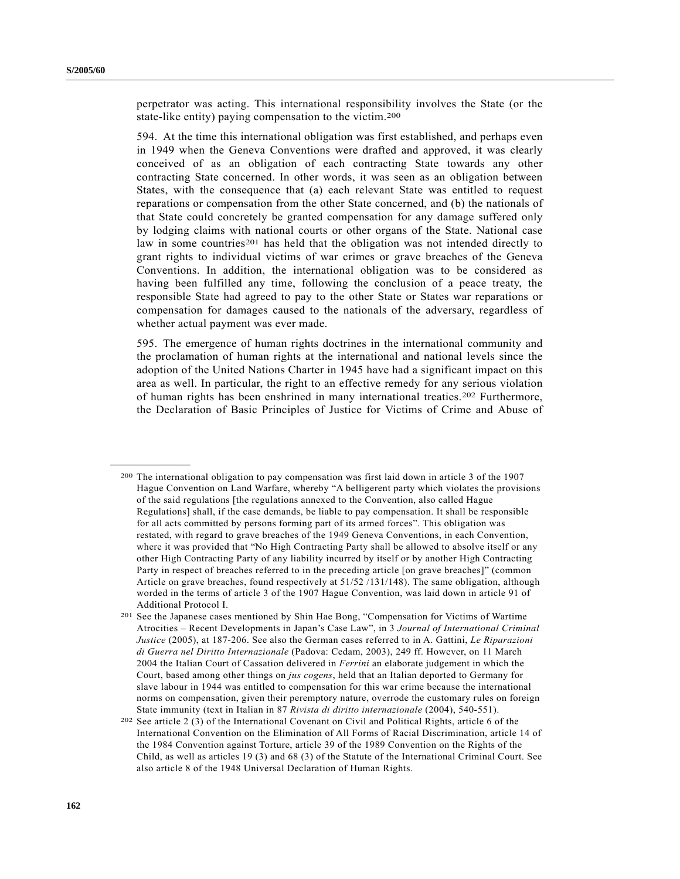**\_\_\_\_\_\_\_\_\_\_\_\_\_\_\_\_\_\_**

perpetrator was acting. This international responsibility involves the State (or the state-like entity) paying compensation to the victim.200

594. At the time this international obligation was first established, and perhaps even in 1949 when the Geneva Conventions were drafted and approved, it was clearly conceived of as an obligation of each contracting State towards any other contracting State concerned. In other words, it was seen as an obligation between States, with the consequence that (a) each relevant State was entitled to request reparations or compensation from the other State concerned, and (b) the nationals of that State could concretely be granted compensation for any damage suffered only by lodging claims with national courts or other organs of the State. National case law in some countries<sup>201</sup> has held that the obligation was not intended directly to grant rights to individual victims of war crimes or grave breaches of the Geneva Conventions. In addition, the international obligation was to be considered as having been fulfilled any time, following the conclusion of a peace treaty, the responsible State had agreed to pay to the other State or States war reparations or compensation for damages caused to the nationals of the adversary, regardless of whether actual payment was ever made.

595. The emergence of human rights doctrines in the international community and the proclamation of human rights at the international and national levels since the adoption of the United Nations Charter in 1945 have had a significant impact on this area as well. In particular, the right to an effective remedy for any serious violation of human rights has been enshrined in many international treaties.202 Furthermore, the Declaration of Basic Principles of Justice for Victims of Crime and Abuse of

<sup>200</sup> The international obligation to pay compensation was first laid down in article 3 of the 1907 Hague Convention on Land Warfare, whereby "A belligerent party which violates the provisions of the said regulations [the regulations annexed to the Convention, also called Hague Regulations] shall, if the case demands, be liable to pay compensation. It shall be responsible for all acts committed by persons forming part of its armed forces". This obligation was restated, with regard to grave breaches of the 1949 Geneva Conventions, in each Convention, where it was provided that "No High Contracting Party shall be allowed to absolve itself or any other High Contracting Party of any liability incurred by itself or by another High Contracting Party in respect of breaches referred to in the preceding article [on grave breaches]" (common Article on grave breaches, found respectively at 51/52 /131/148). The same obligation, although worded in the terms of article 3 of the 1907 Hague Convention, was laid down in article 91 of Additional Protocol I.

<sup>&</sup>lt;sup>201</sup> See the Japanese cases mentioned by Shin Hae Bong, "Compensation for Victims of Wartime Atrocities – Recent Developments in Japan's Case Law", in 3 *Journal of International Criminal Justice* (2005), at 187-206. See also the German cases referred to in A. Gattini, *Le Riparazioni di Guerra nel Diritto Internazionale* (Padova: Cedam, 2003), 249 ff. However, on 11 March 2004 the Italian Court of Cassation delivered in *Ferrini* an elaborate judgement in which the Court, based among other things on *jus cogens*, held that an Italian deported to Germany for slave labour in 1944 was entitled to compensation for this war crime because the international norms on compensation, given their peremptory nature, overrode the customary rules on foreign State immunity (text in Italian in 87 *Rivista di diritto internazionale* (2004), 540-551).

<sup>202</sup> See article 2 (3) of the International Covenant on Civil and Political Rights, article 6 of the International Convention on the Elimination of All Forms of Racial Discrimination, article 14 of the 1984 Convention against Torture, article 39 of the 1989 Convention on the Rights of the Child, as well as articles 19 (3) and 68 (3) of the Statute of the International Criminal Court. See also article 8 of the 1948 Universal Declaration of Human Rights.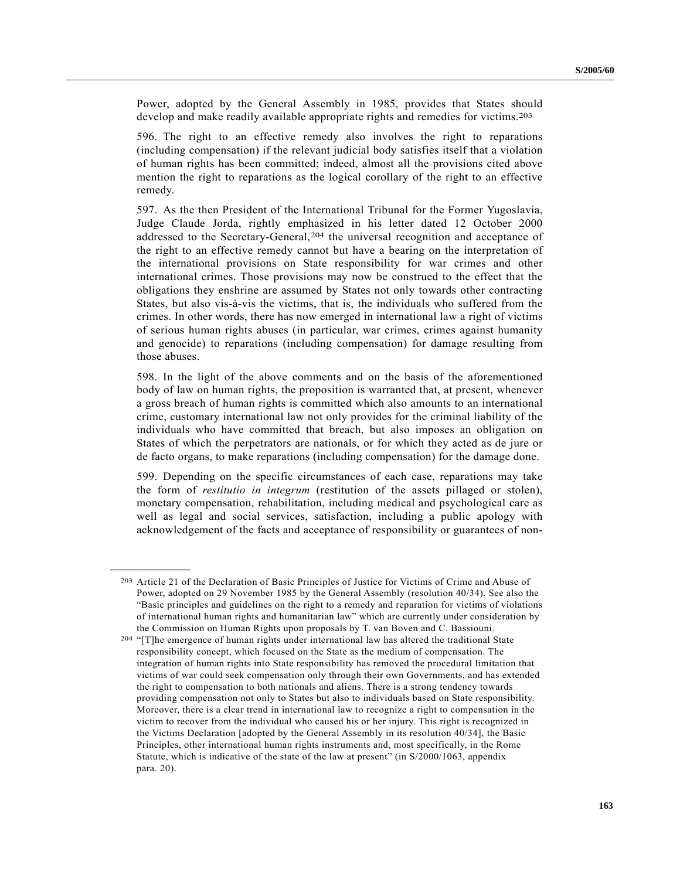Power, adopted by the General Assembly in 1985, provides that States should develop and make readily available appropriate rights and remedies for victims.203

596. The right to an effective remedy also involves the right to reparations (including compensation) if the relevant judicial body satisfies itself that a violation of human rights has been committed; indeed, almost all the provisions cited above mention the right to reparations as the logical corollary of the right to an effective remedy.

597. As the then President of the International Tribunal for the Former Yugoslavia, Judge Claude Jorda, rightly emphasized in his letter dated 12 October 2000 addressed to the Secretary-General,204 the universal recognition and acceptance of the right to an effective remedy cannot but have a bearing on the interpretation of the international provisions on State responsibility for war crimes and other international crimes. Those provisions may now be construed to the effect that the obligations they enshrine are assumed by States not only towards other contracting States, but also vis-à-vis the victims, that is, the individuals who suffered from the crimes. In other words, there has now emerged in international law a right of victims of serious human rights abuses (in particular, war crimes, crimes against humanity and genocide) to reparations (including compensation) for damage resulting from those abuses.

598. In the light of the above comments and on the basis of the aforementioned body of law on human rights, the proposition is warranted that, at present, whenever a gross breach of human rights is committed which also amounts to an international crime, customary international law not only provides for the criminal liability of the individuals who have committed that breach, but also imposes an obligation on States of which the perpetrators are nationals, or for which they acted as de jure or de facto organs, to make reparations (including compensation) for the damage done.

599. Depending on the specific circumstances of each case, reparations may take the form of *restitutio in integrum* (restitution of the assets pillaged or stolen), monetary compensation, rehabilitation, including medical and psychological care as well as legal and social services, satisfaction, including a public apology with acknowledgement of the facts and acceptance of responsibility or guarantees of non-

<sup>203</sup> Article 21 of the Declaration of Basic Principles of Justice for Victims of Crime and Abuse of Power, adopted on 29 November 1985 by the General Assembly (resolution 40/34). See also the ìBasic principles and guidelines on the right to a remedy and reparation for victims of violations of international human rights and humanitarian lawî which are currently under consideration by the Commission on Human Rights upon proposals by T. van Boven and C. Bassiouni.

<sup>&</sup>lt;sup>204</sup> "[T]he emergence of human rights under international law has altered the traditional State responsibility concept, which focused on the State as the medium of compensation. The integration of human rights into State responsibility has removed the procedural limitation that victims of war could seek compensation only through their own Governments, and has extended the right to compensation to both nationals and aliens. There is a strong tendency towards providing compensation not only to States but also to individuals based on State responsibility. Moreover, there is a clear trend in international law to recognize a right to compensation in the victim to recover from the individual who caused his or her injury. This right is recognized in the Victims Declaration [adopted by the General Assembly in its resolution 40/34], the Basic Principles, other international human rights instruments and, most specifically, in the Rome Statute, which is indicative of the state of the law at present" (in S/2000/1063, appendix para. 20).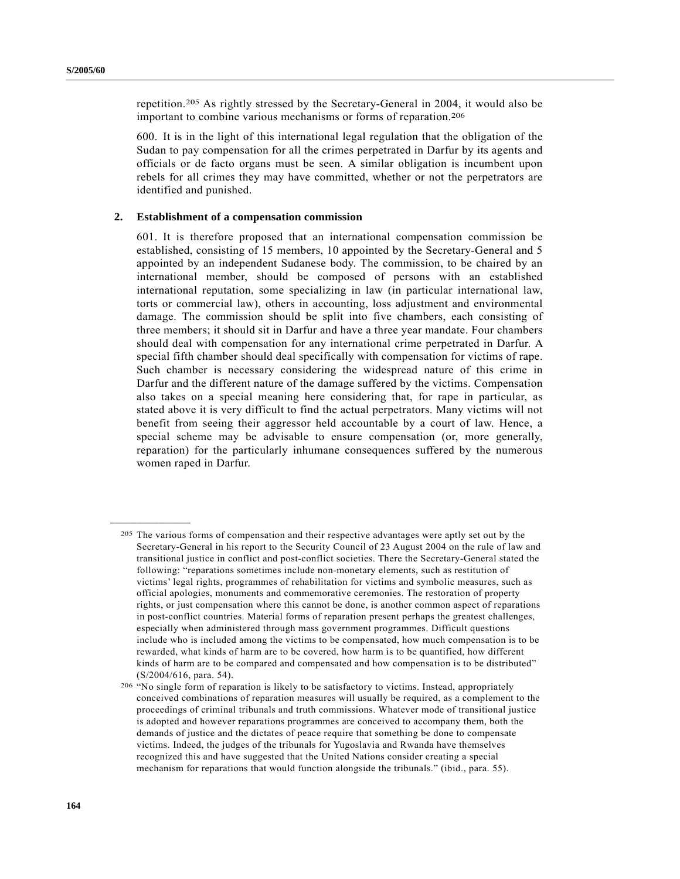repetition.205 As rightly stressed by the Secretary-General in 2004, it would also be important to combine various mechanisms or forms of reparation.206

600. It is in the light of this international legal regulation that the obligation of the Sudan to pay compensation for all the crimes perpetrated in Darfur by its agents and officials or de facto organs must be seen. A similar obligation is incumbent upon rebels for all crimes they may have committed, whether or not the perpetrators are identified and punished.

#### **2. Establishment of a compensation commission**

601. It is therefore proposed that an international compensation commission be established, consisting of 15 members, 10 appointed by the Secretary-General and 5 appointed by an independent Sudanese body. The commission, to be chaired by an international member, should be composed of persons with an established international reputation, some specializing in law (in particular international law, torts or commercial law), others in accounting, loss adjustment and environmental damage. The commission should be split into five chambers, each consisting of three members; it should sit in Darfur and have a three year mandate. Four chambers should deal with compensation for any international crime perpetrated in Darfur. A special fifth chamber should deal specifically with compensation for victims of rape. Such chamber is necessary considering the widespread nature of this crime in Darfur and the different nature of the damage suffered by the victims. Compensation also takes on a special meaning here considering that, for rape in particular, as stated above it is very difficult to find the actual perpetrators. Many victims will not benefit from seeing their aggressor held accountable by a court of law. Hence, a special scheme may be advisable to ensure compensation (or, more generally, reparation) for the particularly inhumane consequences suffered by the numerous women raped in Darfur.

<sup>205</sup> The various forms of compensation and their respective advantages were aptly set out by the Secretary-General in his report to the Security Council of 23 August 2004 on the rule of law and transitional justice in conflict and post-conflict societies. There the Secretary-General stated the following: "reparations sometimes include non-monetary elements, such as restitution of victimsí legal rights, programmes of rehabilitation for victims and symbolic measures, such as official apologies, monuments and commemorative ceremonies. The restoration of property rights, or just compensation where this cannot be done, is another common aspect of reparations in post-conflict countries. Material forms of reparation present perhaps the greatest challenges, especially when administered through mass government programmes. Difficult questions include who is included among the victims to be compensated, how much compensation is to be rewarded, what kinds of harm are to be covered, how harm is to be quantified, how different kinds of harm are to be compared and compensated and how compensation is to be distributed" (S/2004/616, para. 54).

<sup>&</sup>lt;sup>206</sup> "No single form of reparation is likely to be satisfactory to victims. Instead, appropriately conceived combinations of reparation measures will usually be required, as a complement to the proceedings of criminal tribunals and truth commissions. Whatever mode of transitional justice is adopted and however reparations programmes are conceived to accompany them, both the demands of justice and the dictates of peace require that something be done to compensate victims. Indeed, the judges of the tribunals for Yugoslavia and Rwanda have themselves recognized this and have suggested that the United Nations consider creating a special mechanism for reparations that would function alongside the tribunals." (ibid., para. 55).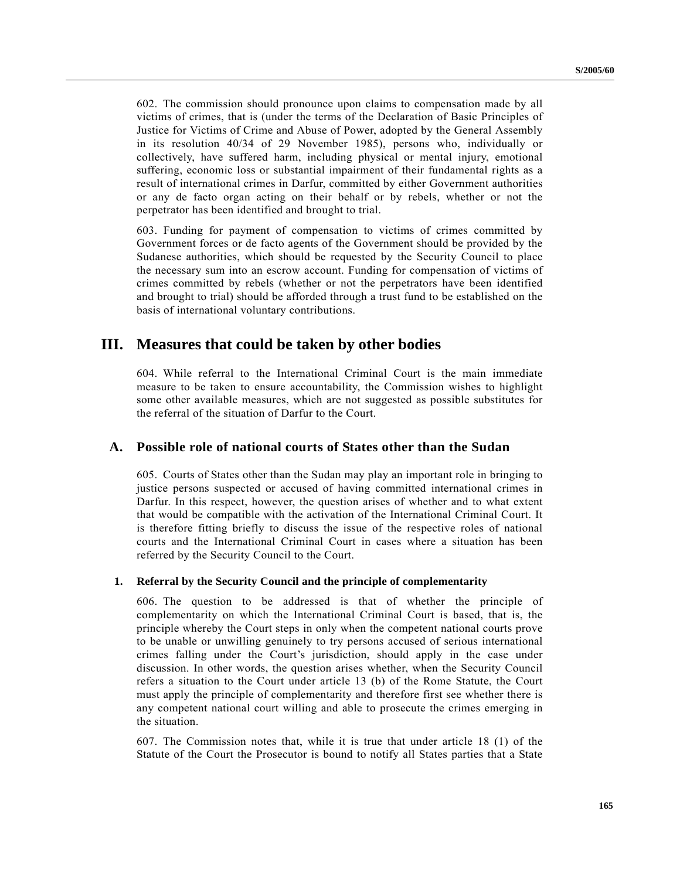602. The commission should pronounce upon claims to compensation made by all victims of crimes, that is (under the terms of the Declaration of Basic Principles of Justice for Victims of Crime and Abuse of Power, adopted by the General Assembly in its resolution 40/34 of 29 November 1985), persons who, individually or collectively, have suffered harm, including physical or mental injury, emotional suffering, economic loss or substantial impairment of their fundamental rights as a result of international crimes in Darfur, committed by either Government authorities or any de facto organ acting on their behalf or by rebels, whether or not the perpetrator has been identified and brought to trial.

603. Funding for payment of compensation to victims of crimes committed by Government forces or de facto agents of the Government should be provided by the Sudanese authorities, which should be requested by the Security Council to place the necessary sum into an escrow account. Funding for compensation of victims of crimes committed by rebels (whether or not the perpetrators have been identified and brought to trial) should be afforded through a trust fund to be established on the basis of international voluntary contributions.

## **III. Measures that could be taken by other bodies**

604. While referral to the International Criminal Court is the main immediate measure to be taken to ensure accountability, the Commission wishes to highlight some other available measures, which are not suggested as possible substitutes for the referral of the situation of Darfur to the Court.

## **A. Possible role of national courts of States other than the Sudan**

605. Courts of States other than the Sudan may play an important role in bringing to justice persons suspected or accused of having committed international crimes in Darfur. In this respect, however, the question arises of whether and to what extent that would be compatible with the activation of the International Criminal Court. It is therefore fitting briefly to discuss the issue of the respective roles of national courts and the International Criminal Court in cases where a situation has been referred by the Security Council to the Court.

#### **1. Referral by the Security Council and the principle of complementarity**

606. The question to be addressed is that of whether the principle of complementarity on which the International Criminal Court is based, that is, the principle whereby the Court steps in only when the competent national courts prove to be unable or unwilling genuinely to try persons accused of serious international crimes falling under the Court's jurisdiction, should apply in the case under discussion. In other words, the question arises whether, when the Security Council refers a situation to the Court under article 13 (b) of the Rome Statute, the Court must apply the principle of complementarity and therefore first see whether there is any competent national court willing and able to prosecute the crimes emerging in the situation.

607. The Commission notes that, while it is true that under article 18 (1) of the Statute of the Court the Prosecutor is bound to notify all States parties that a State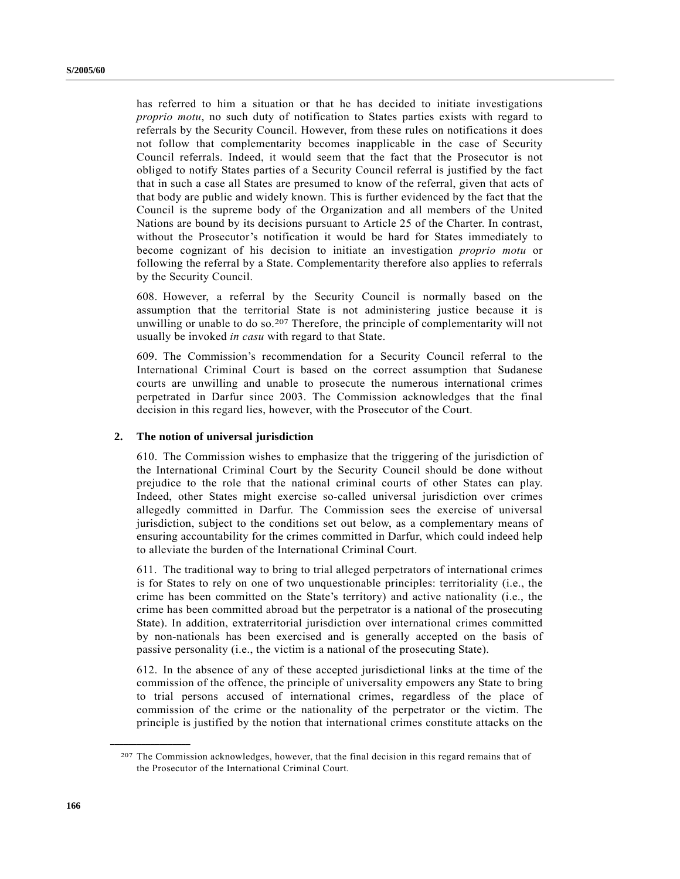has referred to him a situation or that he has decided to initiate investigations *proprio motu*, no such duty of notification to States parties exists with regard to referrals by the Security Council. However, from these rules on notifications it does not follow that complementarity becomes inapplicable in the case of Security Council referrals. Indeed, it would seem that the fact that the Prosecutor is not obliged to notify States parties of a Security Council referral is justified by the fact that in such a case all States are presumed to know of the referral, given that acts of that body are public and widely known. This is further evidenced by the fact that the Council is the supreme body of the Organization and all members of the United Nations are bound by its decisions pursuant to Article 25 of the Charter. In contrast, without the Prosecutor's notification it would be hard for States immediately to become cognizant of his decision to initiate an investigation *proprio motu* or following the referral by a State. Complementarity therefore also applies to referrals by the Security Council.

608. However, a referral by the Security Council is normally based on the assumption that the territorial State is not administering justice because it is unwilling or unable to do so.207 Therefore, the principle of complementarity will not usually be invoked *in casu* with regard to that State.

609. The Commissionís recommendation for a Security Council referral to the International Criminal Court is based on the correct assumption that Sudanese courts are unwilling and unable to prosecute the numerous international crimes perpetrated in Darfur since 2003. The Commission acknowledges that the final decision in this regard lies, however, with the Prosecutor of the Court.

#### **2. The notion of universal jurisdiction**

610. The Commission wishes to emphasize that the triggering of the jurisdiction of the International Criminal Court by the Security Council should be done without prejudice to the role that the national criminal courts of other States can play. Indeed, other States might exercise so-called universal jurisdiction over crimes allegedly committed in Darfur. The Commission sees the exercise of universal jurisdiction, subject to the conditions set out below, as a complementary means of ensuring accountability for the crimes committed in Darfur, which could indeed help to alleviate the burden of the International Criminal Court.

611. The traditional way to bring to trial alleged perpetrators of international crimes is for States to rely on one of two unquestionable principles: territoriality (i.e., the crime has been committed on the Stateís territory) and active nationality (i.e., the crime has been committed abroad but the perpetrator is a national of the prosecuting State). In addition, extraterritorial jurisdiction over international crimes committed by non-nationals has been exercised and is generally accepted on the basis of passive personality (i.e., the victim is a national of the prosecuting State).

612. In the absence of any of these accepted jurisdictional links at the time of the commission of the offence, the principle of universality empowers any State to bring to trial persons accused of international crimes, regardless of the place of commission of the crime or the nationality of the perpetrator or the victim. The principle is justified by the notion that international crimes constitute attacks on the

<sup>207</sup> The Commission acknowledges, however, that the final decision in this regard remains that of the Prosecutor of the International Criminal Court.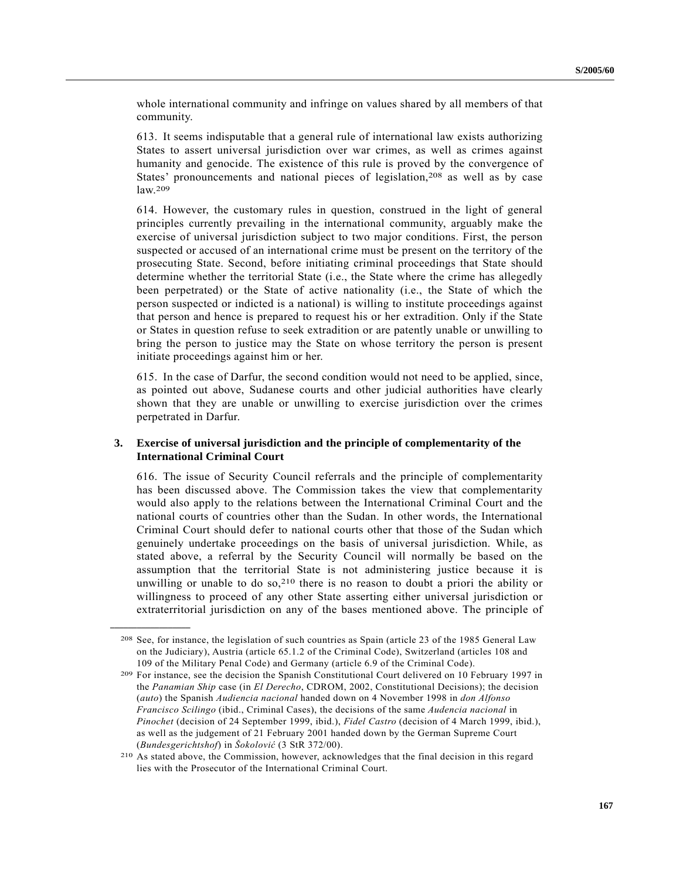whole international community and infringe on values shared by all members of that community.

613. It seems indisputable that a general rule of international law exists authorizing States to assert universal jurisdiction over war crimes, as well as crimes against humanity and genocide. The existence of this rule is proved by the convergence of States' pronouncements and national pieces of legislation,<sup>208</sup> as well as by case law.209

614. However, the customary rules in question, construed in the light of general principles currently prevailing in the international community, arguably make the exercise of universal jurisdiction subject to two major conditions. First, the person suspected or accused of an international crime must be present on the territory of the prosecuting State. Second, before initiating criminal proceedings that State should determine whether the territorial State (i.e., the State where the crime has allegedly been perpetrated) or the State of active nationality (i.e., the State of which the person suspected or indicted is a national) is willing to institute proceedings against that person and hence is prepared to request his or her extradition. Only if the State or States in question refuse to seek extradition or are patently unable or unwilling to bring the person to justice may the State on whose territory the person is present initiate proceedings against him or her.

615. In the case of Darfur, the second condition would not need to be applied, since, as pointed out above, Sudanese courts and other judicial authorities have clearly shown that they are unable or unwilling to exercise jurisdiction over the crimes perpetrated in Darfur.

### **3. Exercise of universal jurisdiction and the principle of complementarity of the International Criminal Court**

616. The issue of Security Council referrals and the principle of complementarity has been discussed above. The Commission takes the view that complementarity would also apply to the relations between the International Criminal Court and the national courts of countries other than the Sudan. In other words, the International Criminal Court should defer to national courts other that those of the Sudan which genuinely undertake proceedings on the basis of universal jurisdiction. While, as stated above, a referral by the Security Council will normally be based on the assumption that the territorial State is not administering justice because it is unwilling or unable to do so,  $2^{10}$  there is no reason to doubt a priori the ability or willingness to proceed of any other State asserting either universal jurisdiction or extraterritorial jurisdiction on any of the bases mentioned above. The principle of

<sup>208</sup> See, for instance, the legislation of such countries as Spain (article 23 of the 1985 General Law on the Judiciary), Austria (article 65.1.2 of the Criminal Code), Switzerland (articles 108 and 109 of the Military Penal Code) and Germany (article 6.9 of the Criminal Code).

<sup>209</sup> For instance, see the decision the Spanish Constitutional Court delivered on 10 February 1997 in the *Panamian Ship* case (in *El Derecho*, CDROM, 2002, Constitutional Decisions); the decision (*auto*) the Spanish *Audiencia nacional* handed down on 4 November 1998 in *don Alfonso Francisco Scilingo* (ibid., Criminal Cases), the decisions of the same *Audencia nacional* in *Pinochet* (decision of 24 September 1999, ibid.), *Fidel Castro* (decision of 4 March 1999, ibid.), as well as the judgement of 21 February 2001 handed down by the German Supreme Court (*Bundesgerichtshof*) in *äokolović* (3 StR 372/00).

<sup>210</sup> As stated above, the Commission, however, acknowledges that the final decision in this regard lies with the Prosecutor of the International Criminal Court.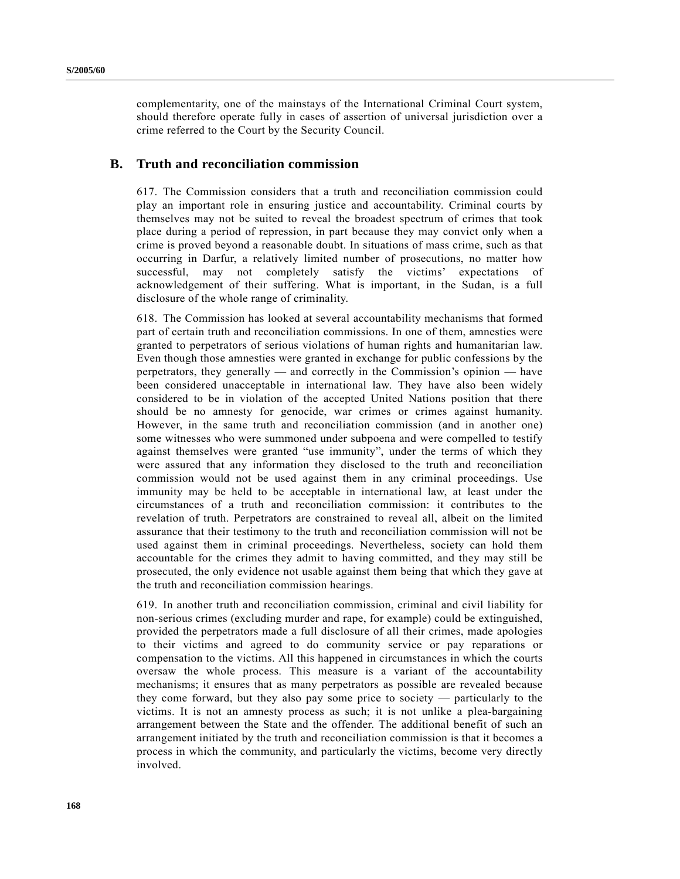complementarity, one of the mainstays of the International Criminal Court system, should therefore operate fully in cases of assertion of universal jurisdiction over a crime referred to the Court by the Security Council.

## **B. Truth and reconciliation commission**

617. The Commission considers that a truth and reconciliation commission could play an important role in ensuring justice and accountability. Criminal courts by themselves may not be suited to reveal the broadest spectrum of crimes that took place during a period of repression, in part because they may convict only when a crime is proved beyond a reasonable doubt. In situations of mass crime, such as that occurring in Darfur, a relatively limited number of prosecutions, no matter how successful, may not completely satisfy the victims' expectations of acknowledgement of their suffering. What is important, in the Sudan, is a full disclosure of the whole range of criminality.

618. The Commission has looked at several accountability mechanisms that formed part of certain truth and reconciliation commissions. In one of them, amnesties were granted to perpetrators of serious violations of human rights and humanitarian law. Even though those amnesties were granted in exchange for public confessions by the perpetrators, they generally  $\sim$  and correctly in the Commission's opinion  $\sim$  have been considered unacceptable in international law. They have also been widely considered to be in violation of the accepted United Nations position that there should be no amnesty for genocide, war crimes or crimes against humanity. However, in the same truth and reconciliation commission (and in another one) some witnesses who were summoned under subpoena and were compelled to testify against themselves were granted "use immunity", under the terms of which they were assured that any information they disclosed to the truth and reconciliation commission would not be used against them in any criminal proceedings. Use immunity may be held to be acceptable in international law, at least under the circumstances of a truth and reconciliation commission: it contributes to the revelation of truth. Perpetrators are constrained to reveal all, albeit on the limited assurance that their testimony to the truth and reconciliation commission will not be used against them in criminal proceedings. Nevertheless, society can hold them accountable for the crimes they admit to having committed, and they may still be prosecuted, the only evidence not usable against them being that which they gave at the truth and reconciliation commission hearings.

619. In another truth and reconciliation commission, criminal and civil liability for non-serious crimes (excluding murder and rape, for example) could be extinguished, provided the perpetrators made a full disclosure of all their crimes, made apologies to their victims and agreed to do community service or pay reparations or compensation to the victims. All this happened in circumstances in which the courts oversaw the whole process. This measure is a variant of the accountability mechanisms; it ensures that as many perpetrators as possible are revealed because they come forward, but they also pay some price to society  $-$  particularly to the victims. It is not an amnesty process as such; it is not unlike a plea-bargaining arrangement between the State and the offender. The additional benefit of such an arrangement initiated by the truth and reconciliation commission is that it becomes a process in which the community, and particularly the victims, become very directly involved.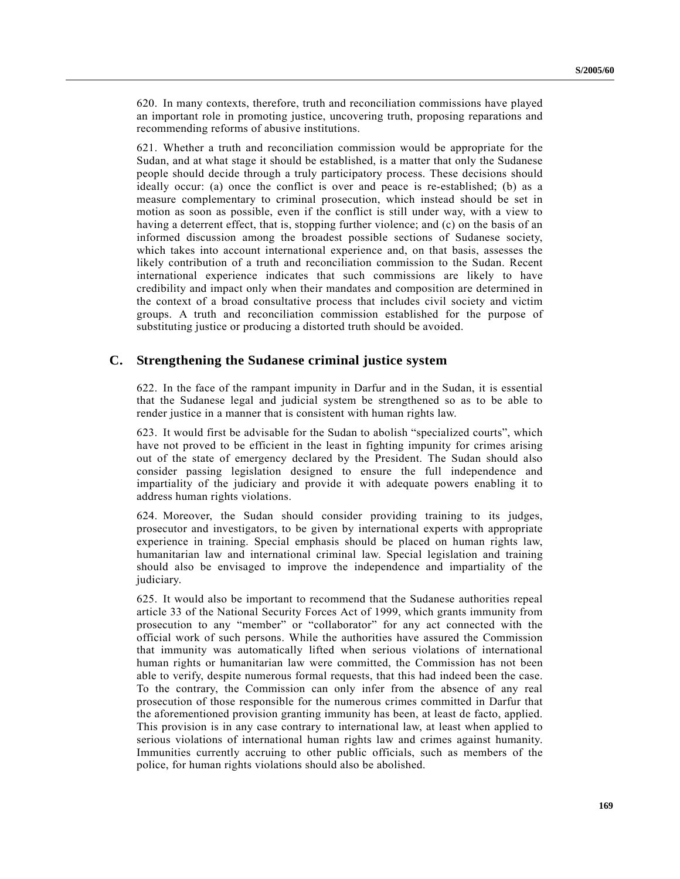620. In many contexts, therefore, truth and reconciliation commissions have played an important role in promoting justice, uncovering truth, proposing reparations and recommending reforms of abusive institutions.

621. Whether a truth and reconciliation commission would be appropriate for the Sudan, and at what stage it should be established, is a matter that only the Sudanese people should decide through a truly participatory process. These decisions should ideally occur: (a) once the conflict is over and peace is re-established; (b) as a measure complementary to criminal prosecution, which instead should be set in motion as soon as possible, even if the conflict is still under way, with a view to having a deterrent effect, that is, stopping further violence; and (c) on the basis of an informed discussion among the broadest possible sections of Sudanese society, which takes into account international experience and, on that basis, assesses the likely contribution of a truth and reconciliation commission to the Sudan. Recent international experience indicates that such commissions are likely to have credibility and impact only when their mandates and composition are determined in the context of a broad consultative process that includes civil society and victim groups. A truth and reconciliation commission established for the purpose of substituting justice or producing a distorted truth should be avoided.

## **C. Strengthening the Sudanese criminal justice system**

622. In the face of the rampant impunity in Darfur and in the Sudan, it is essential that the Sudanese legal and judicial system be strengthened so as to be able to render justice in a manner that is consistent with human rights law.

 $623$ . It would first be advisable for the Sudan to abolish "specialized courts", which have not proved to be efficient in the least in fighting impunity for crimes arising out of the state of emergency declared by the President. The Sudan should also consider passing legislation designed to ensure the full independence and impartiality of the judiciary and provide it with adequate powers enabling it to address human rights violations.

624. Moreover, the Sudan should consider providing training to its judges, prosecutor and investigators, to be given by international experts with appropriate experience in training. Special emphasis should be placed on human rights law, humanitarian law and international criminal law. Special legislation and training should also be envisaged to improve the independence and impartiality of the judiciary.

625. It would also be important to recommend that the Sudanese authorities repeal article 33 of the National Security Forces Act of 1999, which grants immunity from prosecution to any "member" or "collaborator" for any act connected with the official work of such persons. While the authorities have assured the Commission that immunity was automatically lifted when serious violations of international human rights or humanitarian law were committed, the Commission has not been able to verify, despite numerous formal requests, that this had indeed been the case. To the contrary, the Commission can only infer from the absence of any real prosecution of those responsible for the numerous crimes committed in Darfur that the aforementioned provision granting immunity has been, at least de facto, applied. This provision is in any case contrary to international law, at least when applied to serious violations of international human rights law and crimes against humanity. Immunities currently accruing to other public officials, such as members of the police, for human rights violations should also be abolished.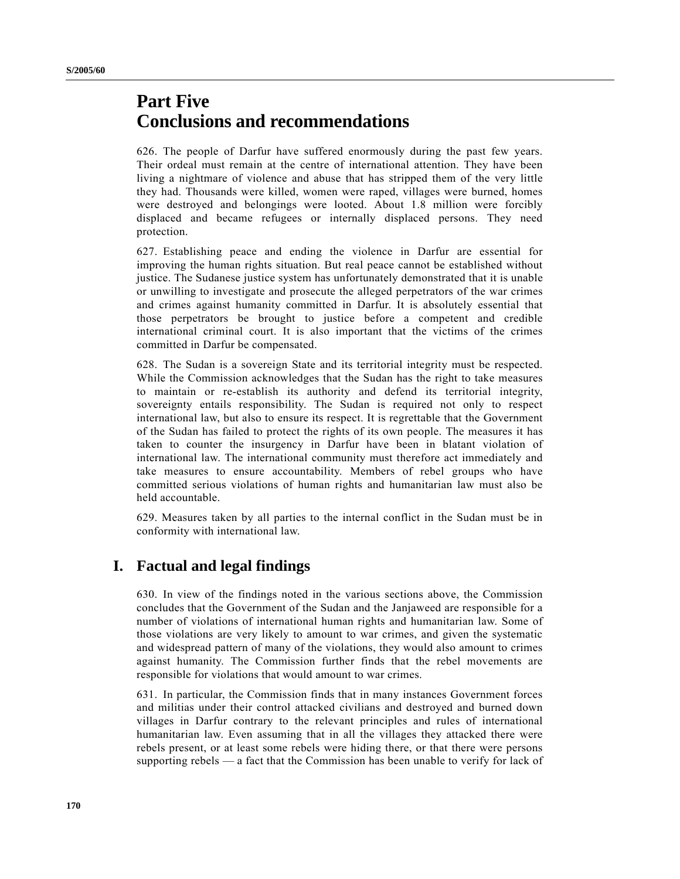# **Part Five Conclusions and recommendations**

626. The people of Darfur have suffered enormously during the past few years. Their ordeal must remain at the centre of international attention. They have been living a nightmare of violence and abuse that has stripped them of the very little they had. Thousands were killed, women were raped, villages were burned, homes were destroyed and belongings were looted. About 1.8 million were forcibly displaced and became refugees or internally displaced persons. They need protection.

627. Establishing peace and ending the violence in Darfur are essential for improving the human rights situation. But real peace cannot be established without justice. The Sudanese justice system has unfortunately demonstrated that it is unable or unwilling to investigate and prosecute the alleged perpetrators of the war crimes and crimes against humanity committed in Darfur. It is absolutely essential that those perpetrators be brought to justice before a competent and credible international criminal court. It is also important that the victims of the crimes committed in Darfur be compensated.

628. The Sudan is a sovereign State and its territorial integrity must be respected. While the Commission acknowledges that the Sudan has the right to take measures to maintain or re-establish its authority and defend its territorial integrity, sovereignty entails responsibility. The Sudan is required not only to respect international law, but also to ensure its respect. It is regrettable that the Government of the Sudan has failed to protect the rights of its own people. The measures it has taken to counter the insurgency in Darfur have been in blatant violation of international law. The international community must therefore act immediately and take measures to ensure accountability. Members of rebel groups who have committed serious violations of human rights and humanitarian law must also be held accountable.

629. Measures taken by all parties to the internal conflict in the Sudan must be in conformity with international law.

## **I. Factual and legal findings**

630. In view of the findings noted in the various sections above, the Commission concludes that the Government of the Sudan and the Janjaweed are responsible for a number of violations of international human rights and humanitarian law. Some of those violations are very likely to amount to war crimes, and given the systematic and widespread pattern of many of the violations, they would also amount to crimes against humanity. The Commission further finds that the rebel movements are responsible for violations that would amount to war crimes.

631. In particular, the Commission finds that in many instances Government forces and militias under their control attacked civilians and destroyed and burned down villages in Darfur contrary to the relevant principles and rules of international humanitarian law. Even assuming that in all the villages they attacked there were rebels present, or at least some rebels were hiding there, or that there were persons supporting rebels  $\frac{a}{b}$  a fact that the Commission has been unable to verify for lack of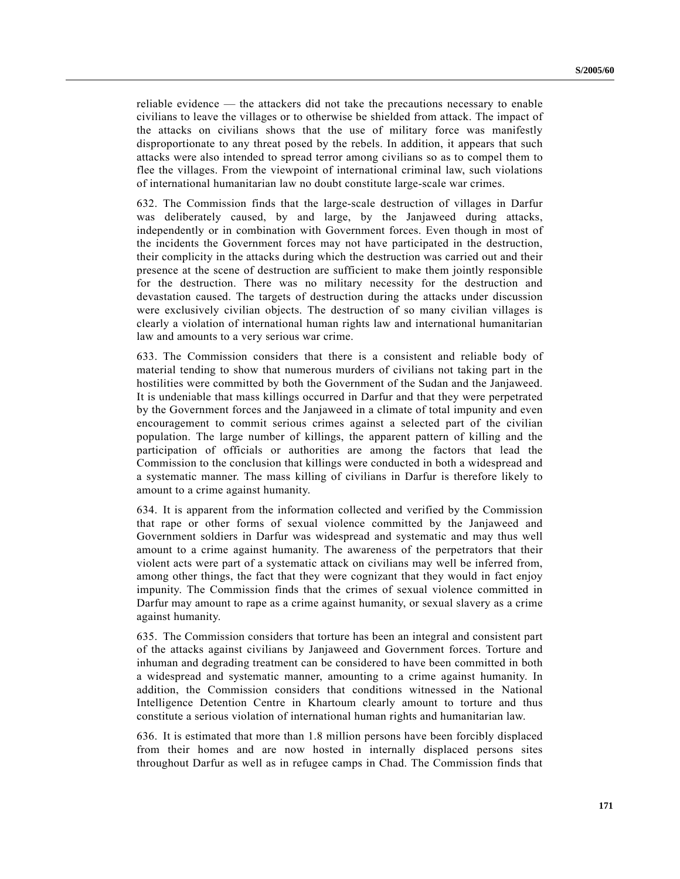$reliable evidence$  — the attackers did not take the precautions necessary to enable civilians to leave the villages or to otherwise be shielded from attack. The impact of the attacks on civilians shows that the use of military force was manifestly disproportionate to any threat posed by the rebels. In addition, it appears that such attacks were also intended to spread terror among civilians so as to compel them to flee the villages. From the viewpoint of international criminal law, such violations of international humanitarian law no doubt constitute large-scale war crimes.

632. The Commission finds that the large-scale destruction of villages in Darfur was deliberately caused, by and large, by the Janjaweed during attacks, independently or in combination with Government forces. Even though in most of the incidents the Government forces may not have participated in the destruction, their complicity in the attacks during which the destruction was carried out and their presence at the scene of destruction are sufficient to make them jointly responsible for the destruction. There was no military necessity for the destruction and devastation caused. The targets of destruction during the attacks under discussion were exclusively civilian objects. The destruction of so many civilian villages is clearly a violation of international human rights law and international humanitarian law and amounts to a very serious war crime.

633. The Commission considers that there is a consistent and reliable body of material tending to show that numerous murders of civilians not taking part in the hostilities were committed by both the Government of the Sudan and the Janjaweed. It is undeniable that mass killings occurred in Darfur and that they were perpetrated by the Government forces and the Janjaweed in a climate of total impunity and even encouragement to commit serious crimes against a selected part of the civilian population. The large number of killings, the apparent pattern of killing and the participation of officials or authorities are among the factors that lead the Commission to the conclusion that killings were conducted in both a widespread and a systematic manner. The mass killing of civilians in Darfur is therefore likely to amount to a crime against humanity.

634. It is apparent from the information collected and verified by the Commission that rape or other forms of sexual violence committed by the Janjaweed and Government soldiers in Darfur was widespread and systematic and may thus well amount to a crime against humanity. The awareness of the perpetrators that their violent acts were part of a systematic attack on civilians may well be inferred from, among other things, the fact that they were cognizant that they would in fact enjoy impunity. The Commission finds that the crimes of sexual violence committed in Darfur may amount to rape as a crime against humanity, or sexual slavery as a crime against humanity.

635. The Commission considers that torture has been an integral and consistent part of the attacks against civilians by Janjaweed and Government forces. Torture and inhuman and degrading treatment can be considered to have been committed in both a widespread and systematic manner, amounting to a crime against humanity. In addition, the Commission considers that conditions witnessed in the National Intelligence Detention Centre in Khartoum clearly amount to torture and thus constitute a serious violation of international human rights and humanitarian law.

636. It is estimated that more than 1.8 million persons have been forcibly displaced from their homes and are now hosted in internally displaced persons sites throughout Darfur as well as in refugee camps in Chad. The Commission finds that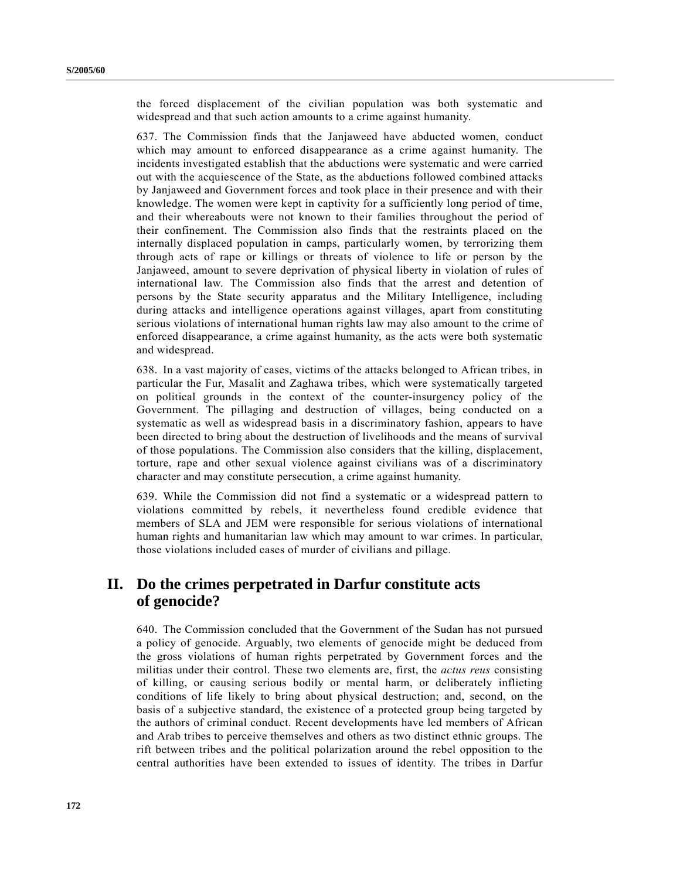the forced displacement of the civilian population was both systematic and widespread and that such action amounts to a crime against humanity.

637. The Commission finds that the Janjaweed have abducted women, conduct which may amount to enforced disappearance as a crime against humanity. The incidents investigated establish that the abductions were systematic and were carried out with the acquiescence of the State, as the abductions followed combined attacks by Janjaweed and Government forces and took place in their presence and with their knowledge. The women were kept in captivity for a sufficiently long period of time, and their whereabouts were not known to their families throughout the period of their confinement. The Commission also finds that the restraints placed on the internally displaced population in camps, particularly women, by terrorizing them through acts of rape or killings or threats of violence to life or person by the Janjaweed, amount to severe deprivation of physical liberty in violation of rules of international law. The Commission also finds that the arrest and detention of persons by the State security apparatus and the Military Intelligence, including during attacks and intelligence operations against villages, apart from constituting serious violations of international human rights law may also amount to the crime of enforced disappearance, a crime against humanity, as the acts were both systematic and widespread.

638. In a vast majority of cases, victims of the attacks belonged to African tribes, in particular the Fur, Masalit and Zaghawa tribes, which were systematically targeted on political grounds in the context of the counter-insurgency policy of the Government. The pillaging and destruction of villages, being conducted on a systematic as well as widespread basis in a discriminatory fashion, appears to have been directed to bring about the destruction of livelihoods and the means of survival of those populations. The Commission also considers that the killing, displacement, torture, rape and other sexual violence against civilians was of a discriminatory character and may constitute persecution, a crime against humanity.

639. While the Commission did not find a systematic or a widespread pattern to violations committed by rebels, it nevertheless found credible evidence that members of SLA and JEM were responsible for serious violations of international human rights and humanitarian law which may amount to war crimes. In particular, those violations included cases of murder of civilians and pillage.

## **II. Do the crimes perpetrated in Darfur constitute acts of genocide?**

640. The Commission concluded that the Government of the Sudan has not pursued a policy of genocide. Arguably, two elements of genocide might be deduced from the gross violations of human rights perpetrated by Government forces and the militias under their control. These two elements are, first, the *actus reus* consisting of killing, or causing serious bodily or mental harm, or deliberately inflicting conditions of life likely to bring about physical destruction; and, second, on the basis of a subjective standard, the existence of a protected group being targeted by the authors of criminal conduct. Recent developments have led members of African and Arab tribes to perceive themselves and others as two distinct ethnic groups. The rift between tribes and the political polarization around the rebel opposition to the central authorities have been extended to issues of identity. The tribes in Darfur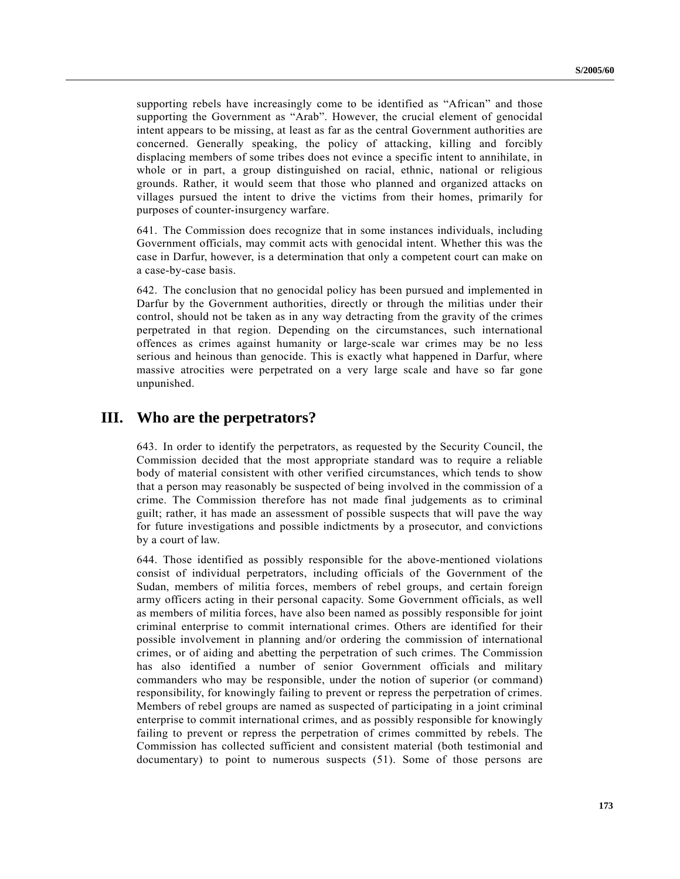supporting rebels have increasingly come to be identified as "African" and those supporting the Government as "Arab". However, the crucial element of genocidal intent appears to be missing, at least as far as the central Government authorities are concerned. Generally speaking, the policy of attacking, killing and forcibly displacing members of some tribes does not evince a specific intent to annihilate, in whole or in part, a group distinguished on racial, ethnic, national or religious grounds. Rather, it would seem that those who planned and organized attacks on villages pursued the intent to drive the victims from their homes, primarily for purposes of counter-insurgency warfare.

641. The Commission does recognize that in some instances individuals, including Government officials, may commit acts with genocidal intent. Whether this was the case in Darfur, however, is a determination that only a competent court can make on a case-by-case basis.

642. The conclusion that no genocidal policy has been pursued and implemented in Darfur by the Government authorities, directly or through the militias under their control, should not be taken as in any way detracting from the gravity of the crimes perpetrated in that region. Depending on the circumstances, such international offences as crimes against humanity or large-scale war crimes may be no less serious and heinous than genocide. This is exactly what happened in Darfur, where massive atrocities were perpetrated on a very large scale and have so far gone unpunished.

## **III. Who are the perpetrators?**

643. In order to identify the perpetrators, as requested by the Security Council, the Commission decided that the most appropriate standard was to require a reliable body of material consistent with other verified circumstances, which tends to show that a person may reasonably be suspected of being involved in the commission of a crime. The Commission therefore has not made final judgements as to criminal guilt; rather, it has made an assessment of possible suspects that will pave the way for future investigations and possible indictments by a prosecutor, and convictions by a court of law.

644. Those identified as possibly responsible for the above-mentioned violations consist of individual perpetrators, including officials of the Government of the Sudan, members of militia forces, members of rebel groups, and certain foreign army officers acting in their personal capacity. Some Government officials, as well as members of militia forces, have also been named as possibly responsible for joint criminal enterprise to commit international crimes. Others are identified for their possible involvement in planning and/or ordering the commission of international crimes, or of aiding and abetting the perpetration of such crimes. The Commission has also identified a number of senior Government officials and military commanders who may be responsible, under the notion of superior (or command) responsibility, for knowingly failing to prevent or repress the perpetration of crimes. Members of rebel groups are named as suspected of participating in a joint criminal enterprise to commit international crimes, and as possibly responsible for knowingly failing to prevent or repress the perpetration of crimes committed by rebels. The Commission has collected sufficient and consistent material (both testimonial and documentary) to point to numerous suspects (51). Some of those persons are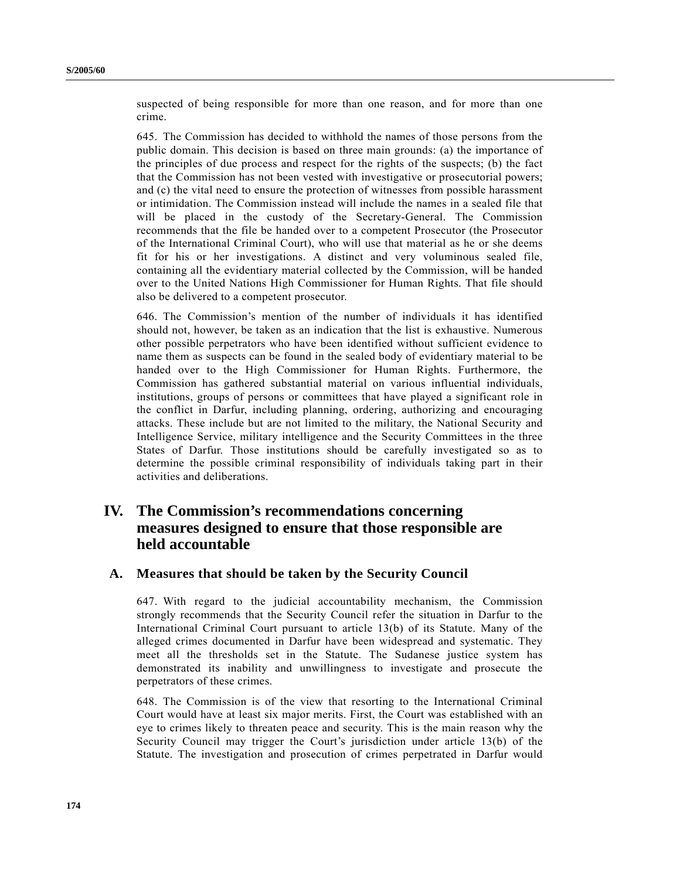suspected of being responsible for more than one reason, and for more than one crime.

645. The Commission has decided to withhold the names of those persons from the public domain. This decision is based on three main grounds: (a) the importance of the principles of due process and respect for the rights of the suspects; (b) the fact that the Commission has not been vested with investigative or prosecutorial powers; and (c) the vital need to ensure the protection of witnesses from possible harassment or intimidation. The Commission instead will include the names in a sealed file that will be placed in the custody of the Secretary-General. The Commission recommends that the file be handed over to a competent Prosecutor (the Prosecutor of the International Criminal Court), who will use that material as he or she deems fit for his or her investigations. A distinct and very voluminous sealed file, containing all the evidentiary material collected by the Commission, will be handed over to the United Nations High Commissioner for Human Rights. That file should also be delivered to a competent prosecutor.

646. The Commissionís mention of the number of individuals it has identified should not, however, be taken as an indication that the list is exhaustive. Numerous other possible perpetrators who have been identified without sufficient evidence to name them as suspects can be found in the sealed body of evidentiary material to be handed over to the High Commissioner for Human Rights. Furthermore, the Commission has gathered substantial material on various influential individuals, institutions, groups of persons or committees that have played a significant role in the conflict in Darfur, including planning, ordering, authorizing and encouraging attacks. These include but are not limited to the military, the National Security and Intelligence Service, military intelligence and the Security Committees in the three States of Darfur. Those institutions should be carefully investigated so as to determine the possible criminal responsibility of individuals taking part in their activities and deliberations.

## **IV. The Commission's recommendations concerning measures designed to ensure that those responsible are held accountable**

### **A. Measures that should be taken by the Security Council**

647. With regard to the judicial accountability mechanism, the Commission strongly recommends that the Security Council refer the situation in Darfur to the International Criminal Court pursuant to article 13(b) of its Statute. Many of the alleged crimes documented in Darfur have been widespread and systematic. They meet all the thresholds set in the Statute. The Sudanese justice system has demonstrated its inability and unwillingness to investigate and prosecute the perpetrators of these crimes.

648. The Commission is of the view that resorting to the International Criminal Court would have at least six major merits. First, the Court was established with an eye to crimes likely to threaten peace and security. This is the main reason why the Security Council may trigger the Court's jurisdiction under article  $13(b)$  of the Statute. The investigation and prosecution of crimes perpetrated in Darfur would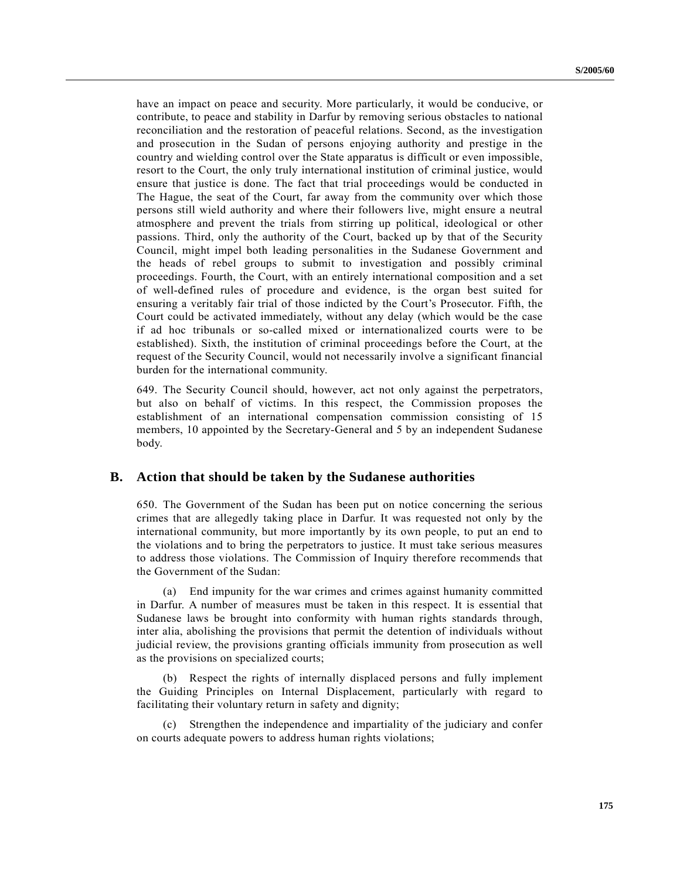have an impact on peace and security. More particularly, it would be conducive, or contribute, to peace and stability in Darfur by removing serious obstacles to national reconciliation and the restoration of peaceful relations. Second, as the investigation and prosecution in the Sudan of persons enjoying authority and prestige in the country and wielding control over the State apparatus is difficult or even impossible, resort to the Court, the only truly international institution of criminal justice, would ensure that justice is done. The fact that trial proceedings would be conducted in The Hague, the seat of the Court, far away from the community over which those persons still wield authority and where their followers live, might ensure a neutral atmosphere and prevent the trials from stirring up political, ideological or other passions. Third, only the authority of the Court, backed up by that of the Security Council, might impel both leading personalities in the Sudanese Government and the heads of rebel groups to submit to investigation and possibly criminal proceedings. Fourth, the Court, with an entirely international composition and a set of well-defined rules of procedure and evidence, is the organ best suited for ensuring a veritably fair trial of those indicted by the Court's Prosecutor. Fifth, the Court could be activated immediately, without any delay (which would be the case if ad hoc tribunals or so-called mixed or internationalized courts were to be established). Sixth, the institution of criminal proceedings before the Court, at the request of the Security Council, would not necessarily involve a significant financial burden for the international community.

649. The Security Council should, however, act not only against the perpetrators, but also on behalf of victims. In this respect, the Commission proposes the establishment of an international compensation commission consisting of 15 members, 10 appointed by the Secretary-General and 5 by an independent Sudanese body.

### **B. Action that should be taken by the Sudanese authorities**

650. The Government of the Sudan has been put on notice concerning the serious crimes that are allegedly taking place in Darfur. It was requested not only by the international community, but more importantly by its own people, to put an end to the violations and to bring the perpetrators to justice. It must take serious measures to address those violations. The Commission of Inquiry therefore recommends that the Government of the Sudan:

(a) End impunity for the war crimes and crimes against humanity committed in Darfur. A number of measures must be taken in this respect. It is essential that Sudanese laws be brought into conformity with human rights standards through, inter alia, abolishing the provisions that permit the detention of individuals without judicial review, the provisions granting officials immunity from prosecution as well as the provisions on specialized courts;

(b) Respect the rights of internally displaced persons and fully implement the Guiding Principles on Internal Displacement, particularly with regard to facilitating their voluntary return in safety and dignity;

(c) Strengthen the independence and impartiality of the judiciary and confer on courts adequate powers to address human rights violations;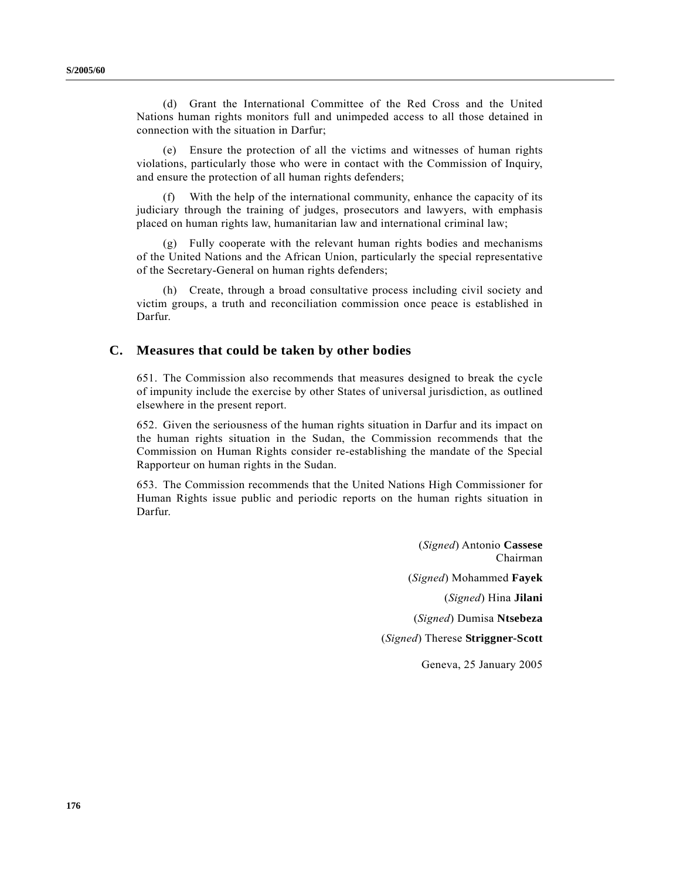(d) Grant the International Committee of the Red Cross and the United Nations human rights monitors full and unimpeded access to all those detained in connection with the situation in Darfur;

(e) Ensure the protection of all the victims and witnesses of human rights violations, particularly those who were in contact with the Commission of Inquiry, and ensure the protection of all human rights defenders;

(f) With the help of the international community, enhance the capacity of its judiciary through the training of judges, prosecutors and lawyers, with emphasis placed on human rights law, humanitarian law and international criminal law;

(g) Fully cooperate with the relevant human rights bodies and mechanisms of the United Nations and the African Union, particularly the special representative of the Secretary-General on human rights defenders;

(h) Create, through a broad consultative process including civil society and victim groups, a truth and reconciliation commission once peace is established in Darfur.

### **C. Measures that could be taken by other bodies**

651. The Commission also recommends that measures designed to break the cycle of impunity include the exercise by other States of universal jurisdiction, as outlined elsewhere in the present report.

652. Given the seriousness of the human rights situation in Darfur and its impact on the human rights situation in the Sudan, the Commission recommends that the Commission on Human Rights consider re-establishing the mandate of the Special Rapporteur on human rights in the Sudan.

653. The Commission recommends that the United Nations High Commissioner for Human Rights issue public and periodic reports on the human rights situation in Darfur.

> (*Signed*) Antonio **Cassese** Chairman (*Signed*) Mohammed **Fayek** (*Signed*) Hina **Jilani** (*Signed*) Dumisa **Ntsebeza** (*Signed*) Therese **Striggner-Scott**

> > Geneva, 25 January 2005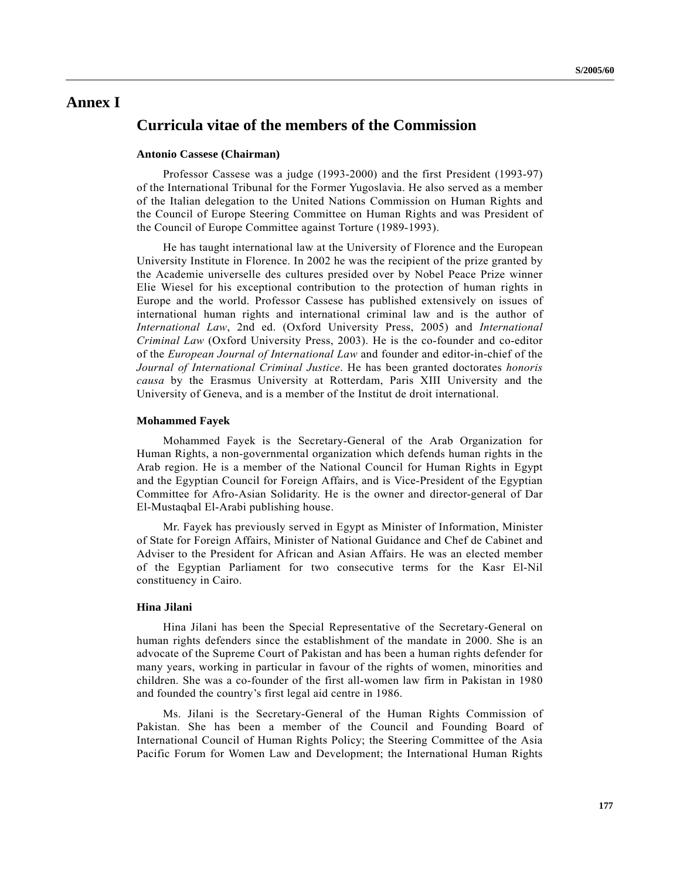## **Annex I**

## **Curricula vitae of the members of the Commission**

#### **Antonio Cassese (Chairman)**

Professor Cassese was a judge (1993-2000) and the first President (1993-97) of the International Tribunal for the Former Yugoslavia. He also served as a member of the Italian delegation to the United Nations Commission on Human Rights and the Council of Europe Steering Committee on Human Rights and was President of the Council of Europe Committee against Torture (1989-1993).

He has taught international law at the University of Florence and the European University Institute in Florence. In 2002 he was the recipient of the prize granted by the Academie universelle des cultures presided over by Nobel Peace Prize winner Elie Wiesel for his exceptional contribution to the protection of human rights in Europe and the world. Professor Cassese has published extensively on issues of international human rights and international criminal law and is the author of *International Law*, 2nd ed. (Oxford University Press, 2005) and *International Criminal Law* (Oxford University Press, 2003). He is the co-founder and co-editor of the *European Journal of International Law* and founder and editor-in-chief of the *Journal of International Criminal Justice*. He has been granted doctorates *honoris causa* by the Erasmus University at Rotterdam, Paris XIII University and the University of Geneva, and is a member of the Institut de droit international.

#### **Mohammed Fayek**

Mohammed Fayek is the Secretary-General of the Arab Organization for Human Rights, a non-governmental organization which defends human rights in the Arab region. He is a member of the National Council for Human Rights in Egypt and the Egyptian Council for Foreign Affairs, and is Vice-President of the Egyptian Committee for Afro-Asian Solidarity. He is the owner and director-general of Dar El-Mustaqbal El-Arabi publishing house.

Mr. Fayek has previously served in Egypt as Minister of Information, Minister of State for Foreign Affairs, Minister of National Guidance and Chef de Cabinet and Adviser to the President for African and Asian Affairs. He was an elected member of the Egyptian Parliament for two consecutive terms for the Kasr El-Nil constituency in Cairo.

#### **Hina Jilani**

Hina Jilani has been the Special Representative of the Secretary-General on human rights defenders since the establishment of the mandate in 2000. She is an advocate of the Supreme Court of Pakistan and has been a human rights defender for many years, working in particular in favour of the rights of women, minorities and children. She was a co-founder of the first all-women law firm in Pakistan in 1980 and founded the country's first legal aid centre in 1986.

Ms. Jilani is the Secretary-General of the Human Rights Commission of Pakistan. She has been a member of the Council and Founding Board of International Council of Human Rights Policy; the Steering Committee of the Asia Pacific Forum for Women Law and Development; the International Human Rights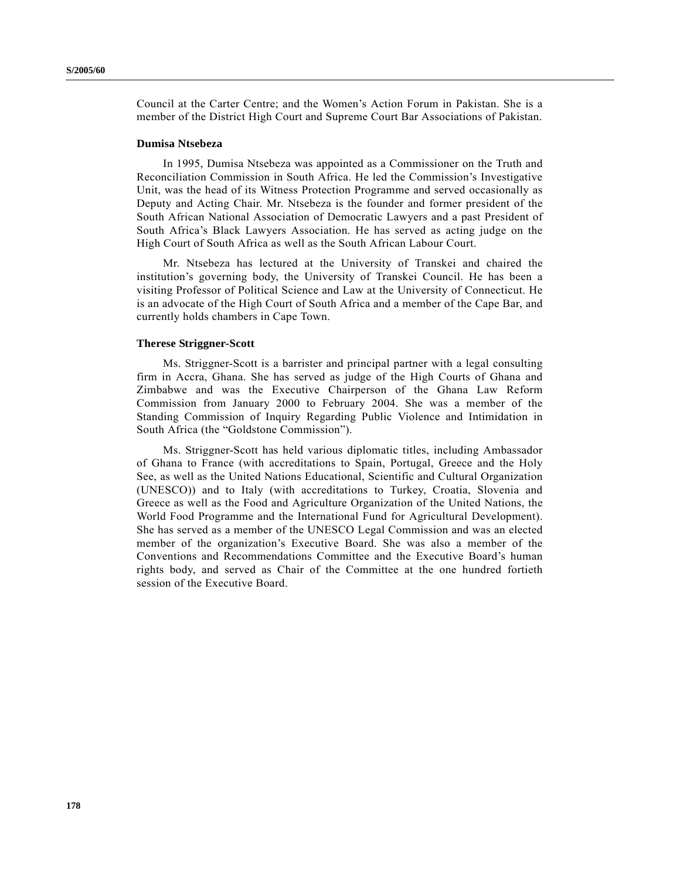Council at the Carter Centre; and the Womenís Action Forum in Pakistan. She is a member of the District High Court and Supreme Court Bar Associations of Pakistan.

#### **Dumisa Ntsebeza**

In 1995, Dumisa Ntsebeza was appointed as a Commissioner on the Truth and Reconciliation Commission in South Africa. He led the Commission's Investigative Unit, was the head of its Witness Protection Programme and served occasionally as Deputy and Acting Chair. Mr. Ntsebeza is the founder and former president of the South African National Association of Democratic Lawyers and a past President of South Africaís Black Lawyers Association. He has served as acting judge on the High Court of South Africa as well as the South African Labour Court.

Mr. Ntsebeza has lectured at the University of Transkei and chaired the institutionís governing body, the University of Transkei Council. He has been a visiting Professor of Political Science and Law at the University of Connecticut. He is an advocate of the High Court of South Africa and a member of the Cape Bar, and currently holds chambers in Cape Town.

#### **Therese Striggner-Scott**

Ms. Striggner-Scott is a barrister and principal partner with a legal consulting firm in Accra, Ghana. She has served as judge of the High Courts of Ghana and Zimbabwe and was the Executive Chairperson of the Ghana Law Reform Commission from January 2000 to February 2004. She was a member of the Standing Commission of Inquiry Regarding Public Violence and Intimidation in South Africa (the "Goldstone Commission").

Ms. Striggner-Scott has held various diplomatic titles, including Ambassador of Ghana to France (with accreditations to Spain, Portugal, Greece and the Holy See, as well as the United Nations Educational, Scientific and Cultural Organization (UNESCO)) and to Italy (with accreditations to Turkey, Croatia, Slovenia and Greece as well as the Food and Agriculture Organization of the United Nations, the World Food Programme and the International Fund for Agricultural Development). She has served as a member of the UNESCO Legal Commission and was an elected member of the organization's Executive Board. She was also a member of the Conventions and Recommendations Committee and the Executive Board's human rights body, and served as Chair of the Committee at the one hundred fortieth session of the Executive Board.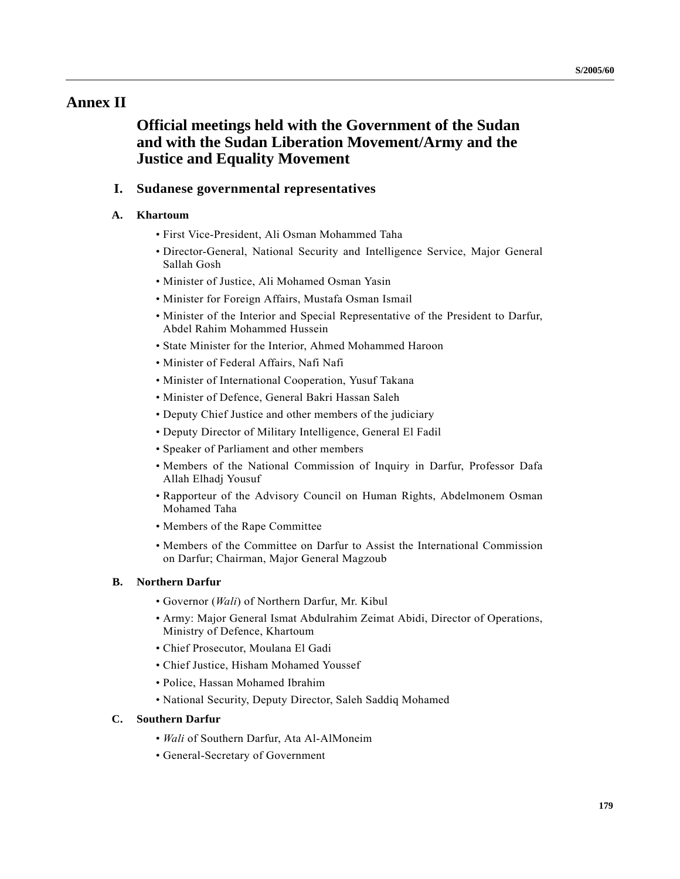## **Annex II**

## **Official meetings held with the Government of the Sudan and with the Sudan Liberation Movement/Army and the Justice and Equality Movement**

## **I. Sudanese governmental representatives**

### **A. Khartoum**

- ï First Vice-President, Ali Osman Mohammed Taha
- ï Director-General, National Security and Intelligence Service, Major General Sallah Gosh
- Minister of Justice, Ali Mohamed Osman Yasin
- Minister for Foreign Affairs, Mustafa Osman Ismail
- ï Minister of the Interior and Special Representative of the President to Darfur, Abdel Rahim Mohammed Hussein
- State Minister for the Interior, Ahmed Mohammed Haroon
- Minister of Federal Affairs, Nafi Nafi
- Minister of International Cooperation, Yusuf Takana
- ï Minister of Defence, General Bakri Hassan Saleh
- ï Deputy Chief Justice and other members of the judiciary
- ï Deputy Director of Military Intelligence, General El Fadil
- Speaker of Parliament and other members
- ï Members of the National Commission of Inquiry in Darfur, Professor Dafa Allah Elhadj Yousuf
- ï Rapporteur of the Advisory Council on Human Rights, Abdelmonem Osman Mohamed Taha
- ï Members of the Rape Committee
- Members of the Committee on Darfur to Assist the International Commission on Darfur; Chairman, Major General Magzoub

#### **B. Northern Darfur**

- Governor (*Wali*) of Northern Darfur, Mr. Kibul
- Army: Major General Ismat Abdulrahim Zeimat Abidi, Director of Operations, Ministry of Defence, Khartoum
- ï Chief Prosecutor, Moulana El Gadi
- Chief Justice, Hisham Mohamed Youssef
- ï Police, Hassan Mohamed Ibrahim
- National Security, Deputy Director, Saleh Saddiq Mohamed

### **C. Southern Darfur**

- ï *Wali* of Southern Darfur, Ata Al-AlMoneim
- General-Secretary of Government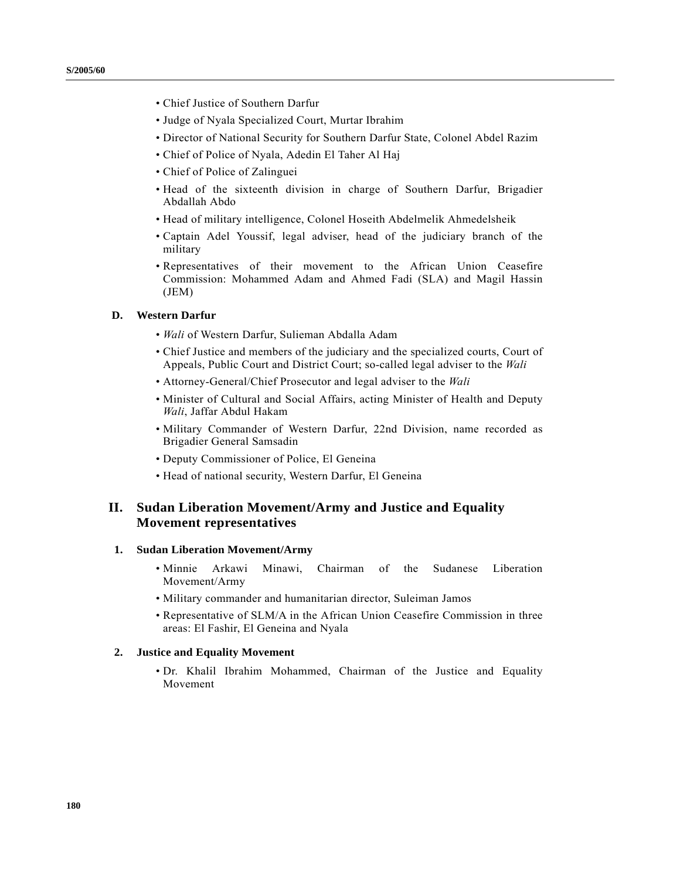- Chief Justice of Southern Darfur
- Judge of Nyala Specialized Court, Murtar Ibrahim
- ï Director of National Security for Southern Darfur State, Colonel Abdel Razim
- ï Chief of Police of Nyala, Adedin El Taher Al Haj
- Chief of Police of Zalinguei
- Head of the sixteenth division in charge of Southern Darfur, Brigadier Abdallah Abdo
- ï Head of military intelligence, Colonel Hoseith Abdelmelik Ahmedelsheik
- ï Captain Adel Youssif, legal adviser, head of the judiciary branch of the military
- Representatives of their movement to the African Union Ceasefire Commission: Mohammed Adam and Ahmed Fadi (SLA) and Magil Hassin (JEM)

#### **D. Western Darfur**

- Wali of Western Darfur, Sulieman Abdalla Adam
- Chief Justice and members of the judiciary and the specialized courts, Court of Appeals, Public Court and District Court; so-called legal adviser to the *Wali*
- Attorney-General/Chief Prosecutor and legal adviser to the *Wali*
- ï Minister of Cultural and Social Affairs, acting Minister of Health and Deputy *Wali*, Jaffar Abdul Hakam
- Military Commander of Western Darfur, 22nd Division, name recorded as Brigadier General Samsadin
- Deputy Commissioner of Police, El Geneina
- ï Head of national security, Western Darfur, El Geneina

## **II. Sudan Liberation Movement/Army and Justice and Equality Movement representatives**

#### **1. Sudan Liberation Movement/Army**

- Minnie Arkawi Minawi, Chairman of the Sudanese Liberation Movement/Army
- Military commander and humanitarian director, Suleiman Jamos
- ï Representative of SLM/A in the African Union Ceasefire Commission in three areas: El Fashir, El Geneina and Nyala

#### **2. Justice and Equality Movement**

ï Dr. Khalil Ibrahim Mohammed, Chairman of the Justice and Equality Movement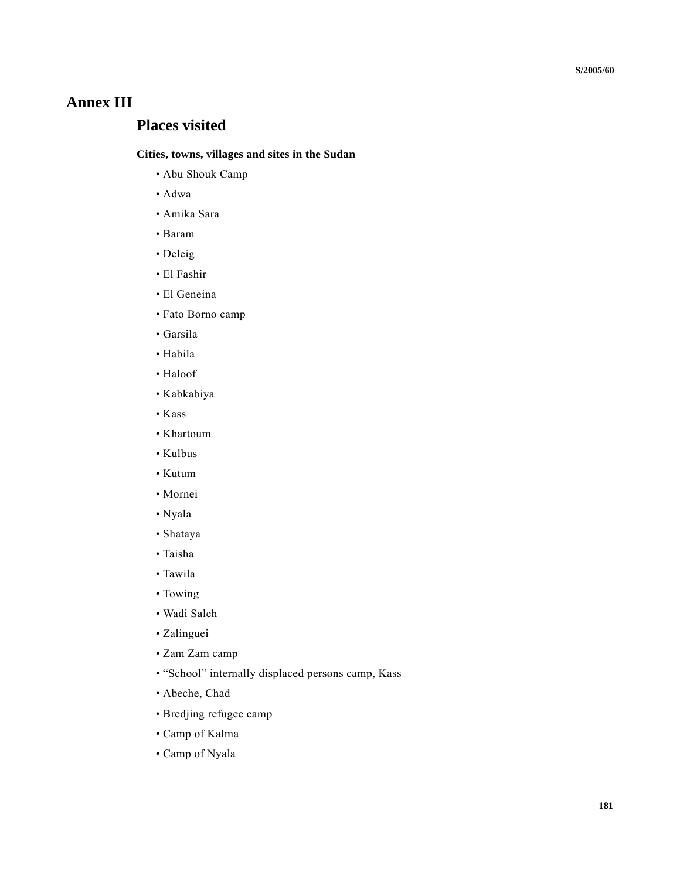# **Annex III**

# **Places visited**

## **Cities, towns, villages and sites in the Sudan**

- Abu Shouk Camp
- Adwa
- Amika Sara
- Baram
- Deleig
- El Fashir
- El Geneina
- Fato Borno camp
- Garsila
- Habila
- Haloof
- ï Kabkabiya
- ï Kass
- Khartoum
- Kulbus
- Kutum
- Mornei
- ï Nyala
- ï Shataya
- Taisha
- Tawila
- Towing
- Wadi Saleh
- Zalinguei
- Zam Zam camp
- "School" internally displaced persons camp, Kass
- ï Abeche, Chad
- Bredjing refugee camp
- Camp of Kalma
- Camp of Nyala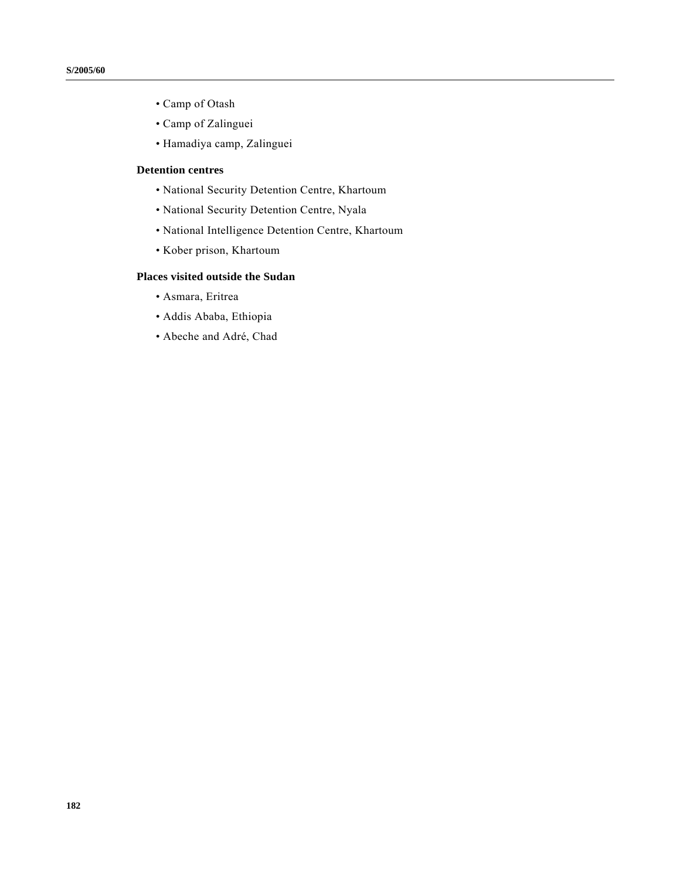- Camp of Otash
- ï Camp of Zalinguei
- ï Hamadiya camp, Zalinguei

## **Detention centres**

- ï National Security Detention Centre, Khartoum
- ï National Security Detention Centre, Nyala
- ï National Intelligence Detention Centre, Khartoum
- ï Kober prison, Khartoum

## **Places visited outside the Sudan**

- Asmara, Eritrea
- ï Addis Ababa, Ethiopia
- ï Abeche and AdrÈ, Chad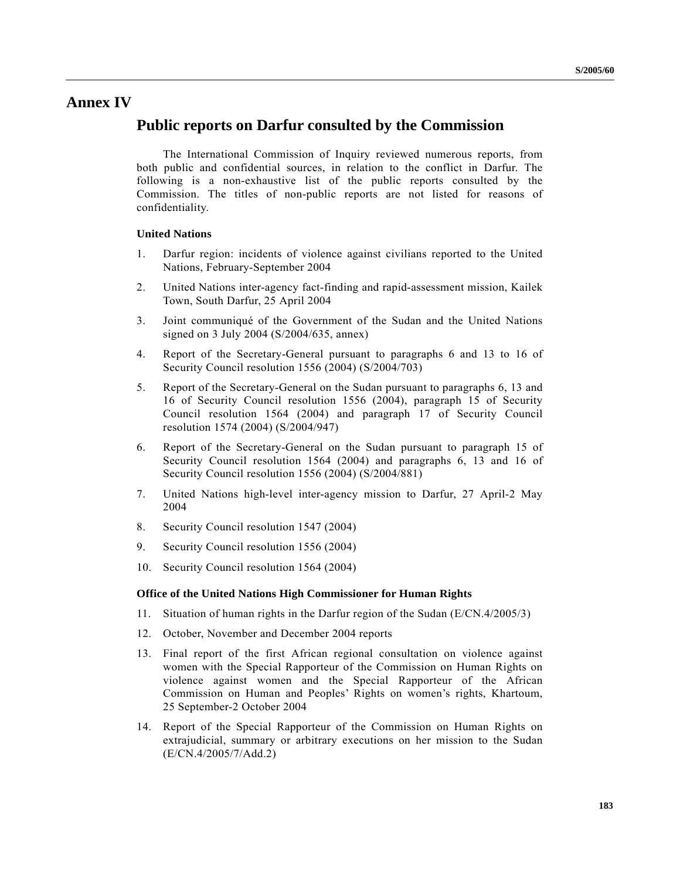## **Annex IV**

## **Public reports on Darfur consulted by the Commission**

The International Commission of Inquiry reviewed numerous reports, from both public and confidential sources, in relation to the conflict in Darfur. The following is a non-exhaustive list of the public reports consulted by the Commission. The titles of non-public reports are not listed for reasons of confidentiality.

## **United Nations**

- 1. Darfur region: incidents of violence against civilians reported to the United Nations, February-September 2004
- 2. United Nations inter-agency fact-finding and rapid-assessment mission, Kailek Town, South Darfur, 25 April 2004
- 3. Joint communiquÈ of the Government of the Sudan and the United Nations signed on 3 July 2004 (S/2004/635, annex)
- 4. Report of the Secretary-General pursuant to paragraphs 6 and 13 to 16 of Security Council resolution 1556 (2004) (S/2004/703)
- 5. Report of the Secretary-General on the Sudan pursuant to paragraphs 6, 13 and 16 of Security Council resolution 1556 (2004), paragraph 15 of Security Council resolution 1564 (2004) and paragraph 17 of Security Council resolution 1574 (2004) (S/2004/947)
- 6. Report of the Secretary-General on the Sudan pursuant to paragraph 15 of Security Council resolution 1564 (2004) and paragraphs 6, 13 and 16 of Security Council resolution 1556 (2004) (S/2004/881)
- 7. United Nations high-level inter-agency mission to Darfur, 27 April-2 May 2004
- 8. Security Council resolution 1547 (2004)
- 9. Security Council resolution 1556 (2004)
- 10. Security Council resolution 1564 (2004)

## **Office of the United Nations High Commissioner for Human Rights**

- 11. Situation of human rights in the Darfur region of the Sudan (E/CN.4/2005/3)
- 12. October, November and December 2004 reports
- 13. Final report of the first African regional consultation on violence against women with the Special Rapporteur of the Commission on Human Rights on violence against women and the Special Rapporteur of the African Commission on Human and Peoples' Rights on women's rights, Khartoum, 25 September-2 October 2004
- 14. Report of the Special Rapporteur of the Commission on Human Rights on extrajudicial, summary or arbitrary executions on her mission to the Sudan (E/CN.4/2005/7/Add.2)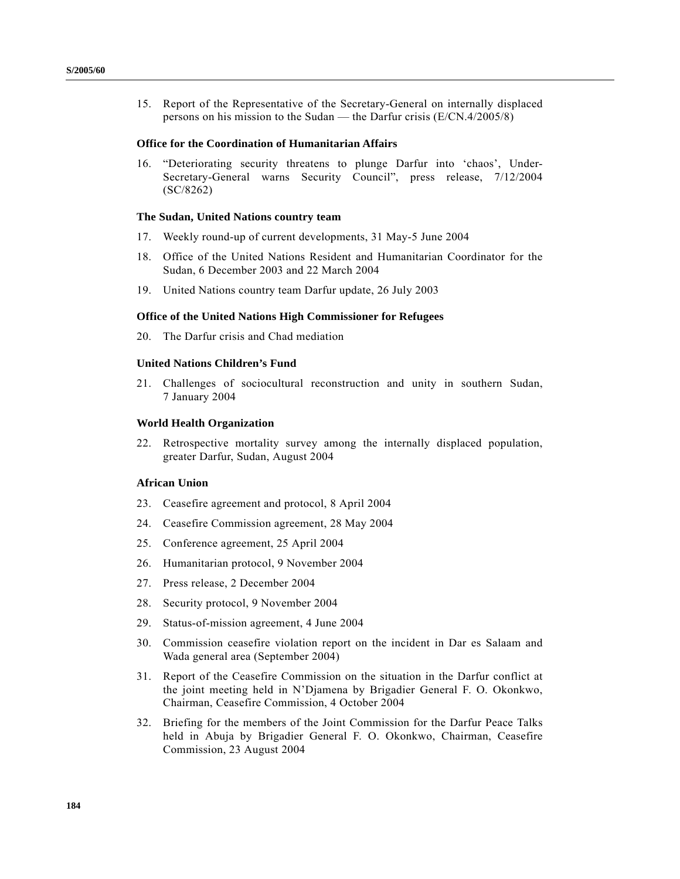15. Report of the Representative of the Secretary-General on internally displaced persons on his mission to the Sudan – the Darfur crisis ( $E/CN.4/2005/8$ )

#### **Office for the Coordination of Humanitarian Affairs**

16. "Deteriorating security threatens to plunge Darfur into 'chaos', Under-Secretary-General warns Security Council", press release, 7/12/2004 (SC/8262)

#### **The Sudan, United Nations country team**

- 17. Weekly round-up of current developments, 31 May-5 June 2004
- 18. Office of the United Nations Resident and Humanitarian Coordinator for the Sudan, 6 December 2003 and 22 March 2004
- 19. United Nations country team Darfur update, 26 July 2003

### **Office of the United Nations High Commissioner for Refugees**

20. The Darfur crisis and Chad mediation

#### **United Nations Children's Fund**

21. Challenges of sociocultural reconstruction and unity in southern Sudan, 7 January 2004

#### **World Health Organization**

22. Retrospective mortality survey among the internally displaced population, greater Darfur, Sudan, August 2004

#### **African Union**

- 23. Ceasefire agreement and protocol, 8 April 2004
- 24. Ceasefire Commission agreement, 28 May 2004
- 25. Conference agreement, 25 April 2004
- 26. Humanitarian protocol, 9 November 2004
- 27. Press release, 2 December 2004
- 28. Security protocol, 9 November 2004
- 29. Status-of-mission agreement, 4 June 2004
- 30. Commission ceasefire violation report on the incident in Dar es Salaam and Wada general area (September 2004)
- 31. Report of the Ceasefire Commission on the situation in the Darfur conflict at the joint meeting held in N'Djamena by Brigadier General F. O. Okonkwo, Chairman, Ceasefire Commission, 4 October 2004
- 32. Briefing for the members of the Joint Commission for the Darfur Peace Talks held in Abuja by Brigadier General F. O. Okonkwo, Chairman, Ceasefire Commission, 23 August 2004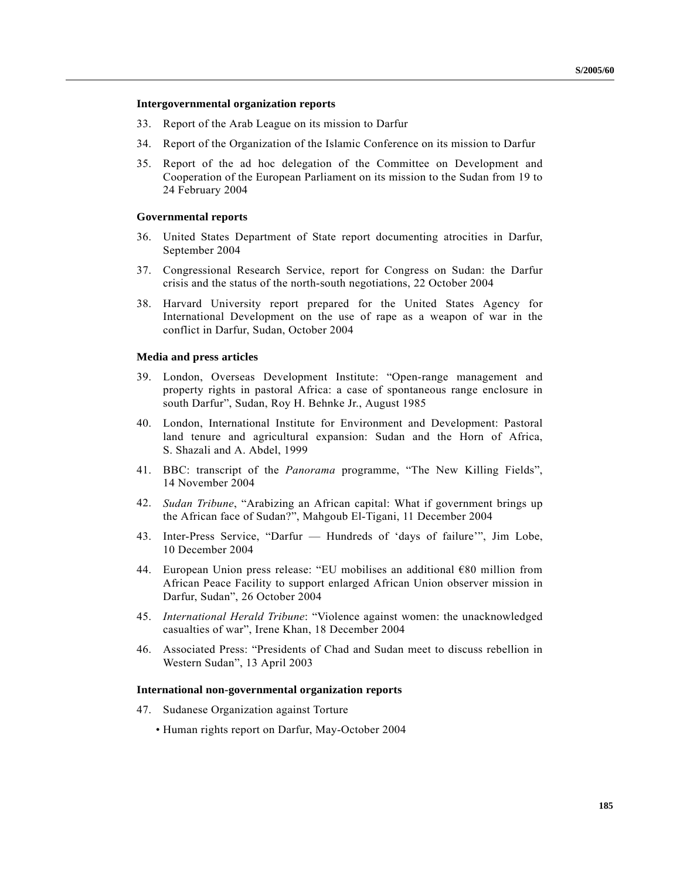#### **Intergovernmental organization reports**

- 33. Report of the Arab League on its mission to Darfur
- 34. Report of the Organization of the Islamic Conference on its mission to Darfur
- 35. Report of the ad hoc delegation of the Committee on Development and Cooperation of the European Parliament on its mission to the Sudan from 19 to 24 February 2004

### **Governmental reports**

- 36. United States Department of State report documenting atrocities in Darfur, September 2004
- 37. Congressional Research Service, report for Congress on Sudan: the Darfur crisis and the status of the north-south negotiations, 22 October 2004
- 38. Harvard University report prepared for the United States Agency for International Development on the use of rape as a weapon of war in the conflict in Darfur, Sudan, October 2004

#### **Media and press articles**

- 39. London, Overseas Development Institute: "Open-range management and property rights in pastoral Africa: a case of spontaneous range enclosure in south Darfur", Sudan, Roy H. Behnke Jr., August 1985
- 40. London, International Institute for Environment and Development: Pastoral land tenure and agricultural expansion: Sudan and the Horn of Africa, S. Shazali and A. Abdel, 1999
- 41. BBC: transcript of the *Panorama* programme, "The New Killing Fields", 14 November 2004
- 42. *Sudan Tribune*, "Arabizing an African capital: What if government brings up the African face of Sudan?", Mahgoub El-Tigani, 11 December 2004
- 43. Inter-Press Service, "Darfur Hundreds of 'days of failure'", Jim Lobe, 10 December 2004
- 44. European Union press release: "EU mobilises an additional  $€80$  million from African Peace Facility to support enlarged African Union observer mission in Darfur, Sudan", 26 October 2004
- 45. *International Herald Tribune*: "Violence against women: the unacknowledged casualties of war", Irene Khan, 18 December 2004
- 46. Associated Press: "Presidents of Chad and Sudan meet to discuss rebellion in Western Sudan", 13 April 2003

#### **International non-governmental organization reports**

- 47. Sudanese Organization against Torture
	- Human rights report on Darfur, May-October 2004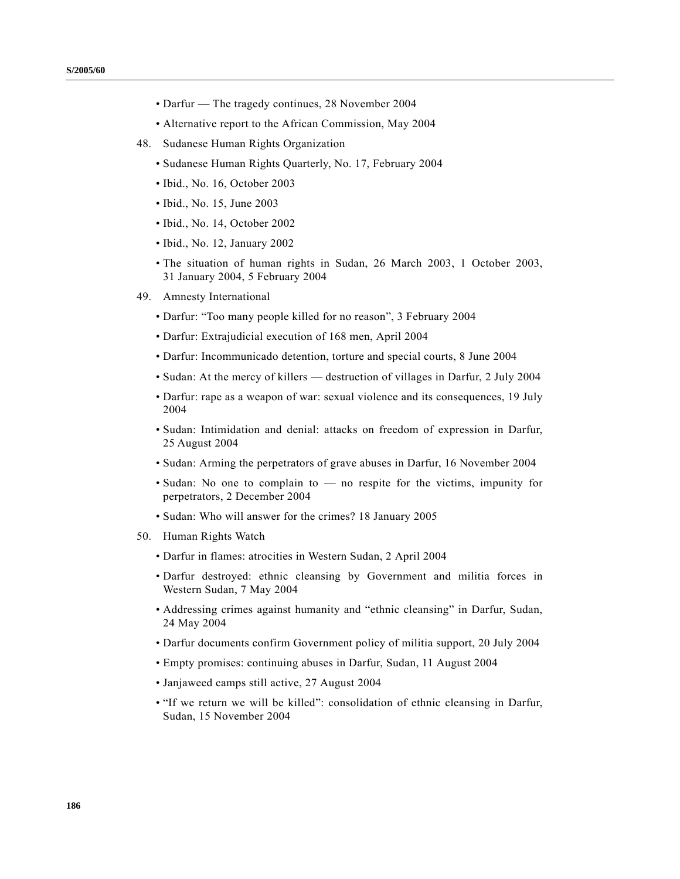- Darfur The tragedy continues, 28 November 2004
- Alternative report to the African Commission, May 2004
- 48. Sudanese Human Rights Organization
	- ï Sudanese Human Rights Quarterly, No. 17, February 2004
	- Ibid., No. 16, October 2003
	- Ibid., No. 15, June 2003
	- Ibid., No. 14, October 2002
	- Ibid., No. 12, January 2002
	- The situation of human rights in Sudan, 26 March 2003, 1 October 2003, 31 January 2004, 5 February 2004
- 49. Amnesty International
	- Darfur: "Too many people killed for no reason", 3 February 2004
	- ï Darfur: Extrajudicial execution of 168 men, April 2004
	- ï Darfur: Incommunicado detention, torture and special courts, 8 June 2004
	- Sudan: At the mercy of killers destruction of villages in Darfur, 2 July 2004
	- Darfur: rape as a weapon of war: sexual violence and its consequences, 19 July 2004
	- ï Sudan: Intimidation and denial: attacks on freedom of expression in Darfur, 25 August 2004
	- ï Sudan: Arming the perpetrators of grave abuses in Darfur, 16 November 2004
	- Sudan: No one to complain to  $\overline{\phantom{a}}$  no respite for the victims, impunity for perpetrators, 2 December 2004
	- Sudan: Who will answer for the crimes? 18 January 2005
- 50. Human Rights Watch
	- ï Darfur in flames: atrocities in Western Sudan, 2 April 2004
	- ï Darfur destroyed: ethnic cleansing by Government and militia forces in Western Sudan, 7 May 2004
	- Addressing crimes against humanity and "ethnic cleansing" in Darfur, Sudan, 24 May 2004
	- ï Darfur documents confirm Government policy of militia support, 20 July 2004
	- ï Empty promises: continuing abuses in Darfur, Sudan, 11 August 2004
	- Janjaweed camps still active, 27 August 2004
	- "If we return we will be killed": consolidation of ethnic cleansing in Darfur, Sudan, 15 November 2004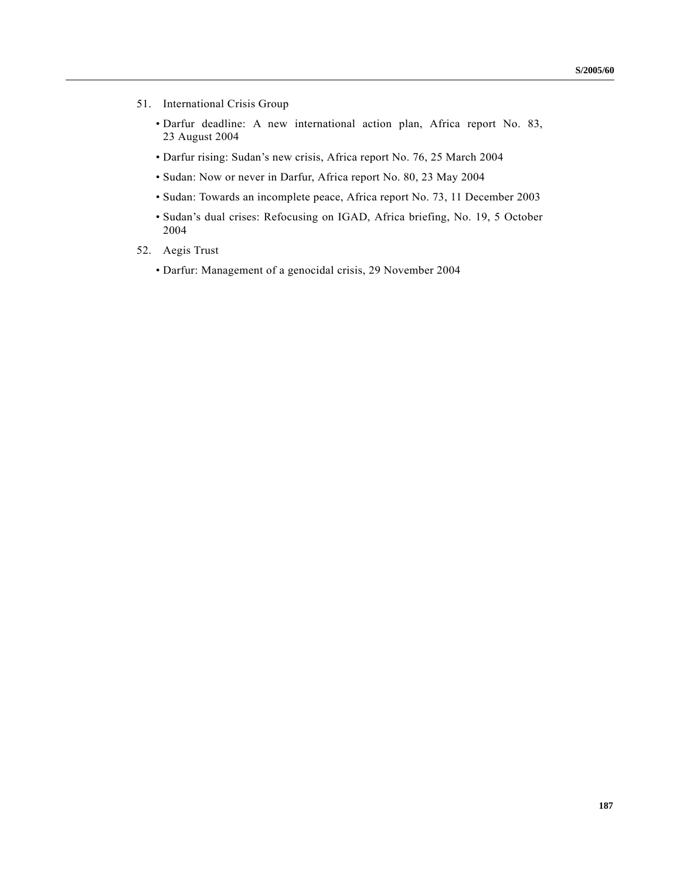- 51. International Crisis Group
	- ï Darfur deadline: A new international action plan, Africa report No. 83, 23 August 2004
	- Darfur rising: Sudan's new crisis, Africa report No. 76, 25 March 2004
	- ï Sudan: Now or never in Darfur, Africa report No. 80, 23 May 2004
	- ï Sudan: Towards an incomplete peace, Africa report No. 73, 11 December 2003
	- Sudan's dual crises: Refocusing on IGAD, Africa briefing, No. 19, 5 October 2004
- 52. Aegis Trust
	- ï Darfur: Management of a genocidal crisis, 29 November 2004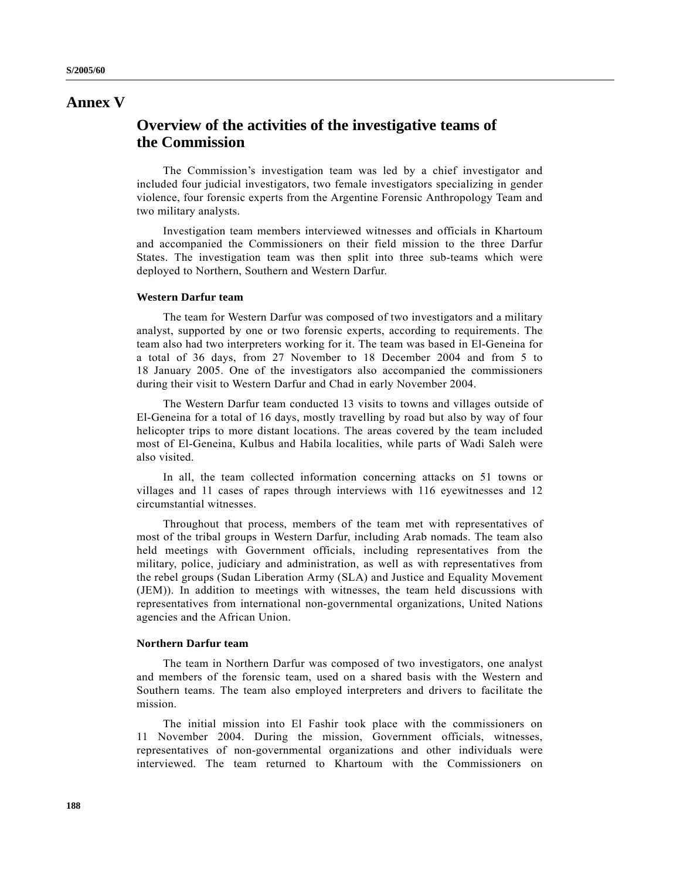## **Annex V**

## **Overview of the activities of the investigative teams of the Commission**

The Commission's investigation team was led by a chief investigator and included four judicial investigators, two female investigators specializing in gender violence, four forensic experts from the Argentine Forensic Anthropology Team and two military analysts.

Investigation team members interviewed witnesses and officials in Khartoum and accompanied the Commissioners on their field mission to the three Darfur States. The investigation team was then split into three sub-teams which were deployed to Northern, Southern and Western Darfur.

#### **Western Darfur team**

The team for Western Darfur was composed of two investigators and a military analyst, supported by one or two forensic experts, according to requirements. The team also had two interpreters working for it. The team was based in El-Geneina for a total of 36 days, from 27 November to 18 December 2004 and from 5 to 18 January 2005. One of the investigators also accompanied the commissioners during their visit to Western Darfur and Chad in early November 2004.

The Western Darfur team conducted 13 visits to towns and villages outside of El-Geneina for a total of 16 days, mostly travelling by road but also by way of four helicopter trips to more distant locations. The areas covered by the team included most of El-Geneina, Kulbus and Habila localities, while parts of Wadi Saleh were also visited.

In all, the team collected information concerning attacks on 51 towns or villages and 11 cases of rapes through interviews with 116 eyewitnesses and 12 circumstantial witnesses.

Throughout that process, members of the team met with representatives of most of the tribal groups in Western Darfur, including Arab nomads. The team also held meetings with Government officials, including representatives from the military, police, judiciary and administration, as well as with representatives from the rebel groups (Sudan Liberation Army (SLA) and Justice and Equality Movement (JEM)). In addition to meetings with witnesses, the team held discussions with representatives from international non-governmental organizations, United Nations agencies and the African Union.

### **Northern Darfur team**

The team in Northern Darfur was composed of two investigators, one analyst and members of the forensic team, used on a shared basis with the Western and Southern teams. The team also employed interpreters and drivers to facilitate the mission.

The initial mission into El Fashir took place with the commissioners on 11 November 2004. During the mission, Government officials, witnesses, representatives of non-governmental organizations and other individuals were interviewed. The team returned to Khartoum with the Commissioners on